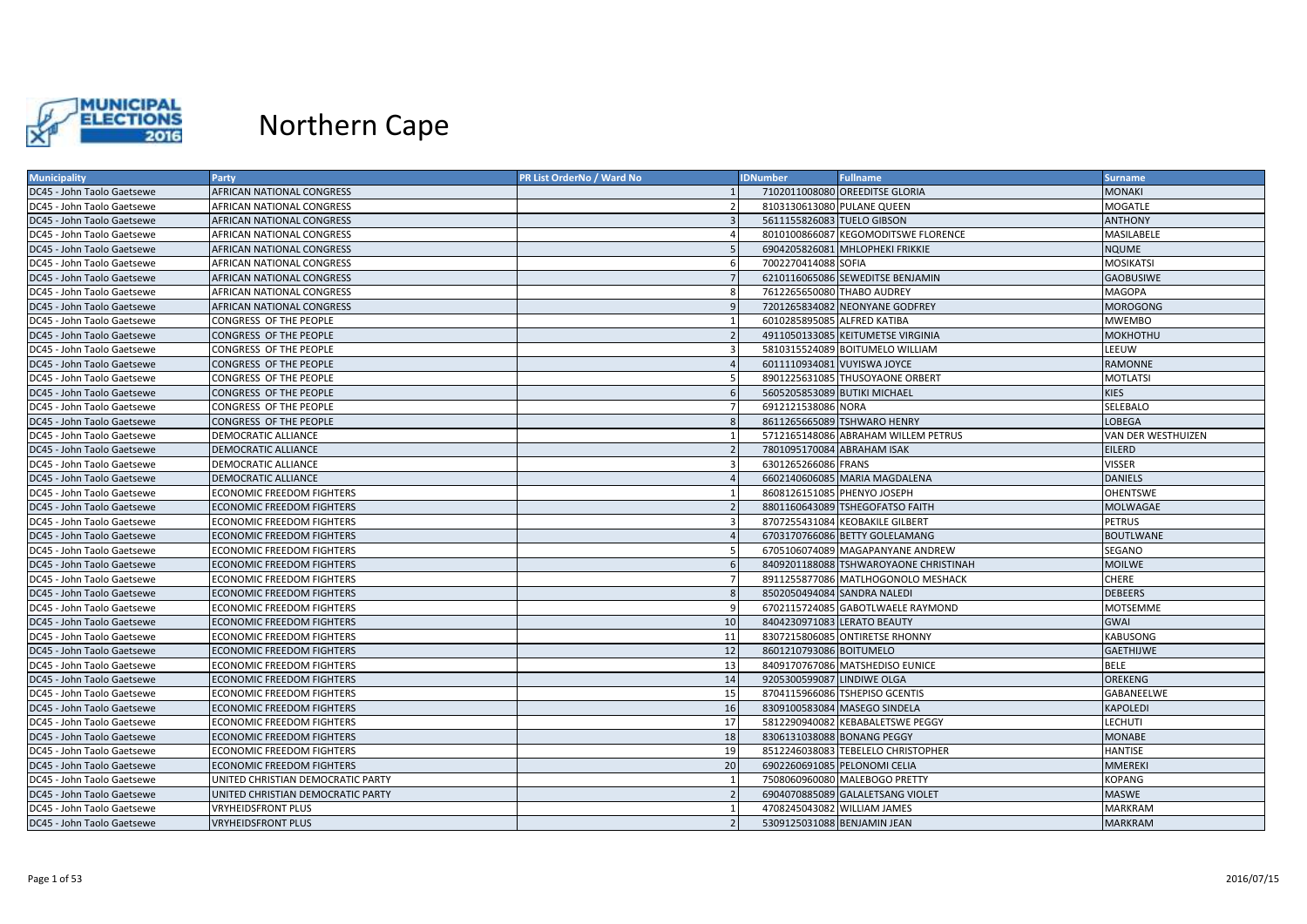

| <b>Municipality</b>        | Party                             | PR List OrderNo / Ward No | <b>IDNumber</b>            | <b>Fullname</b>                       | <b>Surname</b>     |
|----------------------------|-----------------------------------|---------------------------|----------------------------|---------------------------------------|--------------------|
| DC45 - John Taolo Gaetsewe | AFRICAN NATIONAL CONGRESS         |                           |                            | 7102011008080 OREEDITSE GLORIA        | <b>MONAKI</b>      |
| DC45 - John Taolo Gaetsewe | AFRICAN NATIONAL CONGRESS         |                           |                            | 8103130613080 PULANE QUEEN            | <b>MOGATLE</b>     |
| DC45 - John Taolo Gaetsewe | AFRICAN NATIONAL CONGRESS         | $\overline{3}$            | 5611155826083 TUELO GIBSON |                                       | <b>ANTHONY</b>     |
| DC45 - John Taolo Gaetsewe | AFRICAN NATIONAL CONGRESS         |                           |                            | 8010100866087 KEGOMODITSWE FLORENCE   | MASILABELE         |
| DC45 - John Taolo Gaetsewe | <b>AFRICAN NATIONAL CONGRESS</b>  |                           |                            | 6904205826081 MHLOPHEKI FRIKKIE       | <b>NQUME</b>       |
| DC45 - John Taolo Gaetsewe | AFRICAN NATIONAL CONGRESS         | -6                        | 7002270414088 SOFIA        |                                       | <b>MOSIKATSI</b>   |
| DC45 - John Taolo Gaetsewe | AFRICAN NATIONAL CONGRESS         | - 7                       |                            | 6210116065086 SEWEDITSE BENJAMIN      | <b>GAOBUSIWE</b>   |
| DC45 - John Taolo Gaetsewe | AFRICAN NATIONAL CONGRESS         | -8                        |                            | 7612265650080 THABO AUDREY            | <b>MAGOPA</b>      |
| DC45 - John Taolo Gaetsewe | AFRICAN NATIONAL CONGRESS         |                           |                            | 7201265834082 NEONYANE GODFREY        | <b>MOROGONG</b>    |
| DC45 - John Taolo Gaetsewe | CONGRESS OF THE PEOPLE            |                           |                            | 6010285895085 ALFRED KATIBA           | <b>MWEMBO</b>      |
| DC45 - John Taolo Gaetsewe | CONGRESS OF THE PEOPLE            | $\overline{2}$            |                            | 4911050133085 KEITUMETSE VIRGINIA     | <b>MOKHOTHU</b>    |
| DC45 - John Taolo Gaetsewe | CONGRESS OF THE PEOPLE            |                           |                            | 5810315524089 BOITUMELO WILLIAM       | LEEUW              |
| DC45 - John Taolo Gaetsewe | CONGRESS OF THE PEOPLE            |                           |                            | 6011110934081 VUYISWA JOYCE           | <b>RAMONNE</b>     |
| DC45 - John Taolo Gaetsewe | CONGRESS OF THE PEOPLE            |                           |                            | 8901225631085 THUSOYAONE ORBERT       | <b>MOTLATSI</b>    |
| DC45 - John Taolo Gaetsewe | CONGRESS OF THE PEOPLE            | -6                        |                            | 5605205853089 BUTIKI MICHAEL          | <b>KIES</b>        |
| DC45 - John Taolo Gaetsewe | CONGRESS OF THE PEOPLE            |                           | 6912121538086 NORA         |                                       | SELEBALO           |
| DC45 - John Taolo Gaetsewe | <b>CONGRESS OF THE PEOPLE</b>     | -8                        |                            | 8611265665089 TSHWARO HENRY           | <b>LOBEGA</b>      |
| DC45 - John Taolo Gaetsewe | DEMOCRATIC ALLIANCE               |                           |                            | 5712165148086 ABRAHAM WILLEM PETRUS   | VAN DER WESTHUIZEN |
| DC45 - John Taolo Gaetsewe | DEMOCRATIC ALLIANCE               | $\overline{2}$            | 7801095170084 ABRAHAM ISAK |                                       | <b>EILERD</b>      |
| DC45 - John Taolo Gaetsewe | DEMOCRATIC ALLIANCE               | -3                        | 6301265266086 FRANS        |                                       | <b>VISSER</b>      |
| DC45 - John Taolo Gaetsewe | <b>DEMOCRATIC ALLIANCE</b>        |                           |                            | 6602140606085 MARIA MAGDALENA         | <b>DANIELS</b>     |
| DC45 - John Taolo Gaetsewe | <b>ECONOMIC FREEDOM FIGHTERS</b>  |                           |                            | 8608126151085 PHENYO JOSEPH           | <b>OHENTSWE</b>    |
| DC45 - John Taolo Gaetsewe | <b>ECONOMIC FREEDOM FIGHTERS</b>  | $\overline{z}$            |                            | 8801160643089 TSHEGOFATSO FAITH       | <b>MOLWAGAE</b>    |
| DC45 - John Taolo Gaetsewe | <b>ECONOMIC FREEDOM FIGHTERS</b>  | 3                         |                            | 8707255431084 KEOBAKILE GILBERT       | <b>PETRUS</b>      |
| DC45 - John Taolo Gaetsewe | <b>ECONOMIC FREEDOM FIGHTERS</b>  |                           |                            | 6703170766086 BETTY GOLELAMANG        | <b>BOUTLWANE</b>   |
| DC45 - John Taolo Gaetsewe | ECONOMIC FREEDOM FIGHTERS         | -5                        |                            | 6705106074089 MAGAPANYANE ANDREW      | <b>SEGANO</b>      |
| DC45 - John Taolo Gaetsewe | <b>ECONOMIC FREEDOM FIGHTERS</b>  |                           |                            | 8409201188088 TSHWAROYAONE CHRISTINAH | <b>MOILWE</b>      |
| DC45 - John Taolo Gaetsewe | ECONOMIC FREEDOM FIGHTERS         |                           |                            | 8911255877086 MATLHOGONOLO MESHACK    | <b>CHERE</b>       |
| DC45 - John Taolo Gaetsewe | <b>ECONOMIC FREEDOM FIGHTERS</b>  | -8                        |                            | 8502050494084 SANDRA NALEDI           | <b>DEBEERS</b>     |
| DC45 - John Taolo Gaetsewe | <b>ECONOMIC FREEDOM FIGHTERS</b>  | -9                        |                            | 6702115724085 GABOTLWAELE RAYMOND     | <b>MOTSEMME</b>    |
| DC45 - John Taolo Gaetsewe | <b>ECONOMIC FREEDOM FIGHTERS</b>  | 10                        |                            | 8404230971083 LERATO BEAUTY           | <b>GWAI</b>        |
| DC45 - John Taolo Gaetsewe | <b>ECONOMIC FREEDOM FIGHTERS</b>  | 11                        |                            | 8307215806085 ONTIRETSE RHONNY        | <b>KABUSONG</b>    |
| DC45 - John Taolo Gaetsewe | <b>ECONOMIC FREEDOM FIGHTERS</b>  | 12                        | 8601210793086 BOITUMELO    |                                       | <b>GAETHIJWE</b>   |
| DC45 - John Taolo Gaetsewe | <b>ECONOMIC FREEDOM FIGHTERS</b>  | 13                        |                            | 8409170767086 MATSHEDISO EUNICE       | <b>BELE</b>        |
| DC45 - John Taolo Gaetsewe | <b>ECONOMIC FREEDOM FIGHTERS</b>  | 14                        | 9205300599087 LINDIWE OLGA |                                       | <b>OREKENG</b>     |
| DC45 - John Taolo Gaetsewe | ECONOMIC FREEDOM FIGHTERS         | 15                        |                            | 8704115966086 TSHEPISO GCENTIS        | GABANEELWE         |
| DC45 - John Taolo Gaetsewe | <b>ECONOMIC FREEDOM FIGHTERS</b>  | 16                        |                            | 8309100583084 MASEGO SINDELA          | <b>KAPOLEDI</b>    |
| DC45 - John Taolo Gaetsewe | <b>ECONOMIC FREEDOM FIGHTERS</b>  | 17                        |                            | 5812290940082 KEBABALETSWE PEGGY      | <b>LECHUTI</b>     |
| DC45 - John Taolo Gaetsewe | <b>ECONOMIC FREEDOM FIGHTERS</b>  | 18                        |                            | 8306131038088 BONANG PEGGY            | <b>MONABE</b>      |
| DC45 - John Taolo Gaetsewe | <b>ECONOMIC FREEDOM FIGHTERS</b>  | 19                        |                            | 8512246038083 TEBELELO CHRISTOPHER    | <b>HANTISE</b>     |
| DC45 - John Taolo Gaetsewe | <b>ECONOMIC FREEDOM FIGHTERS</b>  | 20                        |                            | 6902260691085 PELONOMI CELIA          | <b>MMEREKI</b>     |
| DC45 - John Taolo Gaetsewe | UNITED CHRISTIAN DEMOCRATIC PARTY |                           |                            | 7508060960080 MALEBOGO PRETTY         | <b>KOPANG</b>      |
| DC45 - John Taolo Gaetsewe | UNITED CHRISTIAN DEMOCRATIC PARTY | $\overline{2}$            |                            | 6904070885089 GALALETSANG VIOLET      | <b>MASWE</b>       |
| DC45 - John Taolo Gaetsewe | <b>VRYHEIDSFRONT PLUS</b>         | $\overline{1}$            |                            | 4708245043082 WILLIAM JAMES           | <b>MARKRAM</b>     |
| DC45 - John Taolo Gaetsewe | <b>VRYHEIDSFRONT PLUS</b>         | $\overline{2}$            |                            | 5309125031088 BENJAMIN JEAN           | <b>MARKRAM</b>     |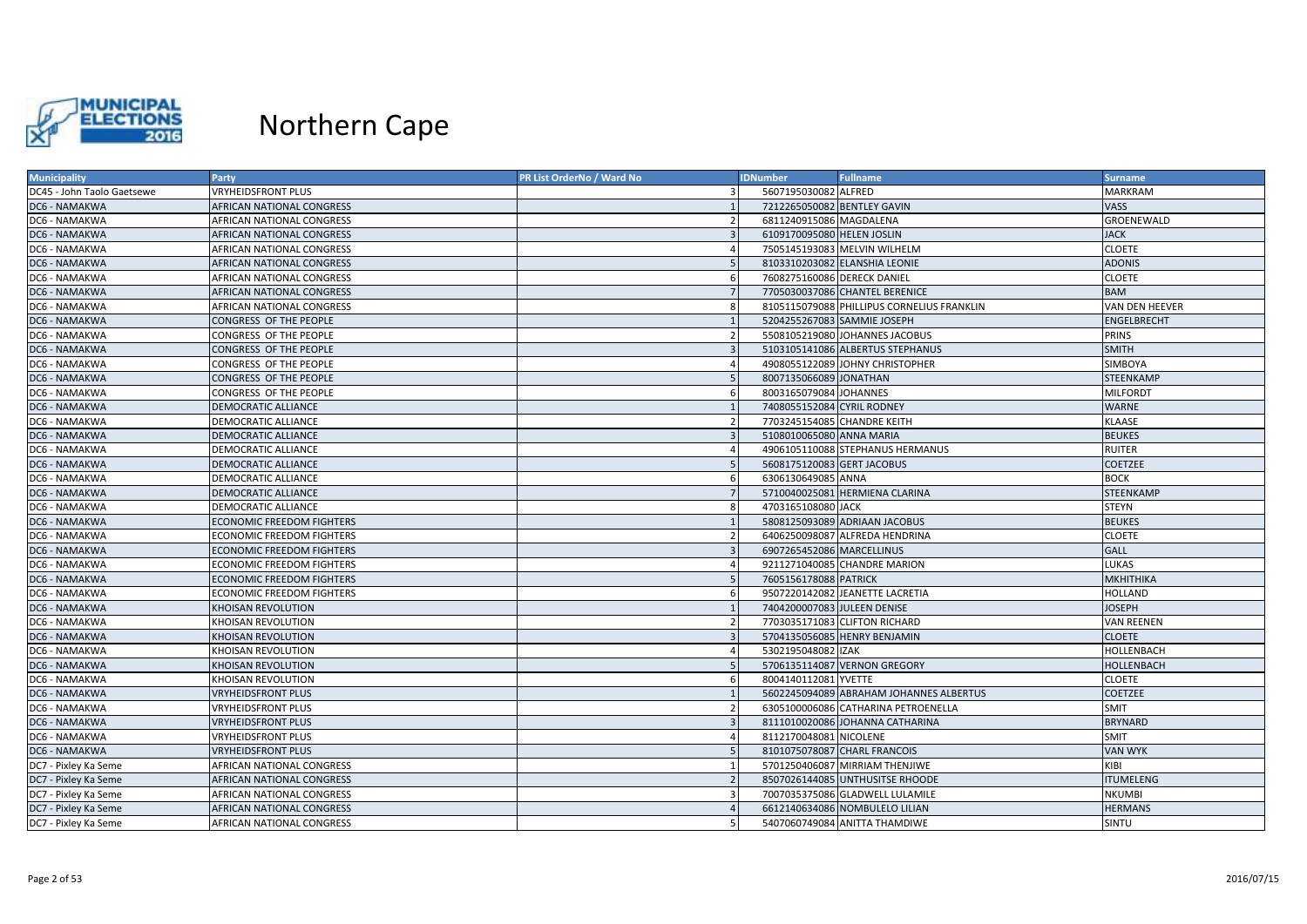

| <b>Municipality</b>        | <b>Party</b>                     | PR List OrderNo / Ward No | <b>IDNumber</b>            | <b>Fullname</b>                            | <b>Surname</b>   |
|----------------------------|----------------------------------|---------------------------|----------------------------|--------------------------------------------|------------------|
| DC45 - John Taolo Gaetsewe | <b>VRYHEIDSFRONT PLUS</b>        |                           | 5607195030082 ALFRED       |                                            | <b>MARKRAM</b>   |
| DC6 - NAMAKWA              | AFRICAN NATIONAL CONGRESS        |                           |                            | 7212265050082 BENTLEY GAVIN                | VASS             |
| DC6 - NAMAKWA              | AFRICAN NATIONAL CONGRESS        | $\overline{\phantom{a}}$  | 6811240915086 MAGDALENA    |                                            | GROENEWALD       |
| DC6 - NAMAKWA              | AFRICAN NATIONAL CONGRESS        |                           | 6109170095080 HELEN JOSLIN |                                            | <b>JACK</b>      |
| DC6 - NAMAKWA              | AFRICAN NATIONAL CONGRESS        |                           |                            | 7505145193083 MELVIN WILHELM               | <b>CLOETE</b>    |
| DC6 - NAMAKWA              | <b>AFRICAN NATIONAL CONGRESS</b> |                           |                            | 8103310203082 ELANSHIA LEONIE              | <b>ADONIS</b>    |
| DC6 - NAMAKWA              | AFRICAN NATIONAL CONGRESS        | -6                        |                            | 7608275160086 DERECK DANIEL                | CLOETE           |
| DC6 - NAMAKWA              | <b>AFRICAN NATIONAL CONGRESS</b> |                           |                            | 7705030037086 CHANTEL BERENICE             | BAM              |
| DC6 - NAMAKWA              | AFRICAN NATIONAL CONGRESS        | -8                        |                            | 8105115079088 PHILLIPUS CORNELIUS FRANKLIN | VAN DEN HEEVER   |
| DC6 - NAMAKWA              | CONGRESS OF THE PEOPLE           |                           |                            | 5204255267083 SAMMIE JOSEPH                | ENGELBRECHT      |
| DC6 - NAMAKWA              | CONGRESS OF THE PEOPLE           | $\overline{2}$            |                            | 5508105219080 JOHANNES JACOBUS             | <b>PRINS</b>     |
| DC6 - NAMAKWA              | CONGRESS OF THE PEOPLE           |                           |                            | 5103105141086 ALBERTUS STEPHANUS           | <b>SMITH</b>     |
| DC6 - NAMAKWA              | CONGRESS OF THE PEOPLE           |                           |                            | 4908055122089 JOHNY CHRISTOPHER            | SIMBOYA          |
| DC6 - NAMAKWA              | CONGRESS OF THE PEOPLE           |                           | 8007135066089 JONATHAN     |                                            | <b>STEENKAMP</b> |
| DC6 - NAMAKWA              | CONGRESS OF THE PEOPLE           | - 6                       | 8003165079084 JOHANNES     |                                            | <b>MILFORDT</b>  |
| DC6 - NAMAKWA              | DEMOCRATIC ALLIANCE              |                           | 7408055152084 CYRIL RODNEY |                                            | WARNE            |
| DC6 - NAMAKWA              | <b>DEMOCRATIC ALLIANCE</b>       |                           |                            | 7703245154085 CHANDRE KEITH                | KLAASE           |
| DC6 - NAMAKWA              | DEMOCRATIC ALLIANCE              |                           | 5108010065080 ANNA MARIA   |                                            | <b>BEUKES</b>    |
| DC6 - NAMAKWA              | <b>DEMOCRATIC ALLIANCE</b>       |                           |                            | 4906105110088 STEPHANUS HERMANUS           | <b>RUITER</b>    |
| DC6 - NAMAKWA              | <b>DEMOCRATIC ALLIANCE</b>       | -5                        |                            | 5608175120083 GERT JACOBUS                 | COETZEE          |
| DC6 - NAMAKWA              | DEMOCRATIC ALLIANCE              | -6                        | 6306130649085 ANNA         |                                            | <b>BOCK</b>      |
| DC6 - NAMAKWA              | <b>DEMOCRATIC ALLIANCE</b>       |                           |                            | 5710040025081 HERMIENA CLARINA             | <b>STEENKAMP</b> |
| DC6 - NAMAKWA              | DEMOCRATIC ALLIANCE              | -8                        | 4703165108080 JACK         |                                            | <b>STEYN</b>     |
| DC6 - NAMAKWA              | <b>ECONOMIC FREEDOM FIGHTERS</b> |                           |                            | 5808125093089 ADRIAAN JACOBUS              | <b>BEUKES</b>    |
| DC6 - NAMAKWA              | <b>ECONOMIC FREEDOM FIGHTERS</b> |                           |                            | 6406250098087 ALFREDA HENDRINA             | <b>CLOETE</b>    |
| DC6 - NAMAKWA              | <b>ECONOMIC FREEDOM FIGHTERS</b> |                           | 6907265452086 MARCELLINUS  |                                            | <b>GALL</b>      |
| DC6 - NAMAKWA              | <b>ECONOMIC FREEDOM FIGHTERS</b> |                           |                            | 9211271040085 CHANDRE MARION               | LUKAS            |
| DC6 - NAMAKWA              | <b>ECONOMIC FREEDOM FIGHTERS</b> | -5                        | 7605156178088 PATRICK      |                                            | <b>MKHITHIKA</b> |
| DC6 - NAMAKWA              | <b>ECONOMIC FREEDOM FIGHTERS</b> |                           |                            | 9507220142082 JEANETTE LACRETIA            | HOLLAND          |
| DC6 - NAMAKWA              | KHOISAN REVOLUTION               |                           |                            | 7404200007083 JULEEN DENISE                | <b>JOSEPH</b>    |
| DC6 - NAMAKWA              | KHOISAN REVOLUTION               | $\overline{2}$            |                            | 7703035171083 CLIFTON RICHARD              | VAN REENEN       |
| DC6 - NAMAKWA              | KHOISAN REVOLUTION               |                           |                            | 5704135056085 HENRY BENJAMIN               | <b>CLOETE</b>    |
| DC6 - NAMAKWA              | KHOISAN REVOLUTION               |                           | 5302195048082 IZAK         |                                            | HOLLENBACH       |
| DC6 - NAMAKWA              | KHOISAN REVOLUTION               |                           |                            | 5706135114087 VERNON GREGORY               | HOLLENBACH       |
| DC6 - NAMAKWA              | KHOISAN REVOLUTION               | -6                        | 8004140112081 YVETTE       |                                            | <b>CLOETE</b>    |
| DC6 - NAMAKWA              | <b>VRYHEIDSFRONT PLUS</b>        |                           |                            | 5602245094089 ABRAHAM JOHANNES ALBERTUS    | COETZEE          |
| DC6 - NAMAKWA              | <b>VRYHEIDSFRONT PLUS</b>        |                           |                            | 6305100006086 CATHARINA PETROENELLA        | <b>SMIT</b>      |
| DC6 - NAMAKWA              | <b>VRYHEIDSFRONT PLUS</b>        |                           |                            | 8111010020086 JOHANNA CATHARINA            | <b>BRYNARD</b>   |
| DC6 - NAMAKWA              | <b>VRYHEIDSFRONT PLUS</b>        |                           | 8112170048081 NICOLENE     |                                            | <b>SMIT</b>      |
| DC6 - NAMAKWA              | <b>VRYHEIDSFRONT PLUS</b>        |                           |                            | 8101075078087 CHARL FRANCOIS               | <b>VAN WYK</b>   |
| DC7 - Pixley Ka Seme       | AFRICAN NATIONAL CONGRESS        |                           |                            | 5701250406087 MIRRIAM THENJIWE             | KIBI             |
| DC7 - Pixley Ka Seme       | AFRICAN NATIONAL CONGRESS        |                           |                            | 8507026144085 UNTHUSITSE RHOODE            | <b>ITUMELENG</b> |
| DC7 - Pixley Ka Seme       | AFRICAN NATIONAL CONGRESS        | $\mathbf{R}$              |                            | 7007035375086 GLADWELL LULAMILE            | <b>NKUMBI</b>    |
| DC7 - Pixley Ka Seme       | AFRICAN NATIONAL CONGRESS        |                           |                            | 6612140634086 NOMBULELO LILIAN             | <b>HERMANS</b>   |
| DC7 - Pixley Ka Seme       | AFRICAN NATIONAL CONGRESS        | .5                        |                            | 5407060749084 ANITTA THAMDIWE              | SINTU            |
|                            |                                  |                           |                            |                                            |                  |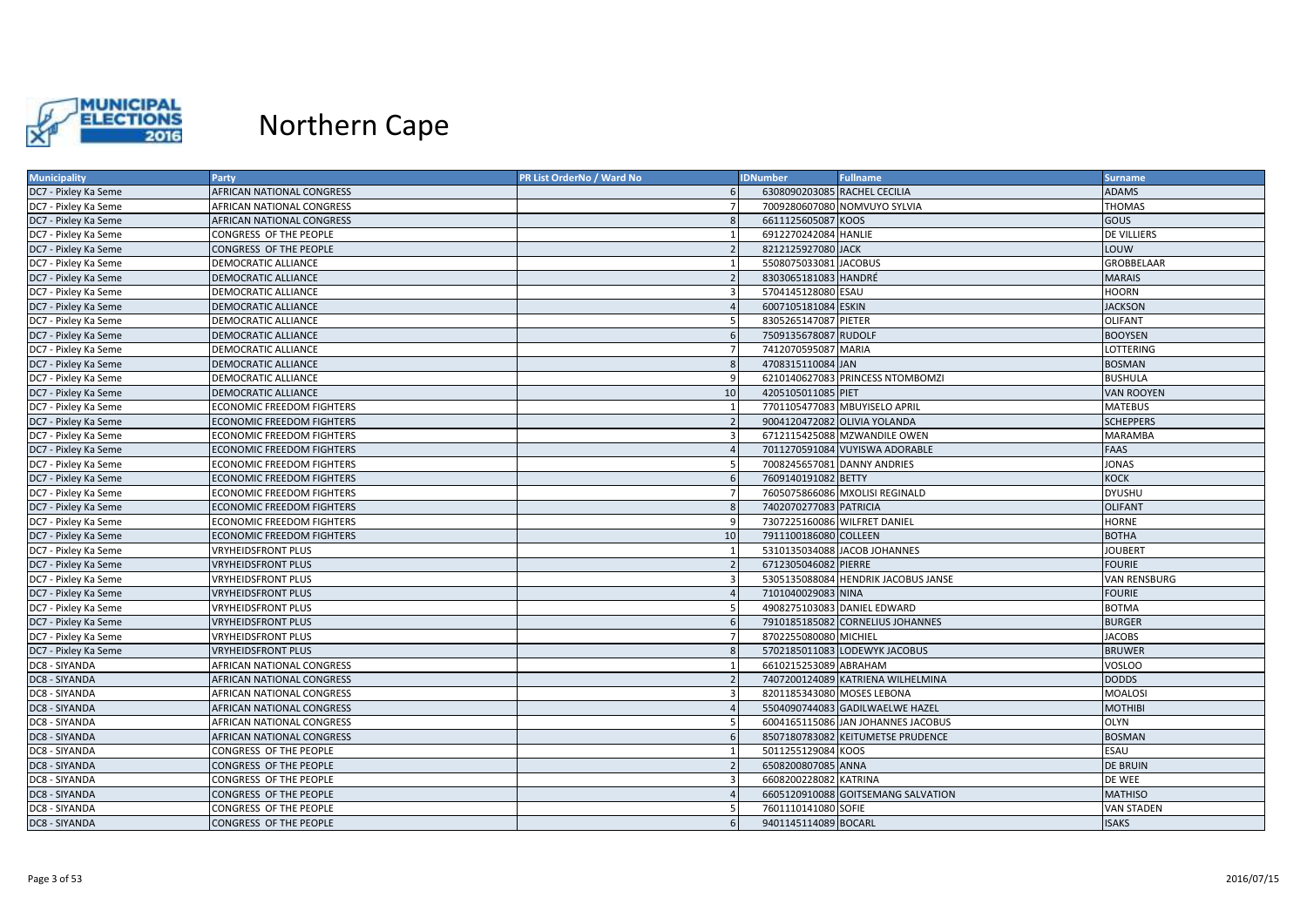

| <b>Municipality</b>  | Party                            | PR List OrderNo / Ward No | <b>IDNumber</b>        | <b>Fullname</b>                     | <b>Surname</b>    |
|----------------------|----------------------------------|---------------------------|------------------------|-------------------------------------|-------------------|
| DC7 - Pixley Ka Seme | <b>AFRICAN NATIONAL CONGRESS</b> |                           |                        | 6308090203085 RACHEL CECILIA        | <b>ADAMS</b>      |
| DC7 - Pixley Ka Seme | AFRICAN NATIONAL CONGRESS        |                           |                        | 7009280607080 NOMVUYO SYLVIA        | <b>THOMAS</b>     |
| DC7 - Pixley Ka Seme | AFRICAN NATIONAL CONGRESS        | -8                        | 6611125605087 KOOS     |                                     | <b>GOUS</b>       |
| DC7 - Pixley Ka Seme | CONGRESS OF THE PEOPLE           |                           | 6912270242084 HANLIE   |                                     | DE VILLIERS       |
| DC7 - Pixley Ka Seme | CONGRESS OF THE PEOPLE           |                           | 8212125927080 JACK     |                                     | LOUW              |
| DC7 - Pixley Ka Seme | DEMOCRATIC ALLIANCE              |                           | 5508075033081 JACOBUS  |                                     | <b>GROBBELAAR</b> |
| DC7 - Pixley Ka Seme | <b>DEMOCRATIC ALLIANCE</b>       |                           | 8303065181083 HANDRÉ   |                                     | <b>MARAIS</b>     |
| DC7 - Pixley Ka Seme | <b>DEMOCRATIC ALLIANCE</b>       | -3                        | 5704145128080 ESAU     |                                     | HOORN             |
| DC7 - Pixley Ka Seme | <b>DEMOCRATIC ALLIANCE</b>       |                           | 6007105181084 ESKIN    |                                     | <b>JACKSON</b>    |
| DC7 - Pixley Ka Seme | DEMOCRATIC ALLIANCE              |                           | 8305265147087 PIETER   |                                     | <b>OLIFANT</b>    |
| DC7 - Pixley Ka Seme | <b>DEMOCRATIC ALLIANCE</b>       |                           | 7509135678087 RUDOLF   |                                     | <b>BOOYSEN</b>    |
| DC7 - Pixley Ka Seme | DEMOCRATIC ALLIANCE              |                           | 7412070595087 MARIA    |                                     | LOTTERING         |
| DC7 - Pixley Ka Seme | <b>DEMOCRATIC ALLIANCE</b>       |                           | 4708315110084 JAN      |                                     | <b>BOSMAN</b>     |
| DC7 - Pixley Ka Seme | DEMOCRATIC ALLIANCE              | -9                        |                        | 6210140627083 PRINCESS NTOMBOMZI    | <b>BUSHULA</b>    |
| DC7 - Pixley Ka Seme | <b>DEMOCRATIC ALLIANCE</b>       | 10                        | 4205105011085 PIET     |                                     | <b>VAN ROOYEN</b> |
| DC7 - Pixley Ka Seme | <b>ECONOMIC FREEDOM FIGHTERS</b> | $\overline{1}$            |                        | 7701105477083 MBUYISELO APRIL       | <b>MATEBUS</b>    |
| DC7 - Pixley Ka Seme | <b>ECONOMIC FREEDOM FIGHTERS</b> |                           |                        | 9004120472082 OLIVIA YOLANDA        | <b>SCHEPPERS</b>  |
| DC7 - Pixley Ka Seme | <b>ECONOMIC FREEDOM FIGHTERS</b> |                           |                        | 6712115425088 MZWANDILE OWEN        | <b>MARAMBA</b>    |
| DC7 - Pixley Ka Seme | <b>ECONOMIC FREEDOM FIGHTERS</b> |                           |                        | 7011270591084 VUYISWA ADORABLE      | FAAS              |
| DC7 - Pixley Ka Seme | <b>ECONOMIC FREEDOM FIGHTERS</b> | -5                        |                        | 7008245657081 DANNY ANDRIES         | <b>JONAS</b>      |
| DC7 - Pixley Ka Seme | <b>ECONOMIC FREEDOM FIGHTERS</b> |                           | 7609140191082 BETTY    |                                     | <b>KOCK</b>       |
| DC7 - Pixley Ka Seme | <b>ECONOMIC FREEDOM FIGHTERS</b> | - 7                       |                        | 7605075866086 MXOLISI REGINALD      | <b>DYUSHU</b>     |
| DC7 - Pixley Ka Seme | <b>ECONOMIC FREEDOM FIGHTERS</b> |                           | 7402070277083 PATRICIA |                                     | <b>OLIFANT</b>    |
| DC7 - Pixley Ka Seme | <b>ECONOMIC FREEDOM FIGHTERS</b> |                           |                        | 7307225160086 WILFRET DANIEL        | <b>HORNE</b>      |
| DC7 - Pixley Ka Seme | <b>ECONOMIC FREEDOM FIGHTERS</b> | 10                        | 7911100186080 COLLEEN  |                                     | <b>BOTHA</b>      |
| DC7 - Pixley Ka Seme | <b>VRYHEIDSFRONT PLUS</b>        |                           |                        | 5310135034088 JACOB JOHANNES        | <b>JOUBERT</b>    |
| DC7 - Pixley Ka Seme | <b>VRYHEIDSFRONT PLUS</b>        |                           | 6712305046082 PIERRE   |                                     | <b>FOURIE</b>     |
| DC7 - Pixley Ka Seme | <b>VRYHEIDSFRONT PLUS</b>        |                           |                        | 5305135088084 HENDRIK JACOBUS JANSE | VAN RENSBURG      |
| DC7 - Pixley Ka Seme | <b>VRYHEIDSFRONT PLUS</b>        |                           | 7101040029083 NINA     |                                     | <b>FOURIE</b>     |
| DC7 - Pixley Ka Seme | <b>VRYHEIDSFRONT PLUS</b>        | -5                        |                        | 4908275103083 DANIEL EDWARD         | <b>BOTMA</b>      |
| DC7 - Pixley Ka Seme | <b>VRYHEIDSFRONT PLUS</b>        |                           |                        | 7910185185082 CORNELIUS JOHANNES    | <b>BURGER</b>     |
| DC7 - Pixley Ka Seme | <b>VRYHEIDSFRONT PLUS</b>        |                           | 8702255080080 MICHIEL  |                                     | <b>JACOBS</b>     |
| DC7 - Pixley Ka Seme | <b>VRYHEIDSFRONT PLUS</b>        |                           |                        | 5702185011083 LODEWYK JACOBUS       | <b>BRUWER</b>     |
| DC8 - SIYANDA        | AFRICAN NATIONAL CONGRESS        |                           | 6610215253089 ABRAHAM  |                                     | <b>VOSLOO</b>     |
| DC8 - SIYANDA        | AFRICAN NATIONAL CONGRESS        |                           |                        | 7407200124089 KATRIENA WILHELMINA   | <b>DODDS</b>      |
| DC8 - SIYANDA        | AFRICAN NATIONAL CONGRESS        |                           |                        | 8201185343080 MOSES LEBONA          | <b>MOALOSI</b>    |
| DC8 - SIYANDA        | AFRICAN NATIONAL CONGRESS        |                           |                        | 5504090744083 GADILWAELWE HAZEL     | <b>MOTHIBI</b>    |
| DC8 - SIYANDA        | AFRICAN NATIONAL CONGRESS        | -5                        |                        | 6004165115086 JAN JOHANNES JACOBUS  | OLYN              |
| DC8 - SIYANDA        | AFRICAN NATIONAL CONGRESS        |                           |                        | 8507180783082 KEITUMETSE PRUDENCE   | <b>BOSMAN</b>     |
| DC8 - SIYANDA        | CONGRESS OF THE PEOPLE           |                           | 5011255129084 KOOS     |                                     | ESAU              |
| DC8 - SIYANDA        | CONGRESS OF THE PEOPLE           | $\overline{2}$            | 6508200807085 ANNA     |                                     | <b>DE BRUIN</b>   |
| DC8 - SIYANDA        | CONGRESS OF THE PEOPLE           |                           | 6608200228082 KATRINA  |                                     | DE WEE            |
| DC8 - SIYANDA        | CONGRESS OF THE PEOPLE           |                           |                        | 6605120910088 GOITSEMANG SALVATION  | <b>MATHISO</b>    |
| DC8 - SIYANDA        | CONGRESS OF THE PEOPLE           |                           | 7601110141080 SOFIE    |                                     | <b>VAN STADEN</b> |
| DC8 - SIYANDA        | CONGRESS OF THE PEOPLE           | -6                        | 9401145114089 BOCARL   |                                     | <b>ISAKS</b>      |
|                      |                                  |                           |                        |                                     |                   |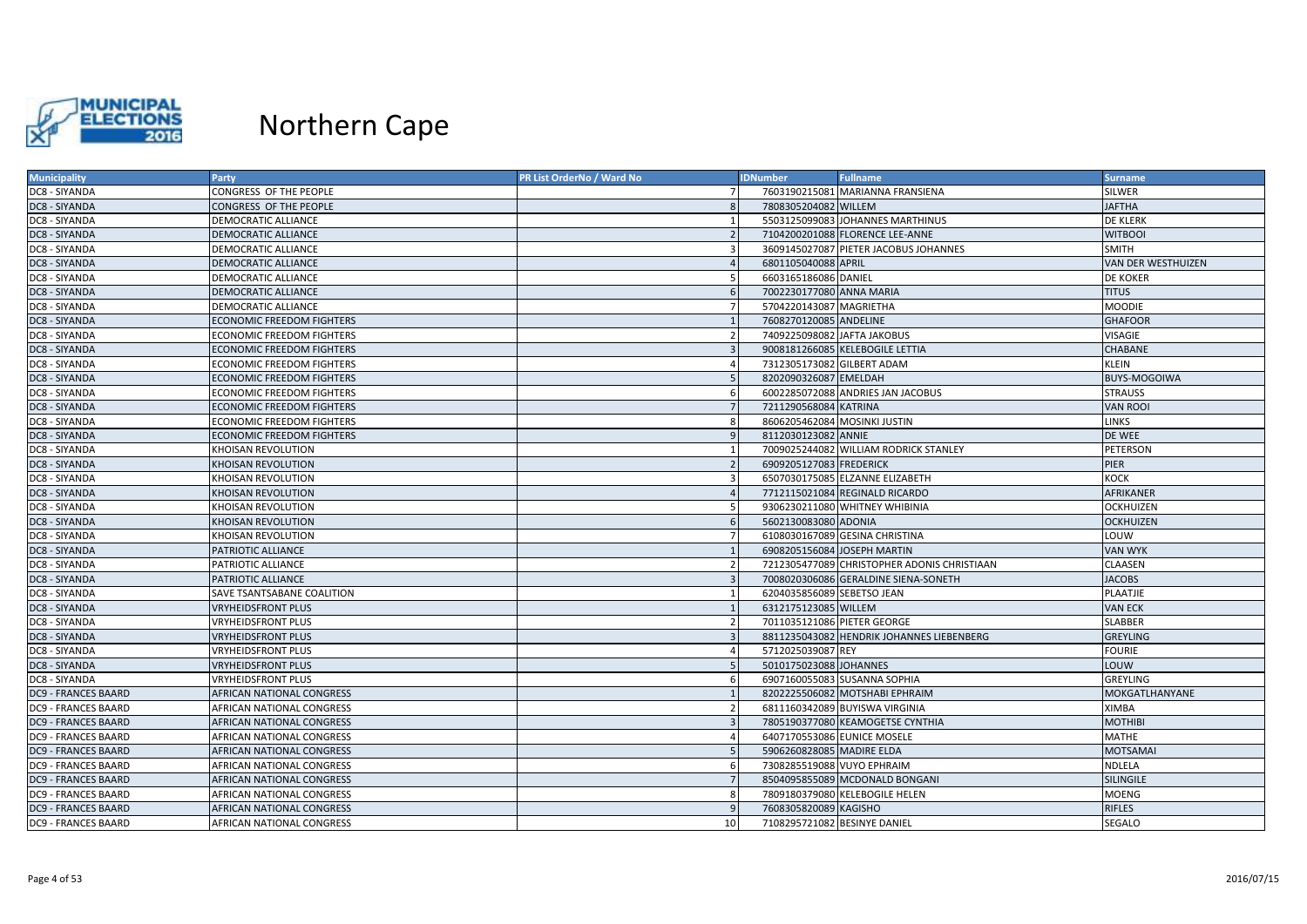

| <b>Municipality</b>        | Party                            | <b>PR List OrderNo / Ward No</b> | <b>IDNumber</b>            | <b>Fullname</b>                             | <b>Surname</b>        |
|----------------------------|----------------------------------|----------------------------------|----------------------------|---------------------------------------------|-----------------------|
| DC8 - SIYANDA              | CONGRESS OF THE PEOPLE           |                                  |                            | 7603190215081 MARIANNA FRANSIENA            | <b>SILWER</b>         |
| DC8 - SIYANDA              | CONGRESS OF THE PEOPLE           |                                  | 7808305204082 WILLEM       |                                             | <b>JAFTHA</b>         |
| DC8 - SIYANDA              | DEMOCRATIC ALLIANCE              | $\overline{1}$                   |                            | 5503125099083 JOHANNES MARTHINUS            | <b>DE KLERK</b>       |
| DC8 - SIYANDA              | <b>DEMOCRATIC ALLIANCE</b>       | $\overline{2}$                   |                            | 7104200201088 FLORENCE LEE-ANNE             | <b>WITBOOI</b>        |
| DC8 - SIYANDA              | <b>DEMOCRATIC ALLIANCE</b>       | $\overline{3}$                   |                            | 3609145027087 PIETER JACOBUS JOHANNES       | <b>SMITH</b>          |
| DC8 - SIYANDA              | <b>DEMOCRATIC ALLIANCE</b>       |                                  | 6801105040088 APRIL        |                                             | VAN DER WESTHUIZEN    |
| DC8 - SIYANDA              | DEMOCRATIC ALLIANCE              | -5                               | 6603165186086 DANIEL       |                                             | <b>DE KOKER</b>       |
| DC8 - SIYANDA              | <b>DEMOCRATIC ALLIANCE</b>       | 6                                | 7002230177080 ANNA MARIA   |                                             | <b>TITUS</b>          |
| DC8 - SIYANDA              | DEMOCRATIC ALLIANCE              |                                  | 5704220143087 MAGRIETHA    |                                             | <b>MOODIE</b>         |
| DC8 - SIYANDA              | <b>ECONOMIC FREEDOM FIGHTERS</b> |                                  | 7608270120085 ANDELINE     |                                             | <b>GHAFOOR</b>        |
| DC8 - SIYANDA              | <b>ECONOMIC FREEDOM FIGHTERS</b> | $\overline{2}$                   |                            | 7409225098082 JAFTA JAKOBUS                 | <b>VISAGIE</b>        |
| DC8 - SIYANDA              | <b>ECONOMIC FREEDOM FIGHTERS</b> |                                  |                            | 9008181266085 KELEBOGILE LETTIA             | CHABANE               |
| DC8 - SIYANDA              | <b>ECONOMIC FREEDOM FIGHTERS</b> | $\overline{A}$                   |                            | 7312305173082 GILBERT ADAM                  | <b>KLEIN</b>          |
| DC8 - SIYANDA              | <b>ECONOMIC FREEDOM FIGHTERS</b> | 5                                | 8202090326087 EMELDAH      |                                             | <b>BUYS-MOGOIWA</b>   |
| DC8 - SIYANDA              | <b>ECONOMIC FREEDOM FIGHTERS</b> | 6                                |                            | 6002285072088 ANDRIES JAN JACOBUS           | <b>STRAUSS</b>        |
| DC8 - SIYANDA              | <b>ECONOMIC FREEDOM FIGHTERS</b> | $\overline{7}$                   | 7211290568084 KATRINA      |                                             | <b>VAN ROOI</b>       |
| DC8 - SIYANDA              | <b>ECONOMIC FREEDOM FIGHTERS</b> | $\mathbf{R}$                     |                            | 8606205462084 MOSINKI JUSTIN                | <b>LINKS</b>          |
| DC8 - SIYANDA              | <b>ECONOMIC FREEDOM FIGHTERS</b> |                                  | 8112030123082 ANNIE        |                                             | DE WEE                |
| DC8 - SIYANDA              | KHOISAN REVOLUTION               | $\overline{1}$                   |                            | 7009025244082 WILLIAM RODRICK STANLEY       | PETERSON              |
| DC8 - SIYANDA              | KHOISAN REVOLUTION               | $\overline{2}$                   | 6909205127083 FREDERICK    |                                             | PIER                  |
| DC8 - SIYANDA              | KHOISAN REVOLUTION               | $\mathbf{a}$                     |                            | 6507030175085 ELZANNE ELIZABETH             | <b>KOCK</b>           |
| DC8 - SIYANDA              | KHOISAN REVOLUTION               |                                  |                            | 7712115021084 REGINALD RICARDO              | AFRIKANER             |
| DC8 - SIYANDA              | <b>KHOISAN REVOLUTION</b>        | -5                               |                            | 9306230211080 WHITNEY WHIBINIA              | <b>OCKHUIZEN</b>      |
| DC8 - SIYANDA              | <b>KHOISAN REVOLUTION</b>        | 6                                | 5602130083080 ADONIA       |                                             | <b>OCKHUIZEN</b>      |
| DC8 - SIYANDA              | KHOISAN REVOLUTION               |                                  |                            | 6108030167089 GESINA CHRISTINA              | LOUW                  |
| DC8 - SIYANDA              | PATRIOTIC ALLIANCE               |                                  |                            | 6908205156084 JOSEPH MARTIN                 | <b>VAN WYK</b>        |
| DC8 - SIYANDA              | PATRIOTIC ALLIANCE               | $\overline{2}$                   |                            | 7212305477089 CHRISTOPHER ADONIS CHRISTIAAN | <b>CLAASEN</b>        |
| DC8 - SIYANDA              | PATRIOTIC ALLIANCE               | $\overline{3}$                   |                            | 7008020306086 GERALDINE SIENA-SONETH        | <b>JACOBS</b>         |
| DC8 - SIYANDA              | SAVE TSANTSABANE COALITION       |                                  | 6204035856089 SEBETSO JEAN |                                             | PLAATJIE              |
| DC8 - SIYANDA              | VRYHEIDSFRONT PLUS               |                                  | 6312175123085 WILLEM       |                                             | <b>VAN ECK</b>        |
| DC8 - SIYANDA              | <b>VRYHEIDSFRONT PLUS</b>        | $\overline{2}$                   |                            | 7011035121086 PIETER GEORGE                 | <b>SLABBER</b>        |
| DC8 - SIYANDA              | <b>VRYHEIDSFRONT PLUS</b>        |                                  |                            | 8811235043082 HENDRIK JOHANNES LIEBENBERG   | <b>GREYLING</b>       |
| DC8 - SIYANDA              | <b>VRYHEIDSFRONT PLUS</b>        | $\overline{A}$                   | 5712025039087 REY          |                                             | <b>FOURIE</b>         |
| DC8 - SIYANDA              | VRYHEIDSFRONT PLUS               |                                  | 5010175023088 JOHANNES     |                                             | LOUW                  |
| DC8 - SIYANDA              | <b>VRYHEIDSFRONT PLUS</b>        | 6                                |                            | 6907160055083 SUSANNA SOPHIA                | <b>GREYLING</b>       |
| <b>DC9 - FRANCES BAARD</b> | <b>AFRICAN NATIONAL CONGRESS</b> | $\overline{1}$                   |                            | 8202225506082 MOTSHABI EPHRAIM              | <b>MOKGATLHANYANE</b> |
| <b>DC9 - FRANCES BAARD</b> | AFRICAN NATIONAL CONGRESS        |                                  |                            | 6811160342089 BUYISWA VIRGINIA              | <b>XIMBA</b>          |
| <b>DC9 - FRANCES BAARD</b> | AFRICAN NATIONAL CONGRESS        |                                  |                            | 7805190377080 KEAMOGETSE CYNTHIA            | <b>MOTHIBI</b>        |
| <b>DC9 - FRANCES BAARD</b> | AFRICAN NATIONAL CONGRESS        | $\Delta$                         |                            | 6407170553086 EUNICE MOSELE                 | <b>MATHE</b>          |
| <b>DC9 - FRANCES BAARD</b> | AFRICAN NATIONAL CONGRESS        |                                  | 5906260828085 MADIRE ELDA  |                                             | <b>MOTSAMAI</b>       |
| <b>DC9 - FRANCES BAARD</b> | AFRICAN NATIONAL CONGRESS        | 6                                |                            | 7308285519088 VUYO EPHRAIM                  | <b>NDLELA</b>         |
| DC9 - FRANCES BAARD        | AFRICAN NATIONAL CONGRESS        | $\overline{7}$                   |                            | 8504095855089 MCDONALD BONGANI              | <b>SILINGILE</b>      |
| DC9 - FRANCES BAARD        | AFRICAN NATIONAL CONGRESS        | 8                                |                            | 7809180379080 KELEBOGILE HELEN              | <b>MOENG</b>          |
| <b>DC9 - FRANCES BAARD</b> | <b>AFRICAN NATIONAL CONGRESS</b> | q                                | 7608305820089 KAGISHO      |                                             | <b>RIFLES</b>         |
| <b>DC9 - FRANCES BAARD</b> | AFRICAN NATIONAL CONGRESS        | 10                               |                            | 7108295721082 BESINYE DANIEL                | SEGALO                |
|                            |                                  |                                  |                            |                                             |                       |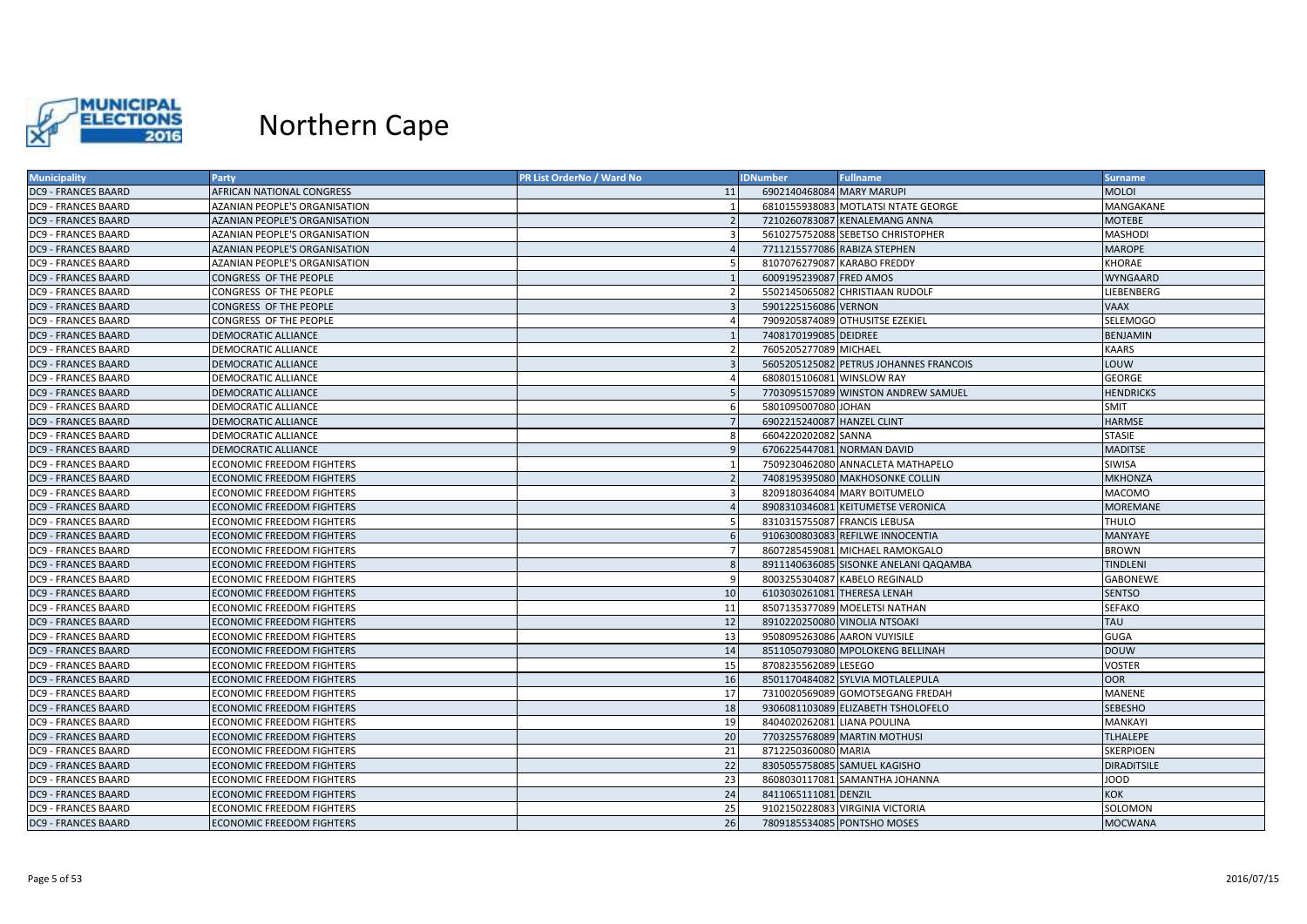

| <b>Municipality</b>        | <b>Party</b>                         | <b>PR List OrderNo / Ward No</b> | <b>IDNumber</b>             | <b>Fullname</b>                        | <b>Surname</b>     |
|----------------------------|--------------------------------------|----------------------------------|-----------------------------|----------------------------------------|--------------------|
| <b>DC9 - FRANCES BAARD</b> | AFRICAN NATIONAL CONGRESS            | 11                               | 6902140468084 MARY MARUPI   |                                        | <b>MOLOI</b>       |
| <b>DC9 - FRANCES BAARD</b> | AZANIAN PEOPLE'S ORGANISATION        |                                  |                             | 6810155938083 MOTLATSI NTATE GEORGE    | MANGAKANE          |
| <b>DC9 - FRANCES BAARD</b> | <b>AZANIAN PEOPLE'S ORGANISATION</b> | $\overline{z}$                   |                             | 7210260783087 KENALEMANG ANNA          | <b>MOTEBE</b>      |
| <b>DC9 - FRANCES BAARD</b> | AZANIAN PEOPLE'S ORGANISATION        | $\overline{3}$                   |                             | 5610275752088 SEBETSO CHRISTOPHER      | <b>MASHODI</b>     |
| <b>DC9 - FRANCES BAARD</b> | <b>AZANIAN PEOPLE'S ORGANISATION</b> |                                  |                             | 7711215577086 RABIZA STEPHEN           | <b>MAROPE</b>      |
| DC9 - FRANCES BAARD        | AZANIAN PEOPLE'S ORGANISATION        |                                  |                             | 8107076279087 KARABO FREDDY            | <b>KHORAE</b>      |
| DC9 - FRANCES BAARD        | CONGRESS OF THE PEOPLE               | $\overline{1}$                   | 6009195239087 FRED AMOS     |                                        | <b>WYNGAARD</b>    |
| <b>DC9 - FRANCES BAARD</b> | CONGRESS OF THE PEOPLE               | $\overline{2}$                   |                             | 5502145065082 CHRISTIAAN RUDOLF        | LIEBENBERG         |
| <b>DC9 - FRANCES BAARD</b> | CONGRESS OF THE PEOPLE               |                                  | 5901225156086 VERNON        |                                        | <b>VAAX</b>        |
| <b>DC9 - FRANCES BAARD</b> | CONGRESS OF THE PEOPLE               |                                  |                             | 7909205874089 OTHUSITSE EZEKIEL        | <b>SELEMOGO</b>    |
| <b>DC9 - FRANCES BAARD</b> | <b>DEMOCRATIC ALLIANCE</b>           | $\overline{1}$                   | 7408170199085 DEIDREE       |                                        | <b>BENJAMIN</b>    |
| <b>DC9 - FRANCES BAARD</b> | DEMOCRATIC ALLIANCE                  | $\overline{2}$                   | 7605205277089 MICHAEL       |                                        | <b>KAARS</b>       |
| <b>DC9 - FRANCES BAARD</b> | <b>DEMOCRATIC ALLIANCE</b>           | $\overline{3}$                   |                             | 5605205125082 PETRUS JOHANNES FRANCOIS | LOUW               |
| <b>DC9 - FRANCES BAARD</b> | DEMOCRATIC ALLIANCE                  | $\overline{a}$                   | 6808015106081 WINSLOW RAY   |                                        | <b>GEORGE</b>      |
| <b>DC9 - FRANCES BAARD</b> | <b>DEMOCRATIC ALLIANCE</b>           | .5                               |                             | 7703095157089 WINSTON ANDREW SAMUEL    | <b>HENDRICKS</b>   |
| <b>DC9 - FRANCES BAARD</b> | <b>DEMOCRATIC ALLIANCE</b>           | 6                                | 5801095007080 JOHAN         |                                        | <b>SMIT</b>        |
| <b>DC9 - FRANCES BAARD</b> | <b>DEMOCRATIC ALLIANCE</b>           |                                  | 6902215240087 HANZEL CLINT  |                                        | <b>HARMSE</b>      |
| DC9 - FRANCES BAARD        | DEMOCRATIC ALLIANCE                  | 8                                | 6604220202082 SANNA         |                                        | <b>STASIE</b>      |
| <b>DC9 - FRANCES BAARD</b> | DEMOCRATIC ALLIANCE                  | 9                                |                             | 6706225447081 NORMAN DAVID             | <b>MADITSE</b>     |
| <b>DC9 - FRANCES BAARD</b> | <b>ECONOMIC FREEDOM FIGHTERS</b>     | $\overline{1}$                   |                             | 7509230462080 ANNACLETA MATHAPELO      | <b>SIWISA</b>      |
| <b>DC9 - FRANCES BAARD</b> | <b>ECONOMIC FREEDOM FIGHTERS</b>     | $\overline{z}$                   |                             | 7408195395080 MAKHOSONKE COLLIN        | <b>MKHONZA</b>     |
| DC9 - FRANCES BAARD        | <b>ECONOMIC FREEDOM FIGHTERS</b>     | $\overline{3}$                   |                             | 8209180364084 MARY BOITUMELO           | <b>MACOMO</b>      |
| <b>DC9 - FRANCES BAARD</b> | <b>ECONOMIC FREEDOM FIGHTERS</b>     | $\overline{4}$                   |                             | 8908310346081 KEITUMETSE VERONICA      | <b>MOREMANE</b>    |
| <b>DC9 - FRANCES BAARD</b> | <b>ECONOMIC FREEDOM FIGHTERS</b>     | 5                                |                             | 8310315755087 FRANCIS LEBUSA           | <b>THULO</b>       |
| <b>DC9 - FRANCES BAARD</b> | <b>ECONOMIC FREEDOM FIGHTERS</b>     | 6                                |                             | 9106300803083 REFILWE INNOCENTIA       | <b>MANYAYE</b>     |
| DC9 - FRANCES BAARD        | <b>ECONOMIC FREEDOM FIGHTERS</b>     | $\overline{7}$                   |                             | 8607285459081 MICHAEL RAMOKGALO        | <b>BROWN</b>       |
| <b>DC9 - FRANCES BAARD</b> | <b>ECONOMIC FREEDOM FIGHTERS</b>     | $\mathbf{8}$                     |                             | 8911140636085 SISONKE ANELANI QAQAMBA  | <b>TINDLENI</b>    |
| DC9 - FRANCES BAARD        | <b>ECONOMIC FREEDOM FIGHTERS</b>     | 9                                |                             | 8003255304087 KABELO REGINALD          | <b>GABONEWE</b>    |
| <b>DC9 - FRANCES BAARD</b> | <b>ECONOMIC FREEDOM FIGHTERS</b>     | 10                               |                             | 6103030261081 THERESA LENAH            | <b>SENTSO</b>      |
| DC9 - FRANCES BAARD        | <b>ECONOMIC FREEDOM FIGHTERS</b>     | 11                               |                             | 8507135377089 MOELETSI NATHAN          | <b>SEFAKO</b>      |
| <b>DC9 - FRANCES BAARD</b> | <b>ECONOMIC FREEDOM FIGHTERS</b>     | 12                               |                             | 8910220250080 VINOLIA NTSOAKI          | <b>TAU</b>         |
| DC9 - FRANCES BAARD        | <b>ECONOMIC FREEDOM FIGHTERS</b>     | 13                               |                             | 9508095263086 AARON VUYISILE           | <b>GUGA</b>        |
| <b>DC9 - FRANCES BAARD</b> | <b>ECONOMIC FREEDOM FIGHTERS</b>     | 14                               |                             | 8511050793080 MPOLOKENG BELLINAH       | <b>DOUW</b>        |
| <b>DC9 - FRANCES BAARD</b> | <b>ECONOMIC FREEDOM FIGHTERS</b>     | 15                               | 8708235562089 LESEGO        |                                        | <b>VOSTER</b>      |
| <b>DC9 - FRANCES BAARD</b> | <b>ECONOMIC FREEDOM FIGHTERS</b>     | 16                               |                             | 8501170484082 SYLVIA MOTLALEPULA       | <b>OOR</b>         |
| DC9 - FRANCES BAARD        | <b>ECONOMIC FREEDOM FIGHTERS</b>     | 17                               |                             | 7310020569089 GOMOTSEGANG FREDAH       | <b>MANENE</b>      |
| <b>DC9 - FRANCES BAARD</b> | <b>ECONOMIC FREEDOM FIGHTERS</b>     | 18                               |                             | 9306081103089 ELIZABETH TSHOLOFELO     | <b>SEBESHO</b>     |
| DC9 - FRANCES BAARD        | <b>ECONOMIC FREEDOM FIGHTERS</b>     | 19                               | 8404020262081 LIANA POULINA |                                        | MANKAYI            |
| <b>DC9 - FRANCES BAARD</b> | <b>ECONOMIC FREEDOM FIGHTERS</b>     | 20                               |                             | 7703255768089 MARTIN MOTHUSI           | <b>TLHALEPE</b>    |
| DC9 - FRANCES BAARD        | <b>ECONOMIC FREEDOM FIGHTERS</b>     | 21                               | 8712250360080 MARIA         |                                        | <b>SKERPIOEN</b>   |
| <b>DC9 - FRANCES BAARD</b> | <b>ECONOMIC FREEDOM FIGHTERS</b>     | 22                               |                             | 8305055758085 SAMUEL KAGISHO           | <b>DIRADITSILE</b> |
| <b>DC9 - FRANCES BAARD</b> | <b>ECONOMIC FREEDOM FIGHTERS</b>     | 23                               |                             | 8608030117081 SAMANTHA JOHANNA         | <b>JOOD</b>        |
| <b>DC9 - FRANCES BAARD</b> | <b>ECONOMIC FREEDOM FIGHTERS</b>     | 24                               | 8411065111081 DENZIL        |                                        | <b>KOK</b>         |
| <b>DC9 - FRANCES BAARD</b> | <b>ECONOMIC FREEDOM FIGHTERS</b>     | 25                               |                             | 9102150228083 VIRGINIA VICTORIA        | SOLOMON            |
| <b>DC9 - FRANCES BAARD</b> | <b>ECONOMIC FREEDOM FIGHTERS</b>     | 26                               |                             | 7809185534085 PONTSHO MOSES            | <b>MOCWANA</b>     |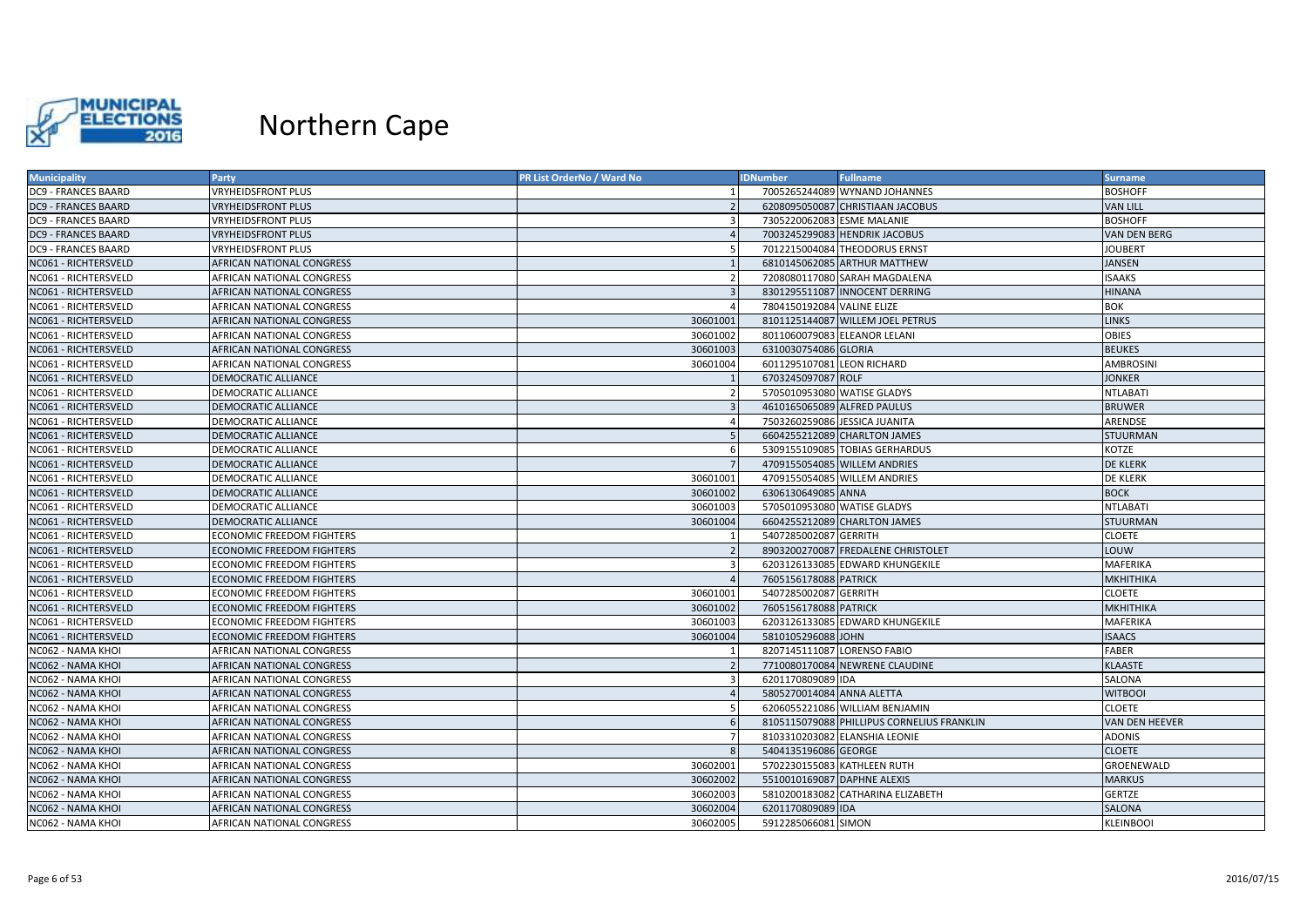

| <b>Municipality</b>        | Party                            | PR List OrderNo / Ward No | <b>IDNumber</b>             | <b>Fullname</b>                            | <b>Surname</b>   |
|----------------------------|----------------------------------|---------------------------|-----------------------------|--------------------------------------------|------------------|
| <b>DC9 - FRANCES BAARD</b> | <b>VRYHEIDSFRONT PLUS</b>        |                           |                             | 7005265244089 WYNAND JOHANNES              | <b>BOSHOFF</b>   |
| <b>DC9 - FRANCES BAARD</b> | <b>VRYHEIDSFRONT PLUS</b>        |                           |                             | 6208095050087 CHRISTIAAN JACOBUS           | <b>VAN LILL</b>  |
| <b>DC9 - FRANCES BAARD</b> | <b>VRYHEIDSFRONT PLUS</b>        |                           | 7305220062083 ESME MALANIE  |                                            | <b>BOSHOFF</b>   |
| <b>DC9 - FRANCES BAARD</b> | <b>VRYHEIDSFRONT PLUS</b>        |                           |                             | 7003245299083 HENDRIK JACOBUS              | VAN DEN BERG     |
| <b>DC9 - FRANCES BAARD</b> | <b>VRYHEIDSFRONT PLUS</b>        |                           |                             | 7012215004084 THEODORUS ERNST              | <b>JOUBERT</b>   |
| NC061 - RICHTERSVELD       | AFRICAN NATIONAL CONGRESS        |                           |                             | 6810145062085 ARTHUR MATTHEW               | <b>JANSEN</b>    |
| NC061 - RICHTERSVELD       | AFRICAN NATIONAL CONGRESS        |                           |                             | 7208080117080 SARAH MAGDALENA              | ISAAKS           |
| NC061 - RICHTERSVELD       | AFRICAN NATIONAL CONGRESS        |                           |                             | 8301295511087 INNOCENT DERRING             | <b>HINANA</b>    |
| NC061 - RICHTERSVELD       | AFRICAN NATIONAL CONGRESS        |                           | 7804150192084 VALINE ELIZE  |                                            | BOK              |
| NC061 - RICHTERSVELD       | AFRICAN NATIONAL CONGRESS        | 30601001                  |                             | 8101125144087 WILLEM JOEL PETRUS           | <b>LINKS</b>     |
| NC061 - RICHTERSVELD       | AFRICAN NATIONAL CONGRESS        | 30601002                  |                             | 8011060079083 ELEANOR LELANI               | <b>OBIES</b>     |
| NC061 - RICHTERSVELD       | AFRICAN NATIONAL CONGRESS        | 30601003                  | 6310030754086 GLORIA        |                                            | <b>BEUKES</b>    |
| NC061 - RICHTERSVELD       | AFRICAN NATIONAL CONGRESS        | 30601004                  | 6011295107081 LEON RICHARD  |                                            | AMBROSINI        |
| NC061 - RICHTERSVELD       | DEMOCRATIC ALLIANCE              |                           | 6703245097087 ROLF          |                                            | <b>JONKER</b>    |
| NC061 - RICHTERSVELD       | DEMOCRATIC ALLIANCE              |                           | 5705010953080 WATISE GLADYS |                                            | NTLABATI         |
| NC061 - RICHTERSVELD       | DEMOCRATIC ALLIANCE              |                           | 4610165065089 ALFRED PAULUS |                                            | <b>BRUWER</b>    |
| NC061 - RICHTERSVELD       | DEMOCRATIC ALLIANCE              |                           |                             | 7503260259086 JESSICA JUANITA              | ARENDSE          |
| NC061 - RICHTERSVELD       | DEMOCRATIC ALLIANCE              |                           |                             | 6604255212089 CHARLTON JAMES               | <b>STUURMAN</b>  |
| NC061 - RICHTERSVELD       | DEMOCRATIC ALLIANCE              |                           |                             | 5309155109085 TOBIAS GERHARDUS             | KOTZE            |
| NC061 - RICHTERSVELD       | <b>DEMOCRATIC ALLIANCE</b>       |                           |                             | 4709155054085 WILLEM ANDRIES               | <b>DE KLERK</b>  |
| NC061 - RICHTERSVELD       | DEMOCRATIC ALLIANCE              | 30601001                  |                             | 4709155054085 WILLEM ANDRIES               | <b>DE KLERK</b>  |
| NC061 - RICHTERSVELD       | DEMOCRATIC ALLIANCE              | 30601002                  | 6306130649085 ANNA          |                                            | <b>BOCK</b>      |
| NC061 - RICHTERSVELD       | DEMOCRATIC ALLIANCE              | 30601003                  | 5705010953080 WATISE GLADYS |                                            | NTLABATI         |
| NC061 - RICHTERSVELD       | DEMOCRATIC ALLIANCE              | 30601004                  |                             | 6604255212089 CHARLTON JAMES               | <b>STUURMAN</b>  |
| NC061 - RICHTERSVELD       | <b>ECONOMIC FREEDOM FIGHTERS</b> |                           | 5407285002087 GERRITH       |                                            | <b>CLOETE</b>    |
| NC061 - RICHTERSVELD       | <b>ECONOMIC FREEDOM FIGHTERS</b> |                           |                             | 8903200270087 FREDALENE CHRISTOLET         | LOUW             |
| NC061 - RICHTERSVELD       | <b>ECONOMIC FREEDOM FIGHTERS</b> |                           |                             | 6203126133085 EDWARD KHUNGEKILE            | <b>MAFERIKA</b>  |
| NC061 - RICHTERSVELD       | <b>ECONOMIC FREEDOM FIGHTERS</b> |                           | 7605156178088 PATRICK       |                                            | МКНІТНІКА        |
| NC061 - RICHTERSVELD       | <b>ECONOMIC FREEDOM FIGHTERS</b> | 30601001                  | 5407285002087 GERRITH       |                                            | <b>CLOETE</b>    |
| NC061 - RICHTERSVELD       | ECONOMIC FREEDOM FIGHTERS        | 30601002                  | 7605156178088 PATRICK       |                                            | MKHITHIKA        |
| NC061 - RICHTERSVELD       | <b>ECONOMIC FREEDOM FIGHTERS</b> | 30601003                  |                             | 6203126133085 EDWARD KHUNGEKILE            | MAFERIKA         |
| NC061 - RICHTERSVELD       | <b>ECONOMIC FREEDOM FIGHTERS</b> | 30601004                  | 5810105296088 JOHN          |                                            | <b>ISAACS</b>    |
| NC062 - NAMA KHOI          | AFRICAN NATIONAL CONGRESS        |                           | 8207145111087 LORENSO FABIO |                                            | FABER            |
| NC062 - NAMA KHOI          | AFRICAN NATIONAL CONGRESS        |                           |                             | 7710080170084 NEWRENE CLAUDINE             | KLAASTE          |
| NC062 - NAMA KHOI          | AFRICAN NATIONAL CONGRESS        |                           | 6201170809089 IDA           |                                            | SALONA           |
| NC062 - NAMA KHOI          | AFRICAN NATIONAL CONGRESS        |                           | 5805270014084 ANNA ALETTA   |                                            | <b>WITBOOI</b>   |
| NC062 - NAMA KHOI          | AFRICAN NATIONAL CONGRESS        |                           |                             | 6206055221086 WILLIAM BENJAMIN             | <b>CLOETE</b>    |
| NC062 - NAMA KHOI          | AFRICAN NATIONAL CONGRESS        |                           |                             | 8105115079088 PHILLIPUS CORNELIUS FRANKLIN | VAN DEN HEEVER   |
| NC062 - NAMA KHOI          | AFRICAN NATIONAL CONGRESS        | $\overline{7}$            |                             | 8103310203082 ELANSHIA LEONIE              | <b>ADONIS</b>    |
| NC062 - NAMA KHOI          | AFRICAN NATIONAL CONGRESS        |                           | 5404135196086 GEORGE        |                                            | <b>CLOETE</b>    |
| NC062 - NAMA KHOI          | AFRICAN NATIONAL CONGRESS        | 30602001                  |                             | 5702230155083 KATHLEEN RUTH                | GROENEWALD       |
| NC062 - NAMA KHOI          | AFRICAN NATIONAL CONGRESS        | 30602002                  | 5510010169087 DAPHNE ALEXIS |                                            | <b>MARKUS</b>    |
| NC062 - NAMA KHOI          | AFRICAN NATIONAL CONGRESS        | 30602003                  |                             | 5810200183082 CATHARINA ELIZABETH          | <b>GERTZE</b>    |
| NC062 - NAMA KHOI          | AFRICAN NATIONAL CONGRESS        | 30602004                  | 6201170809089 IDA           |                                            | SALONA           |
| NC062 - NAMA KHOI          | AFRICAN NATIONAL CONGRESS        | 30602005                  | 5912285066081 SIMON         |                                            | <b>KLEINBOOI</b> |
|                            |                                  |                           |                             |                                            |                  |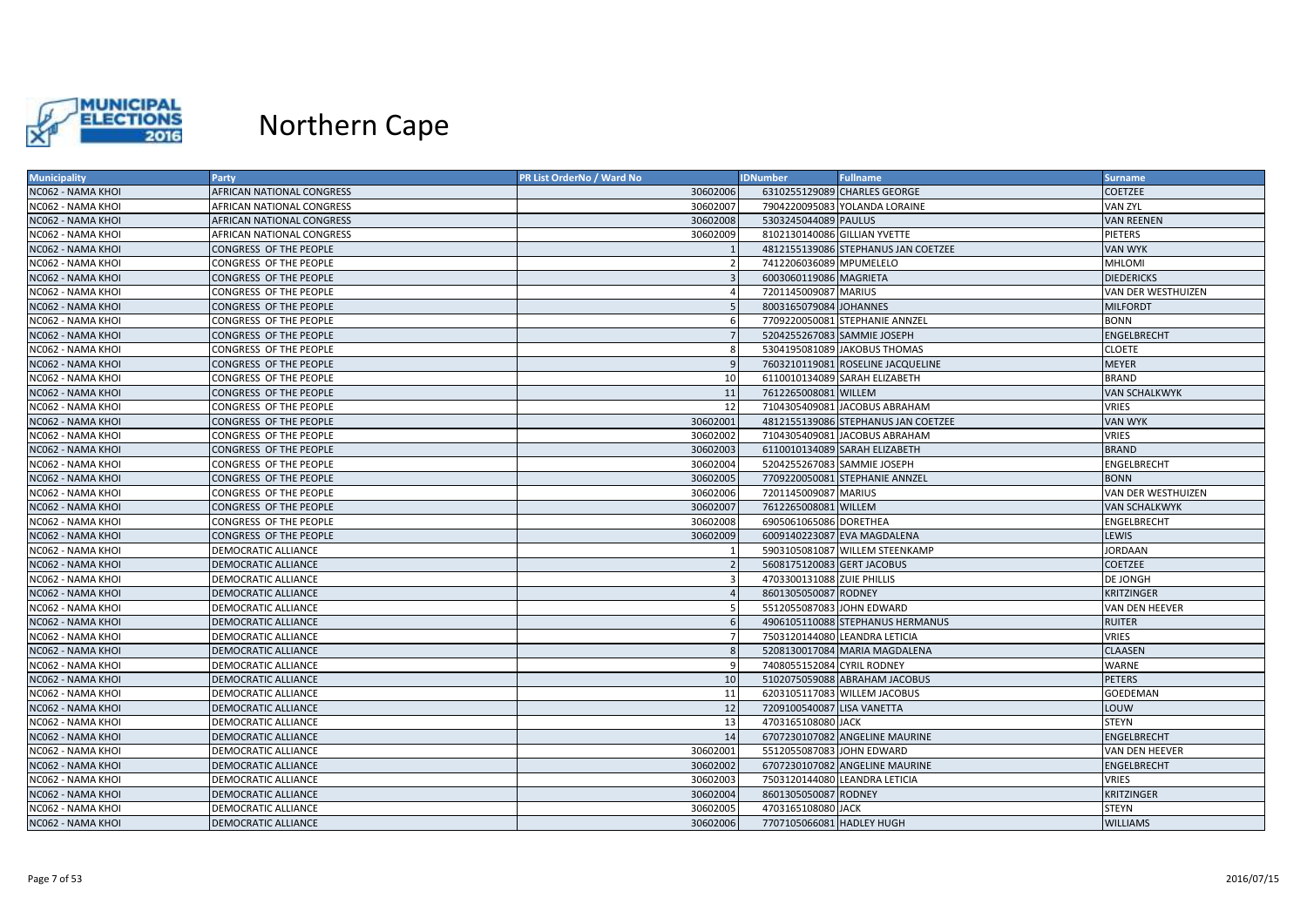

| <b>Municipality</b> | <b>Party</b>                     | <b>PR List OrderNo / Ward No</b> | <b>IDNumber</b>              | <b>Fullname</b>                     | <b>Surname</b>       |
|---------------------|----------------------------------|----------------------------------|------------------------------|-------------------------------------|----------------------|
| NC062 - NAMA KHOI   | AFRICAN NATIONAL CONGRESS        | 30602006                         |                              | 6310255129089 CHARLES GEORGE        | <b>COETZEE</b>       |
| NC062 - NAMA KHOI   | AFRICAN NATIONAL CONGRESS        | 30602007                         |                              | 7904220095083 YOLANDA LORAINE       | <b>VAN ZYL</b>       |
| NC062 - NAMA KHOI   | <b>AFRICAN NATIONAL CONGRESS</b> | 30602008                         | 5303245044089 PAULUS         |                                     | <b>VAN REENEN</b>    |
| NC062 - NAMA KHOI   | AFRICAN NATIONAL CONGRESS        | 30602009                         | 8102130140086 GILLIAN YVETTE |                                     | <b>PIETERS</b>       |
| NC062 - NAMA KHOI   | CONGRESS OF THE PEOPLE           |                                  |                              | 4812155139086 STEPHANUS JAN COETZEE | <b>VAN WYK</b>       |
| NC062 - NAMA KHOI   | CONGRESS OF THE PEOPLE           |                                  | 7412206036089 MPUMELELO      |                                     | <b>MHLOMI</b>        |
| NC062 - NAMA KHOI   | CONGRESS OF THE PEOPLE           | $\overline{3}$                   | 6003060119086 MAGRIETA       |                                     | <b>DIEDERICKS</b>    |
| NC062 - NAMA KHOI   | CONGRESS OF THE PEOPLE           |                                  | 7201145009087 MARIUS         |                                     | VAN DER WESTHUIZEN   |
| NC062 - NAMA KHOI   | CONGRESS OF THE PEOPLE           |                                  | 8003165079084 JOHANNES       |                                     | <b>MILFORDT</b>      |
| NC062 - NAMA KHOI   | CONGRESS OF THE PEOPLE           | 6                                |                              | 7709220050081 STEPHANIE ANNZEL      | <b>BONN</b>          |
| NC062 - NAMA KHOI   | CONGRESS OF THE PEOPLE           | 7                                |                              | 5204255267083 SAMMIE JOSEPH         | <b>ENGELBRECHT</b>   |
| NC062 - NAMA KHOI   | CONGRESS OF THE PEOPLE           | 8                                |                              | 5304195081089 JAKOBUS THOMAS        | <b>CLOETE</b>        |
| NC062 - NAMA KHOI   | CONGRESS OF THE PEOPLE           | 9                                |                              | 7603210119081 ROSELINE JACQUELINE   | <b>MEYER</b>         |
| NC062 - NAMA KHOI   | CONGRESS OF THE PEOPLE           | 10                               |                              | 6110010134089 SARAH ELIZABETH       | <b>BRAND</b>         |
| NC062 - NAMA KHOI   | CONGRESS OF THE PEOPLE           | 11                               | 7612265008081 WILLEM         |                                     | <b>VAN SCHALKWYK</b> |
| NC062 - NAMA KHOI   | CONGRESS OF THE PEOPLE           | 12                               |                              | 7104305409081 JACOBUS ABRAHAM       | <b>VRIES</b>         |
| NC062 - NAMA KHOI   | CONGRESS OF THE PEOPLE           | 30602001                         |                              | 4812155139086 STEPHANUS JAN COETZEE | <b>VAN WYK</b>       |
| NC062 - NAMA KHOI   | CONGRESS OF THE PEOPLE           | 30602002                         |                              | 7104305409081 JACOBUS ABRAHAM       | <b>VRIES</b>         |
| NC062 - NAMA KHOI   | CONGRESS OF THE PEOPLE           | 30602003                         |                              | 6110010134089 SARAH ELIZABETH       | <b>BRAND</b>         |
| NC062 - NAMA KHOI   | CONGRESS OF THE PEOPLE           | 30602004                         |                              | 5204255267083 SAMMIE JOSEPH         | <b>ENGELBRECHT</b>   |
| NC062 - NAMA KHOI   | CONGRESS OF THE PEOPLE           | 30602005                         |                              | 7709220050081 STEPHANIE ANNZEL      | <b>BONN</b>          |
| NC062 - NAMA KHOI   | CONGRESS OF THE PEOPLE           | 30602006                         | 7201145009087 MARIUS         |                                     | VAN DER WESTHUIZEN   |
| NC062 - NAMA KHOI   | CONGRESS OF THE PEOPLE           | 30602007                         | 7612265008081 WILLEM         |                                     | <b>VAN SCHALKWYK</b> |
| NC062 - NAMA KHOI   | CONGRESS OF THE PEOPLE           | 30602008                         | 6905061065086 DORETHEA       |                                     | ENGELBRECHT          |
| NC062 - NAMA KHOI   | CONGRESS OF THE PEOPLE           | 30602009                         |                              | 6009140223087 EVA MAGDALENA         | LEWIS                |
| NC062 - NAMA KHOI   | DEMOCRATIC ALLIANCE              |                                  |                              | 5903105081087 WILLEM STEENKAMP      | <b>JORDAAN</b>       |
| NC062 - NAMA KHOI   | <b>DEMOCRATIC ALLIANCE</b>       | $\overline{2}$                   | 5608175120083 GERT JACOBUS   |                                     | <b>COETZEE</b>       |
| NC062 - NAMA KHOI   | DEMOCRATIC ALLIANCE              | 3                                | 4703300131088 ZUIE PHILLIS   |                                     | <b>DE JONGH</b>      |
| NC062 - NAMA KHOI   | <b>DEMOCRATIC ALLIANCE</b>       |                                  | 8601305050087 RODNEY         |                                     | <b>KRITZINGER</b>    |
| NC062 - NAMA KHOI   | DEMOCRATIC ALLIANCE              | -5                               | 5512055087083 JOHN EDWARD    |                                     | VAN DEN HEEVER       |
| NC062 - NAMA KHOI   | DEMOCRATIC ALLIANCE              | 6                                |                              | 4906105110088 STEPHANUS HERMANUS    | <b>RUITER</b>        |
| NC062 - NAMA KHOI   | <b>DEMOCRATIC ALLIANCE</b>       | $\overline{7}$                   |                              | 7503120144080 LEANDRA LETICIA       | <b>VRIES</b>         |
| NC062 - NAMA KHOI   | DEMOCRATIC ALLIANCE              | 8                                |                              | 5208130017084 MARIA MAGDALENA       | <b>CLAASEN</b>       |
| NC062 - NAMA KHOI   | DEMOCRATIC ALLIANCE              | 9                                | 7408055152084 CYRIL RODNEY   |                                     | WARNE                |
| NC062 - NAMA KHOI   | <b>DEMOCRATIC ALLIANCE</b>       | 10                               |                              | 5102075059088 ABRAHAM JACOBUS       | <b>PETERS</b>        |
| NC062 - NAMA KHOI   | DEMOCRATIC ALLIANCE              | 11                               |                              | 6203105117083 WILLEM JACOBUS        | <b>GOEDEMAN</b>      |
| NC062 - NAMA KHOI   | <b>DEMOCRATIC ALLIANCE</b>       | 12                               | 7209100540087 LISA VANETTA   |                                     | LOUW                 |
| NC062 - NAMA KHOI   | DEMOCRATIC ALLIANCE              | 13                               | 4703165108080 JACK           |                                     | <b>STEYN</b>         |
| NC062 - NAMA KHOI   | <b>DEMOCRATIC ALLIANCE</b>       | 14                               |                              | 6707230107082 ANGELINE MAURINE      | <b>ENGELBRECHT</b>   |
| NC062 - NAMA KHOI   | <b>DEMOCRATIC ALLIANCE</b>       | 30602001                         | 5512055087083 JOHN EDWARD    |                                     | VAN DEN HEEVER       |
| NC062 - NAMA KHOI   | <b>DEMOCRATIC ALLIANCE</b>       | 30602002                         |                              | 6707230107082 ANGELINE MAURINE      | ENGELBRECHT          |
| NC062 - NAMA KHOI   | <b>DEMOCRATIC ALLIANCE</b>       | 30602003                         |                              | 7503120144080 LEANDRA LETICIA       | <b>VRIES</b>         |
| NC062 - NAMA KHOI   | <b>DEMOCRATIC ALLIANCE</b>       | 30602004                         | 8601305050087 RODNEY         |                                     | <b>KRITZINGER</b>    |
| NC062 - NAMA KHOI   | DEMOCRATIC ALLIANCE              | 30602005                         | 4703165108080 JACK           |                                     | <b>STEYN</b>         |
| NC062 - NAMA KHOI   | DEMOCRATIC ALLIANCE              | 30602006                         | 7707105066081 HADLEY HUGH    |                                     | <b>WILLIAMS</b>      |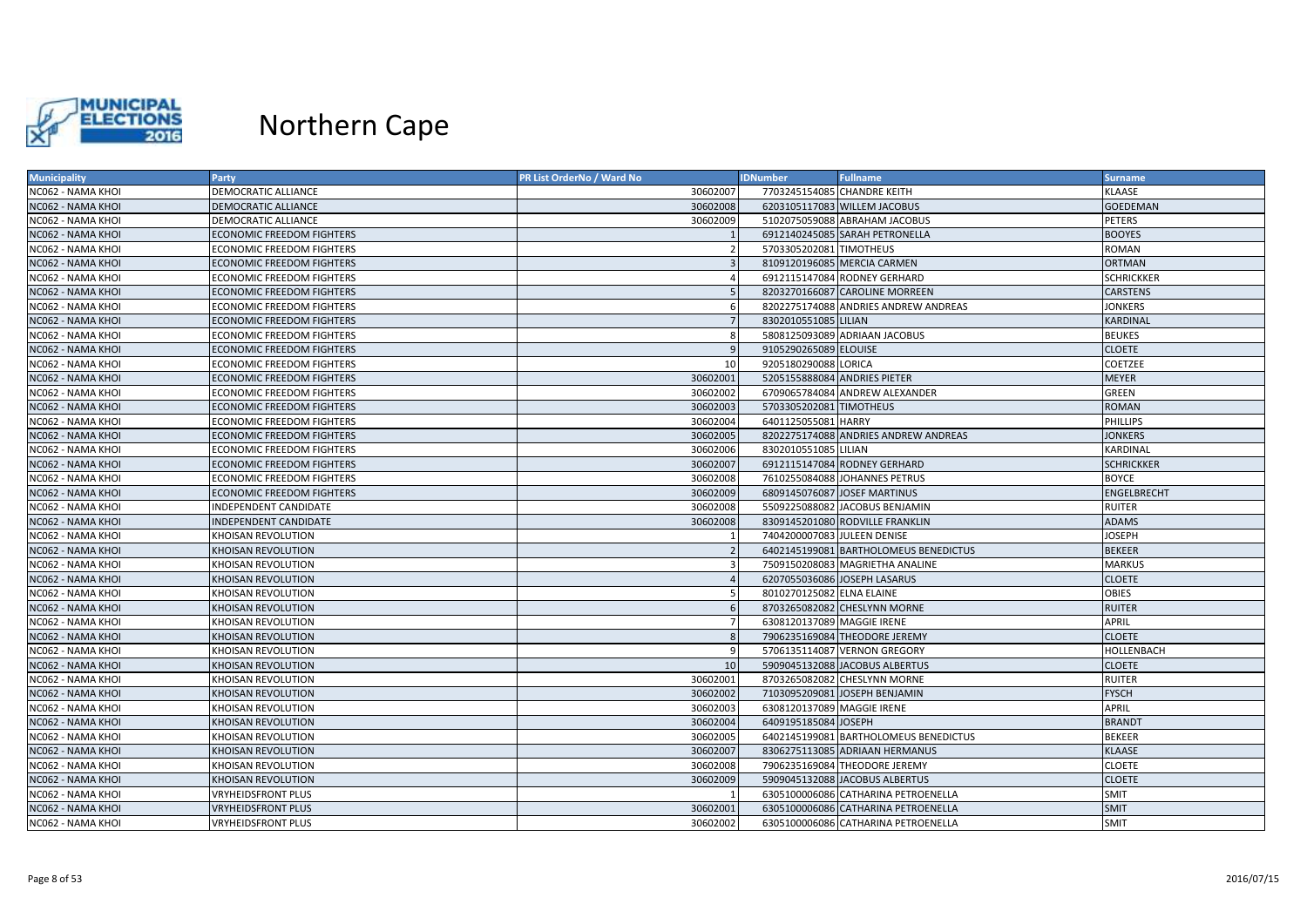

| <b>Municipality</b> | Party                            | PR List OrderNo / Ward No | <b>IDNumber</b>              | <b>Fullname</b>                       | <b>Surname</b>     |
|---------------------|----------------------------------|---------------------------|------------------------------|---------------------------------------|--------------------|
| NC062 - NAMA KHOI   | DEMOCRATIC ALLIANCE              | 30602007                  | 7703245154085 CHANDRE KEITH  |                                       | KLAASE             |
| NC062 - NAMA KHOI   | <b>DEMOCRATIC ALLIANCE</b>       | 30602008                  |                              | 6203105117083 WILLEM JACOBUS          | <b>GOEDEMAN</b>    |
| NC062 - NAMA KHOI   | DEMOCRATIC ALLIANCE              | 30602009                  |                              | 5102075059088 ABRAHAM JACOBUS         | PETERS             |
| NC062 - NAMA KHOI   | <b>ECONOMIC FREEDOM FIGHTERS</b> |                           |                              | 6912140245085 SARAH PETRONELLA        | <b>BOOYES</b>      |
| NC062 - NAMA KHOI   | <b>ECONOMIC FREEDOM FIGHTERS</b> |                           | 5703305202081 TIMOTHEUS      |                                       | <b>ROMAN</b>       |
| NC062 - NAMA KHOI   | <b>ECONOMIC FREEDOM FIGHTERS</b> |                           |                              | 8109120196085 MERCIA CARMEN           | <b>ORTMAN</b>      |
| NC062 - NAMA KHOI   | ECONOMIC FREEDOM FIGHTERS        |                           |                              | 6912115147084 RODNEY GERHARD          | <b>SCHRICKKER</b>  |
| NC062 - NAMA KHOI   | <b>ECONOMIC FREEDOM FIGHTERS</b> |                           |                              | 8203270166087 CAROLINE MORREEN        | <b>CARSTENS</b>    |
| NC062 - NAMA KHOI   | ECONOMIC FREEDOM FIGHTERS        |                           |                              | 8202275174088 ANDRIES ANDREW ANDREAS  | <b>JONKERS</b>     |
| NC062 - NAMA KHOI   | <b>ECONOMIC FREEDOM FIGHTERS</b> |                           | 8302010551085 LILIAN         |                                       | KARDINAL           |
| NC062 - NAMA KHOI   | ECONOMIC FREEDOM FIGHTERS        | -8                        |                              | 5808125093089 ADRIAAN JACOBUS         | <b>BEUKES</b>      |
| NC062 - NAMA KHOI   | <b>ECONOMIC FREEDOM FIGHTERS</b> | q                         | 9105290265089 ELOUISE        |                                       | <b>CLOETE</b>      |
| NC062 - NAMA KHOI   | ECONOMIC FREEDOM FIGHTERS        | 10                        | 9205180290088 LORICA         |                                       | COETZEE            |
| NC062 - NAMA KHOI   | ECONOMIC FREEDOM FIGHTERS        | 30602001                  | 5205155888084 ANDRIES PIETER |                                       | <b>MEYER</b>       |
| NC062 - NAMA KHOI   | ECONOMIC FREEDOM FIGHTERS        | 30602002                  |                              | 6709065784084 ANDREW ALEXANDER        | <b>GREEN</b>       |
| NC062 - NAMA KHOI   | ECONOMIC FREEDOM FIGHTERS        | 30602003                  | 5703305202081 TIMOTHEUS      |                                       | <b>ROMAN</b>       |
| NC062 - NAMA KHOI   | <b>ECONOMIC FREEDOM FIGHTERS</b> | 30602004                  | 6401125055081 HARRY          |                                       | <b>PHILLIPS</b>    |
| NC062 - NAMA KHOI   | <b>ECONOMIC FREEDOM FIGHTERS</b> | 30602005                  |                              | 8202275174088 ANDRIES ANDREW ANDREAS  | <b>JONKERS</b>     |
| NC062 - NAMA KHOI   | ECONOMIC FREEDOM FIGHTERS        | 30602006                  | 8302010551085 LILIAN         |                                       | KARDINAL           |
| NC062 - NAMA KHOI   | <b>ECONOMIC FREEDOM FIGHTERS</b> | 30602007                  |                              | 6912115147084 RODNEY GERHARD          | <b>SCHRICKKER</b>  |
| NC062 - NAMA KHOI   | <b>ECONOMIC FREEDOM FIGHTERS</b> | 30602008                  |                              | 7610255084088 JOHANNES PETRUS         | <b>BOYCE</b>       |
| NC062 - NAMA KHOI   | <b>ECONOMIC FREEDOM FIGHTERS</b> | 30602009                  |                              | 6809145076087 JOSEF MARTINUS          | <b>ENGELBRECHT</b> |
| NC062 - NAMA KHOI   | NDEPENDENT CANDIDATE             | 30602008                  |                              | 5509225088082 JACOBUS BENJAMIN        | <b>RUITER</b>      |
| NC062 - NAMA KHOI   | <b>NDEPENDENT CANDIDATE</b>      | 30602008                  |                              | 8309145201080 RODVILLE FRANKLIN       | <b>ADAMS</b>       |
| NC062 - NAMA KHOI   | KHOISAN REVOLUTION               |                           | 7404200007083 JULEEN DENISE  |                                       | JOSEPH             |
| NC062 - NAMA KHOI   | KHOISAN REVOLUTION               |                           |                              | 6402145199081 BARTHOLOMEUS BENEDICTUS | <b>BEKEER</b>      |
| NC062 - NAMA KHOI   | KHOISAN REVOLUTION               |                           |                              | 7509150208083 MAGRIETHA ANALINE       | <b>MARKUS</b>      |
| NC062 - NAMA KHOI   | KHOISAN REVOLUTION               |                           |                              | 6207055036086 JOSEPH LASARUS          | <b>CLOETE</b>      |
| NC062 - NAMA KHOI   | KHOISAN REVOLUTION               |                           | 8010270125082 ELNA ELAINE    |                                       | <b>OBIES</b>       |
| NC062 - NAMA KHOI   | KHOISAN REVOLUTION               |                           |                              | 8703265082082 CHESLYNN MORNE          | <b>RUITER</b>      |
| NC062 - NAMA KHOI   | KHOISAN REVOLUTION               |                           | 6308120137089 MAGGIE IRENE   |                                       | <b>APRIL</b>       |
| NC062 - NAMA KHOI   | KHOISAN REVOLUTION               |                           |                              | 7906235169084 THEODORE JEREMY         | <b>CLOETE</b>      |
| NC062 - NAMA KHOI   | KHOISAN REVOLUTION               |                           |                              | 5706135114087 VERNON GREGORY          | <b>HOLLENBACH</b>  |
| NC062 - NAMA KHOI   | KHOISAN REVOLUTION               | 10                        |                              | 5909045132088 JACOBUS ALBERTUS        | <b>CLOETE</b>      |
| NC062 - NAMA KHOI   | KHOISAN REVOLUTION               | 30602001                  |                              | 8703265082082 CHESLYNN MORNE          | <b>RUITER</b>      |
| NC062 - NAMA KHOI   | KHOISAN REVOLUTION               | 30602002                  |                              | 7103095209081 JOSEPH BENJAMIN         | <b>FYSCH</b>       |
| NC062 - NAMA KHOI   | KHOISAN REVOLUTION               | 30602003                  | 6308120137089 MAGGIE IRENE   |                                       | <b>APRIL</b>       |
| NC062 - NAMA KHOI   | KHOISAN REVOLUTION               | 30602004                  | 6409195185084 JOSEPH         |                                       | <b>BRANDT</b>      |
| NC062 - NAMA KHOI   | KHOISAN REVOLUTION               | 30602005                  |                              | 6402145199081 BARTHOLOMEUS BENEDICTUS | <b>BEKEER</b>      |
| NC062 - NAMA KHOI   | KHOISAN REVOLUTION               | 30602007                  |                              | 8306275113085 ADRIAAN HERMANUS        | <b>KLAASE</b>      |
| NC062 - NAMA KHOI   | KHOISAN REVOLUTION               | 30602008                  |                              | 7906235169084 THEODORE JEREMY         | <b>CLOETE</b>      |
| NC062 - NAMA KHOI   | KHOISAN REVOLUTION               | 30602009                  |                              | 5909045132088 JACOBUS ALBERTUS        | <b>CLOETE</b>      |
| NC062 - NAMA KHOI   | VRYHEIDSFRONT PLUS               |                           |                              | 6305100006086 CATHARINA PETROENELLA   | <b>SMIT</b>        |
| NC062 - NAMA KHOI   | <b>VRYHEIDSFRONT PLUS</b>        | 30602001                  |                              | 6305100006086 CATHARINA PETROENELLA   | <b>SMIT</b>        |
| NC062 - NAMA KHOI   | <b>VRYHEIDSFRONT PLUS</b>        | 30602002                  |                              | 6305100006086 CATHARINA PETROENELLA   | <b>SMIT</b>        |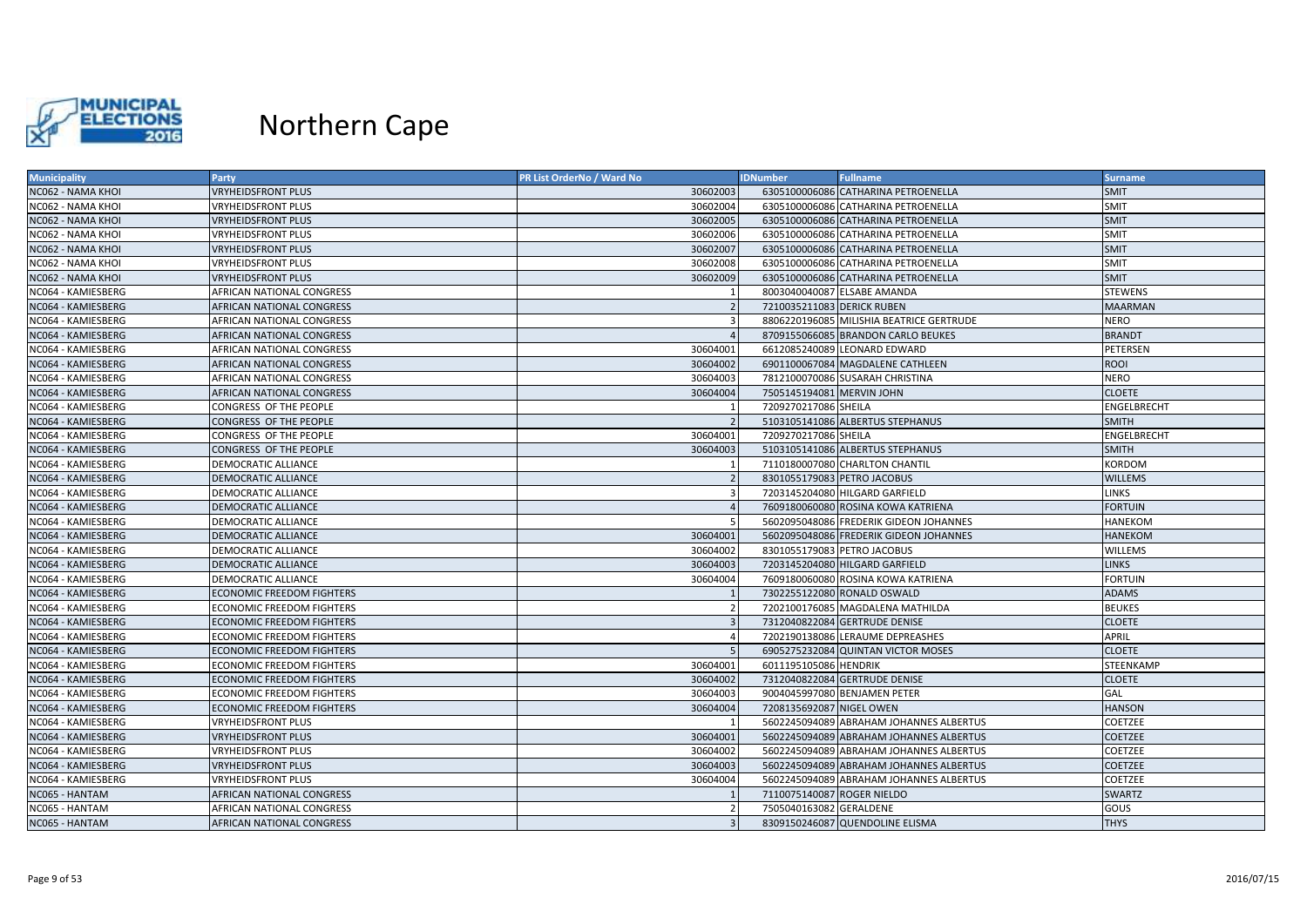

| <b>Municipality</b> | Party                            | PR List OrderNo / Ward No | <b>IDNumber</b>             | <b>Fullname</b>                          | <b>Surname</b> |
|---------------------|----------------------------------|---------------------------|-----------------------------|------------------------------------------|----------------|
| NC062 - NAMA KHOI   | <b>VRYHEIDSFRONT PLUS</b>        | 30602003                  |                             | 6305100006086 CATHARINA PETROENELLA      | <b>SMIT</b>    |
| NC062 - NAMA KHOI   | VRYHEIDSFRONT PLUS               | 30602004                  |                             | 6305100006086 CATHARINA PETROENELLA      | <b>SMIT</b>    |
| NC062 - NAMA KHOI   | <b>VRYHEIDSFRONT PLUS</b>        | 30602005                  |                             | 6305100006086 CATHARINA PETROENELLA      | <b>SMIT</b>    |
| NC062 - NAMA KHOI   | VRYHEIDSFRONT PLUS               | 30602006                  |                             | 6305100006086 CATHARINA PETROENELLA      | <b>SMIT</b>    |
| NC062 - NAMA KHOI   | <b>VRYHEIDSFRONT PLUS</b>        | 30602007                  |                             | 6305100006086 CATHARINA PETROENELLA      | <b>SMIT</b>    |
| NC062 - NAMA KHOI   | <b>VRYHEIDSFRONT PLUS</b>        | 30602008                  |                             | 6305100006086 CATHARINA PETROENELLA      | <b>SMIT</b>    |
| NC062 - NAMA KHOI   | <b>VRYHEIDSFRONT PLUS</b>        | 30602009                  |                             | 6305100006086 CATHARINA PETROENELLA      | <b>SMIT</b>    |
| NC064 - KAMIESBERG  | AFRICAN NATIONAL CONGRESS        |                           | 8003040040087 ELSABE AMANDA |                                          | <b>STEWENS</b> |
| NC064 - KAMIESBERG  | AFRICAN NATIONAL CONGRESS        |                           | 7210035211083 DERICK RUBEN  |                                          | <b>MAARMAN</b> |
| NC064 - KAMIESBERG  | AFRICAN NATIONAL CONGRESS        |                           |                             | 8806220196085 MILISHIA BEATRICE GERTRUDE | NERO           |
| NC064 - KAMIESBERG  | AFRICAN NATIONAL CONGRESS        |                           |                             | 8709155066085 BRANDON CARLO BEUKES       | <b>BRANDT</b>  |
| NC064 - KAMIESBERG  | AFRICAN NATIONAL CONGRESS        | 30604001                  |                             | 6612085240089 LEONARD EDWARD             | PETERSEN       |
| NC064 - KAMIESBERG  | AFRICAN NATIONAL CONGRESS        | 30604002                  |                             | 6901100067084 MAGDALENE CATHLEEN         | <b>ROOI</b>    |
| NC064 - KAMIESBERG  | AFRICAN NATIONAL CONGRESS        | 30604003                  |                             | 7812100070086 SUSARAH CHRISTINA          | <b>NERO</b>    |
| NC064 - KAMIESBERG  | AFRICAN NATIONAL CONGRESS        | 30604004                  | 7505145194081 MERVIN JOHN   |                                          | <b>CLOETE</b>  |
| NC064 - KAMIESBERG  | CONGRESS OF THE PEOPLE           |                           | 7209270217086 SHEILA        |                                          | ENGELBRECHT    |
| NC064 - KAMIESBERG  | CONGRESS OF THE PEOPLE           |                           |                             | 5103105141086 ALBERTUS STEPHANUS         | <b>SMITH</b>   |
| NC064 - KAMIESBERG  | CONGRESS OF THE PEOPLE           | 30604001                  | 7209270217086 SHEILA        |                                          | ENGELBRECHT    |
| NC064 - KAMIESBERG  | CONGRESS OF THE PEOPLE           | 30604003                  |                             | 5103105141086 ALBERTUS STEPHANUS         | <b>SMITH</b>   |
| NC064 - KAMIESBERG  | DEMOCRATIC ALLIANCE              |                           |                             | 7110180007080 CHARLTON CHANTIL           | KORDOM         |
| NC064 - KAMIESBERG  | <b>DEMOCRATIC ALLIANCE</b>       |                           | 8301055179083 PETRO JACOBUS |                                          | <b>WILLEMS</b> |
| NC064 - KAMIESBERG  | DEMOCRATIC ALLIANCE              | $\mathbf{a}$              |                             | 7203145204080 HILGARD GARFIELD           | <b>LINKS</b>   |
| NC064 - KAMIESBERG  | DEMOCRATIC ALLIANCE              |                           |                             | 7609180060080 ROSINA KOWA KATRIENA       | <b>FORTUIN</b> |
| NC064 - KAMIESBERG  | DEMOCRATIC ALLIANCE              |                           |                             | 5602095048086 FREDERIK GIDEON JOHANNES   | <b>HANEKOM</b> |
| NC064 - KAMIESBERG  | DEMOCRATIC ALLIANCE              | 30604001                  |                             | 5602095048086 FREDERIK GIDEON JOHANNES   | <b>HANEKOM</b> |
| NC064 - KAMIESBERG  | DEMOCRATIC ALLIANCE              | 30604002                  | 8301055179083 PETRO JACOBUS |                                          | WILLEMS        |
| NC064 - KAMIESBERG  | <b>DEMOCRATIC ALLIANCE</b>       | 30604003                  |                             | 7203145204080 HILGARD GARFIELD           | <b>LINKS</b>   |
| NC064 - KAMIESBERG  | DEMOCRATIC ALLIANCE              | 30604004                  |                             | 7609180060080 ROSINA KOWA KATRIENA       | <b>FORTUIN</b> |
| NC064 - KAMIESBERG  | <b>ECONOMIC FREEDOM FIGHTERS</b> |                           |                             | 7302255122080 RONALD OSWALD              | <b>ADAMS</b>   |
| NC064 - KAMIESBERG  | <b>ECONOMIC FREEDOM FIGHTERS</b> |                           |                             | 7202100176085 MAGDALENA MATHILDA         | <b>BEUKES</b>  |
| NC064 - KAMIESBERG  | <b>ECONOMIC FREEDOM FIGHTERS</b> |                           |                             | 7312040822084 GERTRUDE DENISE            | <b>CLOETE</b>  |
| NC064 - KAMIESBERG  | <b>ECONOMIC FREEDOM FIGHTERS</b> |                           |                             | 7202190138086 LERAUME DEPREASHES         | <b>APRIL</b>   |
| NC064 - KAMIESBERG  | ECONOMIC FREEDOM FIGHTERS        |                           |                             | 6905275232084 QUINTAN VICTOR MOSES       | <b>CLOETE</b>  |
| NC064 - KAMIESBERG  | ECONOMIC FREEDOM FIGHTERS        | 30604001                  | 6011195105086 HENDRIK       |                                          | STEENKAMP      |
| NC064 - KAMIESBERG  | <b>ECONOMIC FREEDOM FIGHTERS</b> | 30604002                  |                             | 7312040822084 GERTRUDE DENISE            | <b>CLOETE</b>  |
| NC064 - KAMIESBERG  | <b>ECONOMIC FREEDOM FIGHTERS</b> | 30604003                  |                             | 9004045997080 BENJAMEN PETER             | GAL            |
| NC064 - KAMIESBERG  | <b>ECONOMIC FREEDOM FIGHTERS</b> | 30604004                  | 7208135692087 NIGEL OWEN    |                                          | <b>HANSON</b>  |
| NC064 - KAMIESBERG  | VRYHEIDSFRONT PLUS               |                           |                             | 5602245094089 ABRAHAM JOHANNES ALBERTUS  | COETZEE        |
| NC064 - KAMIESBERG  | <b>VRYHEIDSFRONT PLUS</b>        | 30604001                  |                             | 5602245094089 ABRAHAM JOHANNES ALBERTUS  | <b>COETZEE</b> |
| NC064 - KAMIESBERG  | <b>VRYHEIDSFRONT PLUS</b>        | 30604002                  |                             | 5602245094089 ABRAHAM JOHANNES ALBERTUS  | COETZEE        |
| NC064 - KAMIESBERG  | <b>VRYHEIDSFRONT PLUS</b>        | 30604003                  |                             | 5602245094089 ABRAHAM JOHANNES ALBERTUS  | <b>COETZEE</b> |
| NC064 - KAMIESBERG  | VRYHEIDSFRONT PLUS               | 30604004                  |                             | 5602245094089 ABRAHAM JOHANNES ALBERTUS  | COETZEE        |
| NC065 - HANTAM      | AFRICAN NATIONAL CONGRESS        |                           | 7110075140087 ROGER NIELDO  |                                          | SWARTZ         |
| NC065 - HANTAM      | AFRICAN NATIONAL CONGRESS        |                           | 7505040163082 GERALDENE     |                                          | GOUS           |
| NC065 - HANTAM      | AFRICAN NATIONAL CONGRESS        |                           |                             | 8309150246087 QUENDOLINE ELISMA          | <b>THYS</b>    |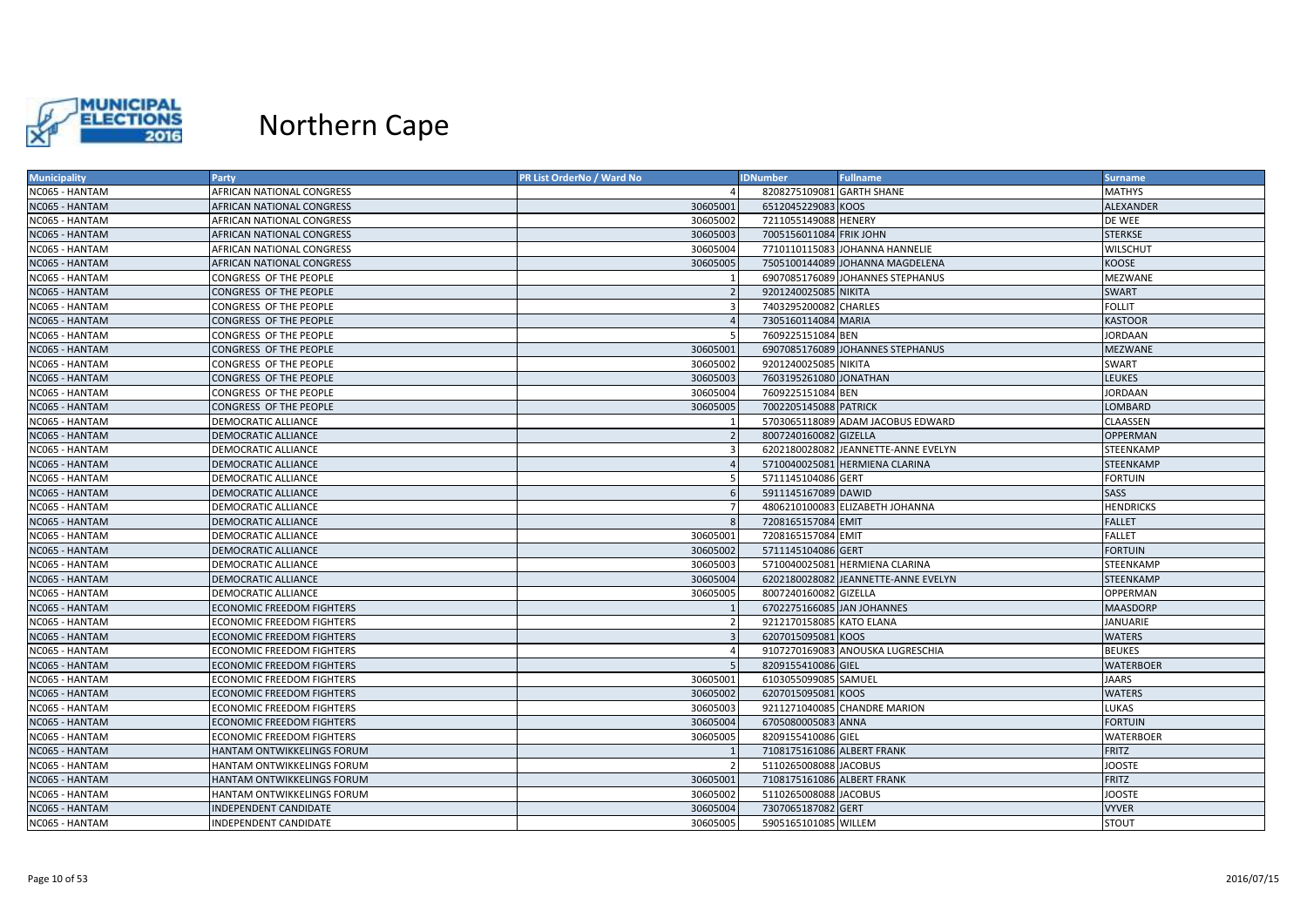

| <b>Municipality</b>   | Party                            | PR List OrderNo / Ward No | <b>IDNumber</b>            | <b>Fullname</b>                     | <b>Surname</b>   |
|-----------------------|----------------------------------|---------------------------|----------------------------|-------------------------------------|------------------|
| NC065 - HANTAM        | <b>AFRICAN NATIONAL CONGRESS</b> |                           | 8208275109081 GARTH SHANE  |                                     | <b>MATHYS</b>    |
| NC065 - HANTAM        | AFRICAN NATIONAL CONGRESS        | 30605001                  | 6512045229083 KOOS         |                                     | ALEXANDER        |
| NC065 - HANTAM        | <b>AFRICAN NATIONAL CONGRESS</b> | 30605002                  | 7211055149088 HENERY       |                                     | DE WEE           |
| NC065 - HANTAM        | AFRICAN NATIONAL CONGRESS        | 30605003                  | 7005156011084 FRIK JOHN    |                                     | <b>STERKSE</b>   |
| <b>NC065 - HANTAM</b> | AFRICAN NATIONAL CONGRESS        | 30605004                  |                            | 7710110115083 JOHANNA HANNELIE      | WILSCHUT         |
| NC065 - HANTAM        | AFRICAN NATIONAL CONGRESS        | 30605005                  |                            | 7505100144089 JOHANNA MAGDELENA     | KOOSE            |
| NC065 - HANTAM        | CONGRESS OF THE PEOPLE           |                           |                            | 6907085176089 JOHANNES STEPHANUS    | MEZWANE          |
| NC065 - HANTAM        | CONGRESS OF THE PEOPLE           |                           | 9201240025085 NIKITA       |                                     | <b>SWART</b>     |
| NC065 - HANTAM        | CONGRESS OF THE PEOPLE           |                           | 7403295200082 CHARLES      |                                     | <b>FOLLIT</b>    |
| NC065 - HANTAM        | CONGRESS OF THE PEOPLE           |                           | 7305160114084 MARIA        |                                     | <b>KASTOOR</b>   |
| NC065 - HANTAM        | CONGRESS OF THE PEOPLE           |                           | 7609225151084 BEN          |                                     | <b>JORDAAN</b>   |
| NC065 - HANTAM        | CONGRESS OF THE PEOPLE           | 30605001                  |                            | 6907085176089 JOHANNES STEPHANUS    | <b>MEZWANE</b>   |
| <b>NC065 - HANTAM</b> | CONGRESS OF THE PEOPLE           | 30605002                  | 9201240025085 NIKITA       |                                     | <b>SWART</b>     |
| NC065 - HANTAM        | CONGRESS OF THE PEOPLE           | 30605003                  | 7603195261080 JONATHAN     |                                     | LEUKES           |
| <b>NC065 - HANTAM</b> | CONGRESS OF THE PEOPLE           | 30605004                  | 7609225151084 BEN          |                                     | JORDAAN          |
| NC065 - HANTAM        | CONGRESS OF THE PEOPLE           | 30605005                  | 7002205145088 PATRICK      |                                     | LOMBARD          |
| NC065 - HANTAM        | <b>DEMOCRATIC ALLIANCE</b>       |                           |                            | 5703065118089 ADAM JACOBUS EDWARD   | CLAASSEN         |
| <b>VC065 - HANTAM</b> | <b>DEMOCRATIC ALLIANCE</b>       |                           | 8007240160082 GIZELLA      |                                     | OPPERMAN         |
| NC065 - HANTAM        | DEMOCRATIC ALLIANCE              |                           |                            | 6202180028082 JEANNETTE-ANNE EVELYN | STEENKAMP        |
| NC065 - HANTAM        | <b>DEMOCRATIC ALLIANCE</b>       |                           |                            | 5710040025081 HERMIENA CLARINA      | STEENKAMP        |
| <b>NC065 - HANTAM</b> | <b>DEMOCRATIC ALLIANCE</b>       |                           | 5711145104086 GERT         |                                     | <b>FORTUIN</b>   |
| NC065 - HANTAM        | <b>DEMOCRATIC ALLIANCE</b>       |                           | 5911145167089 DAWID        |                                     | SASS             |
| <b>NC065 - HANTAM</b> | <b>DEMOCRATIC ALLIANCE</b>       |                           |                            | 4806210100083 ELIZABETH JOHANNA     | <b>HENDRICKS</b> |
| NC065 - HANTAM        | <b>DEMOCRATIC ALLIANCE</b>       |                           | 7208165157084 EMIT         |                                     | <b>FALLET</b>    |
| NC065 - HANTAM        | <b>DEMOCRATIC ALLIANCE</b>       | 30605001                  | 7208165157084 EMIT         |                                     | FALLET           |
| NC065 - HANTAM        | <b>DEMOCRATIC ALLIANCE</b>       | 30605002                  | 5711145104086 GERT         |                                     | <b>FORTUIN</b>   |
| NC065 - HANTAM        | <b>DEMOCRATIC ALLIANCE</b>       | 30605003                  |                            | 5710040025081 HERMIENA CLARINA      | STEENKAMP        |
| NC065 - HANTAM        | <b>DEMOCRATIC ALLIANCE</b>       | 30605004                  |                            | 6202180028082 JEANNETTE-ANNE EVELYN | STEENKAMP        |
| NC065 - HANTAM        | <b>DEMOCRATIC ALLIANCE</b>       | 30605005                  | 8007240160082 GIZELLA      |                                     | <b>OPPERMAN</b>  |
| NC065 - HANTAM        | <b>ECONOMIC FREEDOM FIGHTERS</b> |                           | 6702275166085 JAN JOHANNES |                                     | <b>MAASDORP</b>  |
| NC065 - HANTAM        | <b>ECONOMIC FREEDOM FIGHTERS</b> |                           | 9212170158085 KATO ELANA   |                                     | JANUARIE         |
| NC065 - HANTAM        | <b>ECONOMIC FREEDOM FIGHTERS</b> |                           | 6207015095081 KOOS         |                                     | <b>WATERS</b>    |
| NC065 - HANTAM        | <b>ECONOMIC FREEDOM FIGHTERS</b> |                           |                            | 9107270169083 ANOUSKA LUGRESCHIA    | <b>BEUKES</b>    |
| NC065 - HANTAM        | <b>ECONOMIC FREEDOM FIGHTERS</b> |                           | 8209155410086 GIEL         |                                     | WATERBOER        |
| NC065 - HANTAM        | <b>ECONOMIC FREEDOM FIGHTERS</b> | 30605001                  | 6103055099085 SAMUEL       |                                     | <b>JAARS</b>     |
| NC065 - HANTAM        | <b>ECONOMIC FREEDOM FIGHTERS</b> | 30605002                  | 6207015095081 KOOS         |                                     | <b>WATERS</b>    |
| NC065 - HANTAM        | <b>ECONOMIC FREEDOM FIGHTERS</b> | 30605003                  |                            | 9211271040085 CHANDRE MARION        | LUKAS            |
| NC065 - HANTAM        | <b>ECONOMIC FREEDOM FIGHTERS</b> | 30605004                  | 6705080005083 ANNA         |                                     | <b>FORTUIN</b>   |
| <b>NC065 - HANTAM</b> | <b>ECONOMIC FREEDOM FIGHTERS</b> | 30605005                  | 8209155410086 GIEL         |                                     | WATERBOER        |
| NC065 - HANTAM        | HANTAM ONTWIKKELINGS FORUM       |                           | 7108175161086 ALBERT FRANK |                                     | <b>FRITZ</b>     |
| NC065 - HANTAM        | HANTAM ONTWIKKELINGS FORUM       |                           | 5110265008088 JACOBUS      |                                     | <b>JOOSTE</b>    |
| NC065 - HANTAM        | HANTAM ONTWIKKELINGS FORUM       | 30605001                  | 7108175161086 ALBERT FRANK |                                     | <b>FRITZ</b>     |
| NC065 - HANTAM        | HANTAM ONTWIKKELINGS FORUM       | 30605002                  | 5110265008088 JACOBUS      |                                     | <b>JOOSTE</b>    |
| NC065 - HANTAM        | INDEPENDENT CANDIDATE            | 30605004                  | 7307065187082 GERT         |                                     | <b>VYVER</b>     |
| NC065 - HANTAM        | INDEPENDENT CANDIDATE            | 30605005                  | 5905165101085 WILLEM       |                                     | <b>STOUT</b>     |
|                       |                                  |                           |                            |                                     |                  |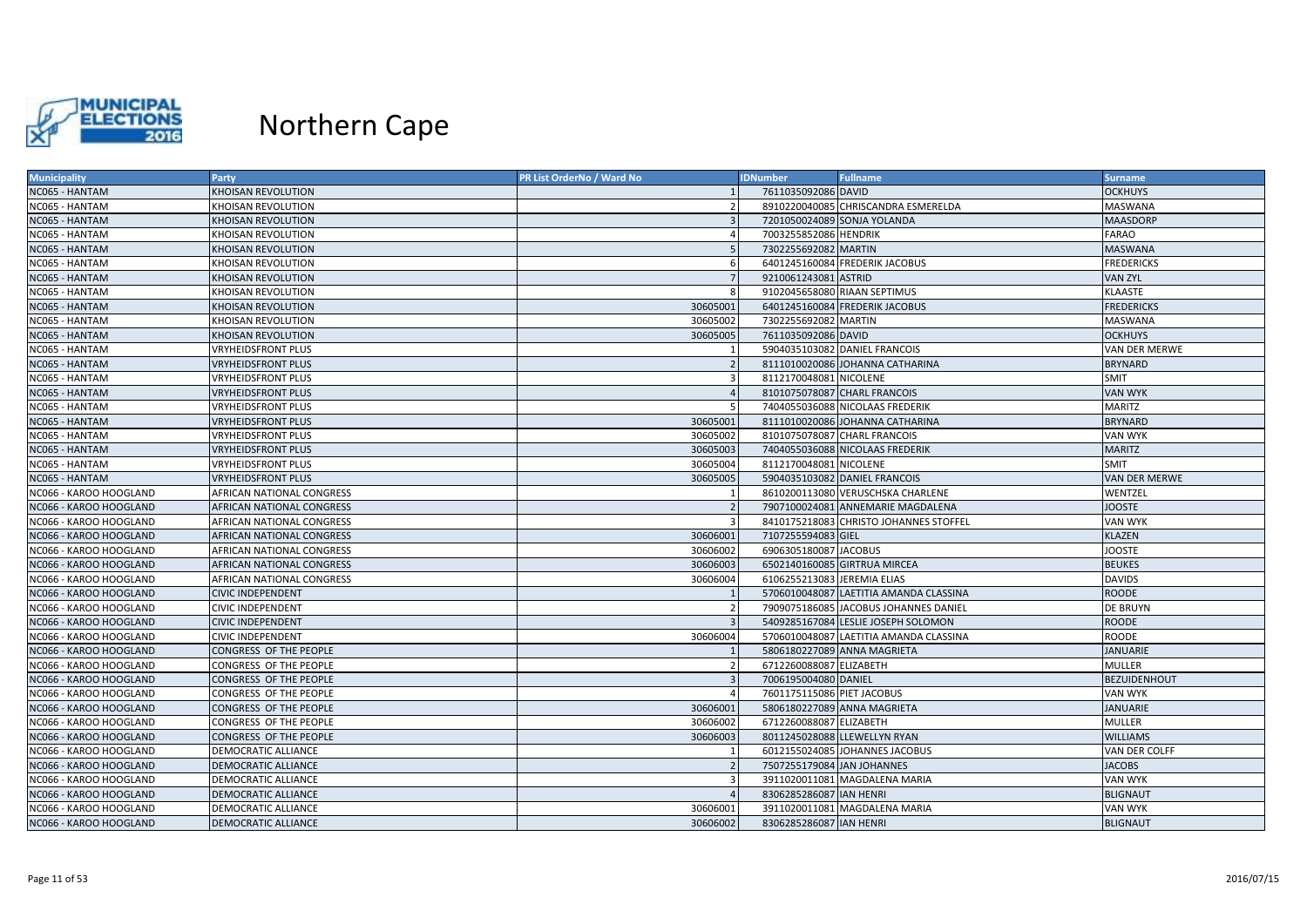

| <b>OCKHUYS</b><br><b>KHOISAN REVOLUTION</b><br>7611035092086 DAVID<br>8910220040085 CHRISCANDRA ESMERELDA<br>MASWANA<br>KHOISAN REVOLUTION<br>7201050024089 SONJA YOLANDA<br><b>MAASDORP</b><br><b>KHOISAN REVOLUTION</b><br>$\overline{3}$<br>7003255852086 HENDRIK<br><b>FARAO</b><br>KHOISAN REVOLUTION<br>$\overline{4}$<br>5<br>7302255692082 MARTIN<br><b>MASWANA</b><br>KHOISAN REVOLUTION<br><b>FREDERICKS</b><br>6401245160084 FREDERIK JACOBUS<br>KHOISAN REVOLUTION<br>6<br>9210061243081 ASTRID<br>KHOISAN REVOLUTION<br>$\overline{7}$<br><b>VAN ZYL</b><br>9102045658080 RIAAN SEPTIMUS<br><b>KLAASTE</b><br>KHOISAN REVOLUTION<br>30605001<br>6401245160084 FREDERIK JACOBUS<br><b>FREDERICKS</b><br><b>KHOISAN REVOLUTION</b><br>30605002<br>7302255692082 MARTIN<br>MASWANA<br>KHOISAN REVOLUTION<br>30605005<br>7611035092086 DAVID<br><b>OCKHUYS</b><br><b>KHOISAN REVOLUTION</b><br>5904035103082 DANIEL FRANCOIS<br>VRYHEIDSFRONT PLUS<br>VAN DER MERWE<br>$\overline{2}$<br>8111010020086 JOHANNA CATHARINA<br><b>BRYNARD</b><br><b>VRYHEIDSFRONT PLUS</b><br>$\overline{\mathbf{3}}$<br>8112170048081 NICOLENE<br><b>SMIT</b><br><b>VRYHEIDSFRONT PLUS</b><br>$\overline{4}$<br>8101075078087 CHARL FRANCOIS<br><b>VRYHEIDSFRONT PLUS</b><br><b>VAN WYK</b><br><b>VRYHEIDSFRONT PLUS</b><br>7404055036088 NICOLAAS FREDERIK<br><b>MARITZ</b><br><b>BRYNARD</b><br><b>VRYHEIDSFRONT PLUS</b><br>30605001<br>8111010020086 JOHANNA CATHARINA<br>30605002<br><b>VRYHEIDSFRONT PLUS</b><br>8101075078087 CHARL FRANCOIS<br><b>VAN WYK</b><br>30605003<br><b>VRYHEIDSFRONT PLUS</b><br>7404055036088 NICOLAAS FREDERIK<br><b>MARITZ</b><br>30605004<br>8112170048081 NICOLENE<br><b>SMIT</b><br><b>VRYHEIDSFRONT PLUS</b><br><b>VRYHEIDSFRONT PLUS</b><br>30605005<br>5904035103082 DANIEL FRANCOIS<br><b>VAN DER MERWE</b><br>8610200113080 VERUSCHSKA CHARLENE<br>AFRICAN NATIONAL CONGRESS<br>WENTZEL<br>7907100024081 ANNEMARIE MAGDALENA<br><b>JOOSTE</b><br><b>AFRICAN NATIONAL CONGRESS</b><br>$\overline{2}$<br>AFRICAN NATIONAL CONGRESS<br>8410175218083 CHRISTO JOHANNES STOFFEL<br><b>VAN WYK</b><br><b>AFRICAN NATIONAL CONGRESS</b><br>30606001<br>7107255594083 GIEL<br><b>KLAZEN</b><br>6906305180087 JACOBUS<br><b>JOOSTE</b><br>30606002<br>AFRICAN NATIONAL CONGRESS<br><b>AFRICAN NATIONAL CONGRESS</b><br>30606003<br>6502140160085 GIRTRUA MIRCEA<br><b>BEUKES</b><br><b>DAVIDS</b><br>AFRICAN NATIONAL CONGRESS<br>30606004<br>6106255213083 JEREMIA ELIAS<br><b>ROODE</b><br><b>CIVIC INDEPENDENT</b><br>5706010048087 LAETITIA AMANDA CLASSINA<br><b>CIVIC INDEPENDENT</b><br>7909075186085 JACOBUS JOHANNES DANIEL<br><b>DE BRUYN</b><br>2<br>$\overline{3}$<br>5409285167084 LESLIE JOSEPH SOLOMON<br><b>ROODE</b><br><b>CIVIC INDEPENDENT</b><br>5706010048087 LAETITIA AMANDA CLASSINA<br><b>ROODE</b><br><b>CIVIC INDEPENDENT</b><br>30606004<br>CONGRESS OF THE PEOPLE<br>5806180227089 ANNA MAGRIETA<br><b>JANUARIE</b><br>6712260088087 ELIZABETH<br><b>MULLER</b><br>CONGRESS OF THE PEOPLE<br>7006195004080 DANIEL<br>$\overline{3}$<br><b>BEZUIDENHOUT</b><br>CONGRESS OF THE PEOPLE<br>CONGRESS OF THE PEOPLE<br>7601175115086 PIET JACOBUS<br><b>VAN WYK</b><br>CONGRESS OF THE PEOPLE<br>30606001<br>5806180227089 ANNA MAGRIETA<br><b>JANUARIE</b><br>30606002<br>6712260088087 ELIZABETH<br><b>MULLER</b><br>CONGRESS OF THE PEOPLE<br>30606003<br>8011245028088 LLEWELLYN RYAN<br><b>WILLIAMS</b><br>CONGRESS OF THE PEOPLE<br>6012155024085 JOHANNES JACOBUS<br>DEMOCRATIC ALLIANCE<br>VAN DER COLFF<br>$\mathbf{1}$<br>$\overline{2}$<br>7507255179084 JAN JOHANNES<br><b>DEMOCRATIC ALLIANCE</b><br><b>JACOBS</b><br>3911020011081 MAGDALENA MARIA<br>DEMOCRATIC ALLIANCE<br>3<br>VAN WYK<br>8306285286087 IAN HENRI<br><b>BLIGNAUT</b><br><b>DEMOCRATIC ALLIANCE</b><br>3911020011081 MAGDALENA MARIA<br><b>VAN WYK</b><br>DEMOCRATIC ALLIANCE<br>30606001<br>8306285286087 IAN HENRI<br><b>DEMOCRATIC ALLIANCE</b><br>30606002<br><b>BLIGNAUT</b> | <b>Municipality</b>    | Party | <b>PR List OrderNo / Ward No</b> | <b>IDNumber</b> | <b>Fullname</b> | <b>Surname</b> |
|--------------------------------------------------------------------------------------------------------------------------------------------------------------------------------------------------------------------------------------------------------------------------------------------------------------------------------------------------------------------------------------------------------------------------------------------------------------------------------------------------------------------------------------------------------------------------------------------------------------------------------------------------------------------------------------------------------------------------------------------------------------------------------------------------------------------------------------------------------------------------------------------------------------------------------------------------------------------------------------------------------------------------------------------------------------------------------------------------------------------------------------------------------------------------------------------------------------------------------------------------------------------------------------------------------------------------------------------------------------------------------------------------------------------------------------------------------------------------------------------------------------------------------------------------------------------------------------------------------------------------------------------------------------------------------------------------------------------------------------------------------------------------------------------------------------------------------------------------------------------------------------------------------------------------------------------------------------------------------------------------------------------------------------------------------------------------------------------------------------------------------------------------------------------------------------------------------------------------------------------------------------------------------------------------------------------------------------------------------------------------------------------------------------------------------------------------------------------------------------------------------------------------------------------------------------------------------------------------------------------------------------------------------------------------------------------------------------------------------------------------------------------------------------------------------------------------------------------------------------------------------------------------------------------------------------------------------------------------------------------------------------------------------------------------------------------------------------------------------------------------------------------------------------------------------------------------------------------------------------------------------------------------------------------------------------------------------------------------------------------------------------------------------------------------------------------------------------------------------------------------------------------------------------------------------------------------------------------------------------------------------------------------------------------------------------------------------------------------------------------------------------------------------------------------------------------------------------------------------------------------------------------------------------------------------------------------------------------------------------------------------------------|------------------------|-------|----------------------------------|-----------------|-----------------|----------------|
|                                                                                                                                                                                                                                                                                                                                                                                                                                                                                                                                                                                                                                                                                                                                                                                                                                                                                                                                                                                                                                                                                                                                                                                                                                                                                                                                                                                                                                                                                                                                                                                                                                                                                                                                                                                                                                                                                                                                                                                                                                                                                                                                                                                                                                                                                                                                                                                                                                                                                                                                                                                                                                                                                                                                                                                                                                                                                                                                                                                                                                                                                                                                                                                                                                                                                                                                                                                                                                                                                                                                                                                                                                                                                                                                                                                                                                                                                                                                                                                                                    | NC065 - HANTAM         |       |                                  |                 |                 |                |
|                                                                                                                                                                                                                                                                                                                                                                                                                                                                                                                                                                                                                                                                                                                                                                                                                                                                                                                                                                                                                                                                                                                                                                                                                                                                                                                                                                                                                                                                                                                                                                                                                                                                                                                                                                                                                                                                                                                                                                                                                                                                                                                                                                                                                                                                                                                                                                                                                                                                                                                                                                                                                                                                                                                                                                                                                                                                                                                                                                                                                                                                                                                                                                                                                                                                                                                                                                                                                                                                                                                                                                                                                                                                                                                                                                                                                                                                                                                                                                                                                    | NC065 - HANTAM         |       |                                  |                 |                 |                |
|                                                                                                                                                                                                                                                                                                                                                                                                                                                                                                                                                                                                                                                                                                                                                                                                                                                                                                                                                                                                                                                                                                                                                                                                                                                                                                                                                                                                                                                                                                                                                                                                                                                                                                                                                                                                                                                                                                                                                                                                                                                                                                                                                                                                                                                                                                                                                                                                                                                                                                                                                                                                                                                                                                                                                                                                                                                                                                                                                                                                                                                                                                                                                                                                                                                                                                                                                                                                                                                                                                                                                                                                                                                                                                                                                                                                                                                                                                                                                                                                                    | NC065 - HANTAM         |       |                                  |                 |                 |                |
|                                                                                                                                                                                                                                                                                                                                                                                                                                                                                                                                                                                                                                                                                                                                                                                                                                                                                                                                                                                                                                                                                                                                                                                                                                                                                                                                                                                                                                                                                                                                                                                                                                                                                                                                                                                                                                                                                                                                                                                                                                                                                                                                                                                                                                                                                                                                                                                                                                                                                                                                                                                                                                                                                                                                                                                                                                                                                                                                                                                                                                                                                                                                                                                                                                                                                                                                                                                                                                                                                                                                                                                                                                                                                                                                                                                                                                                                                                                                                                                                                    | NC065 - HANTAM         |       |                                  |                 |                 |                |
|                                                                                                                                                                                                                                                                                                                                                                                                                                                                                                                                                                                                                                                                                                                                                                                                                                                                                                                                                                                                                                                                                                                                                                                                                                                                                                                                                                                                                                                                                                                                                                                                                                                                                                                                                                                                                                                                                                                                                                                                                                                                                                                                                                                                                                                                                                                                                                                                                                                                                                                                                                                                                                                                                                                                                                                                                                                                                                                                                                                                                                                                                                                                                                                                                                                                                                                                                                                                                                                                                                                                                                                                                                                                                                                                                                                                                                                                                                                                                                                                                    | NC065 - HANTAM         |       |                                  |                 |                 |                |
|                                                                                                                                                                                                                                                                                                                                                                                                                                                                                                                                                                                                                                                                                                                                                                                                                                                                                                                                                                                                                                                                                                                                                                                                                                                                                                                                                                                                                                                                                                                                                                                                                                                                                                                                                                                                                                                                                                                                                                                                                                                                                                                                                                                                                                                                                                                                                                                                                                                                                                                                                                                                                                                                                                                                                                                                                                                                                                                                                                                                                                                                                                                                                                                                                                                                                                                                                                                                                                                                                                                                                                                                                                                                                                                                                                                                                                                                                                                                                                                                                    | NC065 - HANTAM         |       |                                  |                 |                 |                |
|                                                                                                                                                                                                                                                                                                                                                                                                                                                                                                                                                                                                                                                                                                                                                                                                                                                                                                                                                                                                                                                                                                                                                                                                                                                                                                                                                                                                                                                                                                                                                                                                                                                                                                                                                                                                                                                                                                                                                                                                                                                                                                                                                                                                                                                                                                                                                                                                                                                                                                                                                                                                                                                                                                                                                                                                                                                                                                                                                                                                                                                                                                                                                                                                                                                                                                                                                                                                                                                                                                                                                                                                                                                                                                                                                                                                                                                                                                                                                                                                                    | NC065 - HANTAM         |       |                                  |                 |                 |                |
|                                                                                                                                                                                                                                                                                                                                                                                                                                                                                                                                                                                                                                                                                                                                                                                                                                                                                                                                                                                                                                                                                                                                                                                                                                                                                                                                                                                                                                                                                                                                                                                                                                                                                                                                                                                                                                                                                                                                                                                                                                                                                                                                                                                                                                                                                                                                                                                                                                                                                                                                                                                                                                                                                                                                                                                                                                                                                                                                                                                                                                                                                                                                                                                                                                                                                                                                                                                                                                                                                                                                                                                                                                                                                                                                                                                                                                                                                                                                                                                                                    | NC065 - HANTAM         |       |                                  |                 |                 |                |
|                                                                                                                                                                                                                                                                                                                                                                                                                                                                                                                                                                                                                                                                                                                                                                                                                                                                                                                                                                                                                                                                                                                                                                                                                                                                                                                                                                                                                                                                                                                                                                                                                                                                                                                                                                                                                                                                                                                                                                                                                                                                                                                                                                                                                                                                                                                                                                                                                                                                                                                                                                                                                                                                                                                                                                                                                                                                                                                                                                                                                                                                                                                                                                                                                                                                                                                                                                                                                                                                                                                                                                                                                                                                                                                                                                                                                                                                                                                                                                                                                    | NC065 - HANTAM         |       |                                  |                 |                 |                |
|                                                                                                                                                                                                                                                                                                                                                                                                                                                                                                                                                                                                                                                                                                                                                                                                                                                                                                                                                                                                                                                                                                                                                                                                                                                                                                                                                                                                                                                                                                                                                                                                                                                                                                                                                                                                                                                                                                                                                                                                                                                                                                                                                                                                                                                                                                                                                                                                                                                                                                                                                                                                                                                                                                                                                                                                                                                                                                                                                                                                                                                                                                                                                                                                                                                                                                                                                                                                                                                                                                                                                                                                                                                                                                                                                                                                                                                                                                                                                                                                                    | NC065 - HANTAM         |       |                                  |                 |                 |                |
|                                                                                                                                                                                                                                                                                                                                                                                                                                                                                                                                                                                                                                                                                                                                                                                                                                                                                                                                                                                                                                                                                                                                                                                                                                                                                                                                                                                                                                                                                                                                                                                                                                                                                                                                                                                                                                                                                                                                                                                                                                                                                                                                                                                                                                                                                                                                                                                                                                                                                                                                                                                                                                                                                                                                                                                                                                                                                                                                                                                                                                                                                                                                                                                                                                                                                                                                                                                                                                                                                                                                                                                                                                                                                                                                                                                                                                                                                                                                                                                                                    | NC065 - HANTAM         |       |                                  |                 |                 |                |
|                                                                                                                                                                                                                                                                                                                                                                                                                                                                                                                                                                                                                                                                                                                                                                                                                                                                                                                                                                                                                                                                                                                                                                                                                                                                                                                                                                                                                                                                                                                                                                                                                                                                                                                                                                                                                                                                                                                                                                                                                                                                                                                                                                                                                                                                                                                                                                                                                                                                                                                                                                                                                                                                                                                                                                                                                                                                                                                                                                                                                                                                                                                                                                                                                                                                                                                                                                                                                                                                                                                                                                                                                                                                                                                                                                                                                                                                                                                                                                                                                    | NC065 - HANTAM         |       |                                  |                 |                 |                |
|                                                                                                                                                                                                                                                                                                                                                                                                                                                                                                                                                                                                                                                                                                                                                                                                                                                                                                                                                                                                                                                                                                                                                                                                                                                                                                                                                                                                                                                                                                                                                                                                                                                                                                                                                                                                                                                                                                                                                                                                                                                                                                                                                                                                                                                                                                                                                                                                                                                                                                                                                                                                                                                                                                                                                                                                                                                                                                                                                                                                                                                                                                                                                                                                                                                                                                                                                                                                                                                                                                                                                                                                                                                                                                                                                                                                                                                                                                                                                                                                                    | NC065 - HANTAM         |       |                                  |                 |                 |                |
|                                                                                                                                                                                                                                                                                                                                                                                                                                                                                                                                                                                                                                                                                                                                                                                                                                                                                                                                                                                                                                                                                                                                                                                                                                                                                                                                                                                                                                                                                                                                                                                                                                                                                                                                                                                                                                                                                                                                                                                                                                                                                                                                                                                                                                                                                                                                                                                                                                                                                                                                                                                                                                                                                                                                                                                                                                                                                                                                                                                                                                                                                                                                                                                                                                                                                                                                                                                                                                                                                                                                                                                                                                                                                                                                                                                                                                                                                                                                                                                                                    | NC065 - HANTAM         |       |                                  |                 |                 |                |
|                                                                                                                                                                                                                                                                                                                                                                                                                                                                                                                                                                                                                                                                                                                                                                                                                                                                                                                                                                                                                                                                                                                                                                                                                                                                                                                                                                                                                                                                                                                                                                                                                                                                                                                                                                                                                                                                                                                                                                                                                                                                                                                                                                                                                                                                                                                                                                                                                                                                                                                                                                                                                                                                                                                                                                                                                                                                                                                                                                                                                                                                                                                                                                                                                                                                                                                                                                                                                                                                                                                                                                                                                                                                                                                                                                                                                                                                                                                                                                                                                    | NC065 - HANTAM         |       |                                  |                 |                 |                |
|                                                                                                                                                                                                                                                                                                                                                                                                                                                                                                                                                                                                                                                                                                                                                                                                                                                                                                                                                                                                                                                                                                                                                                                                                                                                                                                                                                                                                                                                                                                                                                                                                                                                                                                                                                                                                                                                                                                                                                                                                                                                                                                                                                                                                                                                                                                                                                                                                                                                                                                                                                                                                                                                                                                                                                                                                                                                                                                                                                                                                                                                                                                                                                                                                                                                                                                                                                                                                                                                                                                                                                                                                                                                                                                                                                                                                                                                                                                                                                                                                    | NC065 - HANTAM         |       |                                  |                 |                 |                |
|                                                                                                                                                                                                                                                                                                                                                                                                                                                                                                                                                                                                                                                                                                                                                                                                                                                                                                                                                                                                                                                                                                                                                                                                                                                                                                                                                                                                                                                                                                                                                                                                                                                                                                                                                                                                                                                                                                                                                                                                                                                                                                                                                                                                                                                                                                                                                                                                                                                                                                                                                                                                                                                                                                                                                                                                                                                                                                                                                                                                                                                                                                                                                                                                                                                                                                                                                                                                                                                                                                                                                                                                                                                                                                                                                                                                                                                                                                                                                                                                                    | NC065 - HANTAM         |       |                                  |                 |                 |                |
|                                                                                                                                                                                                                                                                                                                                                                                                                                                                                                                                                                                                                                                                                                                                                                                                                                                                                                                                                                                                                                                                                                                                                                                                                                                                                                                                                                                                                                                                                                                                                                                                                                                                                                                                                                                                                                                                                                                                                                                                                                                                                                                                                                                                                                                                                                                                                                                                                                                                                                                                                                                                                                                                                                                                                                                                                                                                                                                                                                                                                                                                                                                                                                                                                                                                                                                                                                                                                                                                                                                                                                                                                                                                                                                                                                                                                                                                                                                                                                                                                    | NC065 - HANTAM         |       |                                  |                 |                 |                |
|                                                                                                                                                                                                                                                                                                                                                                                                                                                                                                                                                                                                                                                                                                                                                                                                                                                                                                                                                                                                                                                                                                                                                                                                                                                                                                                                                                                                                                                                                                                                                                                                                                                                                                                                                                                                                                                                                                                                                                                                                                                                                                                                                                                                                                                                                                                                                                                                                                                                                                                                                                                                                                                                                                                                                                                                                                                                                                                                                                                                                                                                                                                                                                                                                                                                                                                                                                                                                                                                                                                                                                                                                                                                                                                                                                                                                                                                                                                                                                                                                    | NC065 - HANTAM         |       |                                  |                 |                 |                |
|                                                                                                                                                                                                                                                                                                                                                                                                                                                                                                                                                                                                                                                                                                                                                                                                                                                                                                                                                                                                                                                                                                                                                                                                                                                                                                                                                                                                                                                                                                                                                                                                                                                                                                                                                                                                                                                                                                                                                                                                                                                                                                                                                                                                                                                                                                                                                                                                                                                                                                                                                                                                                                                                                                                                                                                                                                                                                                                                                                                                                                                                                                                                                                                                                                                                                                                                                                                                                                                                                                                                                                                                                                                                                                                                                                                                                                                                                                                                                                                                                    | NC065 - HANTAM         |       |                                  |                 |                 |                |
|                                                                                                                                                                                                                                                                                                                                                                                                                                                                                                                                                                                                                                                                                                                                                                                                                                                                                                                                                                                                                                                                                                                                                                                                                                                                                                                                                                                                                                                                                                                                                                                                                                                                                                                                                                                                                                                                                                                                                                                                                                                                                                                                                                                                                                                                                                                                                                                                                                                                                                                                                                                                                                                                                                                                                                                                                                                                                                                                                                                                                                                                                                                                                                                                                                                                                                                                                                                                                                                                                                                                                                                                                                                                                                                                                                                                                                                                                                                                                                                                                    | NC065 - HANTAM         |       |                                  |                 |                 |                |
|                                                                                                                                                                                                                                                                                                                                                                                                                                                                                                                                                                                                                                                                                                                                                                                                                                                                                                                                                                                                                                                                                                                                                                                                                                                                                                                                                                                                                                                                                                                                                                                                                                                                                                                                                                                                                                                                                                                                                                                                                                                                                                                                                                                                                                                                                                                                                                                                                                                                                                                                                                                                                                                                                                                                                                                                                                                                                                                                                                                                                                                                                                                                                                                                                                                                                                                                                                                                                                                                                                                                                                                                                                                                                                                                                                                                                                                                                                                                                                                                                    | NC066 - KAROO HOOGLAND |       |                                  |                 |                 |                |
|                                                                                                                                                                                                                                                                                                                                                                                                                                                                                                                                                                                                                                                                                                                                                                                                                                                                                                                                                                                                                                                                                                                                                                                                                                                                                                                                                                                                                                                                                                                                                                                                                                                                                                                                                                                                                                                                                                                                                                                                                                                                                                                                                                                                                                                                                                                                                                                                                                                                                                                                                                                                                                                                                                                                                                                                                                                                                                                                                                                                                                                                                                                                                                                                                                                                                                                                                                                                                                                                                                                                                                                                                                                                                                                                                                                                                                                                                                                                                                                                                    | NC066 - KAROO HOOGLAND |       |                                  |                 |                 |                |
|                                                                                                                                                                                                                                                                                                                                                                                                                                                                                                                                                                                                                                                                                                                                                                                                                                                                                                                                                                                                                                                                                                                                                                                                                                                                                                                                                                                                                                                                                                                                                                                                                                                                                                                                                                                                                                                                                                                                                                                                                                                                                                                                                                                                                                                                                                                                                                                                                                                                                                                                                                                                                                                                                                                                                                                                                                                                                                                                                                                                                                                                                                                                                                                                                                                                                                                                                                                                                                                                                                                                                                                                                                                                                                                                                                                                                                                                                                                                                                                                                    | NC066 - KAROO HOOGLAND |       |                                  |                 |                 |                |
|                                                                                                                                                                                                                                                                                                                                                                                                                                                                                                                                                                                                                                                                                                                                                                                                                                                                                                                                                                                                                                                                                                                                                                                                                                                                                                                                                                                                                                                                                                                                                                                                                                                                                                                                                                                                                                                                                                                                                                                                                                                                                                                                                                                                                                                                                                                                                                                                                                                                                                                                                                                                                                                                                                                                                                                                                                                                                                                                                                                                                                                                                                                                                                                                                                                                                                                                                                                                                                                                                                                                                                                                                                                                                                                                                                                                                                                                                                                                                                                                                    | NC066 - KAROO HOOGLAND |       |                                  |                 |                 |                |
|                                                                                                                                                                                                                                                                                                                                                                                                                                                                                                                                                                                                                                                                                                                                                                                                                                                                                                                                                                                                                                                                                                                                                                                                                                                                                                                                                                                                                                                                                                                                                                                                                                                                                                                                                                                                                                                                                                                                                                                                                                                                                                                                                                                                                                                                                                                                                                                                                                                                                                                                                                                                                                                                                                                                                                                                                                                                                                                                                                                                                                                                                                                                                                                                                                                                                                                                                                                                                                                                                                                                                                                                                                                                                                                                                                                                                                                                                                                                                                                                                    | NC066 - KAROO HOOGLAND |       |                                  |                 |                 |                |
|                                                                                                                                                                                                                                                                                                                                                                                                                                                                                                                                                                                                                                                                                                                                                                                                                                                                                                                                                                                                                                                                                                                                                                                                                                                                                                                                                                                                                                                                                                                                                                                                                                                                                                                                                                                                                                                                                                                                                                                                                                                                                                                                                                                                                                                                                                                                                                                                                                                                                                                                                                                                                                                                                                                                                                                                                                                                                                                                                                                                                                                                                                                                                                                                                                                                                                                                                                                                                                                                                                                                                                                                                                                                                                                                                                                                                                                                                                                                                                                                                    | NC066 - KAROO HOOGLAND |       |                                  |                 |                 |                |
|                                                                                                                                                                                                                                                                                                                                                                                                                                                                                                                                                                                                                                                                                                                                                                                                                                                                                                                                                                                                                                                                                                                                                                                                                                                                                                                                                                                                                                                                                                                                                                                                                                                                                                                                                                                                                                                                                                                                                                                                                                                                                                                                                                                                                                                                                                                                                                                                                                                                                                                                                                                                                                                                                                                                                                                                                                                                                                                                                                                                                                                                                                                                                                                                                                                                                                                                                                                                                                                                                                                                                                                                                                                                                                                                                                                                                                                                                                                                                                                                                    | NC066 - KAROO HOOGLAND |       |                                  |                 |                 |                |
|                                                                                                                                                                                                                                                                                                                                                                                                                                                                                                                                                                                                                                                                                                                                                                                                                                                                                                                                                                                                                                                                                                                                                                                                                                                                                                                                                                                                                                                                                                                                                                                                                                                                                                                                                                                                                                                                                                                                                                                                                                                                                                                                                                                                                                                                                                                                                                                                                                                                                                                                                                                                                                                                                                                                                                                                                                                                                                                                                                                                                                                                                                                                                                                                                                                                                                                                                                                                                                                                                                                                                                                                                                                                                                                                                                                                                                                                                                                                                                                                                    | NC066 - KAROO HOOGLAND |       |                                  |                 |                 |                |
|                                                                                                                                                                                                                                                                                                                                                                                                                                                                                                                                                                                                                                                                                                                                                                                                                                                                                                                                                                                                                                                                                                                                                                                                                                                                                                                                                                                                                                                                                                                                                                                                                                                                                                                                                                                                                                                                                                                                                                                                                                                                                                                                                                                                                                                                                                                                                                                                                                                                                                                                                                                                                                                                                                                                                                                                                                                                                                                                                                                                                                                                                                                                                                                                                                                                                                                                                                                                                                                                                                                                                                                                                                                                                                                                                                                                                                                                                                                                                                                                                    | NC066 - KAROO HOOGLAND |       |                                  |                 |                 |                |
|                                                                                                                                                                                                                                                                                                                                                                                                                                                                                                                                                                                                                                                                                                                                                                                                                                                                                                                                                                                                                                                                                                                                                                                                                                                                                                                                                                                                                                                                                                                                                                                                                                                                                                                                                                                                                                                                                                                                                                                                                                                                                                                                                                                                                                                                                                                                                                                                                                                                                                                                                                                                                                                                                                                                                                                                                                                                                                                                                                                                                                                                                                                                                                                                                                                                                                                                                                                                                                                                                                                                                                                                                                                                                                                                                                                                                                                                                                                                                                                                                    | NC066 - KAROO HOOGLAND |       |                                  |                 |                 |                |
|                                                                                                                                                                                                                                                                                                                                                                                                                                                                                                                                                                                                                                                                                                                                                                                                                                                                                                                                                                                                                                                                                                                                                                                                                                                                                                                                                                                                                                                                                                                                                                                                                                                                                                                                                                                                                                                                                                                                                                                                                                                                                                                                                                                                                                                                                                                                                                                                                                                                                                                                                                                                                                                                                                                                                                                                                                                                                                                                                                                                                                                                                                                                                                                                                                                                                                                                                                                                                                                                                                                                                                                                                                                                                                                                                                                                                                                                                                                                                                                                                    | NC066 - KAROO HOOGLAND |       |                                  |                 |                 |                |
|                                                                                                                                                                                                                                                                                                                                                                                                                                                                                                                                                                                                                                                                                                                                                                                                                                                                                                                                                                                                                                                                                                                                                                                                                                                                                                                                                                                                                                                                                                                                                                                                                                                                                                                                                                                                                                                                                                                                                                                                                                                                                                                                                                                                                                                                                                                                                                                                                                                                                                                                                                                                                                                                                                                                                                                                                                                                                                                                                                                                                                                                                                                                                                                                                                                                                                                                                                                                                                                                                                                                                                                                                                                                                                                                                                                                                                                                                                                                                                                                                    | NC066 - KAROO HOOGLAND |       |                                  |                 |                 |                |
|                                                                                                                                                                                                                                                                                                                                                                                                                                                                                                                                                                                                                                                                                                                                                                                                                                                                                                                                                                                                                                                                                                                                                                                                                                                                                                                                                                                                                                                                                                                                                                                                                                                                                                                                                                                                                                                                                                                                                                                                                                                                                                                                                                                                                                                                                                                                                                                                                                                                                                                                                                                                                                                                                                                                                                                                                                                                                                                                                                                                                                                                                                                                                                                                                                                                                                                                                                                                                                                                                                                                                                                                                                                                                                                                                                                                                                                                                                                                                                                                                    | NC066 - KAROO HOOGLAND |       |                                  |                 |                 |                |
|                                                                                                                                                                                                                                                                                                                                                                                                                                                                                                                                                                                                                                                                                                                                                                                                                                                                                                                                                                                                                                                                                                                                                                                                                                                                                                                                                                                                                                                                                                                                                                                                                                                                                                                                                                                                                                                                                                                                                                                                                                                                                                                                                                                                                                                                                                                                                                                                                                                                                                                                                                                                                                                                                                                                                                                                                                                                                                                                                                                                                                                                                                                                                                                                                                                                                                                                                                                                                                                                                                                                                                                                                                                                                                                                                                                                                                                                                                                                                                                                                    | NC066 - KAROO HOOGLAND |       |                                  |                 |                 |                |
|                                                                                                                                                                                                                                                                                                                                                                                                                                                                                                                                                                                                                                                                                                                                                                                                                                                                                                                                                                                                                                                                                                                                                                                                                                                                                                                                                                                                                                                                                                                                                                                                                                                                                                                                                                                                                                                                                                                                                                                                                                                                                                                                                                                                                                                                                                                                                                                                                                                                                                                                                                                                                                                                                                                                                                                                                                                                                                                                                                                                                                                                                                                                                                                                                                                                                                                                                                                                                                                                                                                                                                                                                                                                                                                                                                                                                                                                                                                                                                                                                    | NC066 - KAROO HOOGLAND |       |                                  |                 |                 |                |
|                                                                                                                                                                                                                                                                                                                                                                                                                                                                                                                                                                                                                                                                                                                                                                                                                                                                                                                                                                                                                                                                                                                                                                                                                                                                                                                                                                                                                                                                                                                                                                                                                                                                                                                                                                                                                                                                                                                                                                                                                                                                                                                                                                                                                                                                                                                                                                                                                                                                                                                                                                                                                                                                                                                                                                                                                                                                                                                                                                                                                                                                                                                                                                                                                                                                                                                                                                                                                                                                                                                                                                                                                                                                                                                                                                                                                                                                                                                                                                                                                    | NC066 - KAROO HOOGLAND |       |                                  |                 |                 |                |
|                                                                                                                                                                                                                                                                                                                                                                                                                                                                                                                                                                                                                                                                                                                                                                                                                                                                                                                                                                                                                                                                                                                                                                                                                                                                                                                                                                                                                                                                                                                                                                                                                                                                                                                                                                                                                                                                                                                                                                                                                                                                                                                                                                                                                                                                                                                                                                                                                                                                                                                                                                                                                                                                                                                                                                                                                                                                                                                                                                                                                                                                                                                                                                                                                                                                                                                                                                                                                                                                                                                                                                                                                                                                                                                                                                                                                                                                                                                                                                                                                    | NC066 - KAROO HOOGLAND |       |                                  |                 |                 |                |
|                                                                                                                                                                                                                                                                                                                                                                                                                                                                                                                                                                                                                                                                                                                                                                                                                                                                                                                                                                                                                                                                                                                                                                                                                                                                                                                                                                                                                                                                                                                                                                                                                                                                                                                                                                                                                                                                                                                                                                                                                                                                                                                                                                                                                                                                                                                                                                                                                                                                                                                                                                                                                                                                                                                                                                                                                                                                                                                                                                                                                                                                                                                                                                                                                                                                                                                                                                                                                                                                                                                                                                                                                                                                                                                                                                                                                                                                                                                                                                                                                    | NC066 - KAROO HOOGLAND |       |                                  |                 |                 |                |
|                                                                                                                                                                                                                                                                                                                                                                                                                                                                                                                                                                                                                                                                                                                                                                                                                                                                                                                                                                                                                                                                                                                                                                                                                                                                                                                                                                                                                                                                                                                                                                                                                                                                                                                                                                                                                                                                                                                                                                                                                                                                                                                                                                                                                                                                                                                                                                                                                                                                                                                                                                                                                                                                                                                                                                                                                                                                                                                                                                                                                                                                                                                                                                                                                                                                                                                                                                                                                                                                                                                                                                                                                                                                                                                                                                                                                                                                                                                                                                                                                    | NC066 - KAROO HOOGLAND |       |                                  |                 |                 |                |
|                                                                                                                                                                                                                                                                                                                                                                                                                                                                                                                                                                                                                                                                                                                                                                                                                                                                                                                                                                                                                                                                                                                                                                                                                                                                                                                                                                                                                                                                                                                                                                                                                                                                                                                                                                                                                                                                                                                                                                                                                                                                                                                                                                                                                                                                                                                                                                                                                                                                                                                                                                                                                                                                                                                                                                                                                                                                                                                                                                                                                                                                                                                                                                                                                                                                                                                                                                                                                                                                                                                                                                                                                                                                                                                                                                                                                                                                                                                                                                                                                    | NC066 - KAROO HOOGLAND |       |                                  |                 |                 |                |
|                                                                                                                                                                                                                                                                                                                                                                                                                                                                                                                                                                                                                                                                                                                                                                                                                                                                                                                                                                                                                                                                                                                                                                                                                                                                                                                                                                                                                                                                                                                                                                                                                                                                                                                                                                                                                                                                                                                                                                                                                                                                                                                                                                                                                                                                                                                                                                                                                                                                                                                                                                                                                                                                                                                                                                                                                                                                                                                                                                                                                                                                                                                                                                                                                                                                                                                                                                                                                                                                                                                                                                                                                                                                                                                                                                                                                                                                                                                                                                                                                    | NC066 - KAROO HOOGLAND |       |                                  |                 |                 |                |
|                                                                                                                                                                                                                                                                                                                                                                                                                                                                                                                                                                                                                                                                                                                                                                                                                                                                                                                                                                                                                                                                                                                                                                                                                                                                                                                                                                                                                                                                                                                                                                                                                                                                                                                                                                                                                                                                                                                                                                                                                                                                                                                                                                                                                                                                                                                                                                                                                                                                                                                                                                                                                                                                                                                                                                                                                                                                                                                                                                                                                                                                                                                                                                                                                                                                                                                                                                                                                                                                                                                                                                                                                                                                                                                                                                                                                                                                                                                                                                                                                    | NC066 - KAROO HOOGLAND |       |                                  |                 |                 |                |
|                                                                                                                                                                                                                                                                                                                                                                                                                                                                                                                                                                                                                                                                                                                                                                                                                                                                                                                                                                                                                                                                                                                                                                                                                                                                                                                                                                                                                                                                                                                                                                                                                                                                                                                                                                                                                                                                                                                                                                                                                                                                                                                                                                                                                                                                                                                                                                                                                                                                                                                                                                                                                                                                                                                                                                                                                                                                                                                                                                                                                                                                                                                                                                                                                                                                                                                                                                                                                                                                                                                                                                                                                                                                                                                                                                                                                                                                                                                                                                                                                    | NC066 - KAROO HOOGLAND |       |                                  |                 |                 |                |
|                                                                                                                                                                                                                                                                                                                                                                                                                                                                                                                                                                                                                                                                                                                                                                                                                                                                                                                                                                                                                                                                                                                                                                                                                                                                                                                                                                                                                                                                                                                                                                                                                                                                                                                                                                                                                                                                                                                                                                                                                                                                                                                                                                                                                                                                                                                                                                                                                                                                                                                                                                                                                                                                                                                                                                                                                                                                                                                                                                                                                                                                                                                                                                                                                                                                                                                                                                                                                                                                                                                                                                                                                                                                                                                                                                                                                                                                                                                                                                                                                    | NC066 - KAROO HOOGLAND |       |                                  |                 |                 |                |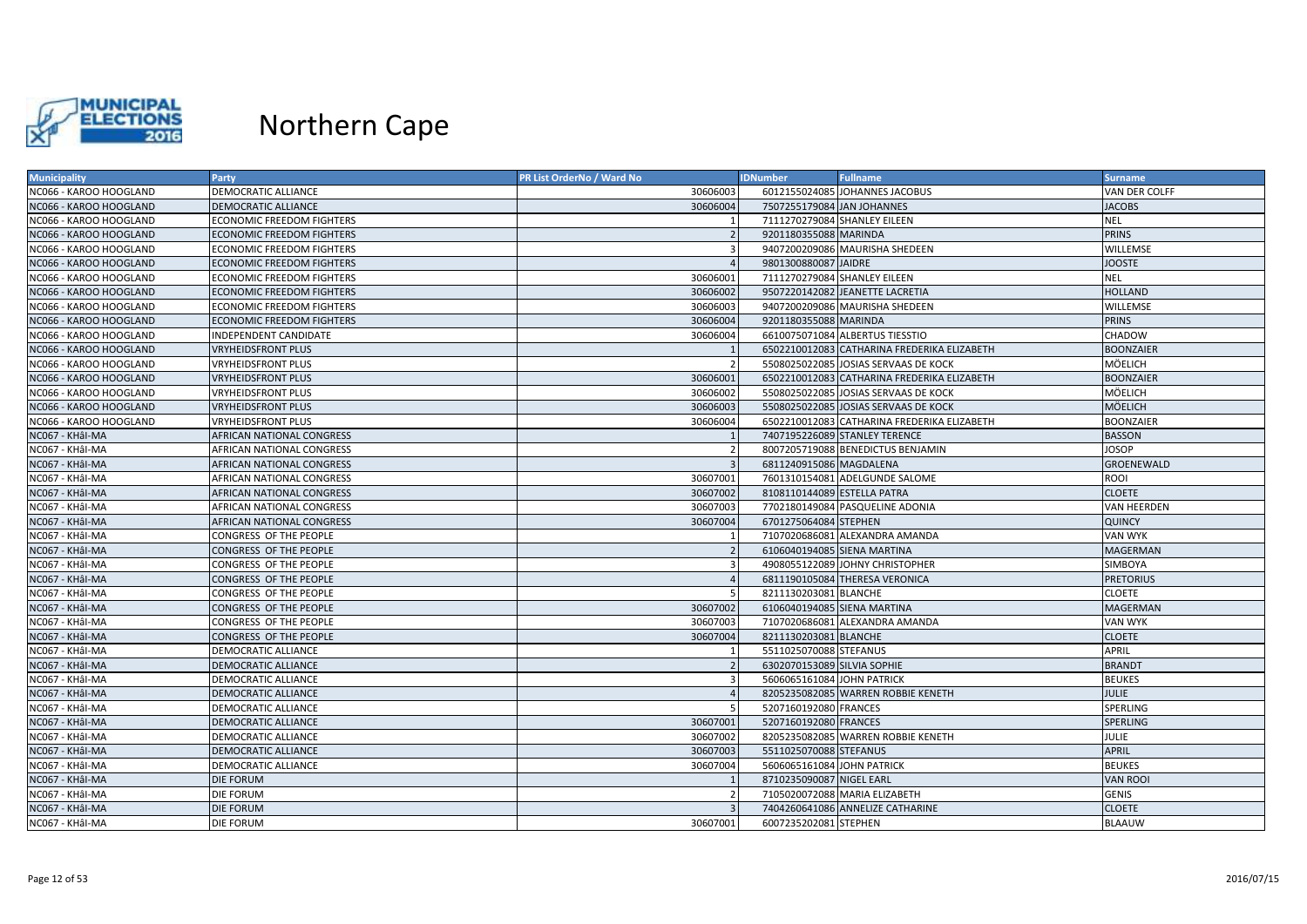

| <b>Municipality</b>    | Party                            | <b>PR List OrderNo / Ward No</b> | <b>IDNumber</b>              | <b>Fullname</b>                             | <b>Surname</b>   |
|------------------------|----------------------------------|----------------------------------|------------------------------|---------------------------------------------|------------------|
| NC066 - KAROO HOOGLAND | DEMOCRATIC ALLIANCE              | 30606003                         |                              | 6012155024085 JOHANNES JACOBUS              | VAN DER COLFF    |
| NC066 - KAROO HOOGLAND | DEMOCRATIC ALLIANCE              | 30606004                         | 7507255179084 JAN JOHANNES   |                                             | <b>JACOBS</b>    |
| NC066 - KAROO HOOGLAND | ECONOMIC FREEDOM FIGHTERS        |                                  | 7111270279084 SHANLEY EILEEN |                                             | <b>NEL</b>       |
| NC066 - KAROO HOOGLAND | <b>ECONOMIC FREEDOM FIGHTERS</b> |                                  | 9201180355088 MARINDA        |                                             | <b>PRINS</b>     |
| NC066 - KAROO HOOGLAND | <b>ECONOMIC FREEDOM FIGHTERS</b> |                                  |                              | 9407200209086 MAURISHA SHEDEEN              | WILLEMSE         |
| NC066 - KAROO HOOGLAND | <b>ECONOMIC FREEDOM FIGHTERS</b> |                                  | 9801300880087 JAIDRE         |                                             | <b>JOOSTE</b>    |
| NC066 - KAROO HOOGLAND | ECONOMIC FREEDOM FIGHTERS        | 30606001                         | 7111270279084 SHANLEY EILEEN |                                             | NEL              |
| NC066 - KAROO HOOGLAND | <b>ECONOMIC FREEDOM FIGHTERS</b> | 30606002                         |                              | 9507220142082 JEANETTE LACRETIA             | <b>HOLLAND</b>   |
| NC066 - KAROO HOOGLAND | <b>ECONOMIC FREEDOM FIGHTERS</b> | 30606003                         |                              | 9407200209086 MAURISHA SHEDEEN              | WILLEMSE         |
| NC066 - KAROO HOOGLAND | <b>ECONOMIC FREEDOM FIGHTERS</b> | 30606004                         | 9201180355088 MARINDA        |                                             | <b>PRINS</b>     |
| NC066 - KAROO HOOGLAND | INDEPENDENT CANDIDATE            | 30606004                         |                              | 6610075071084 ALBERTUS TIESSTIO             | CHADOW           |
| NC066 - KAROO HOOGLAND | <b>VRYHEIDSFRONT PLUS</b>        |                                  |                              | 6502210012083 CATHARINA FREDERIKA ELIZABETH | <b>BOONZAIER</b> |
| NC066 - KAROO HOOGLAND | <b>VRYHEIDSFRONT PLUS</b>        |                                  |                              | 5508025022085 JOSIAS SERVAAS DE KOCK        | MÖELICH          |
| NC066 - KAROO HOOGLAND | <b>VRYHEIDSFRONT PLUS</b>        | 30606001                         |                              | 6502210012083 CATHARINA FREDERIKA ELIZABETH | <b>BOONZAIER</b> |
| NC066 - KAROO HOOGLAND | <b>VRYHEIDSFRONT PLUS</b>        | 30606002                         |                              | 5508025022085 JOSIAS SERVAAS DE KOCK        | MÖELICH          |
| NC066 - KAROO HOOGLAND | <b>VRYHEIDSFRONT PLUS</b>        | 30606003                         |                              | 5508025022085 JOSIAS SERVAAS DE KOCK        | MÖELICH          |
| NC066 - KAROO HOOGLAND | <b>VRYHEIDSFRONT PLUS</b>        | 30606004                         |                              | 6502210012083 CATHARINA FREDERIKA ELIZABETH | BOONZAIER        |
| NC067 - KHÂI-MA        | AFRICAN NATIONAL CONGRESS        |                                  |                              | 7407195226089 STANLEY TERENCE               | <b>BASSON</b>    |
| NC067 - KHâl-MA        | AFRICAN NATIONAL CONGRESS        |                                  |                              | 8007205719088 BENEDICTUS BENJAMIN           | JOSOP            |
| NC067 - KHâl-MA        | AFRICAN NATIONAL CONGRESS        |                                  | 6811240915086 MAGDALENA      |                                             | GROENEWALD       |
| NC067 - KHâl-MA        | AFRICAN NATIONAL CONGRESS        | 30607001                         |                              | 7601310154081 ADELGUNDE SALOME              | ROOI             |
| NC067 - KHâl-MA        | AFRICAN NATIONAL CONGRESS        | 30607002                         | 8108110144089 ESTELLA PATRA  |                                             | <b>CLOETE</b>    |
| NC067 - KHâl-MA        | AFRICAN NATIONAL CONGRESS        | 30607003                         |                              | 7702180149084 PASQUELINE ADONIA             | VAN HEERDEN      |
| NC067 - KHâl-MA        | AFRICAN NATIONAL CONGRESS        | 30607004                         | 6701275064084 STEPHEN        |                                             | <b>QUINCY</b>    |
| NC067 - KHâl-MA        | CONGRESS OF THE PEOPLE           |                                  |                              | 7107020686081 ALEXANDRA AMANDA              | VAN WYK          |
| NC067 - KHâl-MA        | CONGRESS OF THE PEOPLE           |                                  | 6106040194085 SIENA MARTINA  |                                             | MAGERMAN         |
| NC067 - KHâl-MA        | CONGRESS OF THE PEOPLE           |                                  |                              | 4908055122089 JOHNY CHRISTOPHER             | SIMBOYA          |
| NC067 - KHâl-MA        | CONGRESS OF THE PEOPLE           |                                  |                              | 6811190105084 THERESA VERONICA              | <b>PRETORIUS</b> |
| NC067 - KHâl-MA        | CONGRESS OF THE PEOPLE           |                                  | 8211130203081 BLANCHE        |                                             | <b>CLOETE</b>    |
| NC067 - KHâl-MA        | CONGRESS OF THE PEOPLE           | 30607002                         | 6106040194085 SIENA MARTINA  |                                             | MAGERMAN         |
| NC067 - KHâl-MA        | CONGRESS OF THE PEOPLE           | 30607003                         |                              | 7107020686081 ALEXANDRA AMANDA              | VAN WYK          |
| NC067 - KHâl-MA        | CONGRESS OF THE PEOPLE           | 30607004                         | 8211130203081 BLANCHE        |                                             | <b>CLOETE</b>    |
| NC067 - KHâl-MA        | DEMOCRATIC ALLIANCE              |                                  | 5511025070088 STEFANUS       |                                             | APRIL            |
| NC067 - KHâl-MA        | DEMOCRATIC ALLIANCE              |                                  | 6302070153089 SILVIA SOPHIE  |                                             | <b>BRANDT</b>    |
| NC067 - KHâl-MA        | DEMOCRATIC ALLIANCE              |                                  | 5606065161084 JOHN PATRICK   |                                             | <b>BEUKES</b>    |
| NC067 - KHâl-MA        | DEMOCRATIC ALLIANCE              |                                  |                              | 8205235082085 WARREN ROBBIE KENETH          | <b>JULIE</b>     |
| NC067 - KHÂI-MA        | DEMOCRATIC ALLIANCE              |                                  | 5207160192080 FRANCES        |                                             | SPERLING         |
| NC067 - KHâl-MA        | DEMOCRATIC ALLIANCE              | 30607001                         | 5207160192080 FRANCES        |                                             | SPERLING         |
| NC067 - KHâl-MA        | DEMOCRATIC ALLIANCE              | 30607002                         |                              | 8205235082085 WARREN ROBBIE KENETH          | JULIE            |
| NC067 - KHâl-MA        | <b>DEMOCRATIC ALLIANCE</b>       | 30607003                         | 5511025070088 STEFANUS       |                                             | <b>APRIL</b>     |
| NC067 - KHâl-MA        | DEMOCRATIC ALLIANCE              | 30607004                         | 5606065161084 JOHN PATRICK   |                                             | <b>BEUKES</b>    |
| NC067 - KHâl-MA        | <b>DIE FORUM</b>                 |                                  | 8710235090087 NIGEL EARL     |                                             | <b>VAN ROOI</b>  |
| NC067 - KHâl-MA        | <b>DIE FORUM</b>                 |                                  |                              | 7105020072088 MARIA ELIZABETH               | <b>GENIS</b>     |
| NC067 - KHâl-MA        | <b>DIE FORUM</b>                 |                                  |                              | 7404260641086 ANNELIZE CATHARINE            | <b>CLOETE</b>    |
| NC067 - KHÂI-MA        | <b>DIE FORUM</b>                 | 30607001                         | 6007235202081 STEPHEN        |                                             | <b>BLAAUW</b>    |
|                        |                                  |                                  |                              |                                             |                  |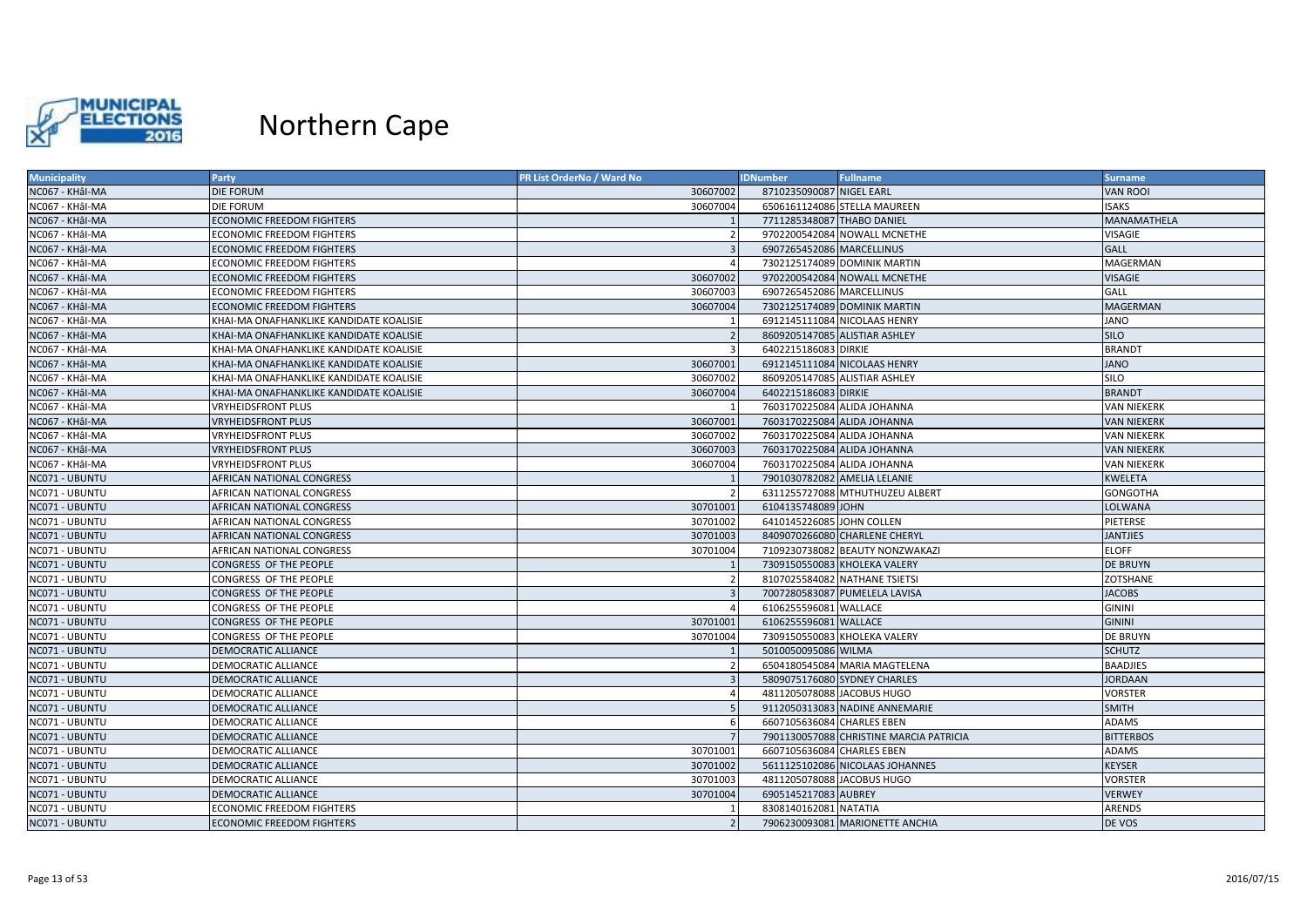

| <b>Municipality</b> | <b>Party</b>                            | PR List OrderNo / Ward No | <b>IDNumber</b>            | <b>Fullname</b>                         | <b>Surname</b>     |
|---------------------|-----------------------------------------|---------------------------|----------------------------|-----------------------------------------|--------------------|
| NC067 - KHâl-MA     | <b>DIE FORUM</b>                        | 30607002                  | 8710235090087 NIGEL EARL   |                                         | <b>VAN ROOI</b>    |
| NC067 - KHâl-MA     | <b>DIE FORUM</b>                        | 30607004                  |                            | 6506161124086 STELLA MAUREEN            | SAKS               |
| NC067 - KHâl-MA     | <b>ECONOMIC FREEDOM FIGHTERS</b>        |                           | 7711285348087 THABO DANIEL |                                         | MANAMATHELA        |
| NC067 - KHâl-MA     | <b>ECONOMIC FREEDOM FIGHTERS</b>        |                           |                            | 9702200542084 NOWALL MCNETHE            | VISAGIE            |
| NC067 - KHÂI-MA     | <b>ECONOMIC FREEDOM FIGHTERS</b>        |                           | 6907265452086 MARCELLINUS  |                                         | <b>GALL</b>        |
| NC067 - KHÂI-MA     | <b>ECONOMIC FREEDOM FIGHTERS</b>        |                           |                            | 7302125174089 DOMINIK MARTIN            | MAGERMAN           |
| NC067 - KHâl-MA     | <b>ECONOMIC FREEDOM FIGHTERS</b>        | 30607002                  |                            | 9702200542084 NOWALL MCNETHE            | <b>VISAGIE</b>     |
| NC067 - KHâl-MA     | <b>ECONOMIC FREEDOM FIGHTERS</b>        | 30607003                  | 6907265452086 MARCELLINUS  |                                         | <b>GALL</b>        |
| NC067 - KHâl-MA     | <b>ECONOMIC FREEDOM FIGHTERS</b>        | 30607004                  |                            | 7302125174089 DOMINIK MARTIN            | <b>MAGERMAN</b>    |
| NC067 - KHâl-MA     | KHAI-MA ONAFHANKLIKE KANDIDATE KOALISIE |                           |                            | 6912145111084 NICOLAAS HENRY            | JANO               |
| NC067 - KHÂI-MA     | KHAI-MA ONAFHANKLIKE KANDIDATE KOALISIE | $\overline{z}$            |                            | 8609205147085 ALISTIAR ASHLEY           | <b>SILO</b>        |
| NC067 - KHâl-MA     | KHAI-MA ONAFHANKLIKE KANDIDATE KOALISIE |                           | 6402215186083 DIRKIE       |                                         | <b>BRANDT</b>      |
| NC067 - KHÂI-MA     | KHAI-MA ONAFHANKLIKE KANDIDATE KOALISIE | 30607001                  |                            | 6912145111084 NICOLAAS HENRY            | <b>JANO</b>        |
| NC067 - KHâl-MA     | KHAI-MA ONAFHANKLIKE KANDIDATE KOALISIE | 30607002                  |                            | 8609205147085 ALISTIAR ASHLEY           | <b>SILO</b>        |
| NC067 - KHâl-MA     | KHAI-MA ONAFHANKLIKE KANDIDATE KOALISIE | 30607004                  | 6402215186083 DIRKIE       |                                         | <b>BRANDT</b>      |
| NC067 - KHâl-MA     | <b>VRYHEIDSFRONT PLUS</b>               |                           |                            | 7603170225084 ALIDA JOHANNA             | <b>VAN NIEKERK</b> |
| NC067 - KHÂI-MA     | <b>VRYHEIDSFRONT PLUS</b>               | 30607001                  |                            | 7603170225084 ALIDA JOHANNA             | <b>VAN NIEKERK</b> |
| NC067 - KHâl-MA     | <b>VRYHEIDSFRONT PLUS</b>               | 30607002                  |                            | 7603170225084 ALIDA JOHANNA             | VAN NIEKERK        |
| NC067 - KHâl-MA     | <b>VRYHEIDSFRONT PLUS</b>               | 30607003                  |                            | 7603170225084 ALIDA JOHANNA             | <b>VAN NIEKERK</b> |
| NC067 - KHâl-MA     | <b>VRYHEIDSFRONT PLUS</b>               | 30607004                  |                            | 7603170225084 ALIDA JOHANNA             | <b>VAN NIEKERK</b> |
| NC071 - UBUNTU      | <b>AFRICAN NATIONAL CONGRESS</b>        |                           |                            | 7901030782082 AMELIA LELANIE            | <b>KWELETA</b>     |
| NC071 - UBUNTU      | AFRICAN NATIONAL CONGRESS               |                           |                            | 6311255727088 MTHUTHUZEU ALBERT         | <b>GONGOTHA</b>    |
| NC071 - UBUNTU      | AFRICAN NATIONAL CONGRESS               | 30701001                  | 6104135748089 JOHN         |                                         | LOLWANA            |
| NC071 - UBUNTU      | AFRICAN NATIONAL CONGRESS               | 30701002                  | 6410145226085 JOHN COLLEN  |                                         | PIETERSE           |
| NC071 - UBUNTU      | <b>AFRICAN NATIONAL CONGRESS</b>        | 30701003                  |                            | 8409070266080 CHARLENE CHERYL           | <b>JANTJIES</b>    |
| NC071 - UBUNTU      | AFRICAN NATIONAL CONGRESS               | 30701004                  |                            | 7109230738082 BEAUTY NONZWAKAZI         | <b>ELOFF</b>       |
| NC071 - UBUNTU      | CONGRESS OF THE PEOPLE                  |                           |                            | 7309150550083 KHOLEKA VALERY            | <b>DE BRUYN</b>    |
| NC071 - UBUNTU      | CONGRESS OF THE PEOPLE                  |                           |                            | 8107025584082 NATHANE TSIETSI           | ZOTSHANE           |
| NC071 - UBUNTU      | CONGRESS OF THE PEOPLE                  |                           |                            | 7007280583087 PUMELELA LAVISA           | <b>JACOBS</b>      |
| NC071 - UBUNTU      | CONGRESS OF THE PEOPLE                  |                           | 6106255596081 WALLACE      |                                         | <b>GININI</b>      |
| NC071 - UBUNTU      | CONGRESS OF THE PEOPLE                  | 30701001                  | 6106255596081 WALLACE      |                                         | <b>GININI</b>      |
| NC071 - UBUNTU      | CONGRESS OF THE PEOPLE                  | 30701004                  |                            | 7309150550083 KHOLEKA VALERY            | <b>DE BRUYN</b>    |
| NC071 - UBUNTU      | <b>DEMOCRATIC ALLIANCE</b>              |                           | 5010050095086 WILMA        |                                         | <b>SCHUTZ</b>      |
| NC071 - UBUNTU      | DEMOCRATIC ALLIANCE                     |                           |                            | 6504180545084 MARIA MAGTELENA           | <b>BAADJIES</b>    |
| NC071 - UBUNTU      | DEMOCRATIC ALLIANCE                     |                           |                            | 5809075176080 SYDNEY CHARLES            | <b>JORDAAN</b>     |
| NC071 - UBUNTU      | <b>DEMOCRATIC ALLIANCE</b>              |                           | 4811205078088 JACOBUS HUGO |                                         | VORSTER            |
| NC071 - UBUNTU      | <b>DEMOCRATIC ALLIANCE</b>              |                           |                            | 9112050313083 NADINE ANNEMARIE          | <b>SMITH</b>       |
| NC071 - UBUNTU      | DEMOCRATIC ALLIANCE                     | -6                        | 6607105636084 CHARLES EBEN |                                         | ADAMS              |
| NC071 - UBUNTU      | DEMOCRATIC ALLIANCE                     |                           |                            | 7901130057088 CHRISTINE MARCIA PATRICIA | <b>BITTERBOS</b>   |
| NC071 - UBUNTU      | DEMOCRATIC ALLIANCE                     | 30701001                  | 6607105636084 CHARLES EBEN |                                         | ADAMS              |
| NC071 - UBUNTU      | <b>DEMOCRATIC ALLIANCE</b>              | 30701002                  |                            | 5611125102086 NICOLAAS JOHANNES         | <b>KEYSER</b>      |
| NC071 - UBUNTU      | DEMOCRATIC ALLIANCE                     | 30701003                  |                            | 4811205078088 JACOBUS HUGO              | VORSTER            |
| NC071 - UBUNTU      | <b>DEMOCRATIC ALLIANCE</b>              | 30701004                  | 6905145217083 AUBREY       |                                         | <b>VERWEY</b>      |
| NC071 - UBUNTU      | <b>ECONOMIC FREEDOM FIGHTERS</b>        |                           | 8308140162081 NATATIA      |                                         | ARENDS             |
| NC071 - UBUNTU      | <b>ECONOMIC FREEDOM FIGHTERS</b>        |                           |                            | 7906230093081 MARIONETTE ANCHIA         | DE VOS             |
|                     |                                         |                           |                            |                                         |                    |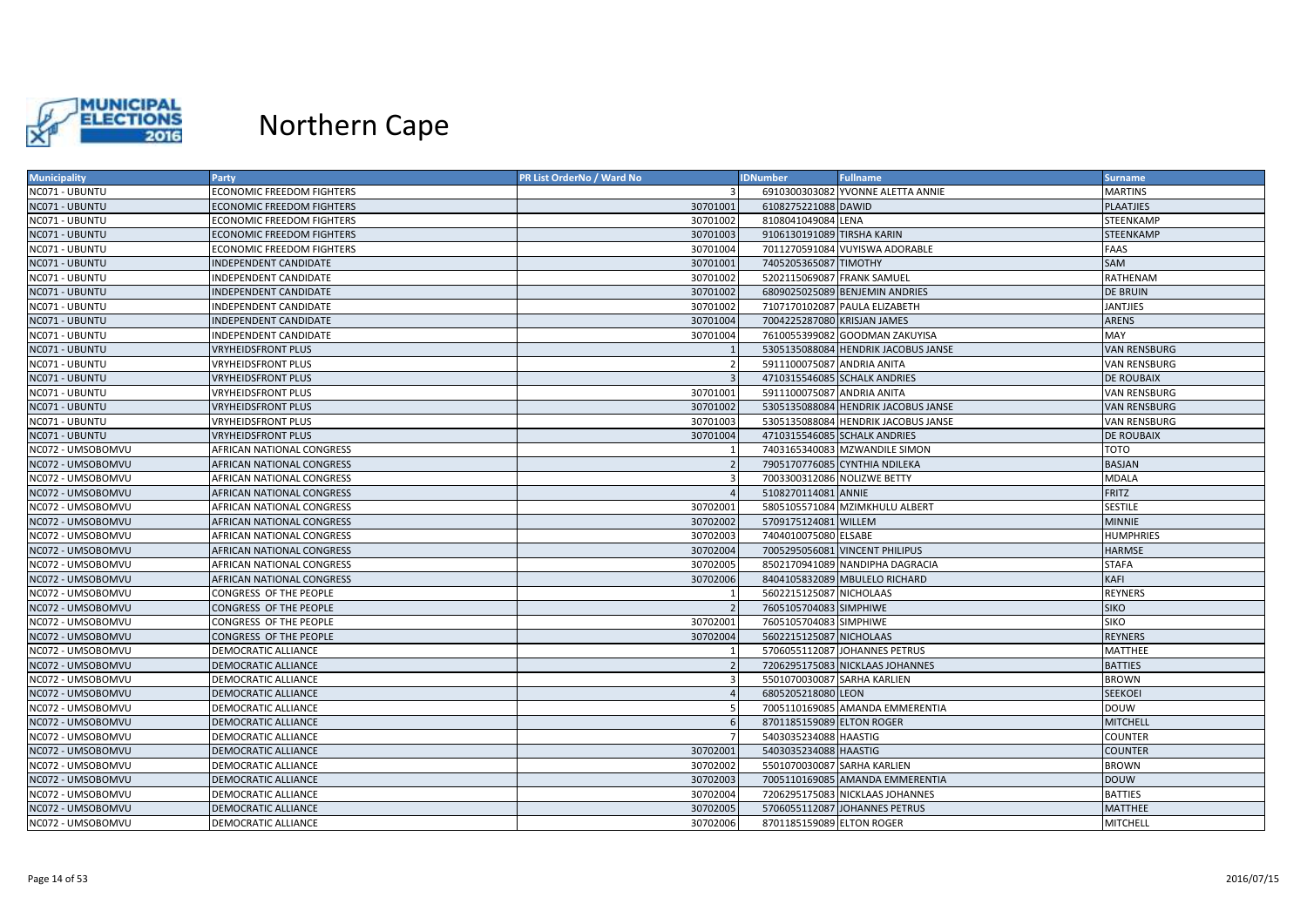

| <b>Municipality</b> | Party                            | PR List OrderNo / Ward No | <b>IDNumber</b>              | <b>Fullname</b>                     | Surname             |
|---------------------|----------------------------------|---------------------------|------------------------------|-------------------------------------|---------------------|
| NC071 - UBUNTU      | <b>ECONOMIC FREEDOM FIGHTERS</b> |                           |                              | 6910300303082 YVONNE ALETTA ANNIE   | <b>MARTINS</b>      |
| NC071 - UBUNTU      | ECONOMIC FREEDOM FIGHTERS        | 30701001                  | 6108275221088 DAWID          |                                     | PLAATJIES           |
| NC071 - UBUNTU      | <b>ECONOMIC FREEDOM FIGHTERS</b> | 30701002                  | 8108041049084 LENA           |                                     | <b>STEENKAMP</b>    |
| NC071 - UBUNTU      | <b>ECONOMIC FREEDOM FIGHTERS</b> | 30701003                  | 9106130191089 TIRSHA KARIN   |                                     | STEENKAMP           |
| NC071 - UBUNTU      | ECONOMIC FREEDOM FIGHTERS        | 30701004                  |                              | 7011270591084 VUYISWA ADORABLE      | FAAS                |
| NC071 - UBUNTU      | <b>INDEPENDENT CANDIDATE</b>     | 30701001                  | 7405205365087 TIMOTHY        |                                     | SAM                 |
| NC071 - UBUNTU      | NDEPENDENT CANDIDATE             | 30701002                  | 5202115069087 FRANK SAMUEL   |                                     | RATHENAM            |
| NC071 - UBUNTU      | <b>INDEPENDENT CANDIDATE</b>     | 30701002                  |                              | 6809025025089 BENJEMIN ANDRIES      | <b>DE BRUIN</b>     |
| NC071 - UBUNTU      | <b>INDEPENDENT CANDIDATE</b>     | 30701002                  |                              | 7107170102087 PAULA ELIZABETH       | <b>JANTJIES</b>     |
| NC071 - UBUNTU      | <b>INDEPENDENT CANDIDATE</b>     | 30701004                  | 7004225287080 KRISJAN JAMES  |                                     | <b>ARENS</b>        |
| NC071 - UBUNTU      | <b>INDEPENDENT CANDIDATE</b>     | 30701004                  |                              | 7610055399082 GOODMAN ZAKUYISA      | MAY                 |
| NC071 - UBUNTU      | <b>VRYHEIDSFRONT PLUS</b>        |                           |                              | 5305135088084 HENDRIK JACOBUS JANSE | <b>VAN RENSBURG</b> |
| NC071 - UBUNTU      | VRYHEIDSFRONT PLUS               |                           | 5911100075087 ANDRIA ANITA   |                                     | <b>VAN RENSBURG</b> |
| NC071 - UBUNTU      | <b>VRYHEIDSFRONT PLUS</b>        |                           | 4710315546085 SCHALK ANDRIES |                                     | DE ROUBAIX          |
| NC071 - UBUNTU      | VRYHEIDSFRONT PLUS               | 30701001                  | 5911100075087 ANDRIA ANITA   |                                     | VAN RENSBURG        |
| NC071 - UBUNTU      | <b>VRYHEIDSFRONT PLUS</b>        | 30701002                  |                              | 5305135088084 HENDRIK JACOBUS JANSE | <b>VAN RENSBURG</b> |
| NC071 - UBUNTU      | VRYHEIDSFRONT PLUS               | 30701003                  |                              | 5305135088084 HENDRIK JACOBUS JANSE | VAN RENSBURG        |
| NC071 - UBUNTU      | <b>VRYHEIDSFRONT PLUS</b>        | 30701004                  | 4710315546085 SCHALK ANDRIES |                                     | <b>DE ROUBAIX</b>   |
| NC072 - UMSOBOMVU   | AFRICAN NATIONAL CONGRESS        |                           |                              | 7403165340083 MZWANDILE SIMON       | тото                |
| NC072 - UMSOBOMVU   | AFRICAN NATIONAL CONGRESS        |                           |                              | 7905170776085 CYNTHIA NDILEKA       | <b>BASJAN</b>       |
| NC072 - UMSOBOMVU   | AFRICAN NATIONAL CONGRESS        | $\overline{\mathbf{a}}$   | 7003300312086 NOLIZWE BETTY  |                                     | <b>MDALA</b>        |
| NC072 - UMSOBOMVU   | AFRICAN NATIONAL CONGRESS        |                           | 5108270114081 ANNIE          |                                     | <b>FRITZ</b>        |
| NC072 - UMSOBOMVU   | AFRICAN NATIONAL CONGRESS        | 30702001                  |                              | 5805105571084 MZIMKHULU ALBERT      | <b>SESTILE</b>      |
| NC072 - UMSOBOMVU   | AFRICAN NATIONAL CONGRESS        | 30702002                  | 5709175124081 WILLEM         |                                     | <b>MINNIE</b>       |
| NC072 - UMSOBOMVU   | AFRICAN NATIONAL CONGRESS        | 30702003                  | 7404010075080 ELSABE         |                                     | <b>HUMPHRIES</b>    |
| NC072 - UMSOBOMVU   | AFRICAN NATIONAL CONGRESS        | 30702004                  |                              | 7005295056081 VINCENT PHILIPUS      | <b>HARMSE</b>       |
| NC072 - UMSOBOMVU   | AFRICAN NATIONAL CONGRESS        | 30702005                  |                              | 8502170941089 NANDIPHA DAGRACIA     | <b>STAFA</b>        |
| NC072 - UMSOBOMVU   | AFRICAN NATIONAL CONGRESS        | 30702006                  |                              | 8404105832089 MBULELO RICHARD       | KAFI                |
| NC072 - UMSOBOMVU   | CONGRESS OF THE PEOPLE           |                           | 5602215125087 NICHOLAAS      |                                     | <b>REYNERS</b>      |
| NC072 - UMSOBOMVU   | CONGRESS OF THE PEOPLE           |                           | 7605105704083 SIMPHIWE       |                                     | <b>SIKO</b>         |
| NC072 - UMSOBOMVU   | CONGRESS OF THE PEOPLE           | 30702001                  | 7605105704083 SIMPHIWE       |                                     | SIKO                |
| NC072 - UMSOBOMVU   | CONGRESS OF THE PEOPLE           | 30702004                  | 5602215125087 NICHOLAAS      |                                     | <b>REYNERS</b>      |
| NC072 - UMSOBOMVU   | DEMOCRATIC ALLIANCE              |                           |                              | 5706055112087 JOHANNES PETRUS       | MATTHEE             |
| NC072 - UMSOBOMVU   | DEMOCRATIC ALLIANCE              |                           |                              | 7206295175083 NICKLAAS JOHANNES     | <b>BATTIES</b>      |
| NC072 - UMSOBOMVU   | <b>DEMOCRATIC ALLIANCE</b>       | 3                         | 5501070030087 SARHA KARLIEN  |                                     | <b>BROWN</b>        |
| NC072 - UMSOBOMVU   | <b>DEMOCRATIC ALLIANCE</b>       |                           | 6805205218080 LEON           |                                     | <b>SEEKOEI</b>      |
| NC072 - UMSOBOMVU   | DEMOCRATIC ALLIANCE              |                           |                              | 7005110169085 AMANDA EMMERENTIA     | <b>DOUW</b>         |
| NC072 - UMSOBOMVU   | <b>DEMOCRATIC ALLIANCE</b>       |                           | 8701185159089 ELTON ROGER    |                                     | <b>MITCHELL</b>     |
| NC072 - UMSOBOMVU   | DEMOCRATIC ALLIANCE              |                           | 5403035234088 HAASTIG        |                                     | COUNTER             |
| NC072 - UMSOBOMVU   | DEMOCRATIC ALLIANCE              | 30702001                  | 5403035234088 HAASTIG        |                                     | <b>COUNTER</b>      |
| NC072 - UMSOBOMVU   | DEMOCRATIC ALLIANCE              | 30702002                  | 5501070030087 SARHA KARLIEN  |                                     | <b>BROWN</b>        |
| NC072 - UMSOBOMVU   | DEMOCRATIC ALLIANCE              | 30702003                  |                              | 7005110169085 AMANDA EMMERENTIA     | <b>DOUW</b>         |
| NC072 - UMSOBOMVU   | DEMOCRATIC ALLIANCE              | 30702004                  |                              | 7206295175083 NICKLAAS JOHANNES     | <b>BATTIES</b>      |
| NC072 - UMSOBOMVU   | <b>DEMOCRATIC ALLIANCE</b>       | 30702005                  |                              | 5706055112087 JOHANNES PETRUS       | <b>MATTHEE</b>      |
| NC072 - UMSOBOMVU   | DEMOCRATIC ALLIANCE              | 30702006                  | 8701185159089 ELTON ROGER    |                                     | <b>MITCHELL</b>     |
|                     |                                  |                           |                              |                                     |                     |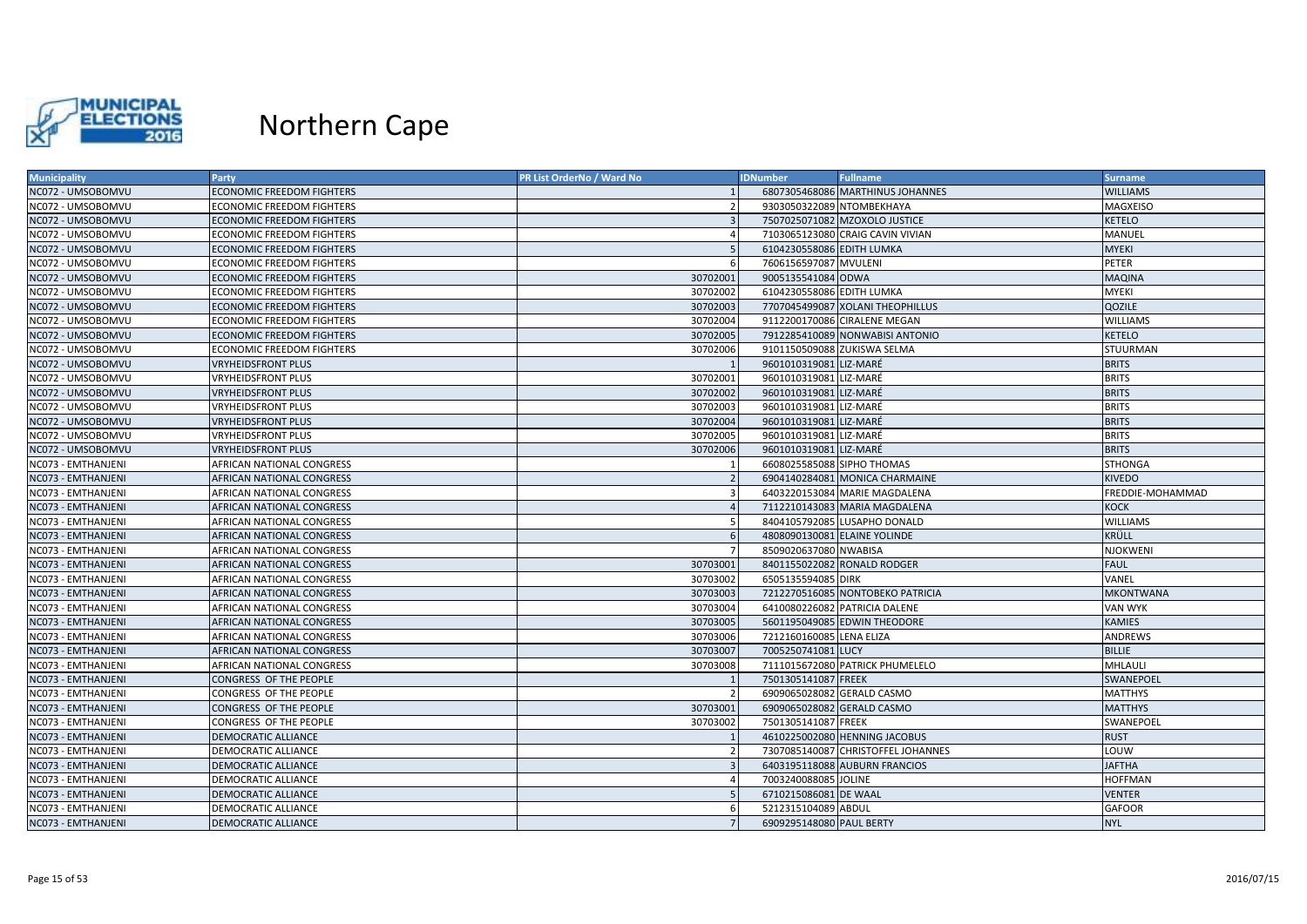

| <b>Municipality</b> | Party                            | PR List OrderNo / Ward No | <b>IDNumber</b>            | <b>Fullname</b>                    | <b>Surname</b>   |
|---------------------|----------------------------------|---------------------------|----------------------------|------------------------------------|------------------|
| NC072 - UMSOBOMVU   | <b>ECONOMIC FREEDOM FIGHTERS</b> |                           |                            | 6807305468086 MARTHINUS JOHANNES   | <b>WILLIAMS</b>  |
| NC072 - UMSOBOMVU   | <b>ECONOMIC FREEDOM FIGHTERS</b> | -2                        |                            | 9303050322089 NTOMBEKHAYA          | MAGXEISO         |
| NC072 - UMSOBOMVU   | <b>ECONOMIC FREEDOM FIGHTERS</b> | $\mathbf{R}$              |                            | 7507025071082 MZOXOLO JUSTICE      | <b>KETELO</b>    |
| NC072 - UMSOBOMVU   | <b>ECONOMIC FREEDOM FIGHTERS</b> |                           |                            | 7103065123080 CRAIG CAVIN VIVIAN   | MANUEL           |
| NC072 - UMSOBOMVU   | <b>ECONOMIC FREEDOM FIGHTERS</b> |                           | 6104230558086 EDITH LUMKA  |                                    | <b>MYEKI</b>     |
| NC072 - UMSOBOMVU   | <b>ECONOMIC FREEDOM FIGHTERS</b> |                           | 7606156597087 MVULENI      |                                    | PETER            |
| NC072 - UMSOBOMVU   | <b>ECONOMIC FREEDOM FIGHTERS</b> | 30702001                  | 9005135541084 ODWA         |                                    | <b>MAQINA</b>    |
| NC072 - UMSOBOMVU   | <b>ECONOMIC FREEDOM FIGHTERS</b> | 30702002                  | 6104230558086 EDITH LUMKA  |                                    | <b>MYEKI</b>     |
| NC072 - UMSOBOMVU   | <b>ECONOMIC FREEDOM FIGHTERS</b> | 30702003                  |                            | 7707045499087 XOLANI THEOPHILLUS   | QOZILE           |
| NC072 - UMSOBOMVU   | ECONOMIC FREEDOM FIGHTERS        | 30702004                  |                            | 9112200170086 CIRALENE MEGAN       | <b>WILLIAMS</b>  |
| NC072 - UMSOBOMVU   | <b>ECONOMIC FREEDOM FIGHTERS</b> | 30702005                  |                            | 7912285410089 NONWABISI ANTONIO    | <b>KETELO</b>    |
| NC072 - UMSOBOMVU   | <b>ECONOMIC FREEDOM FIGHTERS</b> | 30702006                  |                            | 9101150509088 ZUKISWA SELMA        | <b>STUURMAN</b>  |
| NC072 - UMSOBOMVU   | <b>VRYHEIDSFRONT PLUS</b>        |                           | 9601010319081 LIZ-MARÉ     |                                    | <b>BRITS</b>     |
| NC072 - UMSOBOMVU   | <b>VRYHEIDSFRONT PLUS</b>        | 30702001                  | 9601010319081 LIZ-MARÉ     |                                    | <b>BRITS</b>     |
| NC072 - UMSOBOMVU   | <b>VRYHEIDSFRONT PLUS</b>        | 30702002                  | 9601010319081 LIZ-MARÉ     |                                    | <b>BRITS</b>     |
| NC072 - UMSOBOMVU   | <b>VRYHEIDSFRONT PLUS</b>        | 30702003                  | 9601010319081 LIZ-MARÉ     |                                    | <b>BRITS</b>     |
| NC072 - UMSOBOMVU   | <b>VRYHEIDSFRONT PLUS</b>        | 30702004                  | 9601010319081 LIZ-MARÉ     |                                    | <b>BRITS</b>     |
| NC072 - UMSOBOMVU   | <b>VRYHEIDSFRONT PLUS</b>        | 30702005                  | 9601010319081 LIZ-MARÉ     |                                    | <b>BRITS</b>     |
| NC072 - UMSOBOMVU   | <b>VRYHEIDSFRONT PLUS</b>        | 30702006                  | 9601010319081 LIZ-MARÉ     |                                    | <b>BRITS</b>     |
| NC073 - EMTHANJENI  | AFRICAN NATIONAL CONGRESS        |                           | 6608025585088 SIPHO THOMAS |                                    | <b>STHONGA</b>   |
| NC073 - EMTHANJENI  | <b>AFRICAN NATIONAL CONGRESS</b> |                           |                            | 6904140284081 MONICA CHARMAINE     | <b>KIVEDO</b>    |
| NC073 - EMTHANJENI  | AFRICAN NATIONAL CONGRESS        | 3                         |                            | 6403220153084 MARIE MAGDALENA      | FREDDIE-MOHAMMAD |
| NC073 - EMTHANJENI  | AFRICAN NATIONAL CONGRESS        |                           |                            | 7112210143083 MARIA MAGDALENA      | <b>KOCK</b>      |
| NC073 - EMTHANJENI  | AFRICAN NATIONAL CONGRESS        | -5                        |                            | 8404105792085 LUSAPHO DONALD       | <b>WILLIAMS</b>  |
| NC073 - EMTHANJENI  | <b>AFRICAN NATIONAL CONGRESS</b> | -6                        |                            | 4808090130081 ELAINE YOLINDE       | KRÜLL            |
| NC073 - EMTHANJENI  | AFRICAN NATIONAL CONGRESS        |                           | 8509020637080 NWABISA      |                                    | <b>NJOKWENI</b>  |
| NC073 - EMTHANJENI  | <b>AFRICAN NATIONAL CONGRESS</b> | 30703001                  |                            | 8401155022082 RONALD RODGER        | <b>FAUL</b>      |
| NC073 - EMTHANJENI  | AFRICAN NATIONAL CONGRESS        | 30703002                  | 6505135594085 DIRK         |                                    | VANEL            |
| NC073 - EMTHANJENI  | AFRICAN NATIONAL CONGRESS        | 30703003                  |                            | 7212270516085 NONTOBEKO PATRICIA   | <b>MKONTWANA</b> |
| NC073 - EMTHANJENI  | AFRICAN NATIONAL CONGRESS        | 30703004                  |                            | 6410080226082 PATRICIA DALENE      | <b>VAN WYK</b>   |
| NC073 - EMTHANJENI  | <b>AFRICAN NATIONAL CONGRESS</b> | 30703005                  |                            | 5601195049085 EDWIN THEODORE       | <b>KAMIES</b>    |
| NC073 - EMTHANJENI  | AFRICAN NATIONAL CONGRESS        | 30703006                  | 7212160160085 LENA ELIZA   |                                    | ANDREWS          |
| NC073 - EMTHANJENI  | <b>AFRICAN NATIONAL CONGRESS</b> | 30703007                  | 7005250741081 LUCY         |                                    | <b>BILLIE</b>    |
| NC073 - EMTHANJENI  | AFRICAN NATIONAL CONGRESS        | 30703008                  |                            | 7111015672080 PATRICK PHUMELELO    | MHLAULI          |
| NC073 - EMTHANJENI  | CONGRESS OF THE PEOPLE           |                           | 7501305141087 FREEK        |                                    | SWANEPOEL        |
| NC073 - EMTHANJENI  | CONGRESS OF THE PEOPLE           | $\overline{2}$            |                            | 6909065028082 GERALD CASMO         | <b>MATTHYS</b>   |
| NC073 - EMTHANJENI  | CONGRESS OF THE PEOPLE           | 30703001                  |                            | 6909065028082 GERALD CASMO         | <b>MATTHYS</b>   |
| NC073 - EMTHANJENI  | CONGRESS OF THE PEOPLE           | 30703002                  | 7501305141087 FREEK        |                                    | SWANEPOEL        |
| NC073 - EMTHANJENI  | DEMOCRATIC ALLIANCE              |                           |                            | 4610225002080 HENNING JACOBUS      | <b>RUST</b>      |
| NC073 - EMTHANJENI  | DEMOCRATIC ALLIANCE              | $\overline{2}$            |                            | 7307085140087 CHRISTOFFEL JOHANNES | LOUW             |
| NC073 - EMTHANJENI  | <b>DEMOCRATIC ALLIANCE</b>       |                           |                            | 6403195118088 AUBURN FRANCIOS      | <b>JAFTHA</b>    |
| NC073 - EMTHANJENI  | DEMOCRATIC ALLIANCE              |                           | 7003240088085 JOLINE       |                                    | <b>HOFFMAN</b>   |
| NC073 - EMTHANJENI  | DEMOCRATIC ALLIANCE              |                           | 6710215086081 DE WAAL      |                                    | <b>VENTER</b>    |
| NC073 - EMTHANJENI  | DEMOCRATIC ALLIANCE              | -6                        | 5212315104089 ABDUL        |                                    | <b>GAFOOR</b>    |
| NC073 - EMTHANJENI  | <b>DEMOCRATIC ALLIANCE</b>       |                           | 6909295148080 PAUL BERTY   |                                    | <b>NYL</b>       |
|                     |                                  |                           |                            |                                    |                  |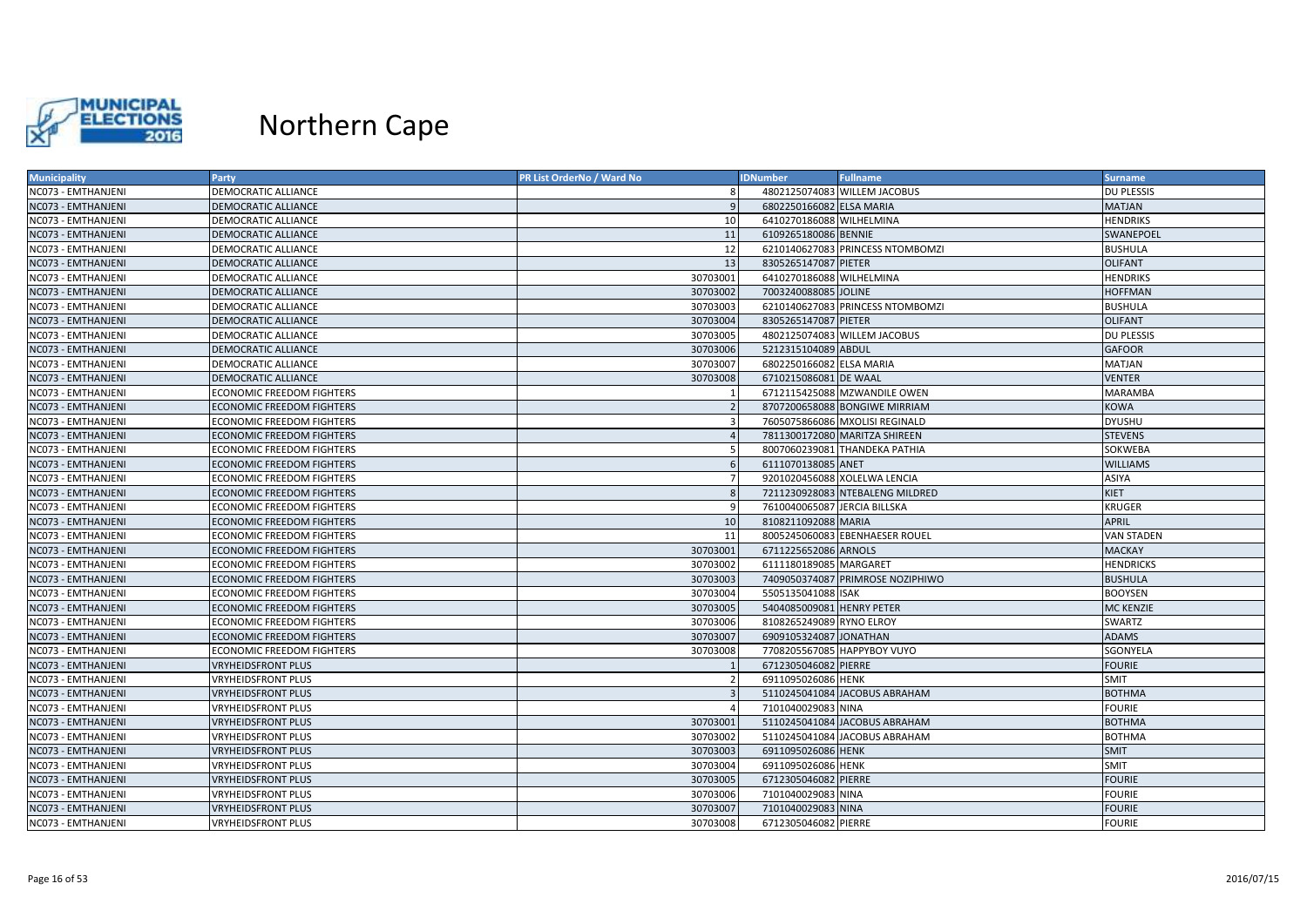

| NC073 - EMTHANJENI<br>DEMOCRATIC ALLIANCE<br>4802125074083 WILLEM JACOBUS<br><b>DU PLESSIS</b><br>6802250166082 ELSA MARIA<br>NC073 - EMTHANJENI<br>DEMOCRATIC ALLIANCE<br>MATJAN<br>NC073 - EMTHANJENI<br>6410270186088 WILHELMINA<br><b>HENDRIKS</b><br>DEMOCRATIC ALLIANCE<br>10<br>11<br>6109265180086 BENNIE<br>NC073 - EMTHANJENI<br><b>DEMOCRATIC ALLIANCE</b><br>SWANEPOEL<br>12<br>NC073 - EMTHANJENI<br>DEMOCRATIC ALLIANCE<br>6210140627083 PRINCESS NTOMBOMZI<br><b>BUSHULA</b><br>13<br>NC073 - EMTHANJENI<br><b>DEMOCRATIC ALLIANCE</b><br>8305265147087 PIETER<br><b>OLIFANT</b><br>30703001<br>6410270186088 WILHELMINA<br><b>HENDRIKS</b><br>NC073 - EMTHANJENI<br>DEMOCRATIC ALLIANCE<br>30703002<br>7003240088085 JOLINE<br><b>HOFFMAN</b><br>NC073 - EMTHANJENI<br>DEMOCRATIC ALLIANCE<br>NC073 - EMTHANJENI<br>DEMOCRATIC ALLIANCE<br>30703003<br>6210140627083 PRINCESS NTOMBOMZI<br><b>BUSHULA</b><br>30703004<br>8305265147087 PIETER<br><b>OLIFANT</b><br>NC073 - EMTHANJENI<br>DEMOCRATIC ALLIANCE<br>NC073 - EMTHANJENI<br>DEMOCRATIC ALLIANCE<br>30703005<br>4802125074083 WILLEM JACOBUS<br><b>DU PLESSIS</b><br>NC073 - EMTHANJENI<br>30703006<br>5212315104089 ABDUL<br><b>DEMOCRATIC ALLIANCE</b><br><b>GAFOOR</b><br>30703007<br>6802250166082 ELSA MARIA<br>MATJAN<br>NC073 - EMTHANJENI<br>DEMOCRATIC ALLIANCE<br>NC073 - EMTHANJENI<br>DEMOCRATIC ALLIANCE<br>30703008<br>6710215086081 DE WAAL<br><b>VENTER</b><br>NC073 - EMTHANJENI<br><b>ECONOMIC FREEDOM FIGHTERS</b><br>6712115425088 MZWANDILE OWEN<br><b>MARAMBA</b><br>8707200658088 BONGIWE MIRRIAM<br><b>KOWA</b><br>NC073 - EMTHANJENI<br><b>ECONOMIC FREEDOM FIGHTERS</b><br>NC073 - EMTHANJENI<br><b>ECONOMIC FREEDOM FIGHTERS</b><br>7605075866086 MXOLISI REGINALD<br><b>DYUSHU</b><br><b>STEVENS</b><br>NC073 - EMTHANJENI<br>ECONOMIC FREEDOM FIGHTERS<br>7811300172080 MARITZA SHIREEN<br>NC073 - EMTHANJENI<br>8007060239081 THANDEKA PATHIA<br>SOKWEBA<br><b>ECONOMIC FREEDOM FIGHTERS</b><br>5<br>6111070138085 ANET<br>NC073 - EMTHANJENI<br><b>ECONOMIC FREEDOM FIGHTERS</b><br><b>WILLIAMS</b><br>NC073 - EMTHANJENI<br><b>ECONOMIC FREEDOM FIGHTERS</b><br>9201020456088 XOLELWA LENCIA<br>ASIYA<br>NC073 - EMTHANJENI<br>7211230928083 NTEBALENG MILDRED<br><b>KIET</b><br><b>ECONOMIC FREEDOM FIGHTERS</b><br>7610040065087 JERCIA BILLSKA<br>NC073 - EMTHANJENI<br><b>ECONOMIC FREEDOM FIGHTERS</b><br><sub>q</sub><br><b>KRUGER</b><br>NC073 - EMTHANJENI<br>10<br>8108211092088 MARIA<br><b>APRIL</b><br><b>ECONOMIC FREEDOM FIGHTERS</b><br>NC073 - EMTHANJENI<br><b>ECONOMIC FREEDOM FIGHTERS</b><br>11<br>8005245060083 EBENHAESER ROUEL<br>VAN STADEN<br>30703001<br>6711225652086 ARNOLS<br>NC073 - EMTHANJENI<br><b>ECONOMIC FREEDOM FIGHTERS</b><br><b>MACKAY</b><br>30703002<br>NC073 - EMTHANJENI<br><b>ECONOMIC FREEDOM FIGHTERS</b><br>6111180189085 MARGARET<br><b>HENDRICKS</b><br>30703003<br>NC073 - EMTHANJENI<br><b>ECONOMIC FREEDOM FIGHTERS</b><br>7409050374087 PRIMROSE NOZIPHIWO<br><b>BUSHULA</b><br>NC073 - EMTHANJENI<br>30703004<br>5505135041088 ISAK<br><b>BOOYSEN</b><br><b>ECONOMIC FREEDOM FIGHTERS</b><br>NC073 - EMTHANJENI<br>30703005<br>5404085009081 HENRY PETER<br><b>MC KENZIE</b><br>ECONOMIC FREEDOM FIGHTERS<br>30703006<br>8108265249089 RYNO ELROY<br>NC073 - EMTHANJENI<br>ECONOMIC FREEDOM FIGHTERS<br>SWARTZ<br>30703007<br>NC073 - EMTHANJENI<br><b>ECONOMIC FREEDOM FIGHTERS</b><br>6909105324087 JONATHAN<br><b>ADAMS</b><br>NC073 - EMTHANJENI<br><b>ECONOMIC FREEDOM FIGHTERS</b><br>30703008<br>7708205567085 HAPPYBOY VUYO<br>SGONYELA<br>6712305046082 PIERRE<br>NC073 - EMTHANJENI<br>VRYHEIDSFRONT PLUS<br><b>FOURIE</b><br>6911095026086 HENK<br>NC073 - EMTHANJENI<br><b>VRYHEIDSFRONT PLUS</b><br><b>SMIT</b><br>5110245041084 JACOBUS ABRAHAM<br>NC073 - EMTHANJENI<br>VRYHEIDSFRONT PLUS<br><b>BOTHMA</b><br>7101040029083 NINA<br>NC073 - EMTHANJENI<br><b>VRYHEIDSFRONT PLUS</b><br><b>FOURIE</b><br>NC073 - EMTHANJENI<br><b>VRYHEIDSFRONT PLUS</b><br>30703001<br>5110245041084 JACOBUS ABRAHAM<br><b>BOTHMA</b><br>30703002<br>5110245041084 JACOBUS ABRAHAM<br>NC073 - EMTHANJENI<br>VRYHEIDSFRONT PLUS<br><b>BOTHMA</b><br>30703003<br>6911095026086 HENK<br><b>SMIT</b><br>NC073 - EMTHANJENI<br><b>VRYHEIDSFRONT PLUS</b><br>NC073 - EMTHANJENI<br>6911095026086 HENK<br><b>VRYHEIDSFRONT PLUS</b><br>30703004<br><b>SMIT</b><br>30703005<br>6712305046082 PIERRE<br><b>FOURIE</b><br>NC073 - EMTHANJENI<br>VRYHEIDSFRONT PLUS<br><b>VRYHEIDSFRONT PLUS</b><br>30703006<br>7101040029083 NINA<br><b>FOURIE</b><br>NC073 - EMTHANJENI<br>NC073 - EMTHANJENI<br>30703007<br>7101040029083 NINA<br><b>FOURIE</b><br><b>VRYHEIDSFRONT PLUS</b><br>NC073 - EMTHANJENI<br>6712305046082 PIERRE<br><b>VRYHEIDSFRONT PLUS</b><br>30703008<br><b>FOURIE</b> | <b>Municipality</b> | Party | PR List OrderNo / Ward No | <b>IDNumber</b> | <b>Fullname</b> | <b>Surname</b> |
|----------------------------------------------------------------------------------------------------------------------------------------------------------------------------------------------------------------------------------------------------------------------------------------------------------------------------------------------------------------------------------------------------------------------------------------------------------------------------------------------------------------------------------------------------------------------------------------------------------------------------------------------------------------------------------------------------------------------------------------------------------------------------------------------------------------------------------------------------------------------------------------------------------------------------------------------------------------------------------------------------------------------------------------------------------------------------------------------------------------------------------------------------------------------------------------------------------------------------------------------------------------------------------------------------------------------------------------------------------------------------------------------------------------------------------------------------------------------------------------------------------------------------------------------------------------------------------------------------------------------------------------------------------------------------------------------------------------------------------------------------------------------------------------------------------------------------------------------------------------------------------------------------------------------------------------------------------------------------------------------------------------------------------------------------------------------------------------------------------------------------------------------------------------------------------------------------------------------------------------------------------------------------------------------------------------------------------------------------------------------------------------------------------------------------------------------------------------------------------------------------------------------------------------------------------------------------------------------------------------------------------------------------------------------------------------------------------------------------------------------------------------------------------------------------------------------------------------------------------------------------------------------------------------------------------------------------------------------------------------------------------------------------------------------------------------------------------------------------------------------------------------------------------------------------------------------------------------------------------------------------------------------------------------------------------------------------------------------------------------------------------------------------------------------------------------------------------------------------------------------------------------------------------------------------------------------------------------------------------------------------------------------------------------------------------------------------------------------------------------------------------------------------------------------------------------------------------------------------------------------------------------------------------------------------------------------------------------------------------------------------------------------------------------------------------------------------------------------------------------------------------------------------------------------------------------------------------------------------------------------------------------------------------------------------------------------------------------------------------------------------------------------------------------------------------------------------------------------------------------------------------------------------------------------------------------------------------------------------------------------------------------------------------------------------------------------------------------------------------------------------------------------------------------------------------------------------------------------|---------------------|-------|---------------------------|-----------------|-----------------|----------------|
|                                                                                                                                                                                                                                                                                                                                                                                                                                                                                                                                                                                                                                                                                                                                                                                                                                                                                                                                                                                                                                                                                                                                                                                                                                                                                                                                                                                                                                                                                                                                                                                                                                                                                                                                                                                                                                                                                                                                                                                                                                                                                                                                                                                                                                                                                                                                                                                                                                                                                                                                                                                                                                                                                                                                                                                                                                                                                                                                                                                                                                                                                                                                                                                                                                                                                                                                                                                                                                                                                                                                                                                                                                                                                                                                                                                                                                                                                                                                                                                                                                                                                                                                                                                                                                                                                                                                                                                                                                                                                                                                                                                                                                                                                                                                                                                                                                              |                     |       |                           |                 |                 |                |
|                                                                                                                                                                                                                                                                                                                                                                                                                                                                                                                                                                                                                                                                                                                                                                                                                                                                                                                                                                                                                                                                                                                                                                                                                                                                                                                                                                                                                                                                                                                                                                                                                                                                                                                                                                                                                                                                                                                                                                                                                                                                                                                                                                                                                                                                                                                                                                                                                                                                                                                                                                                                                                                                                                                                                                                                                                                                                                                                                                                                                                                                                                                                                                                                                                                                                                                                                                                                                                                                                                                                                                                                                                                                                                                                                                                                                                                                                                                                                                                                                                                                                                                                                                                                                                                                                                                                                                                                                                                                                                                                                                                                                                                                                                                                                                                                                                              |                     |       |                           |                 |                 |                |
|                                                                                                                                                                                                                                                                                                                                                                                                                                                                                                                                                                                                                                                                                                                                                                                                                                                                                                                                                                                                                                                                                                                                                                                                                                                                                                                                                                                                                                                                                                                                                                                                                                                                                                                                                                                                                                                                                                                                                                                                                                                                                                                                                                                                                                                                                                                                                                                                                                                                                                                                                                                                                                                                                                                                                                                                                                                                                                                                                                                                                                                                                                                                                                                                                                                                                                                                                                                                                                                                                                                                                                                                                                                                                                                                                                                                                                                                                                                                                                                                                                                                                                                                                                                                                                                                                                                                                                                                                                                                                                                                                                                                                                                                                                                                                                                                                                              |                     |       |                           |                 |                 |                |
|                                                                                                                                                                                                                                                                                                                                                                                                                                                                                                                                                                                                                                                                                                                                                                                                                                                                                                                                                                                                                                                                                                                                                                                                                                                                                                                                                                                                                                                                                                                                                                                                                                                                                                                                                                                                                                                                                                                                                                                                                                                                                                                                                                                                                                                                                                                                                                                                                                                                                                                                                                                                                                                                                                                                                                                                                                                                                                                                                                                                                                                                                                                                                                                                                                                                                                                                                                                                                                                                                                                                                                                                                                                                                                                                                                                                                                                                                                                                                                                                                                                                                                                                                                                                                                                                                                                                                                                                                                                                                                                                                                                                                                                                                                                                                                                                                                              |                     |       |                           |                 |                 |                |
|                                                                                                                                                                                                                                                                                                                                                                                                                                                                                                                                                                                                                                                                                                                                                                                                                                                                                                                                                                                                                                                                                                                                                                                                                                                                                                                                                                                                                                                                                                                                                                                                                                                                                                                                                                                                                                                                                                                                                                                                                                                                                                                                                                                                                                                                                                                                                                                                                                                                                                                                                                                                                                                                                                                                                                                                                                                                                                                                                                                                                                                                                                                                                                                                                                                                                                                                                                                                                                                                                                                                                                                                                                                                                                                                                                                                                                                                                                                                                                                                                                                                                                                                                                                                                                                                                                                                                                                                                                                                                                                                                                                                                                                                                                                                                                                                                                              |                     |       |                           |                 |                 |                |
|                                                                                                                                                                                                                                                                                                                                                                                                                                                                                                                                                                                                                                                                                                                                                                                                                                                                                                                                                                                                                                                                                                                                                                                                                                                                                                                                                                                                                                                                                                                                                                                                                                                                                                                                                                                                                                                                                                                                                                                                                                                                                                                                                                                                                                                                                                                                                                                                                                                                                                                                                                                                                                                                                                                                                                                                                                                                                                                                                                                                                                                                                                                                                                                                                                                                                                                                                                                                                                                                                                                                                                                                                                                                                                                                                                                                                                                                                                                                                                                                                                                                                                                                                                                                                                                                                                                                                                                                                                                                                                                                                                                                                                                                                                                                                                                                                                              |                     |       |                           |                 |                 |                |
|                                                                                                                                                                                                                                                                                                                                                                                                                                                                                                                                                                                                                                                                                                                                                                                                                                                                                                                                                                                                                                                                                                                                                                                                                                                                                                                                                                                                                                                                                                                                                                                                                                                                                                                                                                                                                                                                                                                                                                                                                                                                                                                                                                                                                                                                                                                                                                                                                                                                                                                                                                                                                                                                                                                                                                                                                                                                                                                                                                                                                                                                                                                                                                                                                                                                                                                                                                                                                                                                                                                                                                                                                                                                                                                                                                                                                                                                                                                                                                                                                                                                                                                                                                                                                                                                                                                                                                                                                                                                                                                                                                                                                                                                                                                                                                                                                                              |                     |       |                           |                 |                 |                |
|                                                                                                                                                                                                                                                                                                                                                                                                                                                                                                                                                                                                                                                                                                                                                                                                                                                                                                                                                                                                                                                                                                                                                                                                                                                                                                                                                                                                                                                                                                                                                                                                                                                                                                                                                                                                                                                                                                                                                                                                                                                                                                                                                                                                                                                                                                                                                                                                                                                                                                                                                                                                                                                                                                                                                                                                                                                                                                                                                                                                                                                                                                                                                                                                                                                                                                                                                                                                                                                                                                                                                                                                                                                                                                                                                                                                                                                                                                                                                                                                                                                                                                                                                                                                                                                                                                                                                                                                                                                                                                                                                                                                                                                                                                                                                                                                                                              |                     |       |                           |                 |                 |                |
|                                                                                                                                                                                                                                                                                                                                                                                                                                                                                                                                                                                                                                                                                                                                                                                                                                                                                                                                                                                                                                                                                                                                                                                                                                                                                                                                                                                                                                                                                                                                                                                                                                                                                                                                                                                                                                                                                                                                                                                                                                                                                                                                                                                                                                                                                                                                                                                                                                                                                                                                                                                                                                                                                                                                                                                                                                                                                                                                                                                                                                                                                                                                                                                                                                                                                                                                                                                                                                                                                                                                                                                                                                                                                                                                                                                                                                                                                                                                                                                                                                                                                                                                                                                                                                                                                                                                                                                                                                                                                                                                                                                                                                                                                                                                                                                                                                              |                     |       |                           |                 |                 |                |
|                                                                                                                                                                                                                                                                                                                                                                                                                                                                                                                                                                                                                                                                                                                                                                                                                                                                                                                                                                                                                                                                                                                                                                                                                                                                                                                                                                                                                                                                                                                                                                                                                                                                                                                                                                                                                                                                                                                                                                                                                                                                                                                                                                                                                                                                                                                                                                                                                                                                                                                                                                                                                                                                                                                                                                                                                                                                                                                                                                                                                                                                                                                                                                                                                                                                                                                                                                                                                                                                                                                                                                                                                                                                                                                                                                                                                                                                                                                                                                                                                                                                                                                                                                                                                                                                                                                                                                                                                                                                                                                                                                                                                                                                                                                                                                                                                                              |                     |       |                           |                 |                 |                |
|                                                                                                                                                                                                                                                                                                                                                                                                                                                                                                                                                                                                                                                                                                                                                                                                                                                                                                                                                                                                                                                                                                                                                                                                                                                                                                                                                                                                                                                                                                                                                                                                                                                                                                                                                                                                                                                                                                                                                                                                                                                                                                                                                                                                                                                                                                                                                                                                                                                                                                                                                                                                                                                                                                                                                                                                                                                                                                                                                                                                                                                                                                                                                                                                                                                                                                                                                                                                                                                                                                                                                                                                                                                                                                                                                                                                                                                                                                                                                                                                                                                                                                                                                                                                                                                                                                                                                                                                                                                                                                                                                                                                                                                                                                                                                                                                                                              |                     |       |                           |                 |                 |                |
|                                                                                                                                                                                                                                                                                                                                                                                                                                                                                                                                                                                                                                                                                                                                                                                                                                                                                                                                                                                                                                                                                                                                                                                                                                                                                                                                                                                                                                                                                                                                                                                                                                                                                                                                                                                                                                                                                                                                                                                                                                                                                                                                                                                                                                                                                                                                                                                                                                                                                                                                                                                                                                                                                                                                                                                                                                                                                                                                                                                                                                                                                                                                                                                                                                                                                                                                                                                                                                                                                                                                                                                                                                                                                                                                                                                                                                                                                                                                                                                                                                                                                                                                                                                                                                                                                                                                                                                                                                                                                                                                                                                                                                                                                                                                                                                                                                              |                     |       |                           |                 |                 |                |
|                                                                                                                                                                                                                                                                                                                                                                                                                                                                                                                                                                                                                                                                                                                                                                                                                                                                                                                                                                                                                                                                                                                                                                                                                                                                                                                                                                                                                                                                                                                                                                                                                                                                                                                                                                                                                                                                                                                                                                                                                                                                                                                                                                                                                                                                                                                                                                                                                                                                                                                                                                                                                                                                                                                                                                                                                                                                                                                                                                                                                                                                                                                                                                                                                                                                                                                                                                                                                                                                                                                                                                                                                                                                                                                                                                                                                                                                                                                                                                                                                                                                                                                                                                                                                                                                                                                                                                                                                                                                                                                                                                                                                                                                                                                                                                                                                                              |                     |       |                           |                 |                 |                |
|                                                                                                                                                                                                                                                                                                                                                                                                                                                                                                                                                                                                                                                                                                                                                                                                                                                                                                                                                                                                                                                                                                                                                                                                                                                                                                                                                                                                                                                                                                                                                                                                                                                                                                                                                                                                                                                                                                                                                                                                                                                                                                                                                                                                                                                                                                                                                                                                                                                                                                                                                                                                                                                                                                                                                                                                                                                                                                                                                                                                                                                                                                                                                                                                                                                                                                                                                                                                                                                                                                                                                                                                                                                                                                                                                                                                                                                                                                                                                                                                                                                                                                                                                                                                                                                                                                                                                                                                                                                                                                                                                                                                                                                                                                                                                                                                                                              |                     |       |                           |                 |                 |                |
|                                                                                                                                                                                                                                                                                                                                                                                                                                                                                                                                                                                                                                                                                                                                                                                                                                                                                                                                                                                                                                                                                                                                                                                                                                                                                                                                                                                                                                                                                                                                                                                                                                                                                                                                                                                                                                                                                                                                                                                                                                                                                                                                                                                                                                                                                                                                                                                                                                                                                                                                                                                                                                                                                                                                                                                                                                                                                                                                                                                                                                                                                                                                                                                                                                                                                                                                                                                                                                                                                                                                                                                                                                                                                                                                                                                                                                                                                                                                                                                                                                                                                                                                                                                                                                                                                                                                                                                                                                                                                                                                                                                                                                                                                                                                                                                                                                              |                     |       |                           |                 |                 |                |
|                                                                                                                                                                                                                                                                                                                                                                                                                                                                                                                                                                                                                                                                                                                                                                                                                                                                                                                                                                                                                                                                                                                                                                                                                                                                                                                                                                                                                                                                                                                                                                                                                                                                                                                                                                                                                                                                                                                                                                                                                                                                                                                                                                                                                                                                                                                                                                                                                                                                                                                                                                                                                                                                                                                                                                                                                                                                                                                                                                                                                                                                                                                                                                                                                                                                                                                                                                                                                                                                                                                                                                                                                                                                                                                                                                                                                                                                                                                                                                                                                                                                                                                                                                                                                                                                                                                                                                                                                                                                                                                                                                                                                                                                                                                                                                                                                                              |                     |       |                           |                 |                 |                |
|                                                                                                                                                                                                                                                                                                                                                                                                                                                                                                                                                                                                                                                                                                                                                                                                                                                                                                                                                                                                                                                                                                                                                                                                                                                                                                                                                                                                                                                                                                                                                                                                                                                                                                                                                                                                                                                                                                                                                                                                                                                                                                                                                                                                                                                                                                                                                                                                                                                                                                                                                                                                                                                                                                                                                                                                                                                                                                                                                                                                                                                                                                                                                                                                                                                                                                                                                                                                                                                                                                                                                                                                                                                                                                                                                                                                                                                                                                                                                                                                                                                                                                                                                                                                                                                                                                                                                                                                                                                                                                                                                                                                                                                                                                                                                                                                                                              |                     |       |                           |                 |                 |                |
|                                                                                                                                                                                                                                                                                                                                                                                                                                                                                                                                                                                                                                                                                                                                                                                                                                                                                                                                                                                                                                                                                                                                                                                                                                                                                                                                                                                                                                                                                                                                                                                                                                                                                                                                                                                                                                                                                                                                                                                                                                                                                                                                                                                                                                                                                                                                                                                                                                                                                                                                                                                                                                                                                                                                                                                                                                                                                                                                                                                                                                                                                                                                                                                                                                                                                                                                                                                                                                                                                                                                                                                                                                                                                                                                                                                                                                                                                                                                                                                                                                                                                                                                                                                                                                                                                                                                                                                                                                                                                                                                                                                                                                                                                                                                                                                                                                              |                     |       |                           |                 |                 |                |
|                                                                                                                                                                                                                                                                                                                                                                                                                                                                                                                                                                                                                                                                                                                                                                                                                                                                                                                                                                                                                                                                                                                                                                                                                                                                                                                                                                                                                                                                                                                                                                                                                                                                                                                                                                                                                                                                                                                                                                                                                                                                                                                                                                                                                                                                                                                                                                                                                                                                                                                                                                                                                                                                                                                                                                                                                                                                                                                                                                                                                                                                                                                                                                                                                                                                                                                                                                                                                                                                                                                                                                                                                                                                                                                                                                                                                                                                                                                                                                                                                                                                                                                                                                                                                                                                                                                                                                                                                                                                                                                                                                                                                                                                                                                                                                                                                                              |                     |       |                           |                 |                 |                |
|                                                                                                                                                                                                                                                                                                                                                                                                                                                                                                                                                                                                                                                                                                                                                                                                                                                                                                                                                                                                                                                                                                                                                                                                                                                                                                                                                                                                                                                                                                                                                                                                                                                                                                                                                                                                                                                                                                                                                                                                                                                                                                                                                                                                                                                                                                                                                                                                                                                                                                                                                                                                                                                                                                                                                                                                                                                                                                                                                                                                                                                                                                                                                                                                                                                                                                                                                                                                                                                                                                                                                                                                                                                                                                                                                                                                                                                                                                                                                                                                                                                                                                                                                                                                                                                                                                                                                                                                                                                                                                                                                                                                                                                                                                                                                                                                                                              |                     |       |                           |                 |                 |                |
|                                                                                                                                                                                                                                                                                                                                                                                                                                                                                                                                                                                                                                                                                                                                                                                                                                                                                                                                                                                                                                                                                                                                                                                                                                                                                                                                                                                                                                                                                                                                                                                                                                                                                                                                                                                                                                                                                                                                                                                                                                                                                                                                                                                                                                                                                                                                                                                                                                                                                                                                                                                                                                                                                                                                                                                                                                                                                                                                                                                                                                                                                                                                                                                                                                                                                                                                                                                                                                                                                                                                                                                                                                                                                                                                                                                                                                                                                                                                                                                                                                                                                                                                                                                                                                                                                                                                                                                                                                                                                                                                                                                                                                                                                                                                                                                                                                              |                     |       |                           |                 |                 |                |
|                                                                                                                                                                                                                                                                                                                                                                                                                                                                                                                                                                                                                                                                                                                                                                                                                                                                                                                                                                                                                                                                                                                                                                                                                                                                                                                                                                                                                                                                                                                                                                                                                                                                                                                                                                                                                                                                                                                                                                                                                                                                                                                                                                                                                                                                                                                                                                                                                                                                                                                                                                                                                                                                                                                                                                                                                                                                                                                                                                                                                                                                                                                                                                                                                                                                                                                                                                                                                                                                                                                                                                                                                                                                                                                                                                                                                                                                                                                                                                                                                                                                                                                                                                                                                                                                                                                                                                                                                                                                                                                                                                                                                                                                                                                                                                                                                                              |                     |       |                           |                 |                 |                |
|                                                                                                                                                                                                                                                                                                                                                                                                                                                                                                                                                                                                                                                                                                                                                                                                                                                                                                                                                                                                                                                                                                                                                                                                                                                                                                                                                                                                                                                                                                                                                                                                                                                                                                                                                                                                                                                                                                                                                                                                                                                                                                                                                                                                                                                                                                                                                                                                                                                                                                                                                                                                                                                                                                                                                                                                                                                                                                                                                                                                                                                                                                                                                                                                                                                                                                                                                                                                                                                                                                                                                                                                                                                                                                                                                                                                                                                                                                                                                                                                                                                                                                                                                                                                                                                                                                                                                                                                                                                                                                                                                                                                                                                                                                                                                                                                                                              |                     |       |                           |                 |                 |                |
|                                                                                                                                                                                                                                                                                                                                                                                                                                                                                                                                                                                                                                                                                                                                                                                                                                                                                                                                                                                                                                                                                                                                                                                                                                                                                                                                                                                                                                                                                                                                                                                                                                                                                                                                                                                                                                                                                                                                                                                                                                                                                                                                                                                                                                                                                                                                                                                                                                                                                                                                                                                                                                                                                                                                                                                                                                                                                                                                                                                                                                                                                                                                                                                                                                                                                                                                                                                                                                                                                                                                                                                                                                                                                                                                                                                                                                                                                                                                                                                                                                                                                                                                                                                                                                                                                                                                                                                                                                                                                                                                                                                                                                                                                                                                                                                                                                              |                     |       |                           |                 |                 |                |
|                                                                                                                                                                                                                                                                                                                                                                                                                                                                                                                                                                                                                                                                                                                                                                                                                                                                                                                                                                                                                                                                                                                                                                                                                                                                                                                                                                                                                                                                                                                                                                                                                                                                                                                                                                                                                                                                                                                                                                                                                                                                                                                                                                                                                                                                                                                                                                                                                                                                                                                                                                                                                                                                                                                                                                                                                                                                                                                                                                                                                                                                                                                                                                                                                                                                                                                                                                                                                                                                                                                                                                                                                                                                                                                                                                                                                                                                                                                                                                                                                                                                                                                                                                                                                                                                                                                                                                                                                                                                                                                                                                                                                                                                                                                                                                                                                                              |                     |       |                           |                 |                 |                |
|                                                                                                                                                                                                                                                                                                                                                                                                                                                                                                                                                                                                                                                                                                                                                                                                                                                                                                                                                                                                                                                                                                                                                                                                                                                                                                                                                                                                                                                                                                                                                                                                                                                                                                                                                                                                                                                                                                                                                                                                                                                                                                                                                                                                                                                                                                                                                                                                                                                                                                                                                                                                                                                                                                                                                                                                                                                                                                                                                                                                                                                                                                                                                                                                                                                                                                                                                                                                                                                                                                                                                                                                                                                                                                                                                                                                                                                                                                                                                                                                                                                                                                                                                                                                                                                                                                                                                                                                                                                                                                                                                                                                                                                                                                                                                                                                                                              |                     |       |                           |                 |                 |                |
|                                                                                                                                                                                                                                                                                                                                                                                                                                                                                                                                                                                                                                                                                                                                                                                                                                                                                                                                                                                                                                                                                                                                                                                                                                                                                                                                                                                                                                                                                                                                                                                                                                                                                                                                                                                                                                                                                                                                                                                                                                                                                                                                                                                                                                                                                                                                                                                                                                                                                                                                                                                                                                                                                                                                                                                                                                                                                                                                                                                                                                                                                                                                                                                                                                                                                                                                                                                                                                                                                                                                                                                                                                                                                                                                                                                                                                                                                                                                                                                                                                                                                                                                                                                                                                                                                                                                                                                                                                                                                                                                                                                                                                                                                                                                                                                                                                              |                     |       |                           |                 |                 |                |
|                                                                                                                                                                                                                                                                                                                                                                                                                                                                                                                                                                                                                                                                                                                                                                                                                                                                                                                                                                                                                                                                                                                                                                                                                                                                                                                                                                                                                                                                                                                                                                                                                                                                                                                                                                                                                                                                                                                                                                                                                                                                                                                                                                                                                                                                                                                                                                                                                                                                                                                                                                                                                                                                                                                                                                                                                                                                                                                                                                                                                                                                                                                                                                                                                                                                                                                                                                                                                                                                                                                                                                                                                                                                                                                                                                                                                                                                                                                                                                                                                                                                                                                                                                                                                                                                                                                                                                                                                                                                                                                                                                                                                                                                                                                                                                                                                                              |                     |       |                           |                 |                 |                |
|                                                                                                                                                                                                                                                                                                                                                                                                                                                                                                                                                                                                                                                                                                                                                                                                                                                                                                                                                                                                                                                                                                                                                                                                                                                                                                                                                                                                                                                                                                                                                                                                                                                                                                                                                                                                                                                                                                                                                                                                                                                                                                                                                                                                                                                                                                                                                                                                                                                                                                                                                                                                                                                                                                                                                                                                                                                                                                                                                                                                                                                                                                                                                                                                                                                                                                                                                                                                                                                                                                                                                                                                                                                                                                                                                                                                                                                                                                                                                                                                                                                                                                                                                                                                                                                                                                                                                                                                                                                                                                                                                                                                                                                                                                                                                                                                                                              |                     |       |                           |                 |                 |                |
|                                                                                                                                                                                                                                                                                                                                                                                                                                                                                                                                                                                                                                                                                                                                                                                                                                                                                                                                                                                                                                                                                                                                                                                                                                                                                                                                                                                                                                                                                                                                                                                                                                                                                                                                                                                                                                                                                                                                                                                                                                                                                                                                                                                                                                                                                                                                                                                                                                                                                                                                                                                                                                                                                                                                                                                                                                                                                                                                                                                                                                                                                                                                                                                                                                                                                                                                                                                                                                                                                                                                                                                                                                                                                                                                                                                                                                                                                                                                                                                                                                                                                                                                                                                                                                                                                                                                                                                                                                                                                                                                                                                                                                                                                                                                                                                                                                              |                     |       |                           |                 |                 |                |
|                                                                                                                                                                                                                                                                                                                                                                                                                                                                                                                                                                                                                                                                                                                                                                                                                                                                                                                                                                                                                                                                                                                                                                                                                                                                                                                                                                                                                                                                                                                                                                                                                                                                                                                                                                                                                                                                                                                                                                                                                                                                                                                                                                                                                                                                                                                                                                                                                                                                                                                                                                                                                                                                                                                                                                                                                                                                                                                                                                                                                                                                                                                                                                                                                                                                                                                                                                                                                                                                                                                                                                                                                                                                                                                                                                                                                                                                                                                                                                                                                                                                                                                                                                                                                                                                                                                                                                                                                                                                                                                                                                                                                                                                                                                                                                                                                                              |                     |       |                           |                 |                 |                |
|                                                                                                                                                                                                                                                                                                                                                                                                                                                                                                                                                                                                                                                                                                                                                                                                                                                                                                                                                                                                                                                                                                                                                                                                                                                                                                                                                                                                                                                                                                                                                                                                                                                                                                                                                                                                                                                                                                                                                                                                                                                                                                                                                                                                                                                                                                                                                                                                                                                                                                                                                                                                                                                                                                                                                                                                                                                                                                                                                                                                                                                                                                                                                                                                                                                                                                                                                                                                                                                                                                                                                                                                                                                                                                                                                                                                                                                                                                                                                                                                                                                                                                                                                                                                                                                                                                                                                                                                                                                                                                                                                                                                                                                                                                                                                                                                                                              |                     |       |                           |                 |                 |                |
|                                                                                                                                                                                                                                                                                                                                                                                                                                                                                                                                                                                                                                                                                                                                                                                                                                                                                                                                                                                                                                                                                                                                                                                                                                                                                                                                                                                                                                                                                                                                                                                                                                                                                                                                                                                                                                                                                                                                                                                                                                                                                                                                                                                                                                                                                                                                                                                                                                                                                                                                                                                                                                                                                                                                                                                                                                                                                                                                                                                                                                                                                                                                                                                                                                                                                                                                                                                                                                                                                                                                                                                                                                                                                                                                                                                                                                                                                                                                                                                                                                                                                                                                                                                                                                                                                                                                                                                                                                                                                                                                                                                                                                                                                                                                                                                                                                              |                     |       |                           |                 |                 |                |
|                                                                                                                                                                                                                                                                                                                                                                                                                                                                                                                                                                                                                                                                                                                                                                                                                                                                                                                                                                                                                                                                                                                                                                                                                                                                                                                                                                                                                                                                                                                                                                                                                                                                                                                                                                                                                                                                                                                                                                                                                                                                                                                                                                                                                                                                                                                                                                                                                                                                                                                                                                                                                                                                                                                                                                                                                                                                                                                                                                                                                                                                                                                                                                                                                                                                                                                                                                                                                                                                                                                                                                                                                                                                                                                                                                                                                                                                                                                                                                                                                                                                                                                                                                                                                                                                                                                                                                                                                                                                                                                                                                                                                                                                                                                                                                                                                                              |                     |       |                           |                 |                 |                |
|                                                                                                                                                                                                                                                                                                                                                                                                                                                                                                                                                                                                                                                                                                                                                                                                                                                                                                                                                                                                                                                                                                                                                                                                                                                                                                                                                                                                                                                                                                                                                                                                                                                                                                                                                                                                                                                                                                                                                                                                                                                                                                                                                                                                                                                                                                                                                                                                                                                                                                                                                                                                                                                                                                                                                                                                                                                                                                                                                                                                                                                                                                                                                                                                                                                                                                                                                                                                                                                                                                                                                                                                                                                                                                                                                                                                                                                                                                                                                                                                                                                                                                                                                                                                                                                                                                                                                                                                                                                                                                                                                                                                                                                                                                                                                                                                                                              |                     |       |                           |                 |                 |                |
|                                                                                                                                                                                                                                                                                                                                                                                                                                                                                                                                                                                                                                                                                                                                                                                                                                                                                                                                                                                                                                                                                                                                                                                                                                                                                                                                                                                                                                                                                                                                                                                                                                                                                                                                                                                                                                                                                                                                                                                                                                                                                                                                                                                                                                                                                                                                                                                                                                                                                                                                                                                                                                                                                                                                                                                                                                                                                                                                                                                                                                                                                                                                                                                                                                                                                                                                                                                                                                                                                                                                                                                                                                                                                                                                                                                                                                                                                                                                                                                                                                                                                                                                                                                                                                                                                                                                                                                                                                                                                                                                                                                                                                                                                                                                                                                                                                              |                     |       |                           |                 |                 |                |
|                                                                                                                                                                                                                                                                                                                                                                                                                                                                                                                                                                                                                                                                                                                                                                                                                                                                                                                                                                                                                                                                                                                                                                                                                                                                                                                                                                                                                                                                                                                                                                                                                                                                                                                                                                                                                                                                                                                                                                                                                                                                                                                                                                                                                                                                                                                                                                                                                                                                                                                                                                                                                                                                                                                                                                                                                                                                                                                                                                                                                                                                                                                                                                                                                                                                                                                                                                                                                                                                                                                                                                                                                                                                                                                                                                                                                                                                                                                                                                                                                                                                                                                                                                                                                                                                                                                                                                                                                                                                                                                                                                                                                                                                                                                                                                                                                                              |                     |       |                           |                 |                 |                |
|                                                                                                                                                                                                                                                                                                                                                                                                                                                                                                                                                                                                                                                                                                                                                                                                                                                                                                                                                                                                                                                                                                                                                                                                                                                                                                                                                                                                                                                                                                                                                                                                                                                                                                                                                                                                                                                                                                                                                                                                                                                                                                                                                                                                                                                                                                                                                                                                                                                                                                                                                                                                                                                                                                                                                                                                                                                                                                                                                                                                                                                                                                                                                                                                                                                                                                                                                                                                                                                                                                                                                                                                                                                                                                                                                                                                                                                                                                                                                                                                                                                                                                                                                                                                                                                                                                                                                                                                                                                                                                                                                                                                                                                                                                                                                                                                                                              |                     |       |                           |                 |                 |                |
|                                                                                                                                                                                                                                                                                                                                                                                                                                                                                                                                                                                                                                                                                                                                                                                                                                                                                                                                                                                                                                                                                                                                                                                                                                                                                                                                                                                                                                                                                                                                                                                                                                                                                                                                                                                                                                                                                                                                                                                                                                                                                                                                                                                                                                                                                                                                                                                                                                                                                                                                                                                                                                                                                                                                                                                                                                                                                                                                                                                                                                                                                                                                                                                                                                                                                                                                                                                                                                                                                                                                                                                                                                                                                                                                                                                                                                                                                                                                                                                                                                                                                                                                                                                                                                                                                                                                                                                                                                                                                                                                                                                                                                                                                                                                                                                                                                              |                     |       |                           |                 |                 |                |
|                                                                                                                                                                                                                                                                                                                                                                                                                                                                                                                                                                                                                                                                                                                                                                                                                                                                                                                                                                                                                                                                                                                                                                                                                                                                                                                                                                                                                                                                                                                                                                                                                                                                                                                                                                                                                                                                                                                                                                                                                                                                                                                                                                                                                                                                                                                                                                                                                                                                                                                                                                                                                                                                                                                                                                                                                                                                                                                                                                                                                                                                                                                                                                                                                                                                                                                                                                                                                                                                                                                                                                                                                                                                                                                                                                                                                                                                                                                                                                                                                                                                                                                                                                                                                                                                                                                                                                                                                                                                                                                                                                                                                                                                                                                                                                                                                                              |                     |       |                           |                 |                 |                |
|                                                                                                                                                                                                                                                                                                                                                                                                                                                                                                                                                                                                                                                                                                                                                                                                                                                                                                                                                                                                                                                                                                                                                                                                                                                                                                                                                                                                                                                                                                                                                                                                                                                                                                                                                                                                                                                                                                                                                                                                                                                                                                                                                                                                                                                                                                                                                                                                                                                                                                                                                                                                                                                                                                                                                                                                                                                                                                                                                                                                                                                                                                                                                                                                                                                                                                                                                                                                                                                                                                                                                                                                                                                                                                                                                                                                                                                                                                                                                                                                                                                                                                                                                                                                                                                                                                                                                                                                                                                                                                                                                                                                                                                                                                                                                                                                                                              |                     |       |                           |                 |                 |                |
|                                                                                                                                                                                                                                                                                                                                                                                                                                                                                                                                                                                                                                                                                                                                                                                                                                                                                                                                                                                                                                                                                                                                                                                                                                                                                                                                                                                                                                                                                                                                                                                                                                                                                                                                                                                                                                                                                                                                                                                                                                                                                                                                                                                                                                                                                                                                                                                                                                                                                                                                                                                                                                                                                                                                                                                                                                                                                                                                                                                                                                                                                                                                                                                                                                                                                                                                                                                                                                                                                                                                                                                                                                                                                                                                                                                                                                                                                                                                                                                                                                                                                                                                                                                                                                                                                                                                                                                                                                                                                                                                                                                                                                                                                                                                                                                                                                              |                     |       |                           |                 |                 |                |
|                                                                                                                                                                                                                                                                                                                                                                                                                                                                                                                                                                                                                                                                                                                                                                                                                                                                                                                                                                                                                                                                                                                                                                                                                                                                                                                                                                                                                                                                                                                                                                                                                                                                                                                                                                                                                                                                                                                                                                                                                                                                                                                                                                                                                                                                                                                                                                                                                                                                                                                                                                                                                                                                                                                                                                                                                                                                                                                                                                                                                                                                                                                                                                                                                                                                                                                                                                                                                                                                                                                                                                                                                                                                                                                                                                                                                                                                                                                                                                                                                                                                                                                                                                                                                                                                                                                                                                                                                                                                                                                                                                                                                                                                                                                                                                                                                                              |                     |       |                           |                 |                 |                |
|                                                                                                                                                                                                                                                                                                                                                                                                                                                                                                                                                                                                                                                                                                                                                                                                                                                                                                                                                                                                                                                                                                                                                                                                                                                                                                                                                                                                                                                                                                                                                                                                                                                                                                                                                                                                                                                                                                                                                                                                                                                                                                                                                                                                                                                                                                                                                                                                                                                                                                                                                                                                                                                                                                                                                                                                                                                                                                                                                                                                                                                                                                                                                                                                                                                                                                                                                                                                                                                                                                                                                                                                                                                                                                                                                                                                                                                                                                                                                                                                                                                                                                                                                                                                                                                                                                                                                                                                                                                                                                                                                                                                                                                                                                                                                                                                                                              |                     |       |                           |                 |                 |                |
|                                                                                                                                                                                                                                                                                                                                                                                                                                                                                                                                                                                                                                                                                                                                                                                                                                                                                                                                                                                                                                                                                                                                                                                                                                                                                                                                                                                                                                                                                                                                                                                                                                                                                                                                                                                                                                                                                                                                                                                                                                                                                                                                                                                                                                                                                                                                                                                                                                                                                                                                                                                                                                                                                                                                                                                                                                                                                                                                                                                                                                                                                                                                                                                                                                                                                                                                                                                                                                                                                                                                                                                                                                                                                                                                                                                                                                                                                                                                                                                                                                                                                                                                                                                                                                                                                                                                                                                                                                                                                                                                                                                                                                                                                                                                                                                                                                              |                     |       |                           |                 |                 |                |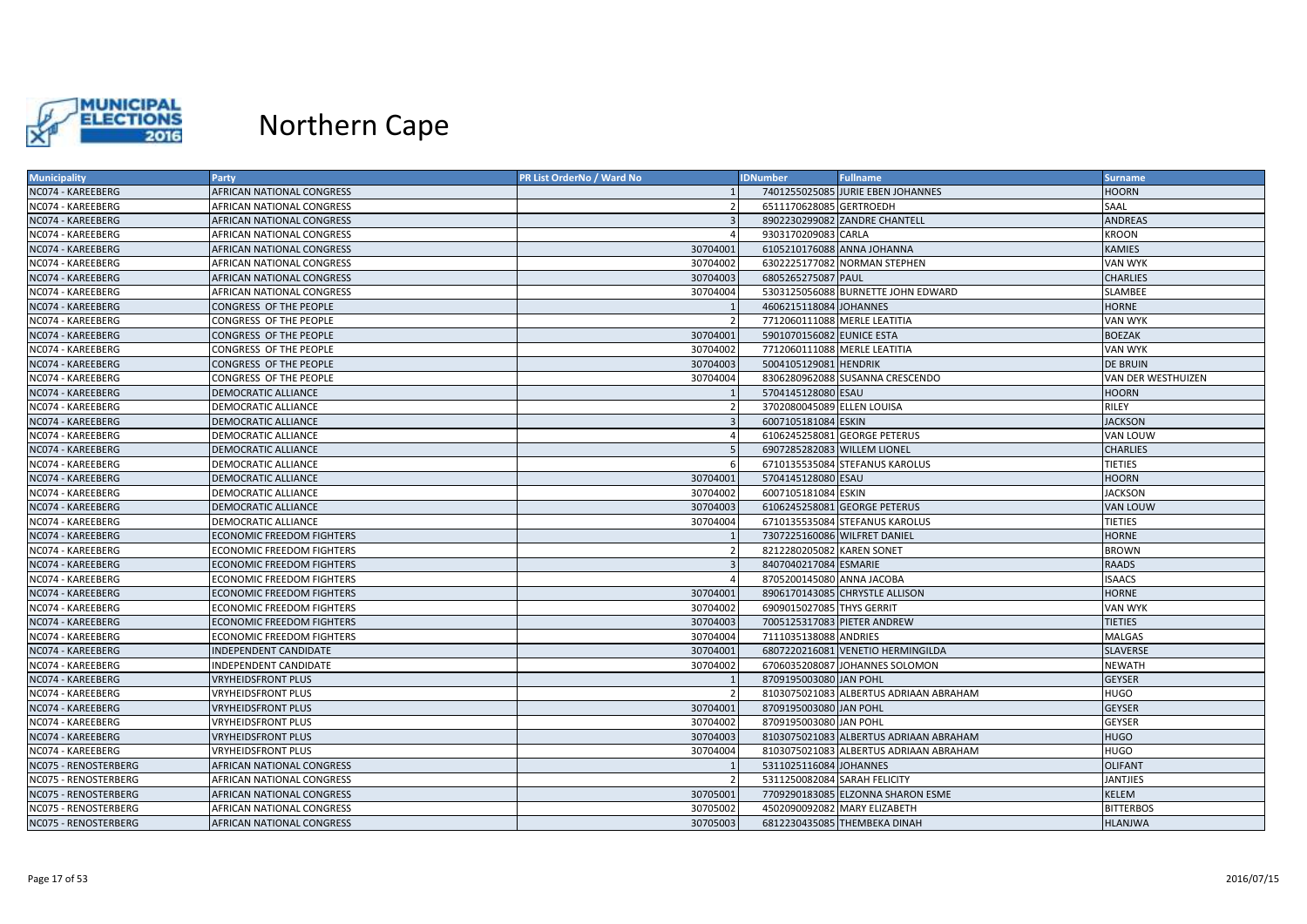

| <b>Municipality</b>  | Party                            | PR List OrderNo / Ward No | <b>IDNumber</b>              | <b>Fullname</b>                        | <b>Surname</b>     |
|----------------------|----------------------------------|---------------------------|------------------------------|----------------------------------------|--------------------|
| NC074 - KAREEBERG    | AFRICAN NATIONAL CONGRESS        |                           |                              | 7401255025085 JURIE EBEN JOHANNES      | <b>HOORN</b>       |
| NC074 - KAREEBERG    | AFRICAN NATIONAL CONGRESS        |                           | 6511170628085 GERTROEDH      |                                        | SAAL               |
| NC074 - KAREEBERG    | <b>AFRICAN NATIONAL CONGRESS</b> | $\overline{3}$            |                              | 8902230299082 ZANDRE CHANTELL          | <b>ANDREAS</b>     |
| NC074 - KAREEBERG    | AFRICAN NATIONAL CONGRESS        |                           | 9303170209083 CARLA          |                                        | <b>KROON</b>       |
| NC074 - KAREEBERG    | <b>AFRICAN NATIONAL CONGRESS</b> | 30704001                  | 6105210176088 ANNA JOHANNA   |                                        | <b>KAMIES</b>      |
| NC074 - KAREEBERG    | AFRICAN NATIONAL CONGRESS        | 30704002                  |                              | 6302225177082 NORMAN STEPHEN           | VAN WYK            |
| NC074 - KAREEBERG    | AFRICAN NATIONAL CONGRESS        | 30704003                  | 6805265275087 PAUL           |                                        | <b>CHARLIES</b>    |
| NC074 - KAREEBERG    | AFRICAN NATIONAL CONGRESS        | 30704004                  |                              | 5303125056088 BURNETTE JOHN EDWARD     | SLAMBEE            |
| NC074 - KAREEBERG    | CONGRESS OF THE PEOPLE           |                           | 4606215118084 JOHANNES       |                                        | <b>HORNE</b>       |
| NC074 - KAREEBERG    | CONGRESS OF THE PEOPLE           |                           | 7712060111088 MERLE LEATITIA |                                        | VAN WYK            |
| NC074 - KAREEBERG    | CONGRESS OF THE PEOPLE           | 30704001                  | 5901070156082 EUNICE ESTA    |                                        | <b>BOEZAK</b>      |
| NC074 - KAREEBERG    | CONGRESS OF THE PEOPLE           | 30704002                  | 7712060111088 MERLE LEATITIA |                                        | <b>VAN WYK</b>     |
| NC074 - KAREEBERG    | CONGRESS OF THE PEOPLE           | 30704003                  | 5004105129081 HENDRIK        |                                        | <b>DE BRUIN</b>    |
| NC074 - KAREEBERG    | CONGRESS OF THE PEOPLE           | 30704004                  |                              | 8306280962088 SUSANNA CRESCENDO        | VAN DER WESTHUIZEN |
| NC074 - KAREEBERG    | <b>DEMOCRATIC ALLIANCE</b>       |                           | 5704145128080 ESAU           |                                        | <b>HOORN</b>       |
| NC074 - KAREEBERG    | DEMOCRATIC ALLIANCE              |                           | 3702080045089 ELLEN LOUISA   |                                        | RILEY              |
| NC074 - KAREEBERG    | <b>DEMOCRATIC ALLIANCE</b>       |                           | 6007105181084 ESKIN          |                                        | <b>JACKSON</b>     |
| NC074 - KAREEBERG    | DEMOCRATIC ALLIANCE              |                           |                              | 6106245258081 GEORGE PETERUS           | VAN LOUW           |
| NC074 - KAREEBERG    | <b>DEMOCRATIC ALLIANCE</b>       |                           | 6907285282083 WILLEM LIONEL  |                                        | <b>CHARLIES</b>    |
| NC074 - KAREEBERG    | DEMOCRATIC ALLIANCE              |                           |                              | 6710135535084 STEFANUS KAROLUS         | <b>TIETIES</b>     |
| NC074 - KAREEBERG    | <b>DEMOCRATIC ALLIANCE</b>       | 30704001                  | 5704145128080 ESAU           |                                        | <b>HOORN</b>       |
| NC074 - KAREEBERG    | DEMOCRATIC ALLIANCE              | 30704002                  | 6007105181084 ESKIN          |                                        | <b>JACKSON</b>     |
| NC074 - KAREEBERG    | <b>DEMOCRATIC ALLIANCE</b>       | 30704003                  |                              | 6106245258081 GEORGE PETERUS           | <b>VAN LOUW</b>    |
| NC074 - KAREEBERG    | DEMOCRATIC ALLIANCE              | 30704004                  |                              | 6710135535084 STEFANUS KAROLUS         | <b>TIETIES</b>     |
| NC074 - KAREEBERG    | <b>ECONOMIC FREEDOM FIGHTERS</b> |                           | 7307225160086 WILFRET DANIEL |                                        | <b>HORNE</b>       |
| NC074 - KAREEBERG    | <b>ECONOMIC FREEDOM FIGHTERS</b> |                           | 8212280205082 KAREN SONET    |                                        | <b>BROWN</b>       |
| NC074 - KAREEBERG    | <b>ECONOMIC FREEDOM FIGHTERS</b> |                           | 8407040217084 ESMARIE        |                                        | <b>RAADS</b>       |
| NC074 - KAREEBERG    | ECONOMIC FREEDOM FIGHTERS        |                           | 8705200145080 ANNA JACOBA    |                                        | <b>ISAACS</b>      |
| NC074 - KAREEBERG    | <b>ECONOMIC FREEDOM FIGHTERS</b> | 30704001                  |                              | 8906170143085 CHRYSTLE ALLISON         | <b>HORNE</b>       |
| NC074 - KAREEBERG    | <b>ECONOMIC FREEDOM FIGHTERS</b> | 30704002                  | 6909015027085 THYS GERRIT    |                                        | VAN WYK            |
| NC074 - KAREEBERG    | <b>ECONOMIC FREEDOM FIGHTERS</b> | 30704003                  | 7005125317083 PIETER ANDREW  |                                        | <b>TIETIES</b>     |
| NC074 - KAREEBERG    | <b>ECONOMIC FREEDOM FIGHTERS</b> | 30704004                  | 7111035138088 ANDRIES        |                                        | <b>MALGAS</b>      |
| NC074 - KAREEBERG    | <b>INDEPENDENT CANDIDATE</b>     | 30704001                  |                              | 6807220216081 VENETIO HERMINGILDA      | <b>SLAVERSE</b>    |
| NC074 - KAREEBERG    | INDEPENDENT CANDIDATE            | 30704002                  |                              | 6706035208087 JOHANNES SOLOMON         | <b>NEWATH</b>      |
| NC074 - KAREEBERG    | <b>VRYHEIDSFRONT PLUS</b>        |                           | 8709195003080 JAN POHL       |                                        | <b>GEYSER</b>      |
| NC074 - KAREEBERG    | VRYHEIDSFRONT PLUS               |                           |                              | 8103075021083 ALBERTUS ADRIAAN ABRAHAM | <b>HUGO</b>        |
| NC074 - KAREEBERG    | <b>VRYHEIDSFRONT PLUS</b>        | 30704001                  | 8709195003080 JAN POHL       |                                        | <b>GEYSER</b>      |
| NC074 - KAREEBERG    | <b>VRYHEIDSFRONT PLUS</b>        | 30704002                  | 8709195003080 JAN POHL       |                                        | <b>GEYSER</b>      |
| NC074 - KAREEBERG    | <b>VRYHEIDSFRONT PLUS</b>        | 30704003                  |                              | 8103075021083 ALBERTUS ADRIAAN ABRAHAM | <b>HUGO</b>        |
| NC074 - KAREEBERG    | <b>VRYHEIDSFRONT PLUS</b>        | 30704004                  |                              | 8103075021083 ALBERTUS ADRIAAN ABRAHAM | <b>HUGO</b>        |
| NC075 - RENOSTERBERG | <b>AFRICAN NATIONAL CONGRESS</b> |                           | 5311025116084 JOHANNES       |                                        | <b>OLIFANT</b>     |
| NC075 - RENOSTERBERG | AFRICAN NATIONAL CONGRESS        |                           | 5311250082084 SARAH FELICITY |                                        | <b>JANTJIES</b>    |
| NC075 - RENOSTERBERG | AFRICAN NATIONAL CONGRESS        | 30705001                  |                              | 7709290183085 ELZONNA SHARON ESME      | <b>KELEM</b>       |
| NC075 - RENOSTERBERG | AFRICAN NATIONAL CONGRESS        | 30705002                  |                              | 4502090092082 MARY ELIZABETH           | <b>BITTERBOS</b>   |
| NC075 - RENOSTERBERG | AFRICAN NATIONAL CONGRESS        | 30705003                  |                              | 6812230435085 THEMBEKA DINAH           | <b>HLANJWA</b>     |
|                      |                                  |                           |                              |                                        |                    |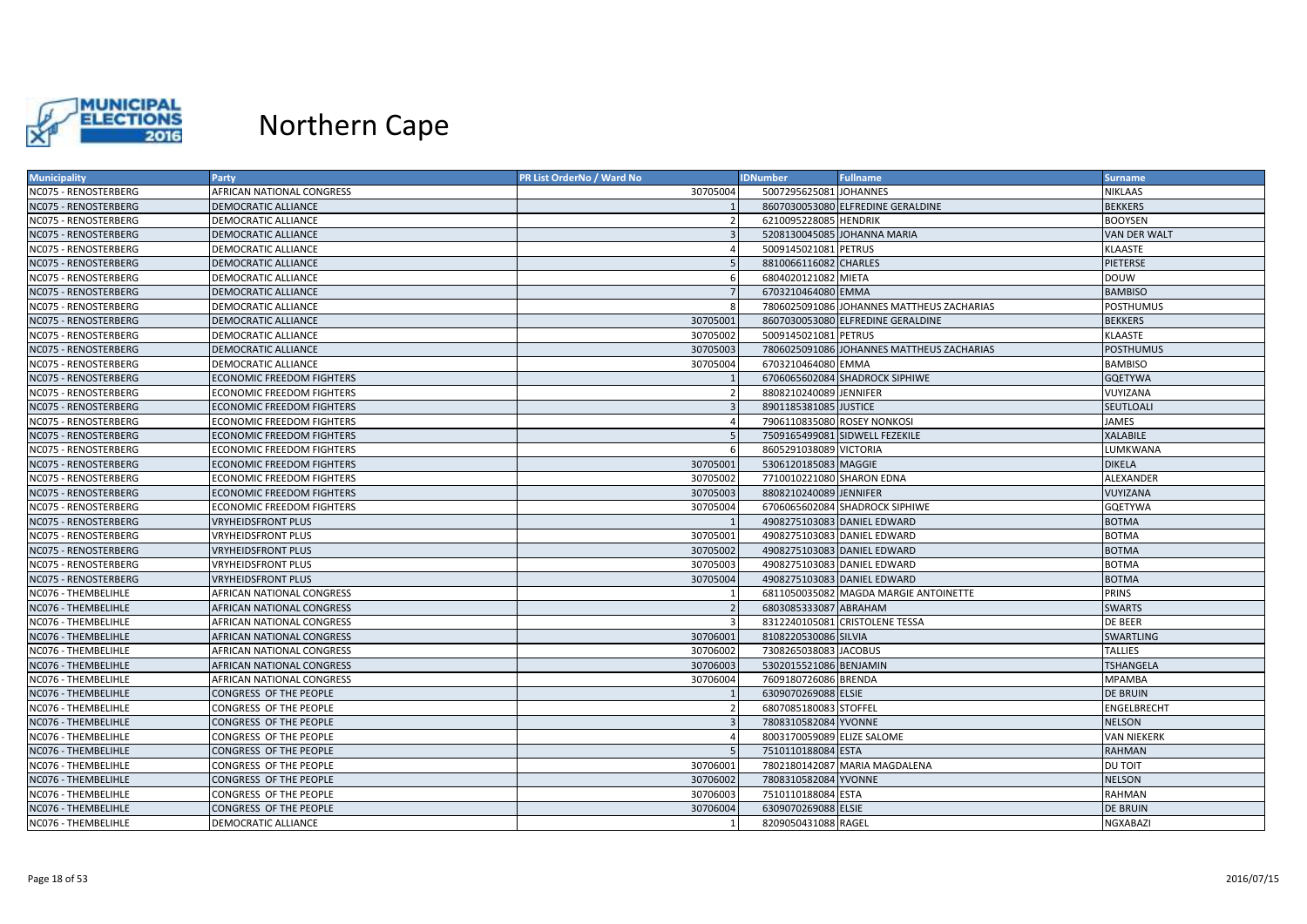

| <b>Municipality</b>  | Party                            | <b>PR List OrderNo / Ward No</b> | <b>IDNumber</b>             | <b>Fullname</b>                           | <b>Surname</b>   |
|----------------------|----------------------------------|----------------------------------|-----------------------------|-------------------------------------------|------------------|
| NC075 - RENOSTERBERG | AFRICAN NATIONAL CONGRESS        | 30705004                         | 5007295625081 JOHANNES      |                                           | <b>NIKLAAS</b>   |
| NC075 - RENOSTERBERG | <b>DEMOCRATIC ALLIANCE</b>       |                                  |                             | 8607030053080 ELFREDINE GERALDINE         | <b>BEKKERS</b>   |
| NC075 - RENOSTERBERG | DEMOCRATIC ALLIANCE              |                                  | 6210095228085 HENDRIK       |                                           | <b>BOOYSEN</b>   |
| NC075 - RENOSTERBERG | <b>DEMOCRATIC ALLIANCE</b>       |                                  |                             | 5208130045085 JOHANNA MARIA               | VAN DER WALT     |
| NC075 - RENOSTERBERG | DEMOCRATIC ALLIANCE              |                                  | 5009145021081 PETRUS        |                                           | KLAASTE          |
| NC075 - RENOSTERBERG | <b>DEMOCRATIC ALLIANCE</b>       |                                  | 8810066116082 CHARLES       |                                           | <b>PIETERSE</b>  |
| NC075 - RENOSTERBERG | DEMOCRATIC ALLIANCE              | -6                               | 6804020121082 MIETA         |                                           | <b>DOUW</b>      |
| NC075 - RENOSTERBERG | DEMOCRATIC ALLIANCE              | $\overline{7}$                   | 6703210464080 EMMA          |                                           | <b>BAMBISO</b>   |
| NC075 - RENOSTERBERG | DEMOCRATIC ALLIANCE              | -8                               |                             | 7806025091086 JOHANNES MATTHEUS ZACHARIAS | POSTHUMUS        |
| NC075 - RENOSTERBERG | <b>DEMOCRATIC ALLIANCE</b>       | 30705001                         |                             | 8607030053080 ELFREDINE GERALDINE         | <b>BEKKERS</b>   |
| NC075 - RENOSTERBERG | DEMOCRATIC ALLIANCE              | 30705002                         | 5009145021081 PETRUS        |                                           | KLAASTE          |
| NC075 - RENOSTERBERG | <b>DEMOCRATIC ALLIANCE</b>       | 30705003                         |                             | 7806025091086 JOHANNES MATTHEUS ZACHARIAS | <b>POSTHUMUS</b> |
| NC075 - RENOSTERBERG | DEMOCRATIC ALLIANCE              | 30705004                         | 6703210464080 EMMA          |                                           | <b>BAMBISO</b>   |
| NC075 - RENOSTERBERG | <b>ECONOMIC FREEDOM FIGHTERS</b> |                                  |                             | 6706065602084 SHADROCK SIPHIWE            | <b>GQETYWA</b>   |
| NC075 - RENOSTERBERG | ECONOMIC FREEDOM FIGHTERS        |                                  | 8808210240089 JENNIFER      |                                           | VUYIZANA         |
| NC075 - RENOSTERBERG | <b>ECONOMIC FREEDOM FIGHTERS</b> |                                  | 8901185381085 JUSTICE       |                                           | SEUTLOALI        |
| NC075 - RENOSTERBERG | <b>ECONOMIC FREEDOM FIGHTERS</b> |                                  | 7906110835080 ROSEY NONKOSI |                                           | <b>JAMES</b>     |
| NC075 - RENOSTERBERG | <b>ECONOMIC FREEDOM FIGHTERS</b> |                                  |                             | 7509165499081 SIDWELL FEZEKILE            | <b>XALABILE</b>  |
| NC075 - RENOSTERBERG | <b>ECONOMIC FREEDOM FIGHTERS</b> |                                  | 8605291038089 VICTORIA      |                                           | LUMKWANA         |
| NC075 - RENOSTERBERG | <b>ECONOMIC FREEDOM FIGHTERS</b> | 30705001                         | 5306120185083 MAGGIE        |                                           | <b>DIKELA</b>    |
| NC075 - RENOSTERBERG | <b>ECONOMIC FREEDOM FIGHTERS</b> | 30705002                         | 7710010221080 SHARON EDNA   |                                           | ALEXANDER        |
| NC075 - RENOSTERBERG | <b>ECONOMIC FREEDOM FIGHTERS</b> | 30705003                         | 8808210240089 JENNIFER      |                                           | VUYIZANA         |
| NC075 - RENOSTERBERG | <b>ECONOMIC FREEDOM FIGHTERS</b> | 30705004                         |                             | 6706065602084 SHADROCK SIPHIWE            | GQETYWA          |
| NC075 - RENOSTERBERG | <b>VRYHEIDSFRONT PLUS</b>        |                                  |                             | 4908275103083 DANIEL EDWARD               | <b>BOTMA</b>     |
| NC075 - RENOSTERBERG | <b>VRYHEIDSFRONT PLUS</b>        | 30705001                         |                             | 4908275103083 DANIEL EDWARD               | BOTMA            |
| NC075 - RENOSTERBERG | <b>VRYHEIDSFRONT PLUS</b>        | 30705002                         |                             | 4908275103083 DANIEL EDWARD               | <b>BOTMA</b>     |
| NC075 - RENOSTERBERG | <b>VRYHEIDSFRONT PLUS</b>        | 30705003                         |                             | 4908275103083 DANIEL EDWARD               | <b>BOTMA</b>     |
| NC075 - RENOSTERBERG | <b>VRYHEIDSFRONT PLUS</b>        | 30705004                         |                             | 4908275103083 DANIEL EDWARD               | <b>BOTMA</b>     |
| NC076 - THEMBELIHLE  | AFRICAN NATIONAL CONGRESS        |                                  |                             | 6811050035082 MAGDA MARGIE ANTOINETTE     | PRINS            |
| NC076 - THEMBELIHLE  | AFRICAN NATIONAL CONGRESS        |                                  | 6803085333087 ABRAHAM       |                                           | <b>SWARTS</b>    |
| NC076 - THEMBELIHLE  | AFRICAN NATIONAL CONGRESS        |                                  |                             | 8312240105081 CRISTOLENE TESSA            | DE BEER          |
| NC076 - THEMBELIHLE  | AFRICAN NATIONAL CONGRESS        | 30706001                         | 8108220530086 SILVIA        |                                           | <b>SWARTLING</b> |
| NC076 - THEMBELIHLE  | AFRICAN NATIONAL CONGRESS        | 30706002                         | 7308265038083 JACOBUS       |                                           | <b>TALLIES</b>   |
| NC076 - THEMBELIHLE  | AFRICAN NATIONAL CONGRESS        | 30706003                         | 5302015521086 BENJAMIN      |                                           | TSHANGELA        |
| NC076 - THEMBELIHLE  | AFRICAN NATIONAL CONGRESS        | 30706004                         | 7609180726086 BRENDA        |                                           | <b>MPAMBA</b>    |
| NC076 - THEMBELIHLE  | CONGRESS OF THE PEOPLE           |                                  | 6309070269088 ELSIE         |                                           | <b>DE BRUIN</b>  |
| NC076 - THEMBELIHLE  | CONGRESS OF THE PEOPLE           |                                  | 6807085180083 STOFFEL       |                                           | ENGELBRECHT      |
| NC076 - THEMBELIHLE  | CONGRESS OF THE PEOPLE           |                                  | 7808310582084 YVONNE        |                                           | <b>NELSON</b>    |
| NC076 - THEMBELIHLE  | CONGRESS OF THE PEOPLE           |                                  | 8003170059089 ELIZE SALOME  |                                           | VAN NIEKERK      |
| NC076 - THEMBELIHLE  | CONGRESS OF THE PEOPLE           |                                  | 7510110188084 ESTA          |                                           | RAHMAN           |
| NC076 - THEMBELIHLE  | CONGRESS OF THE PEOPLE           | 30706001                         |                             | 7802180142087 MARIA MAGDALENA             | <b>DU TOIT</b>   |
| NC076 - THEMBELIHLE  | CONGRESS OF THE PEOPLE           | 30706002                         | 7808310582084 YVONNE        |                                           | <b>NELSON</b>    |
| NC076 - THEMBELIHLE  | CONGRESS OF THE PEOPLE           | 30706003                         | 7510110188084 ESTA          |                                           | RAHMAN           |
| NC076 - THEMBELIHLE  | CONGRESS OF THE PEOPLE           | 30706004                         | 6309070269088 ELSIE         |                                           | <b>DE BRUIN</b>  |
| NC076 - THEMBELIHLE  | DEMOCRATIC ALLIANCE              |                                  | 8209050431088 RAGEL         |                                           | NGXABAZI         |
|                      |                                  |                                  |                             |                                           |                  |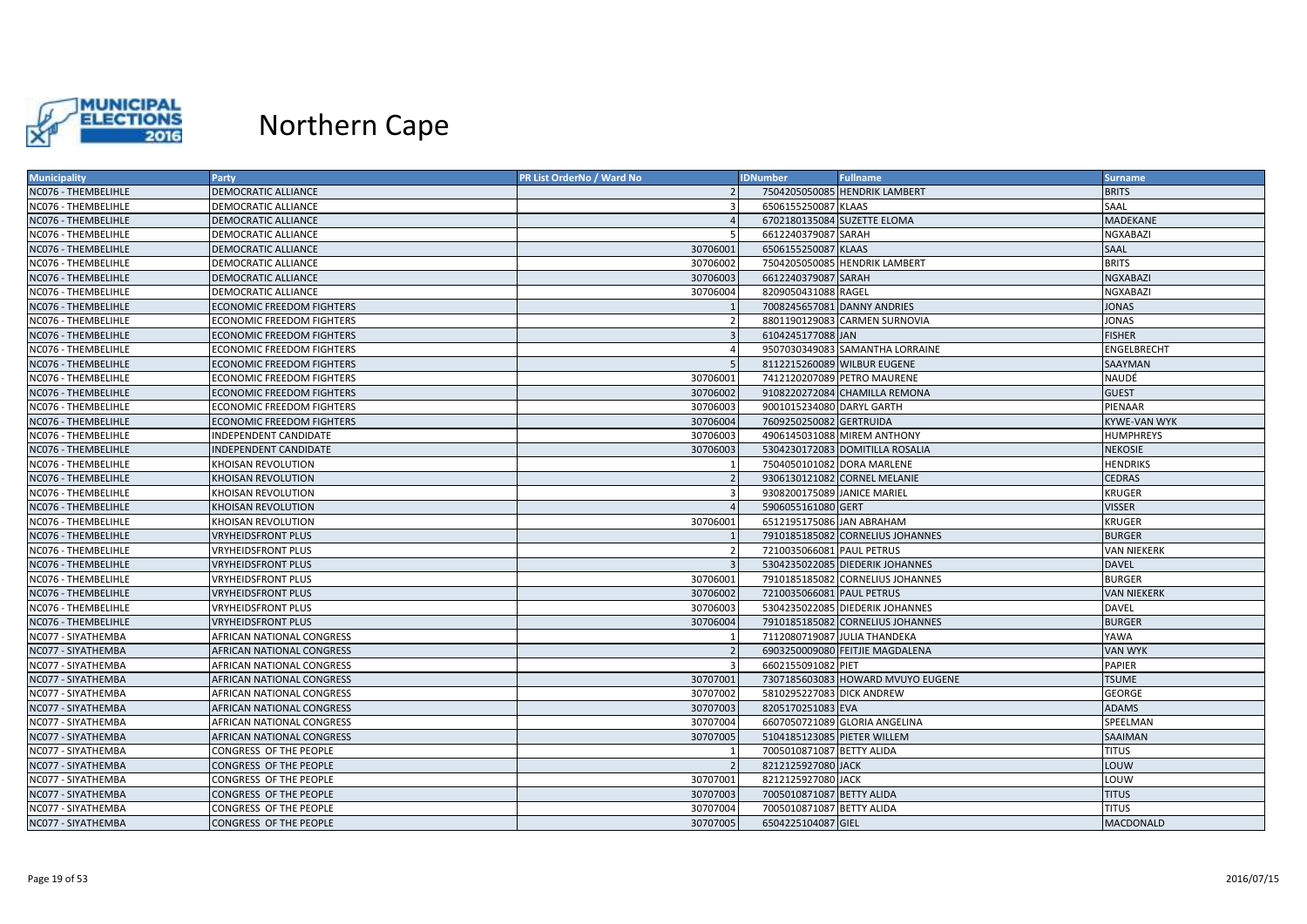

| <b>BRITS</b><br><b>DEMOCRATIC ALLIANCE</b><br>7504205050085 HENDRIK LAMBERT<br>6506155250087 KLAAS<br>SAAL<br>NC076 - THEMBELIHLE<br>DEMOCRATIC ALLIANCE<br>6702180135084 SUZETTE ELOMA<br><b>MADEKANE</b><br><b>DEMOCRATIC ALLIANCE</b><br>$\overline{4}$<br>NC076 - THEMBELIHLE<br>$\overline{5}$<br>6612240379087 SARAH<br>DEMOCRATIC ALLIANCE<br>NGXABAZI<br>6506155250087 KLAAS<br>NC076 - THEMBELIHLE<br><b>DEMOCRATIC ALLIANCE</b><br>30706001<br>SAAL<br>NC076 - THEMBELIHLE<br>DEMOCRATIC ALLIANCE<br>30706002<br>7504205050085 HENDRIK LAMBERT<br><b>BRITS</b><br>30706003<br>6612240379087 SARAH<br><b>NGXABAZI</b><br>NC076 - THEMBELIHLE<br><b>DEMOCRATIC ALLIANCE</b><br>8209050431088 RAGEL<br>30706004<br><b>NGXABAZI</b><br>NC076 - THEMBELIHLE<br>DEMOCRATIC ALLIANCE<br>NC076 - THEMBELIHLE<br><b>ECONOMIC FREEDOM FIGHTERS</b><br>7008245657081 DANNY ANDRIES<br><b>JONAS</b><br>8801190129083 CARMEN SURNOVIA<br>JONAS<br>NC076 - THEMBELIHLE<br>ECONOMIC FREEDOM FIGHTERS<br>6104245177088 JAN<br><b>ECONOMIC FREEDOM FIGHTERS</b><br><b>FISHER</b><br>9507030349083 SAMANTHA LORRAINE<br>NC076 - THEMBELIHLE<br><b>ECONOMIC FREEDOM FIGHTERS</b><br>ENGELBRECHT<br>$\boldsymbol{\varDelta}$<br>8112215260089 WILBUR EUGENE<br>NC076 - THEMBELIHLE<br><b>ECONOMIC FREEDOM FIGHTERS</b><br><b>SAAYMAN</b><br>7412120207089 PETRO MAURENE<br>ECONOMIC FREEDOM FIGHTERS<br>30706001<br>NAUDÉ<br>NC076 - THEMBELIHLE<br><b>ECONOMIC FREEDOM FIGHTERS</b><br>30706002<br>9108220272084 CHAMILLA REMONA<br><b>GUEST</b><br>NC076 - THEMBELIHLE<br>30706003<br>9001015234080 DARYL GARTH<br>PIENAAR<br><b>ECONOMIC FREEDOM FIGHTERS</b><br>NC076 - THEMBELIHLE<br><b>ECONOMIC FREEDOM FIGHTERS</b><br>30706004<br>7609250250082 GERTRUIDA<br>KYWE-VAN WYK<br>30706003<br>4906145031088 MIREM ANTHONY<br><b>HUMPHREYS</b><br>NC076 - THEMBELIHLE<br><b>INDEPENDENT CANDIDATE</b><br><b>INDEPENDENT CANDIDATE</b><br>30706003<br>5304230172083 DOMITILLA ROSALIA<br><b>NEKOSIE</b><br>7504050101082 DORA MARLENE<br>NC076 - THEMBELIHLE<br>KHOISAN REVOLUTION<br><b>HENDRIKS</b><br><b>CEDRAS</b><br>NC076 - THEMBELIHLE<br>KHOISAN REVOLUTION<br>9306130121082 CORNEL MELANIE<br>9308200175089 JANICE MARIEL<br>KHOISAN REVOLUTION<br>$\mathbf{a}$<br><b>KRUGER</b><br>5906055161080 GERT<br><b>VISSER</b><br>NC076 - THEMBELIHLE<br>KHOISAN REVOLUTION<br>6512195175086 JAN ABRAHAM<br>NC076 - THEMBELIHLE<br>KHOISAN REVOLUTION<br>30706001<br><b>KRUGER</b><br>NC076 - THEMBELIHLE<br><b>VRYHEIDSFRONT PLUS</b><br>7910185185082 CORNELIUS JOHANNES<br><b>BURGER</b><br>7210035066081 PAUL PETRUS<br>NC076 - THEMBELIHLE<br><b>VRYHEIDSFRONT PLUS</b><br>VAN NIEKERK<br>5304235022085 DIEDERIK JOHANNES<br>NC076 - THEMBELIHLE<br><b>VRYHEIDSFRONT PLUS</b><br><b>DAVEL</b><br>7910185185082 CORNELIUS JOHANNES<br>NC076 - THEMBELIHLE<br>VRYHEIDSFRONT PLUS<br>30706001<br><b>BURGER</b><br>30706002<br>7210035066081 PAUL PETRUS<br><b>VAN NIEKERK</b><br>NC076 - THEMBELIHLE<br><b>VRYHEIDSFRONT PLUS</b><br>NC076 - THEMBELIHLE<br>30706003<br>5304235022085 DIEDERIK JOHANNES<br><b>DAVEL</b><br>VRYHEIDSFRONT PLUS<br>30706004<br>7910185185082 CORNELIUS JOHANNES<br><b>BURGER</b><br>NC076 - THEMBELIHLE<br><b>VRYHEIDSFRONT PLUS</b><br>NC077 - SIYATHEMBA<br>AFRICAN NATIONAL CONGRESS<br>7112080719087 JULIA THANDEKA<br>YAWA<br>NC077 - SIYATHEMBA<br>AFRICAN NATIONAL CONGRESS<br>6903250009080 FEITJIE MAGDALENA<br><b>VAN WYK</b><br>6602155091082 PIET<br><b>PAPIER</b><br>NC077 - SIYATHEMBA<br>AFRICAN NATIONAL CONGRESS<br>-3<br>30707001<br>7307185603083 HOWARD MVUYO EUGENE<br><b>AFRICAN NATIONAL CONGRESS</b><br><b>TSUME</b><br>NC077 - SIYATHEMBA<br>30707002<br>5810295227083 DICK ANDREW<br>AFRICAN NATIONAL CONGRESS<br><b>GEORGE</b><br><b>ADAMS</b><br>NC077 - SIYATHEMBA<br>30707003<br>8205170251083 EVA<br>AFRICAN NATIONAL CONGRESS<br>SPEELMAN<br>NC077 - SIYATHEMBA<br>AFRICAN NATIONAL CONGRESS<br>30707004<br>6607050721089 GLORIA ANGELINA<br>30707005<br>5104185123085 PIETER WILLEM<br>SAAIMAN<br>NC077 - SIYATHEMBA<br>AFRICAN NATIONAL CONGRESS<br>7005010871087 BETTY ALIDA<br><b>TITUS</b><br>NC077 - SIYATHEMBA<br>CONGRESS OF THE PEOPLE<br>NC077 - SIYATHEMBA<br>8212125927080 JACK<br>CONGRESS OF THE PEOPLE<br>LOUW<br>30707001<br>8212125927080 JACK<br>LOUW<br>NC077 - SIYATHEMBA<br>CONGRESS OF THE PEOPLE<br>NC077 - SIYATHEMBA<br>CONGRESS OF THE PEOPLE<br>30707003<br>7005010871087 BETTY ALIDA<br><b>TITUS</b><br>NC077 - SIYATHEMBA<br>30707004<br>7005010871087 BETTY ALIDA<br><b>TITUS</b><br>CONGRESS OF THE PEOPLE<br>6504225104087 GIEL | <b>Municipality</b> | Party                  | PR List OrderNo / Ward No | <b>IDNumber</b> | <b>Fullname</b> | <b>Surname</b> |
|---------------------------------------------------------------------------------------------------------------------------------------------------------------------------------------------------------------------------------------------------------------------------------------------------------------------------------------------------------------------------------------------------------------------------------------------------------------------------------------------------------------------------------------------------------------------------------------------------------------------------------------------------------------------------------------------------------------------------------------------------------------------------------------------------------------------------------------------------------------------------------------------------------------------------------------------------------------------------------------------------------------------------------------------------------------------------------------------------------------------------------------------------------------------------------------------------------------------------------------------------------------------------------------------------------------------------------------------------------------------------------------------------------------------------------------------------------------------------------------------------------------------------------------------------------------------------------------------------------------------------------------------------------------------------------------------------------------------------------------------------------------------------------------------------------------------------------------------------------------------------------------------------------------------------------------------------------------------------------------------------------------------------------------------------------------------------------------------------------------------------------------------------------------------------------------------------------------------------------------------------------------------------------------------------------------------------------------------------------------------------------------------------------------------------------------------------------------------------------------------------------------------------------------------------------------------------------------------------------------------------------------------------------------------------------------------------------------------------------------------------------------------------------------------------------------------------------------------------------------------------------------------------------------------------------------------------------------------------------------------------------------------------------------------------------------------------------------------------------------------------------------------------------------------------------------------------------------------------------------------------------------------------------------------------------------------------------------------------------------------------------------------------------------------------------------------------------------------------------------------------------------------------------------------------------------------------------------------------------------------------------------------------------------------------------------------------------------------------------------------------------------------------------------------------------------------------------------------------------------------------------------------------------------------------------------------------------------------------------------------------------------------------------------------------------------------------------------------------------------------------------------------------------------------------------------------------------------------------------------------------------------------------------------------------------------------------------------------------------------------------------------------------------------------------------------------------------------------------------------------------------------------------------------------------------------------------------------------------------------------------|---------------------|------------------------|---------------------------|-----------------|-----------------|----------------|
|                                                                                                                                                                                                                                                                                                                                                                                                                                                                                                                                                                                                                                                                                                                                                                                                                                                                                                                                                                                                                                                                                                                                                                                                                                                                                                                                                                                                                                                                                                                                                                                                                                                                                                                                                                                                                                                                                                                                                                                                                                                                                                                                                                                                                                                                                                                                                                                                                                                                                                                                                                                                                                                                                                                                                                                                                                                                                                                                                                                                                                                                                                                                                                                                                                                                                                                                                                                                                                                                                                                                                                                                                                                                                                                                                                                                                                                                                                                                                                                                                                                                                                                                                                                                                                                                                                                                                                                                                                                                                                                                                                                                                           | NC076 - THEMBELIHLE |                        |                           |                 |                 |                |
|                                                                                                                                                                                                                                                                                                                                                                                                                                                                                                                                                                                                                                                                                                                                                                                                                                                                                                                                                                                                                                                                                                                                                                                                                                                                                                                                                                                                                                                                                                                                                                                                                                                                                                                                                                                                                                                                                                                                                                                                                                                                                                                                                                                                                                                                                                                                                                                                                                                                                                                                                                                                                                                                                                                                                                                                                                                                                                                                                                                                                                                                                                                                                                                                                                                                                                                                                                                                                                                                                                                                                                                                                                                                                                                                                                                                                                                                                                                                                                                                                                                                                                                                                                                                                                                                                                                                                                                                                                                                                                                                                                                                                           |                     |                        |                           |                 |                 |                |
|                                                                                                                                                                                                                                                                                                                                                                                                                                                                                                                                                                                                                                                                                                                                                                                                                                                                                                                                                                                                                                                                                                                                                                                                                                                                                                                                                                                                                                                                                                                                                                                                                                                                                                                                                                                                                                                                                                                                                                                                                                                                                                                                                                                                                                                                                                                                                                                                                                                                                                                                                                                                                                                                                                                                                                                                                                                                                                                                                                                                                                                                                                                                                                                                                                                                                                                                                                                                                                                                                                                                                                                                                                                                                                                                                                                                                                                                                                                                                                                                                                                                                                                                                                                                                                                                                                                                                                                                                                                                                                                                                                                                                           | NC076 - THEMBELIHLE |                        |                           |                 |                 |                |
|                                                                                                                                                                                                                                                                                                                                                                                                                                                                                                                                                                                                                                                                                                                                                                                                                                                                                                                                                                                                                                                                                                                                                                                                                                                                                                                                                                                                                                                                                                                                                                                                                                                                                                                                                                                                                                                                                                                                                                                                                                                                                                                                                                                                                                                                                                                                                                                                                                                                                                                                                                                                                                                                                                                                                                                                                                                                                                                                                                                                                                                                                                                                                                                                                                                                                                                                                                                                                                                                                                                                                                                                                                                                                                                                                                                                                                                                                                                                                                                                                                                                                                                                                                                                                                                                                                                                                                                                                                                                                                                                                                                                                           |                     |                        |                           |                 |                 |                |
|                                                                                                                                                                                                                                                                                                                                                                                                                                                                                                                                                                                                                                                                                                                                                                                                                                                                                                                                                                                                                                                                                                                                                                                                                                                                                                                                                                                                                                                                                                                                                                                                                                                                                                                                                                                                                                                                                                                                                                                                                                                                                                                                                                                                                                                                                                                                                                                                                                                                                                                                                                                                                                                                                                                                                                                                                                                                                                                                                                                                                                                                                                                                                                                                                                                                                                                                                                                                                                                                                                                                                                                                                                                                                                                                                                                                                                                                                                                                                                                                                                                                                                                                                                                                                                                                                                                                                                                                                                                                                                                                                                                                                           |                     |                        |                           |                 |                 |                |
|                                                                                                                                                                                                                                                                                                                                                                                                                                                                                                                                                                                                                                                                                                                                                                                                                                                                                                                                                                                                                                                                                                                                                                                                                                                                                                                                                                                                                                                                                                                                                                                                                                                                                                                                                                                                                                                                                                                                                                                                                                                                                                                                                                                                                                                                                                                                                                                                                                                                                                                                                                                                                                                                                                                                                                                                                                                                                                                                                                                                                                                                                                                                                                                                                                                                                                                                                                                                                                                                                                                                                                                                                                                                                                                                                                                                                                                                                                                                                                                                                                                                                                                                                                                                                                                                                                                                                                                                                                                                                                                                                                                                                           |                     |                        |                           |                 |                 |                |
|                                                                                                                                                                                                                                                                                                                                                                                                                                                                                                                                                                                                                                                                                                                                                                                                                                                                                                                                                                                                                                                                                                                                                                                                                                                                                                                                                                                                                                                                                                                                                                                                                                                                                                                                                                                                                                                                                                                                                                                                                                                                                                                                                                                                                                                                                                                                                                                                                                                                                                                                                                                                                                                                                                                                                                                                                                                                                                                                                                                                                                                                                                                                                                                                                                                                                                                                                                                                                                                                                                                                                                                                                                                                                                                                                                                                                                                                                                                                                                                                                                                                                                                                                                                                                                                                                                                                                                                                                                                                                                                                                                                                                           |                     |                        |                           |                 |                 |                |
|                                                                                                                                                                                                                                                                                                                                                                                                                                                                                                                                                                                                                                                                                                                                                                                                                                                                                                                                                                                                                                                                                                                                                                                                                                                                                                                                                                                                                                                                                                                                                                                                                                                                                                                                                                                                                                                                                                                                                                                                                                                                                                                                                                                                                                                                                                                                                                                                                                                                                                                                                                                                                                                                                                                                                                                                                                                                                                                                                                                                                                                                                                                                                                                                                                                                                                                                                                                                                                                                                                                                                                                                                                                                                                                                                                                                                                                                                                                                                                                                                                                                                                                                                                                                                                                                                                                                                                                                                                                                                                                                                                                                                           |                     |                        |                           |                 |                 |                |
|                                                                                                                                                                                                                                                                                                                                                                                                                                                                                                                                                                                                                                                                                                                                                                                                                                                                                                                                                                                                                                                                                                                                                                                                                                                                                                                                                                                                                                                                                                                                                                                                                                                                                                                                                                                                                                                                                                                                                                                                                                                                                                                                                                                                                                                                                                                                                                                                                                                                                                                                                                                                                                                                                                                                                                                                                                                                                                                                                                                                                                                                                                                                                                                                                                                                                                                                                                                                                                                                                                                                                                                                                                                                                                                                                                                                                                                                                                                                                                                                                                                                                                                                                                                                                                                                                                                                                                                                                                                                                                                                                                                                                           |                     |                        |                           |                 |                 |                |
|                                                                                                                                                                                                                                                                                                                                                                                                                                                                                                                                                                                                                                                                                                                                                                                                                                                                                                                                                                                                                                                                                                                                                                                                                                                                                                                                                                                                                                                                                                                                                                                                                                                                                                                                                                                                                                                                                                                                                                                                                                                                                                                                                                                                                                                                                                                                                                                                                                                                                                                                                                                                                                                                                                                                                                                                                                                                                                                                                                                                                                                                                                                                                                                                                                                                                                                                                                                                                                                                                                                                                                                                                                                                                                                                                                                                                                                                                                                                                                                                                                                                                                                                                                                                                                                                                                                                                                                                                                                                                                                                                                                                                           |                     |                        |                           |                 |                 |                |
|                                                                                                                                                                                                                                                                                                                                                                                                                                                                                                                                                                                                                                                                                                                                                                                                                                                                                                                                                                                                                                                                                                                                                                                                                                                                                                                                                                                                                                                                                                                                                                                                                                                                                                                                                                                                                                                                                                                                                                                                                                                                                                                                                                                                                                                                                                                                                                                                                                                                                                                                                                                                                                                                                                                                                                                                                                                                                                                                                                                                                                                                                                                                                                                                                                                                                                                                                                                                                                                                                                                                                                                                                                                                                                                                                                                                                                                                                                                                                                                                                                                                                                                                                                                                                                                                                                                                                                                                                                                                                                                                                                                                                           | NC076 - THEMBELIHLE |                        |                           |                 |                 |                |
|                                                                                                                                                                                                                                                                                                                                                                                                                                                                                                                                                                                                                                                                                                                                                                                                                                                                                                                                                                                                                                                                                                                                                                                                                                                                                                                                                                                                                                                                                                                                                                                                                                                                                                                                                                                                                                                                                                                                                                                                                                                                                                                                                                                                                                                                                                                                                                                                                                                                                                                                                                                                                                                                                                                                                                                                                                                                                                                                                                                                                                                                                                                                                                                                                                                                                                                                                                                                                                                                                                                                                                                                                                                                                                                                                                                                                                                                                                                                                                                                                                                                                                                                                                                                                                                                                                                                                                                                                                                                                                                                                                                                                           |                     |                        |                           |                 |                 |                |
|                                                                                                                                                                                                                                                                                                                                                                                                                                                                                                                                                                                                                                                                                                                                                                                                                                                                                                                                                                                                                                                                                                                                                                                                                                                                                                                                                                                                                                                                                                                                                                                                                                                                                                                                                                                                                                                                                                                                                                                                                                                                                                                                                                                                                                                                                                                                                                                                                                                                                                                                                                                                                                                                                                                                                                                                                                                                                                                                                                                                                                                                                                                                                                                                                                                                                                                                                                                                                                                                                                                                                                                                                                                                                                                                                                                                                                                                                                                                                                                                                                                                                                                                                                                                                                                                                                                                                                                                                                                                                                                                                                                                                           |                     |                        |                           |                 |                 |                |
|                                                                                                                                                                                                                                                                                                                                                                                                                                                                                                                                                                                                                                                                                                                                                                                                                                                                                                                                                                                                                                                                                                                                                                                                                                                                                                                                                                                                                                                                                                                                                                                                                                                                                                                                                                                                                                                                                                                                                                                                                                                                                                                                                                                                                                                                                                                                                                                                                                                                                                                                                                                                                                                                                                                                                                                                                                                                                                                                                                                                                                                                                                                                                                                                                                                                                                                                                                                                                                                                                                                                                                                                                                                                                                                                                                                                                                                                                                                                                                                                                                                                                                                                                                                                                                                                                                                                                                                                                                                                                                                                                                                                                           | NC076 - THEMBELIHLE |                        |                           |                 |                 |                |
|                                                                                                                                                                                                                                                                                                                                                                                                                                                                                                                                                                                                                                                                                                                                                                                                                                                                                                                                                                                                                                                                                                                                                                                                                                                                                                                                                                                                                                                                                                                                                                                                                                                                                                                                                                                                                                                                                                                                                                                                                                                                                                                                                                                                                                                                                                                                                                                                                                                                                                                                                                                                                                                                                                                                                                                                                                                                                                                                                                                                                                                                                                                                                                                                                                                                                                                                                                                                                                                                                                                                                                                                                                                                                                                                                                                                                                                                                                                                                                                                                                                                                                                                                                                                                                                                                                                                                                                                                                                                                                                                                                                                                           |                     |                        |                           |                 |                 |                |
|                                                                                                                                                                                                                                                                                                                                                                                                                                                                                                                                                                                                                                                                                                                                                                                                                                                                                                                                                                                                                                                                                                                                                                                                                                                                                                                                                                                                                                                                                                                                                                                                                                                                                                                                                                                                                                                                                                                                                                                                                                                                                                                                                                                                                                                                                                                                                                                                                                                                                                                                                                                                                                                                                                                                                                                                                                                                                                                                                                                                                                                                                                                                                                                                                                                                                                                                                                                                                                                                                                                                                                                                                                                                                                                                                                                                                                                                                                                                                                                                                                                                                                                                                                                                                                                                                                                                                                                                                                                                                                                                                                                                                           |                     |                        |                           |                 |                 |                |
|                                                                                                                                                                                                                                                                                                                                                                                                                                                                                                                                                                                                                                                                                                                                                                                                                                                                                                                                                                                                                                                                                                                                                                                                                                                                                                                                                                                                                                                                                                                                                                                                                                                                                                                                                                                                                                                                                                                                                                                                                                                                                                                                                                                                                                                                                                                                                                                                                                                                                                                                                                                                                                                                                                                                                                                                                                                                                                                                                                                                                                                                                                                                                                                                                                                                                                                                                                                                                                                                                                                                                                                                                                                                                                                                                                                                                                                                                                                                                                                                                                                                                                                                                                                                                                                                                                                                                                                                                                                                                                                                                                                                                           |                     |                        |                           |                 |                 |                |
|                                                                                                                                                                                                                                                                                                                                                                                                                                                                                                                                                                                                                                                                                                                                                                                                                                                                                                                                                                                                                                                                                                                                                                                                                                                                                                                                                                                                                                                                                                                                                                                                                                                                                                                                                                                                                                                                                                                                                                                                                                                                                                                                                                                                                                                                                                                                                                                                                                                                                                                                                                                                                                                                                                                                                                                                                                                                                                                                                                                                                                                                                                                                                                                                                                                                                                                                                                                                                                                                                                                                                                                                                                                                                                                                                                                                                                                                                                                                                                                                                                                                                                                                                                                                                                                                                                                                                                                                                                                                                                                                                                                                                           |                     |                        |                           |                 |                 |                |
|                                                                                                                                                                                                                                                                                                                                                                                                                                                                                                                                                                                                                                                                                                                                                                                                                                                                                                                                                                                                                                                                                                                                                                                                                                                                                                                                                                                                                                                                                                                                                                                                                                                                                                                                                                                                                                                                                                                                                                                                                                                                                                                                                                                                                                                                                                                                                                                                                                                                                                                                                                                                                                                                                                                                                                                                                                                                                                                                                                                                                                                                                                                                                                                                                                                                                                                                                                                                                                                                                                                                                                                                                                                                                                                                                                                                                                                                                                                                                                                                                                                                                                                                                                                                                                                                                                                                                                                                                                                                                                                                                                                                                           | NC076 - THEMBELIHLE |                        |                           |                 |                 |                |
|                                                                                                                                                                                                                                                                                                                                                                                                                                                                                                                                                                                                                                                                                                                                                                                                                                                                                                                                                                                                                                                                                                                                                                                                                                                                                                                                                                                                                                                                                                                                                                                                                                                                                                                                                                                                                                                                                                                                                                                                                                                                                                                                                                                                                                                                                                                                                                                                                                                                                                                                                                                                                                                                                                                                                                                                                                                                                                                                                                                                                                                                                                                                                                                                                                                                                                                                                                                                                                                                                                                                                                                                                                                                                                                                                                                                                                                                                                                                                                                                                                                                                                                                                                                                                                                                                                                                                                                                                                                                                                                                                                                                                           |                     |                        |                           |                 |                 |                |
|                                                                                                                                                                                                                                                                                                                                                                                                                                                                                                                                                                                                                                                                                                                                                                                                                                                                                                                                                                                                                                                                                                                                                                                                                                                                                                                                                                                                                                                                                                                                                                                                                                                                                                                                                                                                                                                                                                                                                                                                                                                                                                                                                                                                                                                                                                                                                                                                                                                                                                                                                                                                                                                                                                                                                                                                                                                                                                                                                                                                                                                                                                                                                                                                                                                                                                                                                                                                                                                                                                                                                                                                                                                                                                                                                                                                                                                                                                                                                                                                                                                                                                                                                                                                                                                                                                                                                                                                                                                                                                                                                                                                                           |                     |                        |                           |                 |                 |                |
|                                                                                                                                                                                                                                                                                                                                                                                                                                                                                                                                                                                                                                                                                                                                                                                                                                                                                                                                                                                                                                                                                                                                                                                                                                                                                                                                                                                                                                                                                                                                                                                                                                                                                                                                                                                                                                                                                                                                                                                                                                                                                                                                                                                                                                                                                                                                                                                                                                                                                                                                                                                                                                                                                                                                                                                                                                                                                                                                                                                                                                                                                                                                                                                                                                                                                                                                                                                                                                                                                                                                                                                                                                                                                                                                                                                                                                                                                                                                                                                                                                                                                                                                                                                                                                                                                                                                                                                                                                                                                                                                                                                                                           | NC076 - THEMBELIHLE |                        |                           |                 |                 |                |
|                                                                                                                                                                                                                                                                                                                                                                                                                                                                                                                                                                                                                                                                                                                                                                                                                                                                                                                                                                                                                                                                                                                                                                                                                                                                                                                                                                                                                                                                                                                                                                                                                                                                                                                                                                                                                                                                                                                                                                                                                                                                                                                                                                                                                                                                                                                                                                                                                                                                                                                                                                                                                                                                                                                                                                                                                                                                                                                                                                                                                                                                                                                                                                                                                                                                                                                                                                                                                                                                                                                                                                                                                                                                                                                                                                                                                                                                                                                                                                                                                                                                                                                                                                                                                                                                                                                                                                                                                                                                                                                                                                                                                           |                     |                        |                           |                 |                 |                |
|                                                                                                                                                                                                                                                                                                                                                                                                                                                                                                                                                                                                                                                                                                                                                                                                                                                                                                                                                                                                                                                                                                                                                                                                                                                                                                                                                                                                                                                                                                                                                                                                                                                                                                                                                                                                                                                                                                                                                                                                                                                                                                                                                                                                                                                                                                                                                                                                                                                                                                                                                                                                                                                                                                                                                                                                                                                                                                                                                                                                                                                                                                                                                                                                                                                                                                                                                                                                                                                                                                                                                                                                                                                                                                                                                                                                                                                                                                                                                                                                                                                                                                                                                                                                                                                                                                                                                                                                                                                                                                                                                                                                                           |                     |                        |                           |                 |                 |                |
|                                                                                                                                                                                                                                                                                                                                                                                                                                                                                                                                                                                                                                                                                                                                                                                                                                                                                                                                                                                                                                                                                                                                                                                                                                                                                                                                                                                                                                                                                                                                                                                                                                                                                                                                                                                                                                                                                                                                                                                                                                                                                                                                                                                                                                                                                                                                                                                                                                                                                                                                                                                                                                                                                                                                                                                                                                                                                                                                                                                                                                                                                                                                                                                                                                                                                                                                                                                                                                                                                                                                                                                                                                                                                                                                                                                                                                                                                                                                                                                                                                                                                                                                                                                                                                                                                                                                                                                                                                                                                                                                                                                                                           |                     |                        |                           |                 |                 |                |
|                                                                                                                                                                                                                                                                                                                                                                                                                                                                                                                                                                                                                                                                                                                                                                                                                                                                                                                                                                                                                                                                                                                                                                                                                                                                                                                                                                                                                                                                                                                                                                                                                                                                                                                                                                                                                                                                                                                                                                                                                                                                                                                                                                                                                                                                                                                                                                                                                                                                                                                                                                                                                                                                                                                                                                                                                                                                                                                                                                                                                                                                                                                                                                                                                                                                                                                                                                                                                                                                                                                                                                                                                                                                                                                                                                                                                                                                                                                                                                                                                                                                                                                                                                                                                                                                                                                                                                                                                                                                                                                                                                                                                           |                     |                        |                           |                 |                 |                |
|                                                                                                                                                                                                                                                                                                                                                                                                                                                                                                                                                                                                                                                                                                                                                                                                                                                                                                                                                                                                                                                                                                                                                                                                                                                                                                                                                                                                                                                                                                                                                                                                                                                                                                                                                                                                                                                                                                                                                                                                                                                                                                                                                                                                                                                                                                                                                                                                                                                                                                                                                                                                                                                                                                                                                                                                                                                                                                                                                                                                                                                                                                                                                                                                                                                                                                                                                                                                                                                                                                                                                                                                                                                                                                                                                                                                                                                                                                                                                                                                                                                                                                                                                                                                                                                                                                                                                                                                                                                                                                                                                                                                                           |                     |                        |                           |                 |                 |                |
|                                                                                                                                                                                                                                                                                                                                                                                                                                                                                                                                                                                                                                                                                                                                                                                                                                                                                                                                                                                                                                                                                                                                                                                                                                                                                                                                                                                                                                                                                                                                                                                                                                                                                                                                                                                                                                                                                                                                                                                                                                                                                                                                                                                                                                                                                                                                                                                                                                                                                                                                                                                                                                                                                                                                                                                                                                                                                                                                                                                                                                                                                                                                                                                                                                                                                                                                                                                                                                                                                                                                                                                                                                                                                                                                                                                                                                                                                                                                                                                                                                                                                                                                                                                                                                                                                                                                                                                                                                                                                                                                                                                                                           |                     |                        |                           |                 |                 |                |
|                                                                                                                                                                                                                                                                                                                                                                                                                                                                                                                                                                                                                                                                                                                                                                                                                                                                                                                                                                                                                                                                                                                                                                                                                                                                                                                                                                                                                                                                                                                                                                                                                                                                                                                                                                                                                                                                                                                                                                                                                                                                                                                                                                                                                                                                                                                                                                                                                                                                                                                                                                                                                                                                                                                                                                                                                                                                                                                                                                                                                                                                                                                                                                                                                                                                                                                                                                                                                                                                                                                                                                                                                                                                                                                                                                                                                                                                                                                                                                                                                                                                                                                                                                                                                                                                                                                                                                                                                                                                                                                                                                                                                           |                     |                        |                           |                 |                 |                |
|                                                                                                                                                                                                                                                                                                                                                                                                                                                                                                                                                                                                                                                                                                                                                                                                                                                                                                                                                                                                                                                                                                                                                                                                                                                                                                                                                                                                                                                                                                                                                                                                                                                                                                                                                                                                                                                                                                                                                                                                                                                                                                                                                                                                                                                                                                                                                                                                                                                                                                                                                                                                                                                                                                                                                                                                                                                                                                                                                                                                                                                                                                                                                                                                                                                                                                                                                                                                                                                                                                                                                                                                                                                                                                                                                                                                                                                                                                                                                                                                                                                                                                                                                                                                                                                                                                                                                                                                                                                                                                                                                                                                                           |                     |                        |                           |                 |                 |                |
|                                                                                                                                                                                                                                                                                                                                                                                                                                                                                                                                                                                                                                                                                                                                                                                                                                                                                                                                                                                                                                                                                                                                                                                                                                                                                                                                                                                                                                                                                                                                                                                                                                                                                                                                                                                                                                                                                                                                                                                                                                                                                                                                                                                                                                                                                                                                                                                                                                                                                                                                                                                                                                                                                                                                                                                                                                                                                                                                                                                                                                                                                                                                                                                                                                                                                                                                                                                                                                                                                                                                                                                                                                                                                                                                                                                                                                                                                                                                                                                                                                                                                                                                                                                                                                                                                                                                                                                                                                                                                                                                                                                                                           |                     |                        |                           |                 |                 |                |
|                                                                                                                                                                                                                                                                                                                                                                                                                                                                                                                                                                                                                                                                                                                                                                                                                                                                                                                                                                                                                                                                                                                                                                                                                                                                                                                                                                                                                                                                                                                                                                                                                                                                                                                                                                                                                                                                                                                                                                                                                                                                                                                                                                                                                                                                                                                                                                                                                                                                                                                                                                                                                                                                                                                                                                                                                                                                                                                                                                                                                                                                                                                                                                                                                                                                                                                                                                                                                                                                                                                                                                                                                                                                                                                                                                                                                                                                                                                                                                                                                                                                                                                                                                                                                                                                                                                                                                                                                                                                                                                                                                                                                           |                     |                        |                           |                 |                 |                |
|                                                                                                                                                                                                                                                                                                                                                                                                                                                                                                                                                                                                                                                                                                                                                                                                                                                                                                                                                                                                                                                                                                                                                                                                                                                                                                                                                                                                                                                                                                                                                                                                                                                                                                                                                                                                                                                                                                                                                                                                                                                                                                                                                                                                                                                                                                                                                                                                                                                                                                                                                                                                                                                                                                                                                                                                                                                                                                                                                                                                                                                                                                                                                                                                                                                                                                                                                                                                                                                                                                                                                                                                                                                                                                                                                                                                                                                                                                                                                                                                                                                                                                                                                                                                                                                                                                                                                                                                                                                                                                                                                                                                                           |                     |                        |                           |                 |                 |                |
|                                                                                                                                                                                                                                                                                                                                                                                                                                                                                                                                                                                                                                                                                                                                                                                                                                                                                                                                                                                                                                                                                                                                                                                                                                                                                                                                                                                                                                                                                                                                                                                                                                                                                                                                                                                                                                                                                                                                                                                                                                                                                                                                                                                                                                                                                                                                                                                                                                                                                                                                                                                                                                                                                                                                                                                                                                                                                                                                                                                                                                                                                                                                                                                                                                                                                                                                                                                                                                                                                                                                                                                                                                                                                                                                                                                                                                                                                                                                                                                                                                                                                                                                                                                                                                                                                                                                                                                                                                                                                                                                                                                                                           |                     |                        |                           |                 |                 |                |
|                                                                                                                                                                                                                                                                                                                                                                                                                                                                                                                                                                                                                                                                                                                                                                                                                                                                                                                                                                                                                                                                                                                                                                                                                                                                                                                                                                                                                                                                                                                                                                                                                                                                                                                                                                                                                                                                                                                                                                                                                                                                                                                                                                                                                                                                                                                                                                                                                                                                                                                                                                                                                                                                                                                                                                                                                                                                                                                                                                                                                                                                                                                                                                                                                                                                                                                                                                                                                                                                                                                                                                                                                                                                                                                                                                                                                                                                                                                                                                                                                                                                                                                                                                                                                                                                                                                                                                                                                                                                                                                                                                                                                           | NC077 - SIYATHEMBA  |                        |                           |                 |                 |                |
|                                                                                                                                                                                                                                                                                                                                                                                                                                                                                                                                                                                                                                                                                                                                                                                                                                                                                                                                                                                                                                                                                                                                                                                                                                                                                                                                                                                                                                                                                                                                                                                                                                                                                                                                                                                                                                                                                                                                                                                                                                                                                                                                                                                                                                                                                                                                                                                                                                                                                                                                                                                                                                                                                                                                                                                                                                                                                                                                                                                                                                                                                                                                                                                                                                                                                                                                                                                                                                                                                                                                                                                                                                                                                                                                                                                                                                                                                                                                                                                                                                                                                                                                                                                                                                                                                                                                                                                                                                                                                                                                                                                                                           |                     |                        |                           |                 |                 |                |
|                                                                                                                                                                                                                                                                                                                                                                                                                                                                                                                                                                                                                                                                                                                                                                                                                                                                                                                                                                                                                                                                                                                                                                                                                                                                                                                                                                                                                                                                                                                                                                                                                                                                                                                                                                                                                                                                                                                                                                                                                                                                                                                                                                                                                                                                                                                                                                                                                                                                                                                                                                                                                                                                                                                                                                                                                                                                                                                                                                                                                                                                                                                                                                                                                                                                                                                                                                                                                                                                                                                                                                                                                                                                                                                                                                                                                                                                                                                                                                                                                                                                                                                                                                                                                                                                                                                                                                                                                                                                                                                                                                                                                           |                     |                        |                           |                 |                 |                |
|                                                                                                                                                                                                                                                                                                                                                                                                                                                                                                                                                                                                                                                                                                                                                                                                                                                                                                                                                                                                                                                                                                                                                                                                                                                                                                                                                                                                                                                                                                                                                                                                                                                                                                                                                                                                                                                                                                                                                                                                                                                                                                                                                                                                                                                                                                                                                                                                                                                                                                                                                                                                                                                                                                                                                                                                                                                                                                                                                                                                                                                                                                                                                                                                                                                                                                                                                                                                                                                                                                                                                                                                                                                                                                                                                                                                                                                                                                                                                                                                                                                                                                                                                                                                                                                                                                                                                                                                                                                                                                                                                                                                                           |                     |                        |                           |                 |                 |                |
|                                                                                                                                                                                                                                                                                                                                                                                                                                                                                                                                                                                                                                                                                                                                                                                                                                                                                                                                                                                                                                                                                                                                                                                                                                                                                                                                                                                                                                                                                                                                                                                                                                                                                                                                                                                                                                                                                                                                                                                                                                                                                                                                                                                                                                                                                                                                                                                                                                                                                                                                                                                                                                                                                                                                                                                                                                                                                                                                                                                                                                                                                                                                                                                                                                                                                                                                                                                                                                                                                                                                                                                                                                                                                                                                                                                                                                                                                                                                                                                                                                                                                                                                                                                                                                                                                                                                                                                                                                                                                                                                                                                                                           |                     |                        |                           |                 |                 |                |
|                                                                                                                                                                                                                                                                                                                                                                                                                                                                                                                                                                                                                                                                                                                                                                                                                                                                                                                                                                                                                                                                                                                                                                                                                                                                                                                                                                                                                                                                                                                                                                                                                                                                                                                                                                                                                                                                                                                                                                                                                                                                                                                                                                                                                                                                                                                                                                                                                                                                                                                                                                                                                                                                                                                                                                                                                                                                                                                                                                                                                                                                                                                                                                                                                                                                                                                                                                                                                                                                                                                                                                                                                                                                                                                                                                                                                                                                                                                                                                                                                                                                                                                                                                                                                                                                                                                                                                                                                                                                                                                                                                                                                           |                     |                        |                           |                 |                 |                |
|                                                                                                                                                                                                                                                                                                                                                                                                                                                                                                                                                                                                                                                                                                                                                                                                                                                                                                                                                                                                                                                                                                                                                                                                                                                                                                                                                                                                                                                                                                                                                                                                                                                                                                                                                                                                                                                                                                                                                                                                                                                                                                                                                                                                                                                                                                                                                                                                                                                                                                                                                                                                                                                                                                                                                                                                                                                                                                                                                                                                                                                                                                                                                                                                                                                                                                                                                                                                                                                                                                                                                                                                                                                                                                                                                                                                                                                                                                                                                                                                                                                                                                                                                                                                                                                                                                                                                                                                                                                                                                                                                                                                                           |                     |                        |                           |                 |                 |                |
|                                                                                                                                                                                                                                                                                                                                                                                                                                                                                                                                                                                                                                                                                                                                                                                                                                                                                                                                                                                                                                                                                                                                                                                                                                                                                                                                                                                                                                                                                                                                                                                                                                                                                                                                                                                                                                                                                                                                                                                                                                                                                                                                                                                                                                                                                                                                                                                                                                                                                                                                                                                                                                                                                                                                                                                                                                                                                                                                                                                                                                                                                                                                                                                                                                                                                                                                                                                                                                                                                                                                                                                                                                                                                                                                                                                                                                                                                                                                                                                                                                                                                                                                                                                                                                                                                                                                                                                                                                                                                                                                                                                                                           |                     |                        |                           |                 |                 |                |
|                                                                                                                                                                                                                                                                                                                                                                                                                                                                                                                                                                                                                                                                                                                                                                                                                                                                                                                                                                                                                                                                                                                                                                                                                                                                                                                                                                                                                                                                                                                                                                                                                                                                                                                                                                                                                                                                                                                                                                                                                                                                                                                                                                                                                                                                                                                                                                                                                                                                                                                                                                                                                                                                                                                                                                                                                                                                                                                                                                                                                                                                                                                                                                                                                                                                                                                                                                                                                                                                                                                                                                                                                                                                                                                                                                                                                                                                                                                                                                                                                                                                                                                                                                                                                                                                                                                                                                                                                                                                                                                                                                                                                           |                     |                        |                           |                 |                 |                |
|                                                                                                                                                                                                                                                                                                                                                                                                                                                                                                                                                                                                                                                                                                                                                                                                                                                                                                                                                                                                                                                                                                                                                                                                                                                                                                                                                                                                                                                                                                                                                                                                                                                                                                                                                                                                                                                                                                                                                                                                                                                                                                                                                                                                                                                                                                                                                                                                                                                                                                                                                                                                                                                                                                                                                                                                                                                                                                                                                                                                                                                                                                                                                                                                                                                                                                                                                                                                                                                                                                                                                                                                                                                                                                                                                                                                                                                                                                                                                                                                                                                                                                                                                                                                                                                                                                                                                                                                                                                                                                                                                                                                                           |                     |                        |                           |                 |                 |                |
|                                                                                                                                                                                                                                                                                                                                                                                                                                                                                                                                                                                                                                                                                                                                                                                                                                                                                                                                                                                                                                                                                                                                                                                                                                                                                                                                                                                                                                                                                                                                                                                                                                                                                                                                                                                                                                                                                                                                                                                                                                                                                                                                                                                                                                                                                                                                                                                                                                                                                                                                                                                                                                                                                                                                                                                                                                                                                                                                                                                                                                                                                                                                                                                                                                                                                                                                                                                                                                                                                                                                                                                                                                                                                                                                                                                                                                                                                                                                                                                                                                                                                                                                                                                                                                                                                                                                                                                                                                                                                                                                                                                                                           | NC077 - SIYATHEMBA  | CONGRESS OF THE PEOPLE | 30707005                  |                 |                 | MACDONALD      |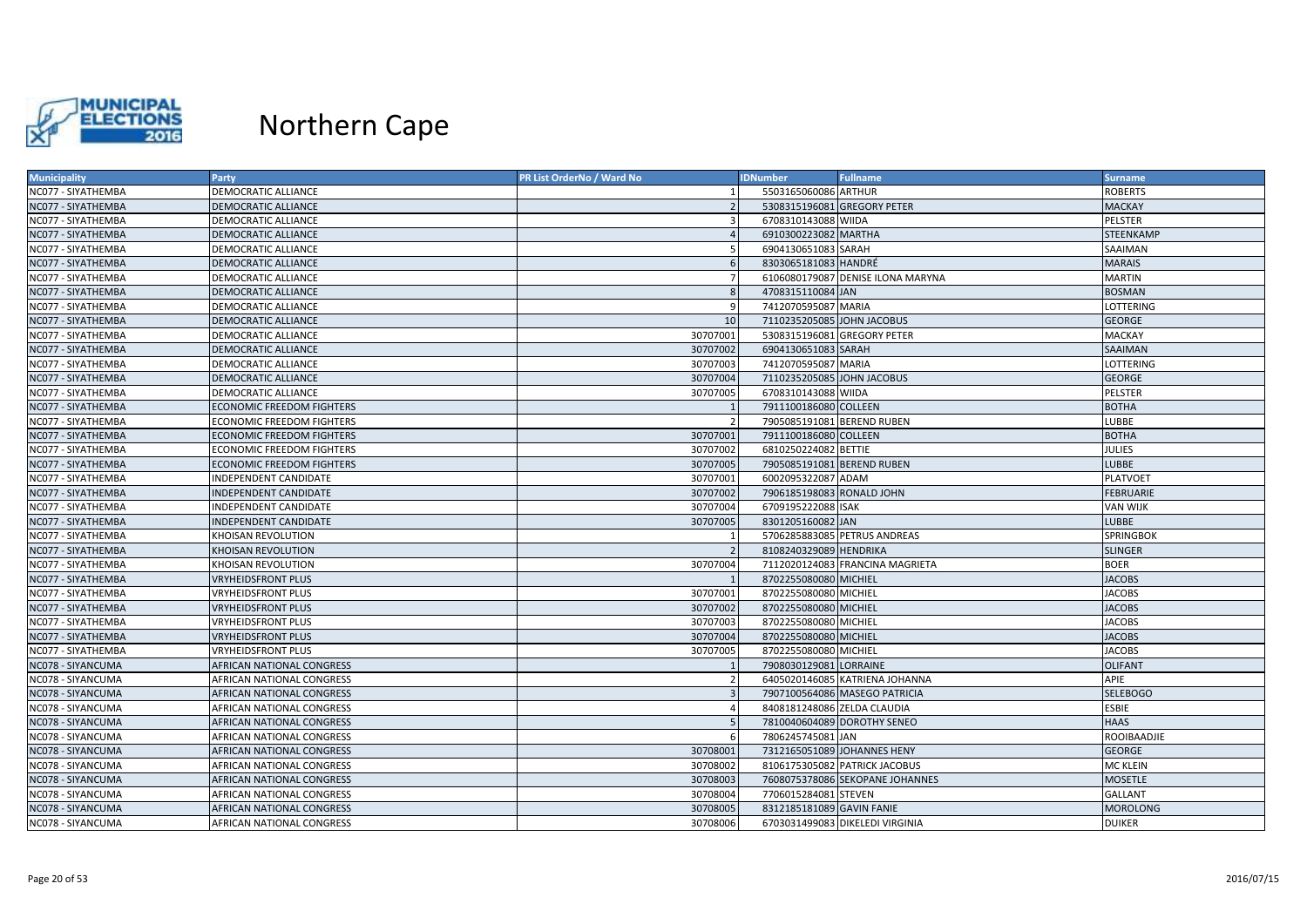

| <b>Municipality</b> | <b>Party</b>                     | PR List OrderNo / Ward No | <b>IDNumber</b>             | <b>Fullname</b>                   | Surname          |
|---------------------|----------------------------------|---------------------------|-----------------------------|-----------------------------------|------------------|
| NC077 - SIYATHEMBA  | DEMOCRATIC ALLIANCE              |                           | 5503165060086 ARTHUR        |                                   | <b>ROBERTS</b>   |
| NC077 - SIYATHEMBA  | DEMOCRATIC ALLIANCE              |                           | 5308315196081 GREGORY PETER |                                   | <b>MACKAY</b>    |
| NC077 - SIYATHEMBA  | DEMOCRATIC ALLIANCE              | 3                         | 6708310143088 WIIDA         |                                   | <b>PELSTER</b>   |
| NC077 - SIYATHEMBA  | <b>DEMOCRATIC ALLIANCE</b>       |                           | 6910300223082 MARTHA        |                                   | STEENKAMP        |
| NC077 - SIYATHEMBA  | DEMOCRATIC ALLIANCE              |                           | 6904130651083 SARAH         |                                   | SAAIMAN          |
| NC077 - SIYATHEMBA  | <b>DEMOCRATIC ALLIANCE</b>       |                           | 8303065181083 HANDRÉ        |                                   | <b>MARAIS</b>    |
| NC077 - SIYATHEMBA  | DEMOCRATIC ALLIANCE              |                           |                             | 6106080179087 DENISE ILONA MARYNA | MARTIN           |
| NC077 - SIYATHEMBA  | <b>DEMOCRATIC ALLIANCE</b>       | 8                         | 4708315110084 JAN           |                                   | <b>BOSMAN</b>    |
| NC077 - SIYATHEMBA  | DEMOCRATIC ALLIANCE              | <b>q</b>                  | 7412070595087 MARIA         |                                   | LOTTERING        |
| NC077 - SIYATHEMBA  | DEMOCRATIC ALLIANCE              | 10                        | 7110235205085 JOHN JACOBUS  |                                   | <b>GEORGE</b>    |
| NC077 - SIYATHEMBA  | <b>DEMOCRATIC ALLIANCE</b>       | 30707001                  | 5308315196081 GREGORY PETER |                                   | <b>MACKAY</b>    |
| NC077 - SIYATHEMBA  | DEMOCRATIC ALLIANCE              | 30707002                  | 6904130651083 SARAH         |                                   | SAAIMAN          |
| NC077 - SIYATHEMBA  | DEMOCRATIC ALLIANCE              | 30707003                  | 7412070595087 MARIA         |                                   | LOTTERING        |
| NC077 - SIYATHEMBA  | <b>DEMOCRATIC ALLIANCE</b>       | 30707004                  | 7110235205085 JOHN JACOBUS  |                                   | <b>GEORGE</b>    |
| NC077 - SIYATHEMBA  | DEMOCRATIC ALLIANCE              | 30707005                  | 6708310143088 WIIDA         |                                   | PELSTER          |
| NC077 - SIYATHEMBA  | <b>ECONOMIC FREEDOM FIGHTERS</b> |                           | 7911100186080 COLLEEN       |                                   | <b>BOTHA</b>     |
| NC077 - SIYATHEMBA  | <b>ECONOMIC FREEDOM FIGHTERS</b> |                           | 7905085191081 BEREND RUBEN  |                                   | LUBBE            |
| NC077 - SIYATHEMBA  | ECONOMIC FREEDOM FIGHTERS        | 30707001                  | 7911100186080 COLLEEN       |                                   | <b>BOTHA</b>     |
| NC077 - SIYATHEMBA  | <b>ECONOMIC FREEDOM FIGHTERS</b> | 30707002                  | 6810250224082 BETTIE        |                                   | <b>JULIES</b>    |
| NC077 - SIYATHEMBA  | <b>ECONOMIC FREEDOM FIGHTERS</b> | 30707005                  | 7905085191081 BEREND RUBEN  |                                   | <b>LUBBE</b>     |
| NC077 - SIYATHEMBA  | <b>INDEPENDENT CANDIDATE</b>     | 30707001                  | 6002095322087 ADAM          |                                   | <b>PLATVOET</b>  |
| NC077 - SIYATHEMBA  | <b>INDEPENDENT CANDIDATE</b>     | 30707002                  | 7906185198083 RONALD JOHN   |                                   | <b>FEBRUARIE</b> |
| NC077 - SIYATHEMBA  | NDEPENDENT CANDIDATE             | 30707004                  | 6709195222088 ISAK          |                                   | VAN WIJK         |
| NC077 - SIYATHEMBA  | <b>INDEPENDENT CANDIDATE</b>     | 30707005                  | 8301205160082 JAN           |                                   | <b>LUBBE</b>     |
| NC077 - SIYATHEMBA  | KHOISAN REVOLUTION               |                           |                             | 5706285883085 PETRUS ANDREAS      | <b>SPRINGBOK</b> |
| NC077 - SIYATHEMBA  | KHOISAN REVOLUTION               |                           | 8108240329089 HENDRIKA      |                                   | <b>SLINGER</b>   |
| NC077 - SIYATHEMBA  | KHOISAN REVOLUTION               | 30707004                  |                             | 7112020124083 FRANCINA MAGRIETA   | <b>BOER</b>      |
| NC077 - SIYATHEMBA  | <b>VRYHEIDSFRONT PLUS</b>        |                           | 8702255080080 MICHIEL       |                                   | <b>JACOBS</b>    |
| NC077 - SIYATHEMBA  | <b>VRYHEIDSFRONT PLUS</b>        | 30707001                  | 8702255080080 MICHIEL       |                                   | <b>JACOBS</b>    |
| NC077 - SIYATHEMBA  | <b>VRYHEIDSFRONT PLUS</b>        | 30707002                  | 8702255080080 MICHIEL       |                                   | <b>JACOBS</b>    |
| NC077 - SIYATHEMBA  | VRYHEIDSFRONT PLUS               | 30707003                  | 8702255080080 MICHIEL       |                                   | <b>JACOBS</b>    |
| NC077 - SIYATHEMBA  | <b>VRYHEIDSFRONT PLUS</b>        | 30707004                  | 8702255080080 MICHIEL       |                                   | <b>JACOBS</b>    |
| NC077 - SIYATHEMBA  | <b>VRYHEIDSFRONT PLUS</b>        | 30707005                  | 8702255080080 MICHIEL       |                                   | <b>JACOBS</b>    |
| NC078 - SIYANCUMA   | AFRICAN NATIONAL CONGRESS        |                           | 7908030129081 LORRAINE      |                                   | <b>OLIFANT</b>   |
| NC078 - SIYANCUMA   | AFRICAN NATIONAL CONGRESS        |                           |                             | 6405020146085 KATRIENA JOHANNA    | APIE             |
| NC078 - SIYANCUMA   | AFRICAN NATIONAL CONGRESS        |                           |                             | 7907100564086 MASEGO PATRICIA     | <b>SELEBOGO</b>  |
| NC078 - SIYANCUMA   | AFRICAN NATIONAL CONGRESS        |                           | 8408181248086 ZELDA CLAUDIA |                                   | <b>ESBIE</b>     |
| NC078 - SIYANCUMA   | AFRICAN NATIONAL CONGRESS        |                           | 7810040604089 DOROTHY SENEO |                                   | <b>HAAS</b>      |
| NC078 - SIYANCUMA   | AFRICAN NATIONAL CONGRESS        | -6                        | 7806245745081 JAN           |                                   | ROOIBAADJIE      |
| NC078 - SIYANCUMA   | AFRICAN NATIONAL CONGRESS        | 30708001                  | 7312165051089 JOHANNES HENY |                                   | <b>GEORGE</b>    |
| NC078 - SIYANCUMA   | AFRICAN NATIONAL CONGRESS        | 30708002                  |                             | 8106175305082 PATRICK JACOBUS     | MC KLEIN         |
| NC078 - SIYANCUMA   | AFRICAN NATIONAL CONGRESS        | 30708003                  |                             | 7608075378086 SEKOPANE JOHANNES   | <b>MOSETLE</b>   |
| NC078 - SIYANCUMA   | AFRICAN NATIONAL CONGRESS        | 30708004                  | 7706015284081 STEVEN        |                                   | <b>GALLANT</b>   |
| NC078 - SIYANCUMA   | AFRICAN NATIONAL CONGRESS        | 30708005                  | 8312185181089 GAVIN FANIE   |                                   | <b>MOROLONG</b>  |
| NC078 - SIYANCUMA   | AFRICAN NATIONAL CONGRESS        | 30708006                  |                             | 6703031499083 DIKELEDI VIRGINIA   | <b>DUIKER</b>    |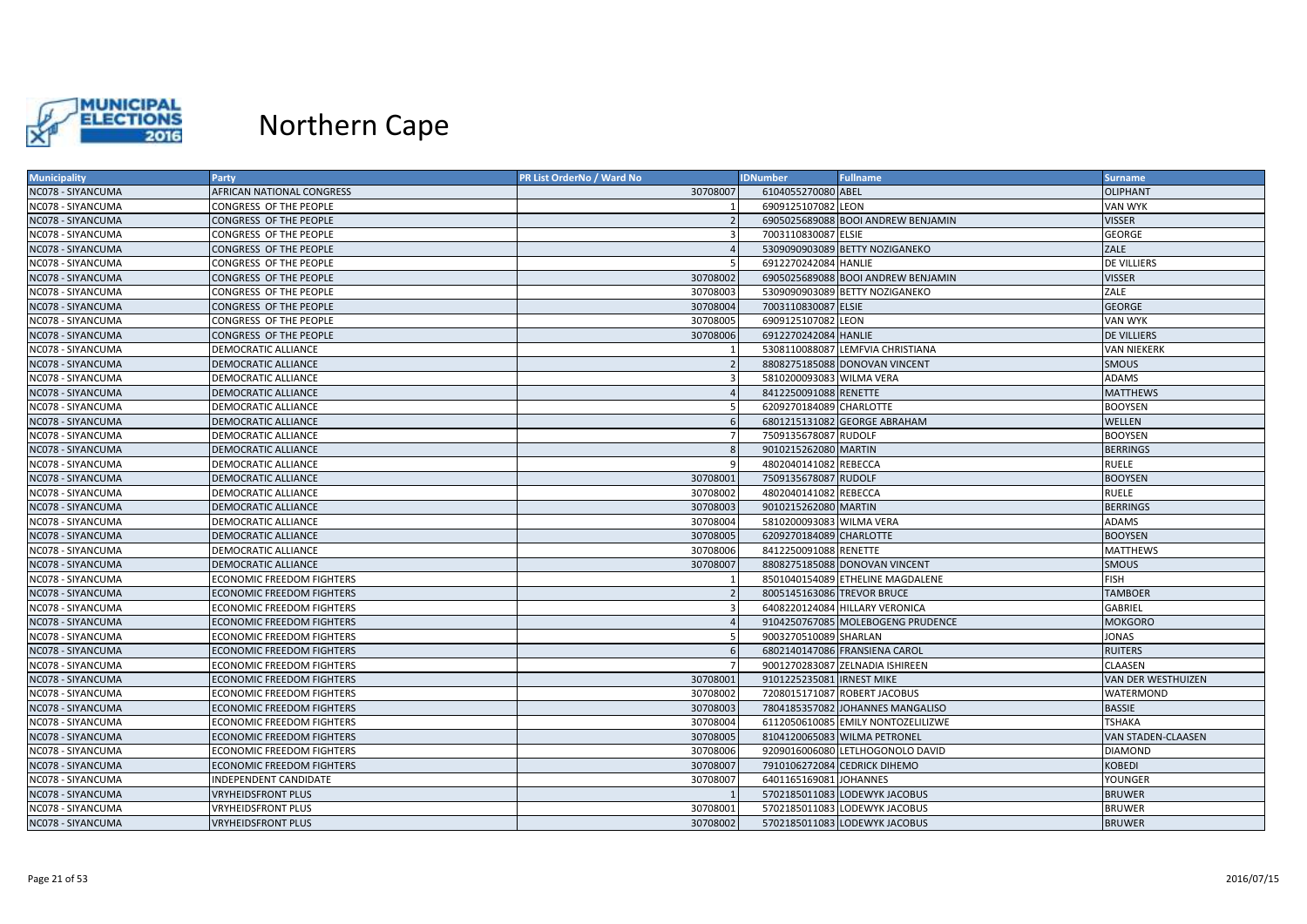

| <b>Municipality</b> | Party                            | PR List OrderNo / Ward No | <b>IDNumber</b>            | <b>Fullname</b>                    | <b>Surname</b>            |
|---------------------|----------------------------------|---------------------------|----------------------------|------------------------------------|---------------------------|
| NC078 - SIYANCUMA   | AFRICAN NATIONAL CONGRESS        | 30708007                  | 6104055270080 ABEL         |                                    | <b>OLIPHANT</b>           |
| NC078 - SIYANCUMA   | CONGRESS OF THE PEOPLE           |                           | 6909125107082 LEON         |                                    | VAN WYK                   |
| NC078 - SIYANCUMA   | CONGRESS OF THE PEOPLE           |                           |                            | 6905025689088 BOOI ANDREW BENJAMIN | <b>VISSER</b>             |
| NC078 - SIYANCUMA   | CONGRESS OF THE PEOPLE           |                           | 7003110830087 ELSIE        |                                    | <b>GEORGE</b>             |
| NC078 - SIYANCUMA   | <b>CONGRESS OF THE PEOPLE</b>    |                           |                            | 5309090903089 BETTY NOZIGANEKO     | ZALE                      |
| NC078 - SIYANCUMA   | CONGRESS OF THE PEOPLE           |                           | 6912270242084 HANLIE       |                                    | DE VILLIERS               |
| NC078 - SIYANCUMA   | CONGRESS OF THE PEOPLE           | 30708002                  |                            | 6905025689088 BOOI ANDREW BENJAMIN | <b>VISSER</b>             |
| NC078 - SIYANCUMA   | CONGRESS OF THE PEOPLE           | 30708003                  |                            | 5309090903089 BETTY NOZIGANEKO     | ZALE                      |
| NC078 - SIYANCUMA   | CONGRESS OF THE PEOPLE           | 30708004                  | 7003110830087 ELSIE        |                                    | <b>GEORGE</b>             |
| NC078 - SIYANCUMA   | CONGRESS OF THE PEOPLE           | 30708005                  | 6909125107082 LEON         |                                    | VAN WYK                   |
| NC078 - SIYANCUMA   | <b>CONGRESS OF THE PEOPLE</b>    | 30708006                  | 6912270242084 HANLIE       |                                    | <b>DE VILLIERS</b>        |
| NC078 - SIYANCUMA   | DEMOCRATIC ALLIANCE              |                           |                            | 5308110088087 LEMFVIA CHRISTIANA   | VAN NIEKERK               |
| NC078 - SIYANCUMA   | <b>DEMOCRATIC ALLIANCE</b>       |                           |                            | 8808275185088 DONOVAN VINCENT      | <b>SMOUS</b>              |
| NC078 - SIYANCUMA   | DEMOCRATIC ALLIANCE              |                           | 5810200093083 WILMA VERA   |                                    | ADAMS                     |
| NC078 - SIYANCUMA   | <b>DEMOCRATIC ALLIANCE</b>       |                           | 8412250091088 RENETTE      |                                    | <b>MATTHEWS</b>           |
| NC078 - SIYANCUMA   | DEMOCRATIC ALLIANCE              |                           | 6209270184089 CHARLOTTE    |                                    | <b>BOOYSEN</b>            |
| NC078 - SIYANCUMA   | <b>DEMOCRATIC ALLIANCE</b>       |                           |                            | 6801215131082 GEORGE ABRAHAM       | WELLEN                    |
| NC078 - SIYANCUMA   | DEMOCRATIC ALLIANCE              |                           | 7509135678087 RUDOLF       |                                    | <b>BOOYSEN</b>            |
| NC078 - SIYANCUMA   | <b>DEMOCRATIC ALLIANCE</b>       |                           | 9010215262080 MARTIN       |                                    | <b>BERRINGS</b>           |
| NC078 - SIYANCUMA   | DEMOCRATIC ALLIANCE              |                           | 4802040141082 REBECCA      |                                    | <b>RUELE</b>              |
| NC078 - SIYANCUMA   | <b>DEMOCRATIC ALLIANCE</b>       | 30708001                  | 7509135678087 RUDOLF       |                                    | <b>BOOYSEN</b>            |
| NC078 - SIYANCUMA   | <b>DEMOCRATIC ALLIANCE</b>       | 30708002                  | 4802040141082 REBECCA      |                                    | <b>RUELE</b>              |
| NC078 - SIYANCUMA   | <b>DEMOCRATIC ALLIANCE</b>       | 30708003                  | 9010215262080 MARTIN       |                                    | <b>BERRINGS</b>           |
| NC078 - SIYANCUMA   | DEMOCRATIC ALLIANCE              | 30708004                  | 5810200093083 WILMA VERA   |                                    | ADAMS                     |
| NC078 - SIYANCUMA   | <b>DEMOCRATIC ALLIANCE</b>       | 30708005                  | 6209270184089 CHARLOTTE    |                                    | <b>BOOYSEN</b>            |
| NC078 - SIYANCUMA   | DEMOCRATIC ALLIANCE              | 30708006                  | 8412250091088 RENETTE      |                                    | MATTHEWS                  |
| NC078 - SIYANCUMA   | <b>DEMOCRATIC ALLIANCE</b>       | 30708007                  |                            | 8808275185088 DONOVAN VINCENT      | <b>SMOUS</b>              |
| NC078 - SIYANCUMA   | <b>ECONOMIC FREEDOM FIGHTERS</b> |                           |                            | 8501040154089 ETHELINE MAGDALENE   | <b>FISH</b>               |
| NC078 - SIYANCUMA   | <b>ECONOMIC FREEDOM FIGHTERS</b> |                           | 8005145163086 TREVOR BRUCE |                                    | <b>TAMBOER</b>            |
| NC078 - SIYANCUMA   | <b>ECONOMIC FREEDOM FIGHTERS</b> |                           |                            | 6408220124084 HILLARY VERONICA     | GABRIEL                   |
| NC078 - SIYANCUMA   | <b>ECONOMIC FREEDOM FIGHTERS</b> |                           |                            | 9104250767085 MOLEBOGENG PRUDENCE  | <b>MOKGORO</b>            |
| NC078 - SIYANCUMA   | <b>ECONOMIC FREEDOM FIGHTERS</b> |                           | 9003270510089 SHARLAN      |                                    | JONAS                     |
| NC078 - SIYANCUMA   | <b>ECONOMIC FREEDOM FIGHTERS</b> |                           |                            | 6802140147086 FRANSIENA CAROL      | <b>RUITERS</b>            |
| NC078 - SIYANCUMA   | <b>ECONOMIC FREEDOM FIGHTERS</b> |                           |                            | 9001270283087 ZELNADIA ISHIREEN    | CLAASEN                   |
| NC078 - SIYANCUMA   | <b>ECONOMIC FREEDOM FIGHTERS</b> | 30708001                  | 9101225235081 IRNEST MIKE  |                                    | VAN DER WESTHUIZEN        |
| NC078 - SIYANCUMA   | <b>ECONOMIC FREEDOM FIGHTERS</b> | 30708002                  |                            | 7208015171087 ROBERT JACOBUS       | WATERMOND                 |
| NC078 - SIYANCUMA   | <b>ECONOMIC FREEDOM FIGHTERS</b> | 30708003                  |                            | 7804185357082 JOHANNES MANGALISO   | <b>BASSIE</b>             |
| NC078 - SIYANCUMA   | <b>ECONOMIC FREEDOM FIGHTERS</b> | 30708004                  |                            | 6112050610085 EMILY NONTOZELILIZWE | <b>TSHAKA</b>             |
| NC078 - SIYANCUMA   | <b>ECONOMIC FREEDOM FIGHTERS</b> | 30708005                  |                            | 8104120065083 WILMA PETRONEL       | <b>VAN STADEN-CLAASEN</b> |
| NC078 - SIYANCUMA   | <b>ECONOMIC FREEDOM FIGHTERS</b> | 30708006                  |                            | 9209016006080 LETLHOGONOLO DAVID   | <b>DIAMOND</b>            |
| NC078 - SIYANCUMA   | <b>ECONOMIC FREEDOM FIGHTERS</b> | 30708007                  |                            | 7910106272084 CEDRICK DIHEMO       | KOBEDI                    |
| NC078 - SIYANCUMA   | INDEPENDENT CANDIDATE            | 30708007                  | 6401165169081 JOHANNES     |                                    | YOUNGER                   |
| NC078 - SIYANCUMA   | <b>VRYHEIDSFRONT PLUS</b>        |                           |                            | 5702185011083 LODEWYK JACOBUS      | <b>BRUWER</b>             |
| NC078 - SIYANCUMA   | <b>VRYHEIDSFRONT PLUS</b>        | 30708001                  |                            | 5702185011083 LODEWYK JACOBUS      | <b>BRUWER</b>             |
| NC078 - SIYANCUMA   | <b>VRYHEIDSFRONT PLUS</b>        | 30708002                  |                            | 5702185011083 LODEWYK JACOBUS      | <b>BRUWER</b>             |
|                     |                                  |                           |                            |                                    |                           |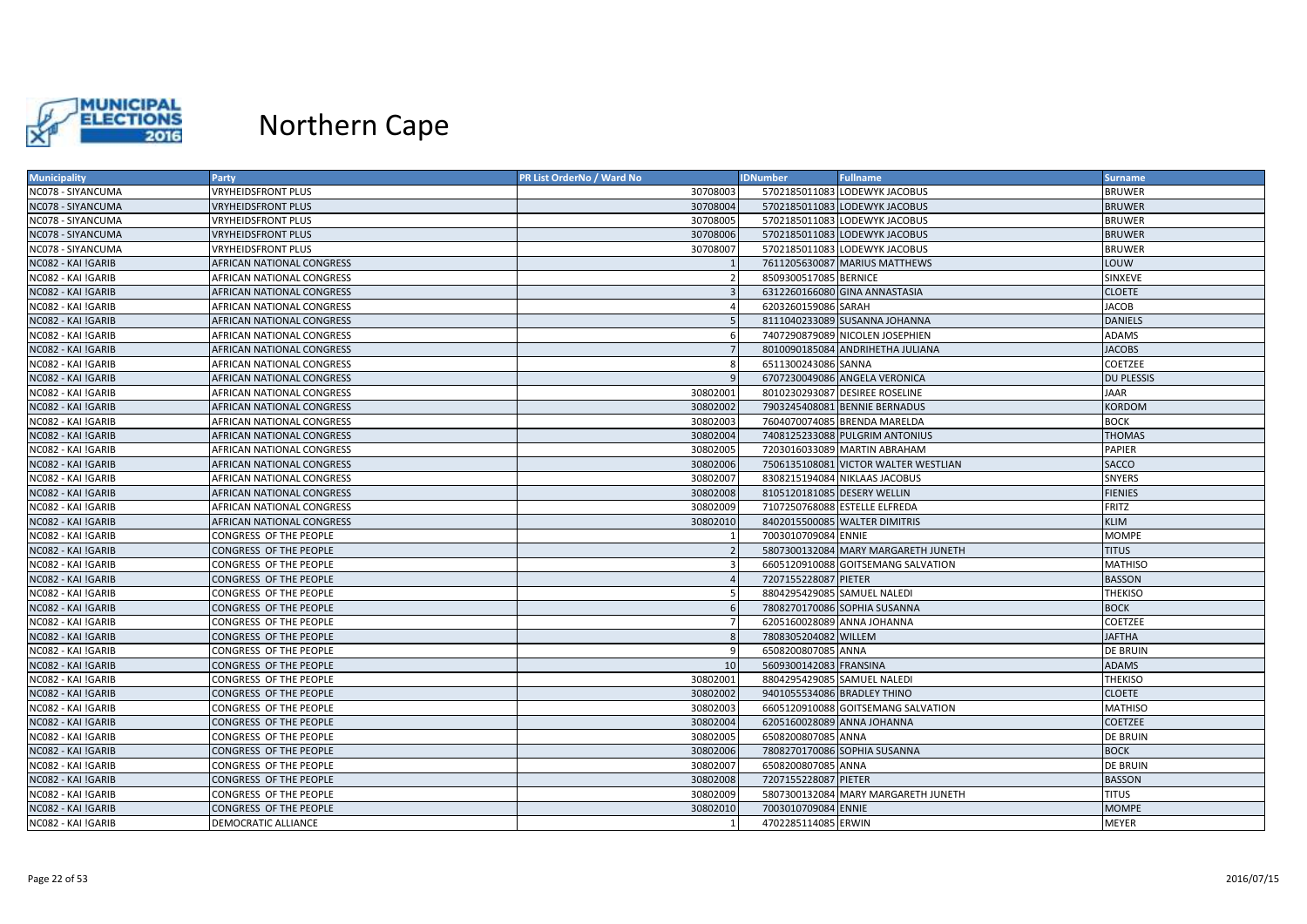

| <b>Municipality</b>       | Party                            | <b>PR List OrderNo / Ward No</b> | <b>IDNumber</b>             | <b>Fullname</b>                      | <b>Surname</b>    |
|---------------------------|----------------------------------|----------------------------------|-----------------------------|--------------------------------------|-------------------|
| NC078 - SIYANCUMA         | <b>VRYHEIDSFRONT PLUS</b>        | 30708003                         |                             | 5702185011083 LODEWYK JACOBUS        | <b>BRUWER</b>     |
| NC078 - SIYANCUMA         | <b>VRYHEIDSFRONT PLUS</b>        | 30708004                         |                             | 5702185011083 LODEWYK JACOBUS        | <b>BRUWER</b>     |
| NC078 - SIYANCUMA         | <b>VRYHEIDSFRONT PLUS</b>        | 30708005                         |                             | 5702185011083 LODEWYK JACOBUS        | <b>BRUWER</b>     |
| NC078 - SIYANCUMA         | <b>VRYHEIDSFRONT PLUS</b>        | 30708006                         |                             | 5702185011083 LODEWYK JACOBUS        | <b>BRUWER</b>     |
| NC078 - SIYANCUMA         | <b>VRYHEIDSFRONT PLUS</b>        | 30708007                         |                             | 5702185011083 LODEWYK JACOBUS        | <b>BRUWER</b>     |
| NC082 - KAI !GARIB        | <b>AFRICAN NATIONAL CONGRESS</b> |                                  |                             | 7611205630087 MARIUS MATTHEWS        | LOUW              |
| NC082 - KAI !GARIB        | AFRICAN NATIONAL CONGRESS        |                                  | 8509300517085 BERNICE       |                                      | SINXEVE           |
| NC082 - KAI !GARIB        | <b>AFRICAN NATIONAL CONGRESS</b> |                                  |                             | 6312260166080 GINA ANNASTASIA        | <b>CLOETE</b>     |
| NC082 - KAI !GARIB        | AFRICAN NATIONAL CONGRESS        |                                  | 6203260159086 SARAH         |                                      | JACOB             |
| NC082 - KAI !GARIB        | AFRICAN NATIONAL CONGRESS        |                                  |                             | 8111040233089 SUSANNA JOHANNA        | <b>DANIELS</b>    |
| NC082 - KAI !GARIB        | AFRICAN NATIONAL CONGRESS        |                                  |                             | 7407290879089 NICOLEN JOSEPHIEN      | <b>ADAMS</b>      |
| NC082 - KAI !GARIB        | AFRICAN NATIONAL CONGRESS        | -7                               |                             | 8010090185084 ANDRIHETHA JULIANA     | <b>JACOBS</b>     |
| NC082 - KAI !GARIB        | <b>AFRICAN NATIONAL CONGRESS</b> | -8                               | 6511300243086 SANNA         |                                      | <b>COETZEE</b>    |
| NC082 - KAI !GARIB        | AFRICAN NATIONAL CONGRESS        |                                  |                             | 6707230049086 ANGELA VERONICA        | <b>DU PLESSIS</b> |
| NC082 - KAI !GARIB        | AFRICAN NATIONAL CONGRESS        | 30802001                         |                             | 8010230293087 DESIREE ROSELINE       | JAAR              |
| NC082 - KAI !GARIB        | <b>AFRICAN NATIONAL CONGRESS</b> | 30802002                         |                             | 7903245408081 BENNIE BERNADUS        | <b>KORDOM</b>     |
| NC082 - KAI !GARIB        | AFRICAN NATIONAL CONGRESS        | 30802003                         |                             | 7604070074085 BRENDA MARELDA         | <b>BOCK</b>       |
| NC082 - KAI !GARIB        | <b>AFRICAN NATIONAL CONGRESS</b> | 30802004                         |                             | 7408125233088 PULGRIM ANTONIUS       | <b>THOMAS</b>     |
| NC082 - KAI !GARIB        | AFRICAN NATIONAL CONGRESS        | 30802005                         |                             | 7203016033089 MARTIN ABRAHAM         | <b>PAPIER</b>     |
| NC082 - KAI !GARIB        | AFRICAN NATIONAL CONGRESS        | 30802006                         |                             | 7506135108081 VICTOR WALTER WESTLIAN | <b>SACCO</b>      |
| NC082 - KAI !GARIB        | <b>AFRICAN NATIONAL CONGRESS</b> | 30802007                         |                             | 8308215194084 NIKLAAS JACOBUS        | <b>SNYERS</b>     |
| NC082 - KAI !GARIB        | AFRICAN NATIONAL CONGRESS        | 30802008                         | 8105120181085 DESERY WELLIN |                                      | <b>FIENIES</b>    |
| <b>ICO82 - KAI !GARIB</b> | <b>AFRICAN NATIONAL CONGRESS</b> | 30802009                         |                             | 7107250768088 ESTELLE ELFREDA        | FRITZ             |
| NC082 - KAI !GARIB        | AFRICAN NATIONAL CONGRESS        | 30802010                         |                             | 8402015500085 WALTER DIMITRIS        | <b>KLIM</b>       |
| NC082 - KAI !GARIB        | CONGRESS OF THE PEOPLE           |                                  | 7003010709084 ENNIE         |                                      | MOMPE             |
| NC082 - KAI !GARIB        | CONGRESS OF THE PEOPLE           |                                  |                             | 5807300132084 MARY MARGARETH JUNETH  | <b>TITUS</b>      |
| NC082 - KAI !GARIB        | CONGRESS OF THE PEOPLE           |                                  |                             | 6605120910088 GOITSEMANG SALVATION   | <b>MATHISO</b>    |
| NC082 - KAI !GARIB        | CONGRESS OF THE PEOPLE           |                                  | 7207155228087 PIETER        |                                      | <b>BASSON</b>     |
| NC082 - KAI !GARIB        | CONGRESS OF THE PEOPLE           |                                  | 8804295429085 SAMUEL NALEDI |                                      | <b>THEKISO</b>    |
| NC082 - KAI !GARIB        | CONGRESS OF THE PEOPLE           |                                  |                             | 7808270170086 SOPHIA SUSANNA         | <b>BOCK</b>       |
| NC082 - KAI !GARIB        | CONGRESS OF THE PEOPLE           |                                  | 6205160028089 ANNA JOHANNA  |                                      | COETZEE           |
| NC082 - KAI !GARIB        | CONGRESS OF THE PEOPLE           |                                  | 7808305204082 WILLEM        |                                      | <b>JAFTHA</b>     |
| NC082 - KAI !GARIB        | CONGRESS OF THE PEOPLE           |                                  | 6508200807085 ANNA          |                                      | <b>DE BRUIN</b>   |
| NC082 - KAI !GARIB        | CONGRESS OF THE PEOPLE           | 10                               | 5609300142083 FRANSINA      |                                      | <b>ADAMS</b>      |
| NC082 - KAI !GARIB        | CONGRESS OF THE PEOPLE           | 30802001                         | 8804295429085 SAMUEL NALEDI |                                      | <b>THEKISO</b>    |
| NC082 - KAI !GARIB        | <b>CONGRESS OF THE PEOPLE</b>    | 30802002                         | 9401055534086 BRADLEY THINO |                                      | <b>CLOETE</b>     |
| NC082 - KAI !GARIB        | CONGRESS OF THE PEOPLE           | 30802003                         |                             | 6605120910088 GOITSEMANG SALVATION   | <b>MATHISO</b>    |
| NC082 - KAI !GARIB        | CONGRESS OF THE PEOPLE           | 30802004                         | 6205160028089 ANNA JOHANNA  |                                      | COETZEE           |
| <b>ICO82 - KAI !GARIB</b> | CONGRESS OF THE PEOPLE           | 30802005                         | 6508200807085 ANNA          |                                      | <b>DE BRUIN</b>   |
| NC082 - KAI !GARIB        | <b>CONGRESS OF THE PEOPLE</b>    | 30802006                         |                             | 7808270170086 SOPHIA SUSANNA         | <b>BOCK</b>       |
| NC082 - KAI !GARIB        | CONGRESS OF THE PEOPLE           | 30802007                         | 6508200807085 ANNA          |                                      | <b>DE BRUIN</b>   |
| NC082 - KAI !GARIB        | CONGRESS OF THE PEOPLE           | 30802008                         | 7207155228087 PIETER        |                                      | <b>BASSON</b>     |
| NC082 - KAI !GARIB        | CONGRESS OF THE PEOPLE           | 30802009                         |                             | 5807300132084 MARY MARGARETH JUNETH  | <b>TITUS</b>      |
| NC082 - KAI !GARIB        | <b>CONGRESS OF THE PEOPLE</b>    | 30802010                         | 7003010709084 ENNIE         |                                      | <b>MOMPE</b>      |
| NC082 - KAI !GARIB        | <b>DEMOCRATIC ALLIANCE</b>       |                                  | 4702285114085 ERWIN         |                                      | <b>MEYER</b>      |
|                           |                                  |                                  |                             |                                      |                   |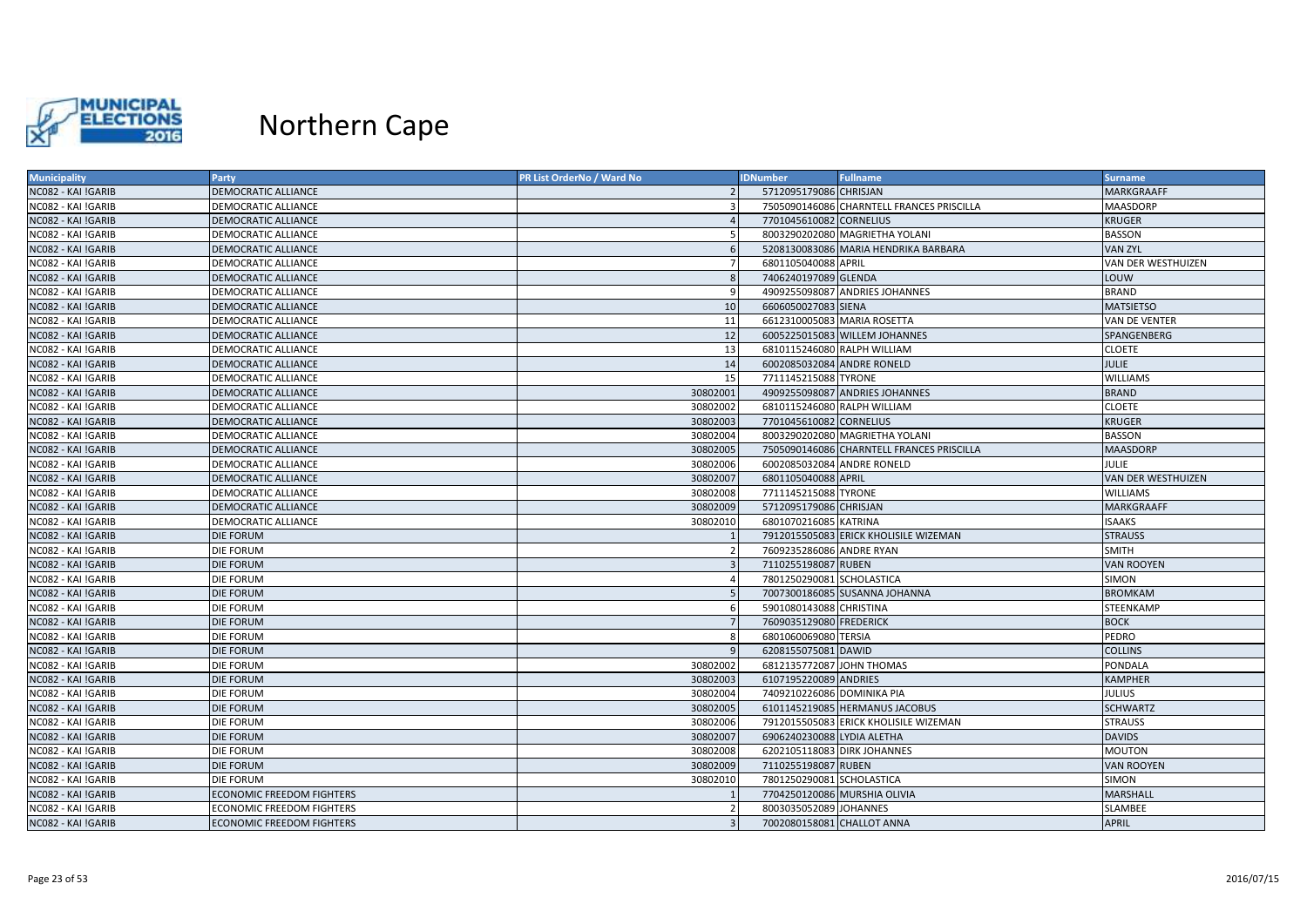

| <b>Municipality</b> | <b>Party</b>                     | <b>PR List OrderNo / Ward No</b> | <b>IDNumber</b>             | <b>Fullname</b>                           | <b>Surname</b>            |
|---------------------|----------------------------------|----------------------------------|-----------------------------|-------------------------------------------|---------------------------|
| NC082 - KAI !GARIB  | <b>DEMOCRATIC ALLIANCE</b>       |                                  | 5712095179086 CHRISJAN      |                                           | <b>MARKGRAAFF</b>         |
| NC082 - KAI !GARIB  | DEMOCRATIC ALLIANCE              |                                  |                             | 7505090146086 CHARNTELL FRANCES PRISCILLA | MAASDORP                  |
| NC082 - KAI !GARIB  | <b>DEMOCRATIC ALLIANCE</b>       | $\overline{4}$                   | 7701045610082 CORNELIUS     |                                           | <b>KRUGER</b>             |
| NC082 - KAI !GARIB  | DEMOCRATIC ALLIANCE              | -5                               |                             | 8003290202080 MAGRIETHA YOLANI            | <b>BASSON</b>             |
| NC082 - KAI !GARIB  | <b>DEMOCRATIC ALLIANCE</b>       | 6                                |                             | 5208130083086 MARIA HENDRIKA BARBARA      | <b>VAN ZYL</b>            |
| NC082 - KAI !GARIB  | <b>DEMOCRATIC ALLIANCE</b>       | $\overline{7}$                   | 6801105040088 APRIL         |                                           | VAN DER WESTHUIZEN        |
| NC082 - KAI !GARIB  | DEMOCRATIC ALLIANCE              | 8                                | 7406240197089 GLENDA        |                                           | LOUW                      |
| NC082 - KAI !GARIB  | <b>DEMOCRATIC ALLIANCE</b>       | 9                                |                             | 4909255098087 ANDRIES JOHANNES            | <b>BRAND</b>              |
| NC082 - KAI !GARIB  | <b>DEMOCRATIC ALLIANCE</b>       | 10                               | 6606050027083 SIENA         |                                           | <b>MATSIETSO</b>          |
| NC082 - KAI !GARIB  | DEMOCRATIC ALLIANCE              | 11                               |                             | 6612310005083 MARIA ROSETTA               | VAN DE VENTER             |
| NC082 - KAI !GARIB  | <b>DEMOCRATIC ALLIANCE</b>       | 12                               |                             | 6005225015083 WILLEM JOHANNES             | SPANGENBERG               |
| NC082 - KAI !GARIB  | DEMOCRATIC ALLIANCE              | 13                               | 6810115246080 RALPH WILLIAM |                                           | <b>CLOETE</b>             |
| NC082 - KAI !GARIB  | <b>DEMOCRATIC ALLIANCE</b>       | 14                               | 6002085032084 ANDRE RONELD  |                                           | <b>JULIE</b>              |
| NC082 - KAI !GARIB  | DEMOCRATIC ALLIANCE              | 15                               | 7711145215088 TYRONE        |                                           | <b>WILLIAMS</b>           |
| NC082 - KAI !GARIB  | DEMOCRATIC ALLIANCE              | 30802001                         |                             | 4909255098087 ANDRIES JOHANNES            | <b>BRAND</b>              |
| NC082 - KAI !GARIB  | <b>DEMOCRATIC ALLIANCE</b>       | 30802002                         | 6810115246080 RALPH WILLIAM |                                           | <b>CLOETE</b>             |
| NC082 - KAI !GARIB  | <b>DEMOCRATIC ALLIANCE</b>       | 30802003                         | 7701045610082 CORNELIUS     |                                           | <b>KRUGER</b>             |
| NC082 - KAI !GARIB  | DEMOCRATIC ALLIANCE              | 30802004                         |                             | 8003290202080 MAGRIETHA YOLANI            | <b>BASSON</b>             |
| NC082 - KAI !GARIB  | <b>DEMOCRATIC ALLIANCE</b>       | 30802005                         |                             | 7505090146086 CHARNTELL FRANCES PRISCILLA | <b>MAASDORP</b>           |
| NC082 - KAI !GARIB  | DEMOCRATIC ALLIANCE              | 30802006                         | 6002085032084 ANDRE RONELD  |                                           | <b>JULIE</b>              |
| NC082 - KAI !GARIB  | <b>DEMOCRATIC ALLIANCE</b>       | 30802007                         | 6801105040088 APRIL         |                                           | <b>VAN DER WESTHUIZEN</b> |
| NC082 - KAI !GARIB  | DEMOCRATIC ALLIANCE              | 30802008                         | 7711145215088 TYRONE        |                                           | <b>WILLIAMS</b>           |
| NC082 - KAI !GARIB  | <b>DEMOCRATIC ALLIANCE</b>       | 30802009                         | 5712095179086 CHRISJAN      |                                           | <b>MARKGRAAFF</b>         |
| NC082 - KAI !GARIB  | <b>DEMOCRATIC ALLIANCE</b>       | 30802010                         | 6801070216085 KATRINA       |                                           | <b>ISAAKS</b>             |
| NC082 - KAI !GARIB  | <b>DIE FORUM</b>                 |                                  |                             | 7912015505083 ERICK KHOLISILE WIZEMAN     | <b>STRAUSS</b>            |
| NC082 - KAI !GARIB  | <b>DIE FORUM</b>                 |                                  | 7609235286086 ANDRE RYAN    |                                           | <b>SMITH</b>              |
| NC082 - KAI !GARIB  | <b>DIE FORUM</b>                 | $\overline{3}$                   | 7110255198087 RUBEN         |                                           | <b>VAN ROOYEN</b>         |
| NC082 - KAI !GARIB  | <b>DIE FORUM</b>                 | $\overline{4}$                   | 7801250290081 SCHOLASTICA   |                                           | SIMON                     |
| NC082 - KAI !GARIB  | <b>DIE FORUM</b>                 |                                  |                             | 7007300186085 SUSANNA JOHANNA             | <b>BROMKAM</b>            |
| NC082 - KAI !GARIB  | DIE FORUM                        | -6                               | 5901080143088 CHRISTINA     |                                           | STEENKAMP                 |
| NC082 - KAI !GARIB  | <b>DIE FORUM</b>                 | $\overline{7}$                   | 7609035129080 FREDERICK     |                                           | <b>BOCK</b>               |
| NC082 - KAI !GARIB  | <b>DIE FORUM</b>                 | 8                                | 6801060069080 TERSIA        |                                           | PEDRO                     |
| NC082 - KAI !GARIB  | <b>DIE FORUM</b>                 | $\mathbf{q}$                     | 6208155075081 DAWID         |                                           | <b>COLLINS</b>            |
| NC082 - KAI !GARIB  | <b>DIE FORUM</b>                 | 30802002                         | 6812135772087 JOHN THOMAS   |                                           | PONDALA                   |
| NC082 - KAI !GARIB  | <b>DIE FORUM</b>                 | 30802003                         | 6107195220089 ANDRIES       |                                           | <b>KAMPHER</b>            |
| NC082 - KAI !GARIB  | <b>DIE FORUM</b>                 | 30802004                         | 7409210226086 DOMINIKA PIA  |                                           | <b>JULIUS</b>             |
| NC082 - KAI !GARIB  | <b>DIE FORUM</b>                 | 30802005                         |                             | 6101145219085 HERMANUS JACOBUS            | <b>SCHWARTZ</b>           |
| NC082 - KAI !GARIB  | <b>DIE FORUM</b>                 | 30802006                         |                             | 7912015505083 ERICK KHOLISILE WIZEMAN     | <b>STRAUSS</b>            |
| NC082 - KAI !GARIB  | <b>DIE FORUM</b>                 | 30802007                         | 6906240230088 LYDIA ALETHA  |                                           | <b>DAVIDS</b>             |
| NC082 - KAI !GARIB  | <b>DIE FORUM</b>                 | 30802008                         | 6202105118083 DIRK JOHANNES |                                           | <b>MOUTON</b>             |
| NC082 - KAI !GARIB  | <b>DIE FORUM</b>                 | 30802009                         | 7110255198087 RUBEN         |                                           | <b>VAN ROOYEN</b>         |
| NC082 - KAI !GARIB  | <b>DIE FORUM</b>                 | 30802010                         | 7801250290081 SCHOLASTICA   |                                           | SIMON                     |
| NC082 - KAI !GARIB  | <b>ECONOMIC FREEDOM FIGHTERS</b> |                                  |                             | 7704250120086 MURSHIA OLIVIA              | <b>MARSHALL</b>           |
| NC082 - KAI !GARIB  | <b>ECONOMIC FREEDOM FIGHTERS</b> | $\overline{2}$                   | 8003035052089 JOHANNES      |                                           | SLAMBEE                   |
| NC082 - KAI !GARIB  | <b>ECONOMIC FREEDOM FIGHTERS</b> | $\overline{3}$                   | 7002080158081 CHALLOT ANNA  |                                           | <b>APRIL</b>              |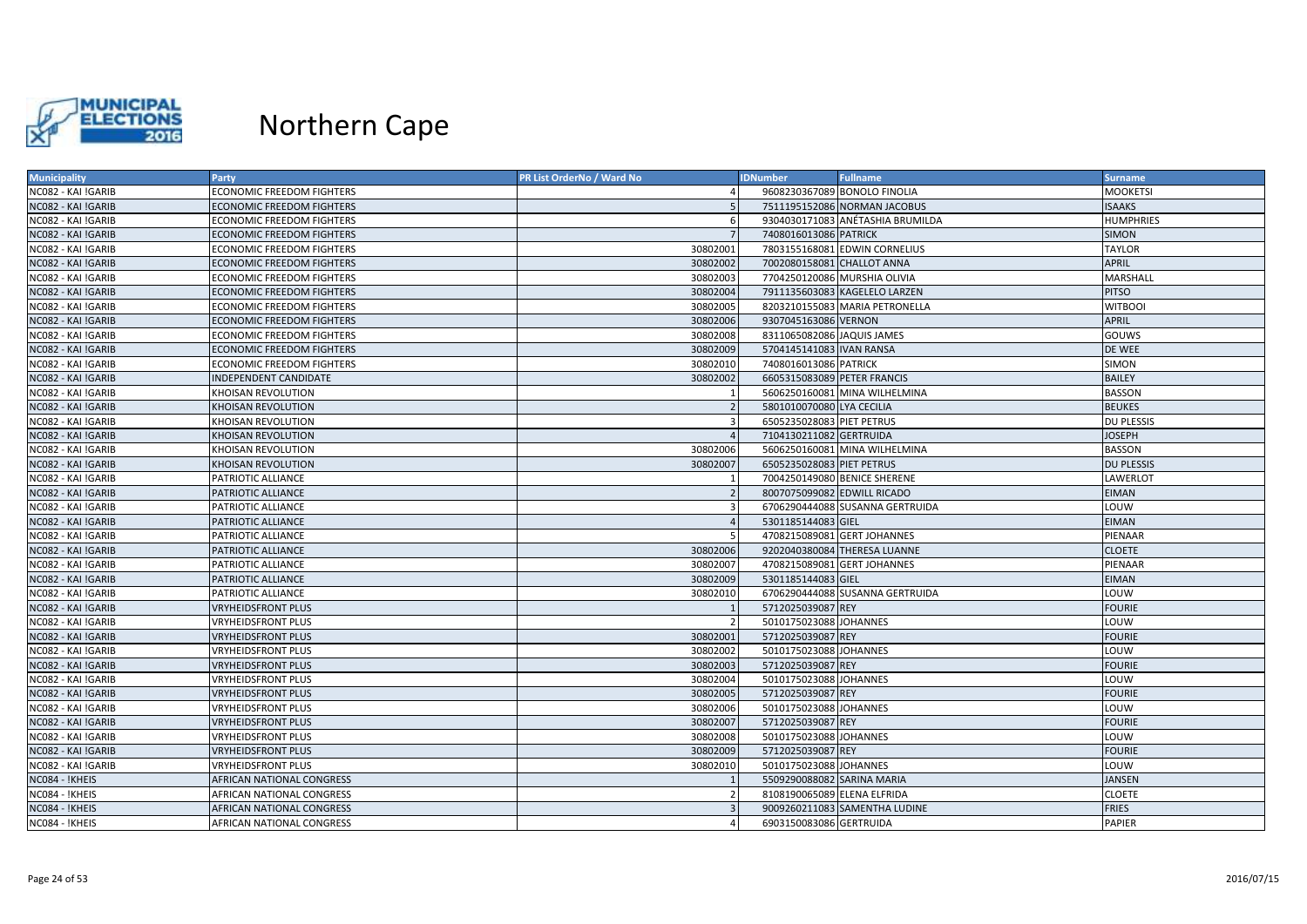

| <b>Municipality</b> | <b>Party</b>                     | PR List OrderNo / Ward No | <b>IDNumber</b>              | <b>Fullname</b>                  | <b>Surname</b>    |
|---------------------|----------------------------------|---------------------------|------------------------------|----------------------------------|-------------------|
| NC082 - KAI !GARIB  | <b>ECONOMIC FREEDOM FIGHTERS</b> |                           |                              | 9608230367089 BONOLO FINOLIA     | <b>MOOKETSI</b>   |
| NC082 - KAI !GARIB  | <b>ECONOMIC FREEDOM FIGHTERS</b> |                           |                              | 7511195152086 NORMAN JACOBUS     | <b>ISAAKS</b>     |
| NC082 - KAI !GARIB  | <b>ECONOMIC FREEDOM FIGHTERS</b> | $\epsilon$                |                              | 9304030171083 ANÉTASHIA BRUMILDA | <b>HUMPHRIES</b>  |
| NC082 - KAI !GARIB  | <b>ECONOMIC FREEDOM FIGHTERS</b> |                           | 7408016013086 PATRICK        |                                  | <b>SIMON</b>      |
| NC082 - KAI !GARIB  | <b>ECONOMIC FREEDOM FIGHTERS</b> | 30802001                  |                              | 7803155168081 EDWIN CORNELIUS    | <b>TAYLOR</b>     |
| NC082 - KAI !GARIB  | ECONOMIC FREEDOM FIGHTERS        | 30802002                  | 7002080158081 CHALLOT ANNA   |                                  | <b>APRIL</b>      |
| NC082 - KAI !GARIB  | ECONOMIC FREEDOM FIGHTERS        | 30802003                  | 7704250120086 MURSHIA OLIVIA |                                  | MARSHALL          |
| NC082 - KAI !GARIB  | <b>ECONOMIC FREEDOM FIGHTERS</b> | 30802004                  |                              | 7911135603083 KAGELELO LARZEN    | <b>PITSO</b>      |
| NC082 - KAI !GARIB  | <b>ECONOMIC FREEDOM FIGHTERS</b> | 30802005                  |                              | 8203210155083 MARIA PETRONELLA   | <b>WITBOOI</b>    |
| NC082 - KAI !GARIB  | ECONOMIC FREEDOM FIGHTERS        | 30802006                  | 9307045163086 VERNON         |                                  | APRIL             |
| NC082 - KAI !GARIB  | <b>ECONOMIC FREEDOM FIGHTERS</b> | 30802008                  | 8311065082086 JAQUIS JAMES   |                                  | GOUWS             |
| NC082 - KAI !GARIB  | <b>ECONOMIC FREEDOM FIGHTERS</b> | 30802009                  | 5704145141083 IVAN RANSA     |                                  | DE WEE            |
| NC082 - KAI !GARIB  | <b>ECONOMIC FREEDOM FIGHTERS</b> | 30802010                  | 7408016013086 PATRICK        |                                  | SIMON             |
| NC082 - KAI !GARIB  | <b>INDEPENDENT CANDIDATE</b>     | 30802002                  | 6605315083089 PETER FRANCIS  |                                  | <b>BAILEY</b>     |
| NC082 - KAI !GARIB  | KHOISAN REVOLUTION               |                           |                              | 5606250160081 MINA WILHELMINA    | <b>BASSON</b>     |
| NC082 - KAI !GARIB  | KHOISAN REVOLUTION               |                           | 5801010070080 LYA CECILIA    |                                  | <b>BEUKES</b>     |
| NC082 - KAI !GARIB  | <b>CHOISAN REVOLUTION</b>        |                           | 6505235028083 PIET PETRUS    |                                  | <b>DU PLESSIS</b> |
| NC082 - KAI !GARIB  | KHOISAN REVOLUTION               |                           | 7104130211082 GERTRUIDA      |                                  | <b>JOSEPH</b>     |
| NC082 - KAI !GARIB  | KHOISAN REVOLUTION               | 30802006                  |                              | 5606250160081 MINA WILHELMINA    | <b>BASSON</b>     |
| NC082 - KAI !GARIB  | KHOISAN REVOLUTION               | 30802007                  | 6505235028083 PIET PETRUS    |                                  | <b>DU PLESSIS</b> |
| NC082 - KAI !GARIB  | PATRIOTIC ALLIANCE               |                           | 7004250149080 BENICE SHERENE |                                  | LAWERLOT          |
| NC082 - KAI !GARIB  | PATRIOTIC ALLIANCE               |                           | 8007075099082 EDWILL RICADO  |                                  | <b>EIMAN</b>      |
| NC082 - KAI !GARIB  | PATRIOTIC ALLIANCE               |                           |                              | 6706290444088 SUSANNA GERTRUIDA  | LOUW              |
| NC082 - KAI !GARIB  | PATRIOTIC ALLIANCE               |                           | 5301185144083 GIEL           |                                  | <b>EIMAN</b>      |
| NC082 - KAI !GARIB  | PATRIOTIC ALLIANCE               |                           | 4708215089081 GERT JOHANNES  |                                  | PIENAAR           |
| NC082 - KAI !GARIB  | PATRIOTIC ALLIANCE               | 30802006                  |                              | 9202040380084 THERESA LUANNE     | <b>CLOETE</b>     |
| NC082 - KAI !GARIB  | PATRIOTIC ALLIANCE               | 30802007                  | 4708215089081 GERT JOHANNES  |                                  | PIENAAR           |
| NC082 - KAI !GARIB  | PATRIOTIC ALLIANCE               | 30802009                  | 5301185144083 GIEL           |                                  | <b>EIMAN</b>      |
| NC082 - KAI !GARIB  | PATRIOTIC ALLIANCE               | 30802010                  |                              | 6706290444088 SUSANNA GERTRUIDA  | LOUW              |
| NC082 - KAI !GARIB  | <b>VRYHEIDSFRONT PLUS</b>        |                           | 5712025039087 REY            |                                  | <b>FOURIE</b>     |
| NC082 - KAI !GARIB  | VRYHEIDSFRONT PLUS               |                           | 5010175023088 JOHANNES       |                                  | LOUW              |
| NC082 - KAI !GARIB  | <b>VRYHEIDSFRONT PLUS</b>        | 30802001                  | 5712025039087 REY            |                                  | <b>FOURIE</b>     |
| NC082 - KAI !GARIB  | <b>VRYHEIDSFRONT PLUS</b>        | 30802002                  | 5010175023088 JOHANNES       |                                  | LOUW              |
| NC082 - KAI !GARIB  | VRYHEIDSFRONT PLUS               | 30802003                  | 5712025039087 REY            |                                  | <b>FOURIE</b>     |
| NC082 - KAI !GARIB  | VRYHEIDSFRONT PLUS               | 30802004                  | 5010175023088 JOHANNES       |                                  | LOUW              |
| NC082 - KAI !GARIB  | <b>VRYHEIDSFRONT PLUS</b>        | 30802005                  | 5712025039087 REY            |                                  | <b>FOURIE</b>     |
| NC082 - KAI !GARIB  | VRYHEIDSFRONT PLUS               | 30802006                  | 5010175023088 JOHANNES       |                                  | LOUW              |
| NC082 - KAI !GARIB  | <b>VRYHEIDSFRONT PLUS</b>        | 30802007                  | 5712025039087 REY            |                                  | <b>FOURIE</b>     |
| NC082 - KAI !GARIB  | VRYHEIDSFRONT PLUS               | 30802008                  | 5010175023088 JOHANNES       |                                  | LOUW              |
| NC082 - KAI !GARIB  | VRYHEIDSFRONT PLUS               | 30802009                  | 5712025039087 REY            |                                  | <b>FOURIE</b>     |
| NC082 - KAI !GARIB  | <b>VRYHEIDSFRONT PLUS</b>        | 30802010                  | 5010175023088 JOHANNES       |                                  | LOUW              |
| NC084 - !KHEIS      | AFRICAN NATIONAL CONGRESS        |                           | 5509290088082 SARINA MARIA   |                                  | JANSEN            |
| NC084 - !KHEIS      | AFRICAN NATIONAL CONGRESS        |                           | 8108190065089 ELENA ELFRIDA  |                                  | <b>CLOETE</b>     |
| NC084 - !KHEIS      | AFRICAN NATIONAL CONGRESS        |                           |                              | 9009260211083 SAMENTHA LUDINE    | <b>FRIES</b>      |
| NC084 - !KHEIS      | AFRICAN NATIONAL CONGRESS        |                           | 6903150083086 GERTRUIDA      |                                  | <b>PAPIER</b>     |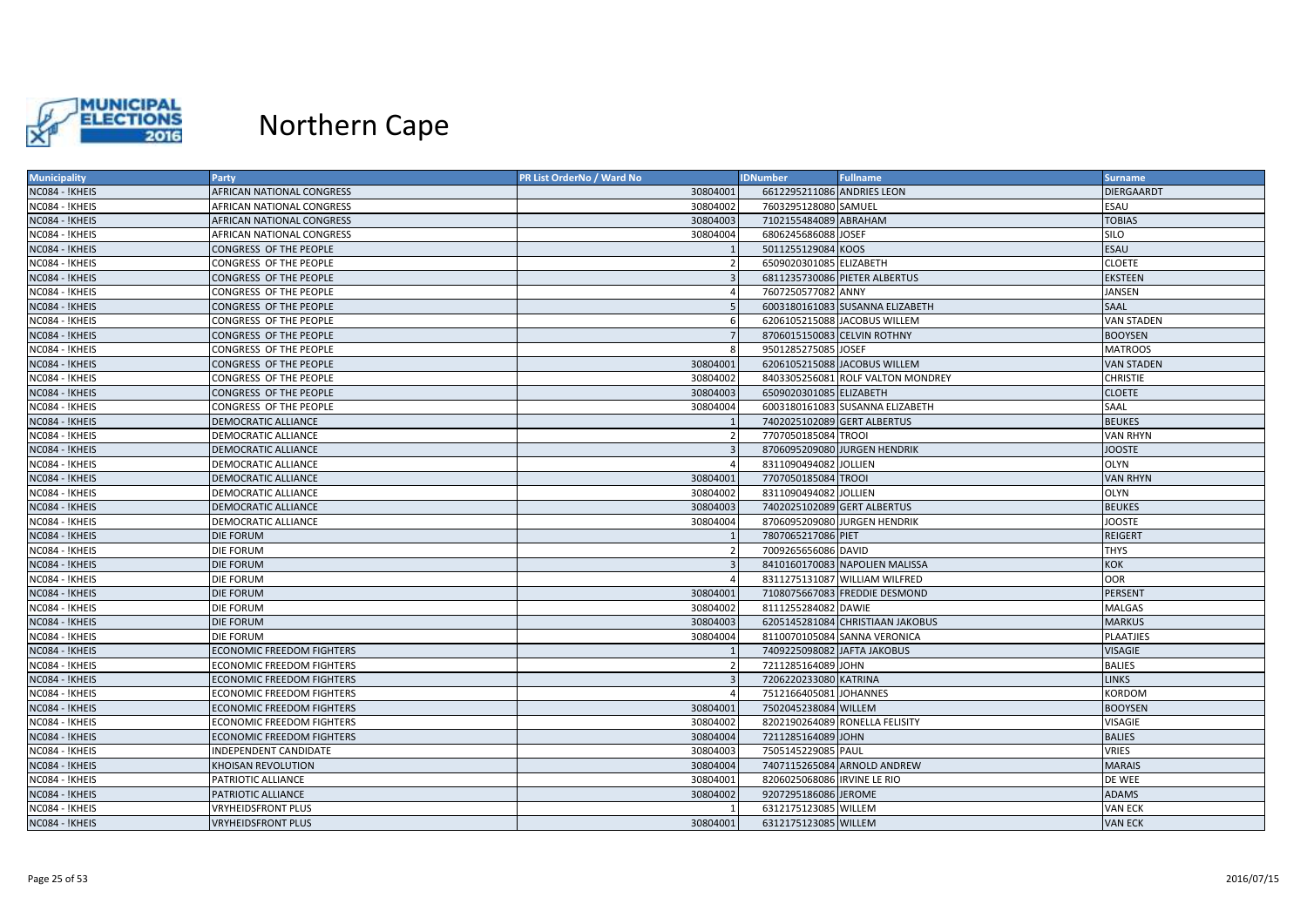

| <b>Municipality</b> | Party                            | PR List OrderNo / Ward No | <b>IDNumber</b>             | <b>Fullname</b>                   | <b>Surname</b>    |
|---------------------|----------------------------------|---------------------------|-----------------------------|-----------------------------------|-------------------|
| NC084 - !KHEIS      | AFRICAN NATIONAL CONGRESS        | 30804001                  | 6612295211086 ANDRIES LEON  |                                   | <b>DIERGAARDT</b> |
| NC084 - !KHEIS      | AFRICAN NATIONAL CONGRESS        | 30804002                  | 7603295128080 SAMUEL        |                                   | ESAU              |
| NC084 - !KHEIS      | AFRICAN NATIONAL CONGRESS        | 30804003                  | 7102155484089 ABRAHAM       |                                   | <b>TOBIAS</b>     |
| NC084 - !KHEIS      | AFRICAN NATIONAL CONGRESS        | 30804004                  | 6806245686088 JOSEF         |                                   | <b>SILO</b>       |
| NC084 - !KHEIS      | CONGRESS OF THE PEOPLE           |                           | 5011255129084 KOOS          |                                   | <b>ESAU</b>       |
| NC084 - !KHEIS      | CONGRESS OF THE PEOPLE           |                           | 6509020301085 ELIZABETH     |                                   | <b>CLOETE</b>     |
| NC084 - !KHEIS      | CONGRESS OF THE PEOPLE           |                           |                             | 6811235730086 PIETER ALBERTUS     | <b>EKSTEEN</b>    |
| NC084 - !KHEIS      | CONGRESS OF THE PEOPLE           |                           | 7607250577082 ANNY          |                                   | JANSEN            |
| NC084 - !KHEIS      | CONGRESS OF THE PEOPLE           |                           |                             | 6003180161083 SUSANNA ELIZABETH   | SAAL              |
| NC084 - !KHEIS      | CONGRESS OF THE PEOPLE           |                           |                             | 6206105215088 JACOBUS WILLEM      | VAN STADEN        |
| NC084 - !KHEIS      | CONGRESS OF THE PEOPLE           |                           | 8706015150083 CELVIN ROTHNY |                                   | <b>BOOYSEN</b>    |
| NC084 - !KHEIS      | CONGRESS OF THE PEOPLE           |                           | 9501285275085 JOSEF         |                                   | <b>MATROOS</b>    |
| NC084 - !KHEIS      | CONGRESS OF THE PEOPLE           | 30804001                  |                             | 6206105215088 JACOBUS WILLEM      | <b>VAN STADEN</b> |
| NC084 - !KHEIS      | CONGRESS OF THE PEOPLE           | 30804002                  |                             | 8403305256081 ROLF VALTON MONDREY | <b>CHRISTIE</b>   |
| NC084 - !KHEIS      | CONGRESS OF THE PEOPLE           | 30804003                  | 6509020301085 ELIZABETH     |                                   | <b>CLOETE</b>     |
| NC084 - !KHEIS      | CONGRESS OF THE PEOPLE           | 30804004                  |                             | 6003180161083 SUSANNA ELIZABETH   | SAAL              |
| NC084 - !KHEIS      | <b>DEMOCRATIC ALLIANCE</b>       |                           | 7402025102089 GERT ALBERTUS |                                   | <b>BEUKES</b>     |
| NC084 - !KHEIS      | DEMOCRATIC ALLIANCE              |                           | 7707050185084 TROOI         |                                   | VAN RHYN          |
| NC084 - !KHEIS      | <b>DEMOCRATIC ALLIANCE</b>       |                           |                             | 8706095209080 JURGEN HENDRIK      | <b>JOOSTE</b>     |
| NC084 - !KHEIS      | DEMOCRATIC ALLIANCE              |                           | 8311090494082 JOLLIEN       |                                   | <b>OLYN</b>       |
| NC084 - !KHEIS      | <b>DEMOCRATIC ALLIANCE</b>       | 30804001                  | 7707050185084 TROOI         |                                   | <b>VAN RHYN</b>   |
| NC084 - !KHEIS      | DEMOCRATIC ALLIANCE              | 30804002                  | 8311090494082 JOLLIEN       |                                   | <b>OLYN</b>       |
| NC084 - !KHEIS      | DEMOCRATIC ALLIANCE              | 30804003                  | 7402025102089 GERT ALBERTUS |                                   | <b>BEUKES</b>     |
| NC084 - !KHEIS      | DEMOCRATIC ALLIANCE              | 30804004                  |                             | 8706095209080 JURGEN HENDRIK      | <b>JOOSTE</b>     |
| NC084 - !KHEIS      | <b>DIE FORUM</b>                 |                           | 7807065217086 PIET          |                                   | REIGERT           |
| NC084 - !KHEIS      | DIE FORUM                        |                           | 7009265656086 DAVID         |                                   | THYS              |
| NC084 - !KHEIS      | <b>DIE FORUM</b>                 |                           |                             | 8410160170083 NAPOLIEN MALISSA    | <b>KOK</b>        |
| NC084 - !KHEIS      | <b>DIE FORUM</b>                 |                           |                             | 8311275131087 WILLIAM WILFRED     | <b>OOR</b>        |
| NC084 - !KHEIS      | <b>DIE FORUM</b>                 | 30804001                  |                             | 7108075667083 FREDDIE DESMOND     | PERSENT           |
| NC084 - !KHEIS      | <b>DIE FORUM</b>                 | 30804002                  | 8111255284082 DAWIE         |                                   | <b>MALGAS</b>     |
| NC084 - !KHEIS      | <b>DIE FORUM</b>                 | 30804003                  |                             | 6205145281084 CHRISTIAAN JAKOBUS  | <b>MARKUS</b>     |
| NC084 - !KHEIS      | <b>DIE FORUM</b>                 | 30804004                  |                             | 8110070105084 SANNA VERONICA      | <b>PLAATJIES</b>  |
| NC084 - !KHEIS      | <b>ECONOMIC FREEDOM FIGHTERS</b> |                           | 7409225098082 JAFTA JAKOBUS |                                   | VISAGIE           |
| NC084 - !KHEIS      | <b>ECONOMIC FREEDOM FIGHTERS</b> | $\overline{2}$            | 7211285164089 JOHN          |                                   | <b>BALIES</b>     |
| NC084 - !KHEIS      | <b>ECONOMIC FREEDOM FIGHTERS</b> |                           | 7206220233080 KATRINA       |                                   | <b>LINKS</b>      |
| NC084 - !KHEIS      | <b>ECONOMIC FREEDOM FIGHTERS</b> |                           | 7512166405081 JOHANNES      |                                   | KORDOM            |
| NC084 - !KHEIS      | <b>ECONOMIC FREEDOM FIGHTERS</b> | 30804001                  | 7502045238084 WILLEM        |                                   | <b>BOOYSEN</b>    |
| NC084 - !KHEIS      | ECONOMIC FREEDOM FIGHTERS        | 30804002                  |                             | 8202190264089 RONELLA FELISITY    | VISAGIE           |
| NC084 - !KHEIS      | <b>ECONOMIC FREEDOM FIGHTERS</b> | 30804004                  | 7211285164089 JOHN          |                                   | <b>BALIES</b>     |
| NC084 - !KHEIS      | <b>INDEPENDENT CANDIDATE</b>     | 30804003                  | 7505145229085 PAUL          |                                   | <b>VRIES</b>      |
| NC084 - !KHEIS      | KHOISAN REVOLUTION               | 30804004                  |                             | 7407115265084 ARNOLD ANDREW       | <b>MARAIS</b>     |
| NC084 - !KHEIS      | PATRIOTIC ALLIANCE               | 30804001                  | 8206025068086 IRVINE LE RIO |                                   | DE WEE            |
| NC084 - !KHEIS      | PATRIOTIC ALLIANCE               | 30804002                  | 9207295186086 JEROME        |                                   | <b>ADAMS</b>      |
| NC084 - !KHEIS      | <b>/RYHEIDSFRONT PLUS</b>        |                           | 6312175123085 WILLEM        |                                   | VAN ECK           |
| NC084 - !KHEIS      | <b>VRYHEIDSFRONT PLUS</b>        | 30804001                  | 6312175123085 WILLEM        |                                   | <b>VAN ECK</b>    |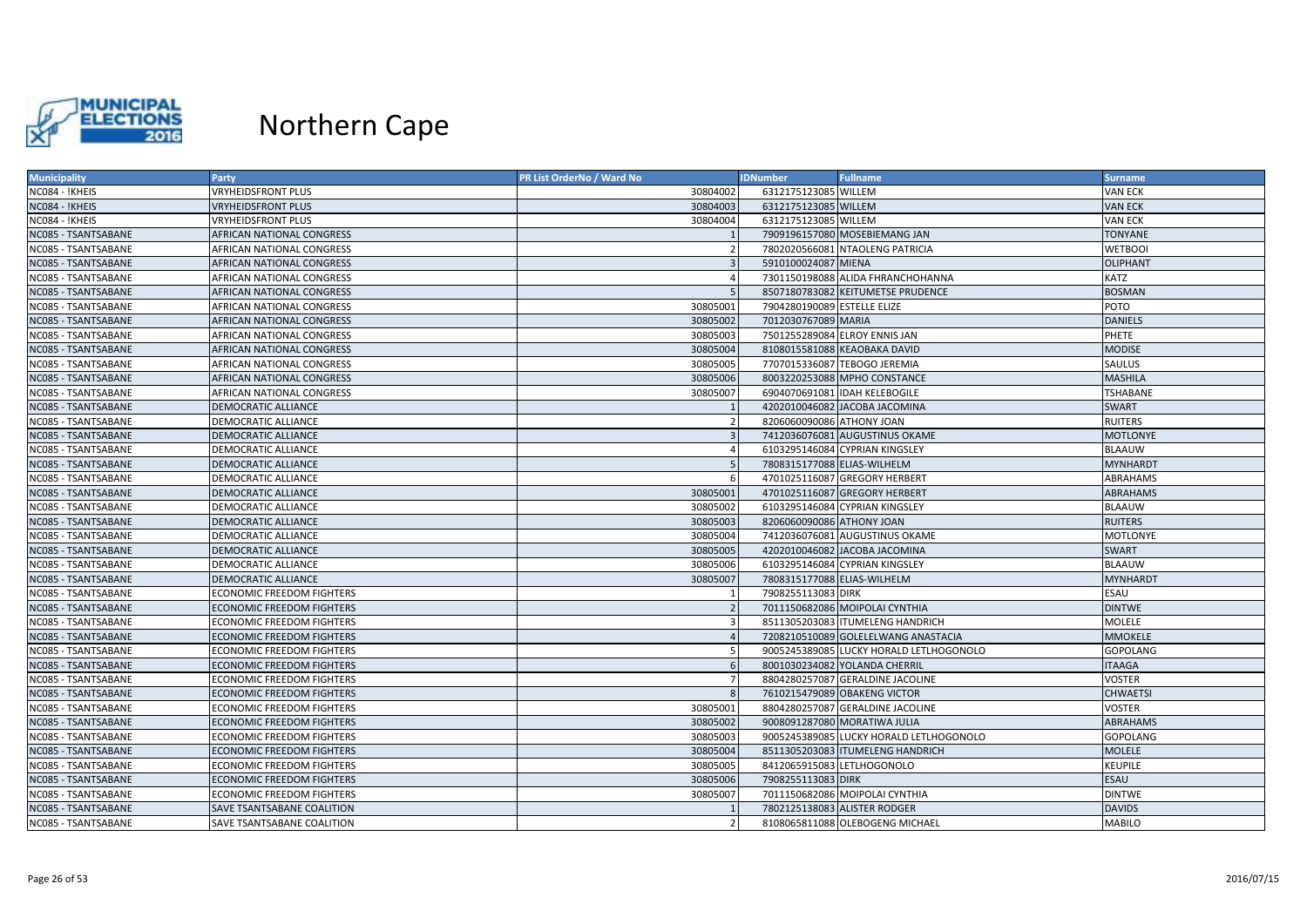

| <b>Municipality</b>        | Party                            | PR List OrderNo / Ward No | <b>IDNumber</b>             | <b>Fullname</b>                         | <b>Surname</b>  |
|----------------------------|----------------------------------|---------------------------|-----------------------------|-----------------------------------------|-----------------|
| NC084 - !KHEIS             | <b>VRYHEIDSFRONT PLUS</b>        | 30804002                  | 6312175123085 WILLEM        |                                         | <b>VAN ECK</b>  |
| NC084 - !KHEIS             | <b>VRYHEIDSFRONT PLUS</b>        | 30804003                  | 6312175123085 WILLEM        |                                         | <b>VAN ECK</b>  |
| NC084 - !KHEIS             | <b>VRYHEIDSFRONT PLUS</b>        | 30804004                  | 6312175123085 WILLEM        |                                         | VAN ECK         |
| NC085 - TSANTSABANE        | AFRICAN NATIONAL CONGRESS        |                           |                             | 7909196157080 MOSEBIEMANG JAN           | TONYANE         |
| <b>NC085 - TSANTSABANE</b> | AFRICAN NATIONAL CONGRESS        |                           |                             | 7802020566081 NTAOLENG PATRICIA         | <b>WETBOOI</b>  |
| NC085 - TSANTSABANE        | AFRICAN NATIONAL CONGRESS        |                           | 5910100024087 MIENA         |                                         | <b>OLIPHANT</b> |
| NC085 - TSANTSABANE        | AFRICAN NATIONAL CONGRESS        | $\Delta$                  |                             | 7301150198088 ALIDA FHRANCHOHANNA       | KATZ            |
| NC085 - TSANTSABANE        | <b>AFRICAN NATIONAL CONGRESS</b> |                           |                             | 8507180783082 KEITUMETSE PRUDENCE       | <b>BOSMAN</b>   |
| NC085 - TSANTSABANE        | <b>AFRICAN NATIONAL CONGRESS</b> | 30805001                  | 7904280190089 ESTELLE ELIZE |                                         | POTO            |
| NC085 - TSANTSABANE        | AFRICAN NATIONAL CONGRESS        | 30805002                  | 7012030767089 MARIA         |                                         | <b>DANIELS</b>  |
| NC085 - TSANTSABANE        | <b>AFRICAN NATIONAL CONGRESS</b> | 30805003                  |                             | 7501255289084 ELROY ENNIS JAN           | PHETE           |
| NC085 - TSANTSABANE        | AFRICAN NATIONAL CONGRESS        | 30805004                  |                             | 8108015581088 KEAOBAKA DAVID            | <b>MODISE</b>   |
| NC085 - TSANTSABANE        | <b>AFRICAN NATIONAL CONGRESS</b> | 30805005                  |                             | 7707015336087 TEBOGO JEREMIA            | SAULUS          |
| NC085 - TSANTSABANE        | AFRICAN NATIONAL CONGRESS        | 30805006                  |                             | 8003220253088 MPHO CONSTANCE            | <b>MASHILA</b>  |
| NC085 - TSANTSABANE        | AFRICAN NATIONAL CONGRESS        | 30805007                  |                             | 6904070691081 IDAH KELEBOGILE           | TSHABANE        |
| NC085 - TSANTSABANE        | DEMOCRATIC ALLIANCE              |                           |                             | 4202010046082 JACOBA JACOMINA           | <b>SWART</b>    |
| <b>NC085 - TSANTSABANE</b> | <b>DEMOCRATIC ALLIANCE</b>       |                           | 8206060090086 ATHONY JOAN   |                                         | RUITERS         |
| <b>NC085 - TSANTSABANE</b> | <b>DEMOCRATIC ALLIANCE</b>       |                           |                             | 7412036076081 AUGUSTINUS OKAME          | MOTLONYE        |
| NC085 - TSANTSABANE        | <b>DEMOCRATIC ALLIANCE</b>       | $\sqrt{2}$                |                             | 6103295146084 CYPRIAN KINGSLEY          | BLAAUW          |
| NC085 - TSANTSABANE        | <b>DEMOCRATIC ALLIANCE</b>       |                           | 7808315177088 ELIAS-WILHELM |                                         | <b>MYNHARDT</b> |
| NC085 - TSANTSABANE        | <b>DEMOCRATIC ALLIANCE</b>       |                           |                             | 4701025116087 GREGORY HERBERT           | ABRAHAMS        |
| NC085 - TSANTSABANE        | <b>DEMOCRATIC ALLIANCE</b>       | 30805001                  |                             | 4701025116087 GREGORY HERBERT           | <b>ABRAHAMS</b> |
| NC085 - TSANTSABANE        | DEMOCRATIC ALLIANCE              | 30805002                  |                             | 6103295146084 CYPRIAN KINGSLEY          | BLAAUW          |
| NC085 - TSANTSABANE        | <b>DEMOCRATIC ALLIANCE</b>       | 30805003                  | 8206060090086 ATHONY JOAN   |                                         | <b>RUITERS</b>  |
| NC085 - TSANTSABANE        | <b>DEMOCRATIC ALLIANCE</b>       | 30805004                  |                             | 7412036076081 AUGUSTINUS OKAME          | MOTLONYE        |
| <b>NC085 - TSANTSABANE</b> | <b>DEMOCRATIC ALLIANCE</b>       | 30805005                  |                             | 4202010046082 JACOBA JACOMINA           | SWART           |
| NC085 - TSANTSABANE        | DEMOCRATIC ALLIANCE              | 30805006                  |                             | 6103295146084 CYPRIAN KINGSLEY          | <b>BLAAUW</b>   |
| NC085 - TSANTSABANE        | <b>DEMOCRATIC ALLIANCE</b>       | 30805007                  | 7808315177088 ELIAS-WILHELM |                                         | <b>MYNHARDT</b> |
| <b>NC085 - TSANTSABANE</b> | <b>ECONOMIC FREEDOM FIGHTERS</b> |                           | 7908255113083 DIRK          |                                         | ESAU            |
| NC085 - TSANTSABANE        | <b>ECONOMIC FREEDOM FIGHTERS</b> |                           |                             | 7011150682086 MOIPOLAI CYNTHIA          | <b>DINTWE</b>   |
| NC085 - TSANTSABANE        | <b>ECONOMIC FREEDOM FIGHTERS</b> |                           |                             | 8511305203083 ITUMELENG HANDRICH        | MOLELE          |
| <b>NC085 - TSANTSABANE</b> | <b>ECONOMIC FREEDOM FIGHTERS</b> |                           |                             | 7208210510089 GOLELELWANG ANASTACIA     | <b>MMOKELE</b>  |
| NC085 - TSANTSABANE        | <b>ECONOMIC FREEDOM FIGHTERS</b> |                           |                             | 9005245389085 LUCKY HORALD LETLHOGONOLO | <b>GOPOLANG</b> |
| NC085 - TSANTSABANE        | <b>ECONOMIC FREEDOM FIGHTERS</b> |                           |                             | 8001030234082 YOLANDA CHERRIL           | <b>ITAAGA</b>   |
| NC085 - TSANTSABANE        | <b>ECONOMIC FREEDOM FIGHTERS</b> |                           |                             | 8804280257087 GERALDINE JACOLINE        | VOSTER          |
| NC085 - TSANTSABANE        | <b>ECONOMIC FREEDOM FIGHTERS</b> |                           |                             | 7610215479089 OBAKENG VICTOR            | <b>CHWAETSI</b> |
| <b>NC085 - TSANTSABANE</b> | <b>ECONOMIC FREEDOM FIGHTERS</b> | 30805001                  |                             | 8804280257087 GERALDINE JACOLINE        | VOSTER          |
| <b>NC085 - TSANTSABANE</b> | <b>ECONOMIC FREEDOM FIGHTERS</b> | 30805002                  |                             | 9008091287080 MORATIWA JULIA            | <b>ABRAHAMS</b> |
| NC085 - TSANTSABANE        | <b>ECONOMIC FREEDOM FIGHTERS</b> | 30805003                  |                             | 9005245389085 LUCKY HORALD LETLHOGONOLO | GOPOLANG        |
| NC085 - TSANTSABANE        | <b>ECONOMIC FREEDOM FIGHTERS</b> | 30805004                  |                             | 8511305203083 ITUMELENG HANDRICH        | <b>MOLELE</b>   |
| NC085 - TSANTSABANE        | <b>ECONOMIC FREEDOM FIGHTERS</b> | 30805005                  |                             | 8412065915083 LETLHOGONOLO              | KEUPILE         |
| NC085 - TSANTSABANE        | <b>ECONOMIC FREEDOM FIGHTERS</b> | 30805006                  | 7908255113083 DIRK          |                                         | ESAU            |
| NC085 - TSANTSABANE        | <b>ECONOMIC FREEDOM FIGHTERS</b> | 30805007                  |                             | 7011150682086 MOIPOLAI CYNTHIA          | <b>DINTWE</b>   |
| NC085 - TSANTSABANE        | SAVE TSANTSABANE COALITION       |                           |                             | 7802125138083 ALISTER RODGER            | <b>DAVIDS</b>   |
| NC085 - TSANTSABANE        | SAVE TSANTSABANE COALITION       |                           |                             | 8108065811088 OLEBOGENG MICHAEL         | <b>MABILO</b>   |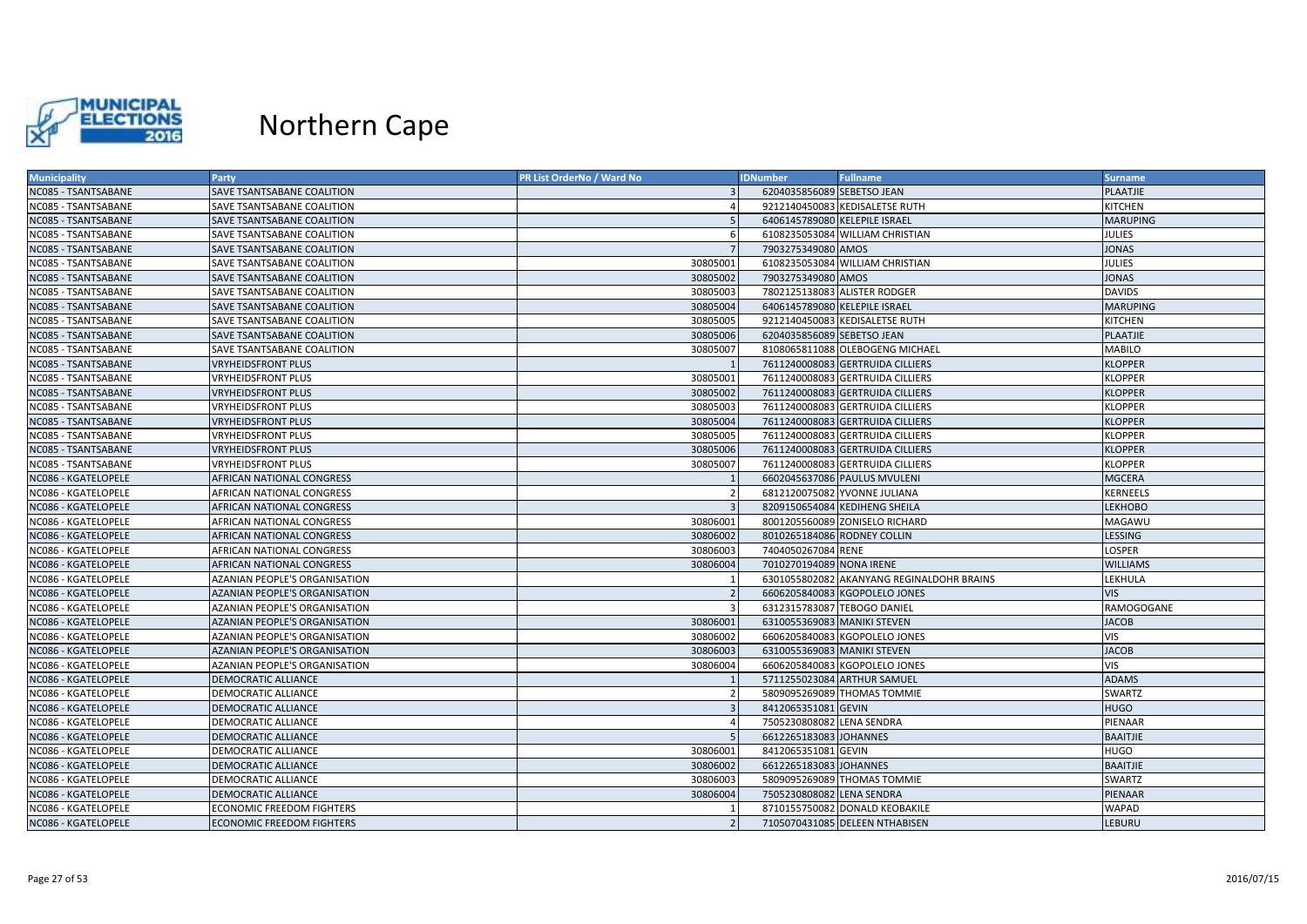

| <b>Municipality</b>        | Party                                | PR List OrderNo / Ward No | <b>IDNumber</b>               | <b>Fullname</b>                           | <b>Surname</b>  |
|----------------------------|--------------------------------------|---------------------------|-------------------------------|-------------------------------------------|-----------------|
| NC085 - TSANTSABANE        | SAVE TSANTSABANE COALITION           |                           | 6204035856089 SEBETSO JEAN    |                                           | PLAATJIE        |
| NC085 - TSANTSABANE        | SAVE TSANTSABANE COALITION           |                           |                               | 9212140450083 KEDISALETSE RUTH            | KITCHEN         |
| NC085 - TSANTSABANE        | SAVE TSANTSABANE COALITION           |                           | 6406145789080 KELEPILE ISRAEL |                                           | <b>MARUPING</b> |
| NC085 - TSANTSABANE        | SAVE TSANTSABANE COALITION           |                           |                               | 6108235053084 WILLIAM CHRISTIAN           | JULIES          |
| <b>NC085 - TSANTSABANE</b> | SAVE TSANTSABANE COALITION           |                           | 7903275349080 AMOS            |                                           | <b>JONAS</b>    |
| NC085 - TSANTSABANE        | SAVE TSANTSABANE COALITION           | 30805001                  |                               | 6108235053084 WILLIAM CHRISTIAN           | <b>JULIES</b>   |
| NC085 - TSANTSABANE        | SAVE TSANTSABANE COALITION           | 30805002                  | 7903275349080 AMOS            |                                           | <b>JONAS</b>    |
| NC085 - TSANTSABANE        | SAVE TSANTSABANE COALITION           | 30805003                  |                               | 7802125138083 ALISTER RODGER              | <b>DAVIDS</b>   |
| NC085 - TSANTSABANE        | <b>SAVE TSANTSABANE COALITION</b>    | 30805004                  | 6406145789080 KELEPILE ISRAEL |                                           | <b>MARUPING</b> |
| NC085 - TSANTSABANE        | SAVE TSANTSABANE COALITION           | 30805005                  |                               | 9212140450083 KEDISALETSE RUTH            | KITCHEN         |
| NC085 - TSANTSABANE        | SAVE TSANTSABANE COALITION           | 30805006                  | 6204035856089 SEBETSO JEAN    |                                           | PLAATJIE        |
| NC085 - TSANTSABANE        | SAVE TSANTSABANE COALITION           | 30805007                  |                               | 8108065811088 OLEBOGENG MICHAEL           | MABILO          |
| NC085 - TSANTSABANE        | <b>VRYHEIDSFRONT PLUS</b>            |                           |                               | 7611240008083 GERTRUIDA CILLIERS          | <b>KLOPPER</b>  |
| NC085 - TSANTSABANE        | <b>VRYHEIDSFRONT PLUS</b>            | 30805001                  |                               | 7611240008083 GERTRUIDA CILLIERS          | <b>KLOPPER</b>  |
| NC085 - TSANTSABANE        | <b>VRYHEIDSFRONT PLUS</b>            | 30805002                  |                               | 7611240008083 GERTRUIDA CILLIERS          | <b>KLOPPER</b>  |
| <b>NC085 - TSANTSABANE</b> | <b>VRYHEIDSFRONT PLUS</b>            | 30805003                  |                               | 7611240008083 GERTRUIDA CILLIERS          | KLOPPER         |
| <b>NC085 - TSANTSABANE</b> | <b>VRYHEIDSFRONT PLUS</b>            | 30805004                  |                               | 7611240008083 GERTRUIDA CILLIERS          | <b>KLOPPER</b>  |
| NC085 - TSANTSABANE        | <b>VRYHEIDSFRONT PLUS</b>            | 30805005                  |                               | 7611240008083 GERTRUIDA CILLIERS          | KLOPPER         |
| NC085 - TSANTSABANE        | <b>VRYHEIDSFRONT PLUS</b>            | 30805006                  |                               | 7611240008083 GERTRUIDA CILLIERS          | <b>KLOPPER</b>  |
| NC085 - TSANTSABANE        | <b>VRYHEIDSFRONT PLUS</b>            | 30805007                  |                               | 7611240008083 GERTRUIDA CILLIERS          | <b>KLOPPER</b>  |
| NC086 - KGATELOPELE        | <b>AFRICAN NATIONAL CONGRESS</b>     |                           |                               | 6602045637086 PAULUS MVULENI              | <b>MGCERA</b>   |
| NC086 - KGATELOPELE        | AFRICAN NATIONAL CONGRESS            |                           |                               | 6812120075082 YVONNE JULIANA              | KERNEELS        |
| <b>NC086 - KGATELOPELE</b> | <b>AFRICAN NATIONAL CONGRESS</b>     |                           |                               | 8209150654084 KEDIHENG SHEILA             | <b>LEKHOBO</b>  |
| NC086 - KGATELOPELE        | <b>AFRICAN NATIONAL CONGRESS</b>     | 30806001                  |                               | 8001205560089 ZONISELO RICHARD            | MAGAWU          |
| NC086 - KGATELOPELE        | AFRICAN NATIONAL CONGRESS            | 30806002                  | 8010265184086 RODNEY COLLIN   |                                           | LESSING         |
| <b>NC086 - KGATELOPELE</b> | <b>AFRICAN NATIONAL CONGRESS</b>     | 30806003                  | 7404050267084 RENE            |                                           | LOSPER          |
| NC086 - KGATELOPELE        | AFRICAN NATIONAL CONGRESS            | 30806004                  | 7010270194089 NONA IRENE      |                                           | <b>WILLIAMS</b> |
| NC086 - KGATELOPELE        | AZANIAN PEOPLE'S ORGANISATION        |                           |                               | 6301055802082 AKANYANG REGINALDOHR BRAINS | LEKHULA         |
| <b>VC086 - KGATELOPELE</b> | <b>AZANIAN PEOPLE'S ORGANISATION</b> |                           |                               | 6606205840083 KGOPOLELO JONES             | <b>VIS</b>      |
| NC086 - KGATELOPELE        | AZANIAN PEOPLE'S ORGANISATION        |                           | 6312315783087 TEBOGO DANIEL   |                                           | RAMOGOGANE      |
| NC086 - KGATELOPELE        | AZANIAN PEOPLE'S ORGANISATION        | 30806001                  | 6310055369083 MANIKI STEVEN   |                                           | <b>JACOB</b>    |
| NC086 - KGATELOPELE        | <b>AZANIAN PEOPLE'S ORGANISATION</b> | 30806002                  |                               | 6606205840083 KGOPOLELO JONES             | VIS             |
| NC086 - KGATELOPELE        | AZANIAN PEOPLE'S ORGANISATION        | 30806003                  | 6310055369083 MANIKI STEVEN   |                                           | <b>JACOB</b>    |
| <b>NC086 - KGATELOPELE</b> | AZANIAN PEOPLE'S ORGANISATION        | 30806004                  |                               | 6606205840083 KGOPOLELO JONES             | VIS             |
| NC086 - KGATELOPELE        | <b>DEMOCRATIC ALLIANCE</b>           |                           |                               | 5711255023084 ARTHUR SAMUEL               | <b>ADAMS</b>    |
| NC086 - KGATELOPELE        | DEMOCRATIC ALLIANCE                  |                           |                               | 5809095269089 THOMAS TOMMIE               | SWARTZ          |
| <b>NC086 - KGATELOPELE</b> | DEMOCRATIC ALLIANCE                  |                           | 8412065351081 GEVIN           |                                           | <b>HUGO</b>     |
| NC086 - KGATELOPELE        | <b>DEMOCRATIC ALLIANCE</b>           | $\Delta$                  | 7505230808082 LENA SENDRA     |                                           | PIENAAR         |
| NC086 - KGATELOPELE        | <b>DEMOCRATIC ALLIANCE</b>           |                           | 6612265183083 JOHANNES        |                                           | <b>BAAITJIE</b> |
| NC086 - KGATELOPELE        | DEMOCRATIC ALLIANCE                  | 30806001                  | 8412065351081 GEVIN           |                                           | <b>HUGO</b>     |
| NC086 - KGATELOPELE        | <b>DEMOCRATIC ALLIANCE</b>           | 30806002                  | 6612265183083 JOHANNES        |                                           | <b>BAAITJIE</b> |
| <b>NC086 - KGATELOPELE</b> | DEMOCRATIC ALLIANCE                  | 30806003                  |                               | 5809095269089 THOMAS TOMMIE               | SWARTZ          |
| NC086 - KGATELOPELE        | <b>DEMOCRATIC ALLIANCE</b>           | 30806004                  | 7505230808082 LENA SENDRA     |                                           | PIENAAR         |
| NC086 - KGATELOPELE        | <b>ECONOMIC FREEDOM FIGHTERS</b>     |                           |                               | 8710155750082 DONALD KEOBAKILE            | WAPAD           |
| NC086 - KGATELOPELE        | <b>ECONOMIC FREEDOM FIGHTERS</b>     |                           |                               | 7105070431085 DELEEN NTHABISEN            | LEBURU          |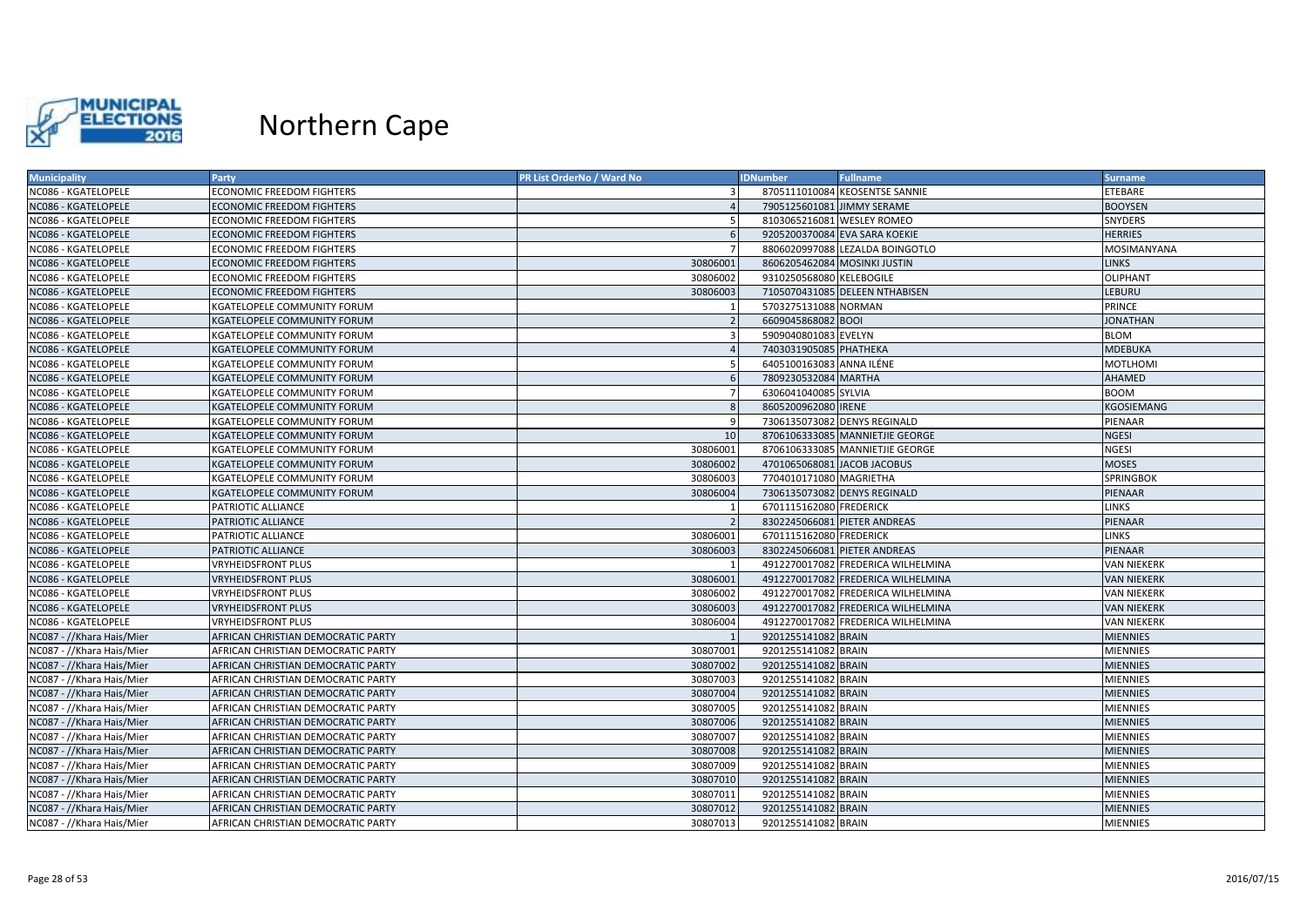

| <b>Municipality</b>       | Party                              | PR List OrderNo / Ward No | <b>IDNumber</b>             | <b>Fullname</b>                    | <b>Surname</b>     |
|---------------------------|------------------------------------|---------------------------|-----------------------------|------------------------------------|--------------------|
| NC086 - KGATELOPELE       | ECONOMIC FREEDOM FIGHTERS          |                           |                             | 8705111010084 KEOSENTSE SANNIE     | ETEBARE            |
| NC086 - KGATELOPELE       | ECONOMIC FREEDOM FIGHTERS          |                           | 7905125601081 JIMMY SERAME  |                                    | <b>BOOYSEN</b>     |
| NC086 - KGATELOPELE       | <b>ECONOMIC FREEDOM FIGHTERS</b>   |                           | 8103065216081 WESLEY ROMEO  |                                    | SNYDERS            |
| NC086 - KGATELOPELE       | <b>ECONOMIC FREEDOM FIGHTERS</b>   | -6                        |                             | 9205200370084 EVA SARA KOEKIE      | <b>HERRIES</b>     |
| NC086 - KGATELOPELE       | <b>ECONOMIC FREEDOM FIGHTERS</b>   |                           |                             | 8806020997088 LEZALDA BOINGOTLO    | MOSIMANYANA        |
| NC086 - KGATELOPELE       | <b>ECONOMIC FREEDOM FIGHTERS</b>   | 30806001                  |                             | 8606205462084 MOSINKI JUSTIN       | <b>LINKS</b>       |
| NC086 - KGATELOPELE       | <b>ECONOMIC FREEDOM FIGHTERS</b>   | 30806002                  | 9310250568080 KELEBOGILE    |                                    | <b>OLIPHANT</b>    |
| NC086 - KGATELOPELE       | <b>ECONOMIC FREEDOM FIGHTERS</b>   | 30806003                  |                             | 7105070431085 DELEEN NTHABISEN     | LEBURU             |
| NC086 - KGATELOPELE       | KGATELOPELE COMMUNITY FORUM        |                           | 5703275131088 NORMAN        |                                    | PRINCE             |
| NC086 - KGATELOPELE       | KGATELOPELE COMMUNITY FORUM        |                           | 6609045868082 BOOI          |                                    | <b>JONATHAN</b>    |
| NC086 - KGATELOPELE       | KGATELOPELE COMMUNITY FORUM        |                           | 5909040801083 EVELYN        |                                    | <b>BLOM</b>        |
| NC086 - KGATELOPELE       | KGATELOPELE COMMUNITY FORUM        |                           | 7403031905085 PHATHEKA      |                                    | MDEBUKA            |
| NC086 - KGATELOPELE       | KGATELOPELE COMMUNITY FORUM        |                           | 6405100163083 ANNA ILÉNE    |                                    | <b>MOTLHOMI</b>    |
| NC086 - KGATELOPELE       | KGATELOPELE COMMUNITY FORUM        |                           | 7809230532084 MARTHA        |                                    | AHAMED             |
| NC086 - KGATELOPELE       | KGATELOPELE COMMUNITY FORUM        | $\overline{7}$            | 6306041040085 SYLVIA        |                                    | <b>BOOM</b>        |
| NC086 - KGATELOPELE       | KGATELOPELE COMMUNITY FORUM        | -8                        | 8605200962080 IRENE         |                                    | KGOSIEMANG         |
| NC086 - KGATELOPELE       | KGATELOPELE COMMUNITY FORUM        | C                         |                             | 7306135073082 DENYS REGINALD       | PIENAAR            |
| NC086 - KGATELOPELE       | KGATELOPELE COMMUNITY FORUM        | 10                        |                             | 8706106333085 MANNIETJIE GEORGE    | <b>NGESI</b>       |
| NC086 - KGATELOPELE       | KGATELOPELE COMMUNITY FORUM        | 30806001                  |                             | 8706106333085 MANNIETJIE GEORGE    | <b>NGESI</b>       |
| NC086 - KGATELOPELE       | KGATELOPELE COMMUNITY FORUM        | 30806002                  | 4701065068081 JACOB JACOBUS |                                    | <b>MOSES</b>       |
| NC086 - KGATELOPELE       | KGATELOPELE COMMUNITY FORUM        | 30806003                  | 7704010171080 MAGRIETHA     |                                    | SPRINGBOK          |
| NC086 - KGATELOPELE       | KGATELOPELE COMMUNITY FORUM        | 30806004                  |                             | 7306135073082 DENYS REGINALD       | PIENAAR            |
| NC086 - KGATELOPELE       | PATRIOTIC ALLIANCE                 |                           | 6701115162080 FREDERICK     |                                    | LINKS              |
| NC086 - KGATELOPELE       | PATRIOTIC ALLIANCE                 |                           |                             | 8302245066081 PIETER ANDREAS       | PIENAAR            |
| NC086 - KGATELOPELE       | PATRIOTIC ALLIANCE                 | 30806001                  | 6701115162080 FREDERICK     |                                    | LINKS              |
| NC086 - KGATELOPELE       | PATRIOTIC ALLIANCE                 | 30806003                  |                             | 8302245066081 PIETER ANDREAS       | PIENAAR            |
| NC086 - KGATELOPELE       | <b>VRYHEIDSFRONT PLUS</b>          |                           |                             | 4912270017082 FREDERICA WILHELMINA | <b>VAN NIEKERK</b> |
| NC086 - KGATELOPELE       | <b>VRYHEIDSFRONT PLUS</b>          | 30806001                  |                             | 4912270017082 FREDERICA WILHELMINA | <b>VAN NIEKERK</b> |
| NC086 - KGATELOPELE       | <b>VRYHEIDSFRONT PLUS</b>          | 30806002                  |                             | 4912270017082 FREDERICA WILHELMINA | <b>VAN NIEKERK</b> |
| NC086 - KGATELOPELE       | <b>VRYHEIDSFRONT PLUS</b>          | 30806003                  |                             | 4912270017082 FREDERICA WILHELMINA | <b>VAN NIEKERK</b> |
| NC086 - KGATELOPELE       | VRYHEIDSFRONT PLUS                 | 30806004                  |                             | 4912270017082 FREDERICA WILHELMINA | VAN NIEKERK        |
| NC087 - //Khara Hais/Mier | AFRICAN CHRISTIAN DEMOCRATIC PARTY |                           | 9201255141082 BRAIN         |                                    | <b>MIENNIES</b>    |
| NC087 - //Khara Hais/Mier | AFRICAN CHRISTIAN DEMOCRATIC PARTY | 30807001                  | 9201255141082 BRAIN         |                                    | <b>MIENNIES</b>    |
| NC087 - //Khara Hais/Mier | AFRICAN CHRISTIAN DEMOCRATIC PARTY | 30807002                  | 9201255141082 BRAIN         |                                    | MIENNIES           |
| NC087 - //Khara Hais/Mier | AFRICAN CHRISTIAN DEMOCRATIC PARTY | 30807003                  | 9201255141082 BRAIN         |                                    | <b>MIENNIES</b>    |
| NC087 - //Khara Hais/Mier | AFRICAN CHRISTIAN DEMOCRATIC PARTY | 30807004                  | 9201255141082 BRAIN         |                                    | <b>MIENNIES</b>    |
| NC087 - //Khara Hais/Mier | AFRICAN CHRISTIAN DEMOCRATIC PARTY | 30807005                  | 9201255141082 BRAIN         |                                    | <b>MIENNIES</b>    |
| NC087 - //Khara Hais/Mier | AFRICAN CHRISTIAN DEMOCRATIC PARTY | 30807006                  | 9201255141082 BRAIN         |                                    | <b>MIENNIES</b>    |
| NC087 - //Khara Hais/Mier | AFRICAN CHRISTIAN DEMOCRATIC PARTY | 30807007                  | 9201255141082 BRAIN         |                                    | <b>MIENNIES</b>    |
| NC087 - //Khara Hais/Mier | AFRICAN CHRISTIAN DEMOCRATIC PARTY | 30807008                  | 9201255141082 BRAIN         |                                    | <b>MIENNIES</b>    |
| NC087 - //Khara Hais/Mier | AFRICAN CHRISTIAN DEMOCRATIC PARTY | 30807009                  | 9201255141082 BRAIN         |                                    | <b>MIENNIES</b>    |
| NC087 - //Khara Hais/Mier | AFRICAN CHRISTIAN DEMOCRATIC PARTY | 30807010                  | 9201255141082 BRAIN         |                                    | <b>MIENNIES</b>    |
| NC087 - //Khara Hais/Mier | AFRICAN CHRISTIAN DEMOCRATIC PARTY | 30807011                  | 9201255141082 BRAIN         |                                    | <b>MIENNIES</b>    |
| NC087 - //Khara Hais/Mier | AFRICAN CHRISTIAN DEMOCRATIC PARTY | 30807012                  | 9201255141082 BRAIN         |                                    | <b>MIENNIES</b>    |
| NC087 - //Khara Hais/Mier | AFRICAN CHRISTIAN DEMOCRATIC PARTY | 30807013                  | 9201255141082 BRAIN         |                                    | <b>MIENNIES</b>    |
|                           |                                    |                           |                             |                                    |                    |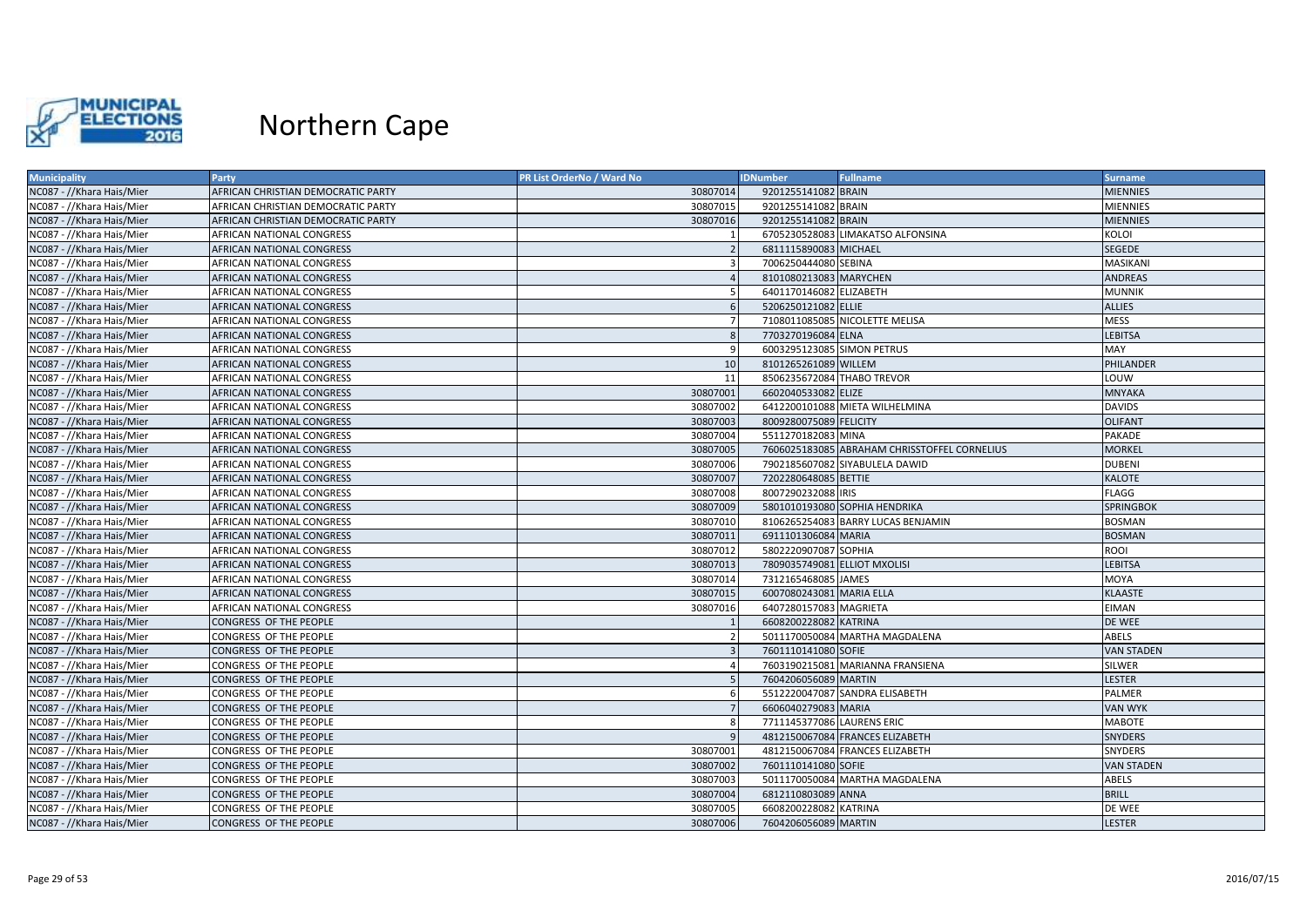

| <b>Municipality</b>       | <b>Party</b>                       | PR List OrderNo / Ward No | <b>IDNumber</b>              | <b>Fullname</b>                              | <b>Surname</b>    |
|---------------------------|------------------------------------|---------------------------|------------------------------|----------------------------------------------|-------------------|
| NC087 - //Khara Hais/Mier | AFRICAN CHRISTIAN DEMOCRATIC PARTY | 30807014                  | 9201255141082 BRAIN          |                                              | <b>MIENNIES</b>   |
| NC087 - //Khara Hais/Mier | AFRICAN CHRISTIAN DEMOCRATIC PARTY | 30807015                  | 9201255141082 BRAIN          |                                              | <b>MIENNIES</b>   |
| NC087 - //Khara Hais/Mier | AFRICAN CHRISTIAN DEMOCRATIC PARTY | 30807016                  | 9201255141082 BRAIN          |                                              | <b>MIENNIES</b>   |
| NC087 - //Khara Hais/Mier | AFRICAN NATIONAL CONGRESS          |                           |                              | 6705230528083 LIMAKATSO ALFONSINA            | KOLOI             |
| NC087 - //Khara Hais/Mier | AFRICAN NATIONAL CONGRESS          |                           | 6811115890083 MICHAEL        |                                              | SEGEDE            |
| NC087 - //Khara Hais/Mier | AFRICAN NATIONAL CONGRESS          |                           | 7006250444080 SEBINA         |                                              | MASIKANI          |
| NC087 - //Khara Hais/Mier | AFRICAN NATIONAL CONGRESS          |                           | 8101080213083 MARYCHEN       |                                              | <b>ANDREAS</b>    |
| NC087 - //Khara Hais/Mier | AFRICAN NATIONAL CONGRESS          |                           | 6401170146082 ELIZABETH      |                                              | <b>MUNNIK</b>     |
| NC087 - //Khara Hais/Mier | AFRICAN NATIONAL CONGRESS          |                           | 5206250121082 ELLIE          |                                              | <b>ALLIES</b>     |
| NC087 - //Khara Hais/Mier | AFRICAN NATIONAL CONGRESS          |                           |                              | 7108011085085 NICOLETTE MELISA               | MESS              |
| NC087 - //Khara Hais/Mier | AFRICAN NATIONAL CONGRESS          | 8                         | 7703270196084 ELNA           |                                              | <b>LEBITSA</b>    |
| NC087 - //Khara Hais/Mier | AFRICAN NATIONAL CONGRESS          | $\mathsf{q}$              | 6003295123085 SIMON PETRUS   |                                              | MAY               |
| NC087 - //Khara Hais/Mier | AFRICAN NATIONAL CONGRESS          | 10                        | 8101265261089 WILLEM         |                                              | PHILANDER         |
| NC087 - //Khara Hais/Mier | AFRICAN NATIONAL CONGRESS          | 11                        | 8506235672084 THABO TREVOR   |                                              | LOUW              |
| NC087 - //Khara Hais/Mier | AFRICAN NATIONAL CONGRESS          | 30807001                  | 6602040533082 ELIZE          |                                              | MNYAKA            |
| NC087 - //Khara Hais/Mier | AFRICAN NATIONAL CONGRESS          | 30807002                  |                              | 6412200101088 MIETA WILHELMINA               | <b>DAVIDS</b>     |
| NC087 - //Khara Hais/Mier | AFRICAN NATIONAL CONGRESS          | 30807003                  | 8009280075089 FELICITY       |                                              | <b>OLIFANT</b>    |
| NC087 - //Khara Hais/Mier | AFRICAN NATIONAL CONGRESS          | 30807004                  | 5511270182083 MINA           |                                              | PAKADE            |
| NC087 - //Khara Hais/Mier | AFRICAN NATIONAL CONGRESS          | 30807005                  |                              | 7606025183085 ABRAHAM CHRISSTOFFEL CORNELIUS | <b>MORKEL</b>     |
| NC087 - //Khara Hais/Mier | AFRICAN NATIONAL CONGRESS          | 30807006                  |                              | 7902185607082 SIYABULELA DAWID               | <b>DUBENI</b>     |
| NC087 - //Khara Hais/Mier | AFRICAN NATIONAL CONGRESS          | 30807007                  | 7202280648085 BETTIE         |                                              | KALOTE            |
| NC087 - //Khara Hais/Mier | AFRICAN NATIONAL CONGRESS          | 30807008                  | 8007290232088 IRIS           |                                              | <b>FLAGG</b>      |
| NC087 - //Khara Hais/Mier | AFRICAN NATIONAL CONGRESS          | 30807009                  |                              | 5801010193080 SOPHIA HENDRIKA                | <b>SPRINGBOK</b>  |
| NC087 - //Khara Hais/Mier | AFRICAN NATIONAL CONGRESS          | 30807010                  |                              | 8106265254083 BARRY LUCAS BENJAMIN           | BOSMAN            |
| NC087 - //Khara Hais/Mier | AFRICAN NATIONAL CONGRESS          | 30807011                  | 6911101306084 MARIA          |                                              | <b>BOSMAN</b>     |
| NC087 - //Khara Hais/Mier | AFRICAN NATIONAL CONGRESS          | 30807012                  | 5802220907087 SOPHIA         |                                              | ROOI              |
| NC087 - //Khara Hais/Mier | AFRICAN NATIONAL CONGRESS          | 30807013                  | 7809035749081 ELLIOT MXOLISI |                                              | <b>LEBITSA</b>    |
| NC087 - //Khara Hais/Mier | AFRICAN NATIONAL CONGRESS          | 30807014                  | 7312165468085 JAMES          |                                              | MOYA              |
| NC087 - //Khara Hais/Mier | AFRICAN NATIONAL CONGRESS          | 30807015                  | 6007080243081 MARIA ELLA     |                                              | <b>KLAASTE</b>    |
| NC087 - //Khara Hais/Mier | AFRICAN NATIONAL CONGRESS          | 30807016                  | 6407280157083 MAGRIETA       |                                              | EIMAN             |
| NC087 - //Khara Hais/Mier | CONGRESS OF THE PEOPLE             |                           | 6608200228082 KATRINA        |                                              | DE WEE            |
| NC087 - //Khara Hais/Mier | CONGRESS OF THE PEOPLE             |                           |                              | 5011170050084 MARTHA MAGDALENA               | ABELS             |
| NC087 - //Khara Hais/Mier | CONGRESS OF THE PEOPLE             |                           | 7601110141080 SOFIE          |                                              | <b>VAN STADEN</b> |
| NC087 - //Khara Hais/Mier | CONGRESS OF THE PEOPLE             |                           |                              | 7603190215081 MARIANNA FRANSIENA             | SILWER            |
| NC087 - //Khara Hais/Mier | CONGRESS OF THE PEOPLE             |                           | 7604206056089 MARTIN         |                                              | LESTER            |
| NC087 - //Khara Hais/Mier | CONGRESS OF THE PEOPLE             |                           |                              | 5512220047087 SANDRA ELISABETH               | PALMER            |
| NC087 - //Khara Hais/Mier | CONGRESS OF THE PEOPLE             |                           | 6606040279083 MARIA          |                                              | VAN WYK           |
| NC087 - //Khara Hais/Mier | CONGRESS OF THE PEOPLE             |                           | 7711145377086 LAURENS ERIC   |                                              | <b>MABOTE</b>     |
| NC087 - //Khara Hais/Mier | CONGRESS OF THE PEOPLE             | $\mathbf{q}$              |                              | 4812150067084 FRANCES ELIZABETH              | <b>SNYDERS</b>    |
| NC087 - //Khara Hais/Mier | CONGRESS OF THE PEOPLE             | 30807001                  |                              | 4812150067084 FRANCES ELIZABETH              | SNYDERS           |
| NC087 - //Khara Hais/Mier | CONGRESS OF THE PEOPLE             | 30807002                  | 7601110141080 SOFIE          |                                              | <b>VAN STADEN</b> |
| NC087 - //Khara Hais/Mier | CONGRESS OF THE PEOPLE             | 30807003                  |                              | 5011170050084 MARTHA MAGDALENA               | ABELS             |
| NC087 - //Khara Hais/Mier | CONGRESS OF THE PEOPLE             | 30807004                  | 6812110803089 ANNA           |                                              | <b>BRILL</b>      |
| NC087 - //Khara Hais/Mier | CONGRESS OF THE PEOPLE             | 30807005                  | 6608200228082 KATRINA        |                                              | DE WEE            |
| NC087 - //Khara Hais/Mier | CONGRESS OF THE PEOPLE             | 30807006                  | 7604206056089 MARTIN         |                                              | LESTER            |
|                           |                                    |                           |                              |                                              |                   |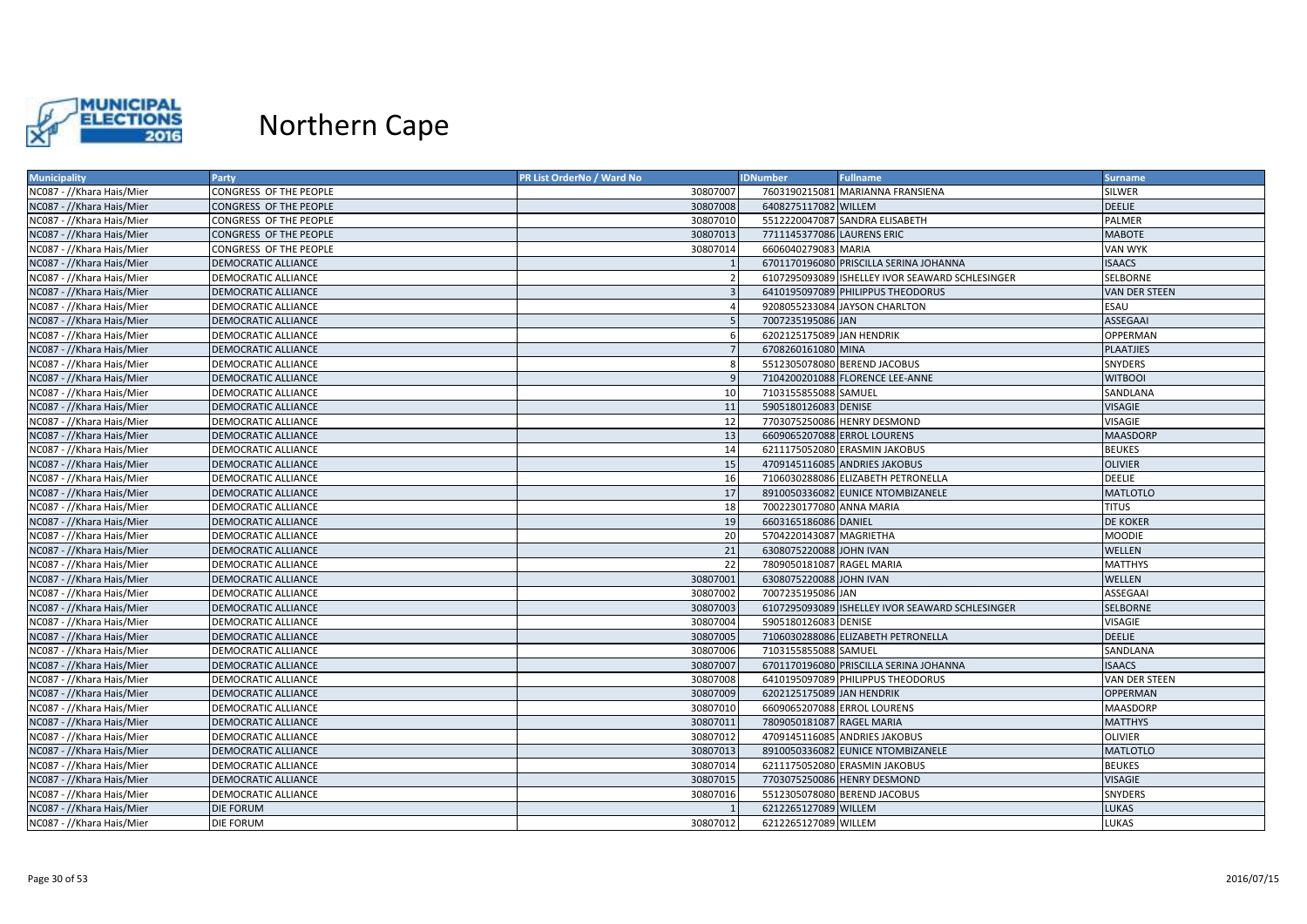

| <b>Municipality</b>       | Party                      | PR List OrderNo / Ward No | <b>IDNumber</b>             | <b>Fullname</b>                                 | <b>Surname</b>   |
|---------------------------|----------------------------|---------------------------|-----------------------------|-------------------------------------------------|------------------|
| NC087 - //Khara Hais/Mier | CONGRESS OF THE PEOPLE     | 30807007                  |                             | 7603190215081 MARIANNA FRANSIENA                | <b>SILWER</b>    |
| NC087 - //Khara Hais/Mier | CONGRESS OF THE PEOPLE     | 30807008                  | 6408275117082 WILLEM        |                                                 | <b>DEELIE</b>    |
| NC087 - //Khara Hais/Mier | CONGRESS OF THE PEOPLE     | 30807010                  |                             | 5512220047087 SANDRA ELISABETH                  | PALMER           |
| NC087 - //Khara Hais/Mier | CONGRESS OF THE PEOPLE     | 30807013                  | 7711145377086 LAURENS ERIC  |                                                 | MABOTE           |
| NC087 - //Khara Hais/Mier | CONGRESS OF THE PEOPLE     | 30807014                  | 6606040279083 MARIA         |                                                 | VAN WYK          |
| NC087 - //Khara Hais/Mier | <b>DEMOCRATIC ALLIANCE</b> |                           |                             | 6701170196080 PRISCILLA SERINA JOHANNA          | <b>ISAACS</b>    |
| NC087 - //Khara Hais/Mier | <b>DEMOCRATIC ALLIANCE</b> |                           |                             | 6107295093089 ISHELLEY IVOR SEAWARD SCHLESINGER | SELBORNE         |
| NC087 - //Khara Hais/Mier | <b>DEMOCRATIC ALLIANCE</b> |                           |                             | 6410195097089 PHILIPPUS THEODORUS               | VAN DER STEEN    |
| NC087 - //Khara Hais/Mier | DEMOCRATIC ALLIANCE        |                           |                             | 9208055233084 JAYSON CHARLTON                   | ESAU             |
| NC087 - //Khara Hais/Mier | <b>DEMOCRATIC ALLIANCE</b> |                           | 7007235195086 JAN           |                                                 | <b>ASSEGAAI</b>  |
| NC087 - //Khara Hais/Mier | DEMOCRATIC ALLIANCE        |                           | 6202125175089 JAN HENDRIK   |                                                 | OPPERMAN         |
| NC087 - //Khara Hais/Mier | <b>DEMOCRATIC ALLIANCE</b> | $\overline{7}$            | 6708260161080 MINA          |                                                 | <b>PLAATJIES</b> |
| NC087 - //Khara Hais/Mier | DEMOCRATIC ALLIANCE        | -8                        |                             | 5512305078080 BEREND JACOBUS                    | SNYDERS          |
| NC087 - //Khara Hais/Mier | <b>DEMOCRATIC ALLIANCE</b> |                           |                             | 7104200201088 FLORENCE LEE-ANNE                 | <b>WITBOOI</b>   |
| NC087 - //Khara Hais/Mier | DEMOCRATIC ALLIANCE        | 10                        | 7103155855088 SAMUEL        |                                                 | SANDLANA         |
| NC087 - //Khara Hais/Mier | <b>DEMOCRATIC ALLIANCE</b> | 11                        | 5905180126083 DENISE        |                                                 | <b>VISAGIE</b>   |
| NC087 - //Khara Hais/Mier | <b>DEMOCRATIC ALLIANCE</b> | 12                        |                             | 7703075250086 HENRY DESMOND                     | VISAGIE          |
| NC087 - //Khara Hais/Mier | DEMOCRATIC ALLIANCE        | 13                        | 6609065207088 ERROL LOURENS |                                                 | <b>MAASDORP</b>  |
| NC087 - //Khara Hais/Mier | <b>DEMOCRATIC ALLIANCE</b> | 14                        |                             | 6211175052080 ERASMIN JAKOBUS                   | <b>BEUKES</b>    |
| NC087 - //Khara Hais/Mier | <b>DEMOCRATIC ALLIANCE</b> | 15                        |                             | 4709145116085 ANDRIES JAKOBUS                   | <b>OLIVIER</b>   |
| NC087 - //Khara Hais/Mier | <b>DEMOCRATIC ALLIANCE</b> | 16                        |                             | 7106030288086 ELIZABETH PETRONELLA              | <b>DEELIE</b>    |
| NC087 - //Khara Hais/Mier | <b>DEMOCRATIC ALLIANCE</b> | 17                        |                             | 8910050336082 EUNICE NTOMBIZANELE               | MATLOTLO         |
| NC087 - //Khara Hais/Mier | <b>DEMOCRATIC ALLIANCE</b> | 18                        | 7002230177080 ANNA MARIA    |                                                 | <b>TITUS</b>     |
| NC087 - //Khara Hais/Mier | <b>DEMOCRATIC ALLIANCE</b> | 19                        | 6603165186086 DANIEL        |                                                 | <b>DE KOKER</b>  |
| NC087 - //Khara Hais/Mier | DEMOCRATIC ALLIANCE        | 20                        | 5704220143087 MAGRIETHA     |                                                 | MOODIE           |
| NC087 - //Khara Hais/Mier | <b>DEMOCRATIC ALLIANCE</b> | 21                        | 6308075220088 JOHN IVAN     |                                                 | WELLEN           |
| NC087 - //Khara Hais/Mier | DEMOCRATIC ALLIANCE        | 22                        | 7809050181087 RAGEL MARIA   |                                                 | <b>MATTHYS</b>   |
| NC087 - //Khara Hais/Mier | <b>DEMOCRATIC ALLIANCE</b> | 30807001                  | 6308075220088 JOHN IVAN     |                                                 | <b>WELLEN</b>    |
| NC087 - //Khara Hais/Mier | <b>DEMOCRATIC ALLIANCE</b> | 30807002                  | 7007235195086 JAN           |                                                 | ASSEGAAI         |
| NC087 - //Khara Hais/Mier | <b>DEMOCRATIC ALLIANCE</b> | 30807003                  |                             | 6107295093089 ISHELLEY IVOR SEAWARD SCHLESINGER | <b>SELBORNE</b>  |
| NC087 - //Khara Hais/Mier | <b>DEMOCRATIC ALLIANCE</b> | 30807004                  | 5905180126083 DENISE        |                                                 | VISAGIE          |
| NC087 - //Khara Hais/Mier | DEMOCRATIC ALLIANCE        | 30807005                  |                             | 7106030288086 ELIZABETH PETRONELLA              | <b>DEELIE</b>    |
| NC087 - //Khara Hais/Mier | <b>DEMOCRATIC ALLIANCE</b> | 30807006                  | 7103155855088 SAMUEL        |                                                 | SANDLANA         |
| NC087 - //Khara Hais/Mier | <b>DEMOCRATIC ALLIANCE</b> | 30807007                  |                             | 6701170196080 PRISCILLA SERINA JOHANNA          | <b>ISAACS</b>    |
| NC087 - //Khara Hais/Mier | <b>DEMOCRATIC ALLIANCE</b> | 30807008                  |                             | 6410195097089 PHILIPPUS THEODORUS               | VAN DER STEEN    |
| NC087 - //Khara Hais/Mier | <b>DEMOCRATIC ALLIANCE</b> | 30807009                  | 6202125175089 JAN HENDRIK   |                                                 | <b>OPPERMAN</b>  |
| NC087 - //Khara Hais/Mier | <b>DEMOCRATIC ALLIANCE</b> | 30807010                  | 6609065207088 ERROL LOURENS |                                                 | <b>MAASDORP</b>  |
| NC087 - //Khara Hais/Mier | <b>DEMOCRATIC ALLIANCE</b> | 30807011                  | 7809050181087 RAGEL MARIA   |                                                 | <b>MATTHYS</b>   |
| NC087 - //Khara Hais/Mier | DEMOCRATIC ALLIANCE        | 30807012                  |                             | 4709145116085 ANDRIES JAKOBUS                   | <b>OLIVIER</b>   |
| NC087 - //Khara Hais/Mier | <b>DEMOCRATIC ALLIANCE</b> | 30807013                  |                             | 8910050336082 EUNICE NTOMBIZANELE               | <b>MATLOTLO</b>  |
| NC087 - //Khara Hais/Mier | DEMOCRATIC ALLIANCE        | 30807014                  |                             | 6211175052080 ERASMIN JAKOBUS                   | BEUKES           |
| NC087 - //Khara Hais/Mier | <b>DEMOCRATIC ALLIANCE</b> | 30807015                  |                             | 7703075250086 HENRY DESMOND                     | <b>VISAGIE</b>   |
| NC087 - //Khara Hais/Mier | <b>DEMOCRATIC ALLIANCE</b> | 30807016                  |                             | 5512305078080 BEREND JACOBUS                    | SNYDERS          |
| NC087 - //Khara Hais/Mier | <b>DIE FORUM</b>           |                           | 6212265127089 WILLEM        |                                                 | LUKAS            |
| NC087 - //Khara Hais/Mier | <b>DIE FORUM</b>           | 30807012                  | 6212265127089 WILLEM        |                                                 | LUKAS            |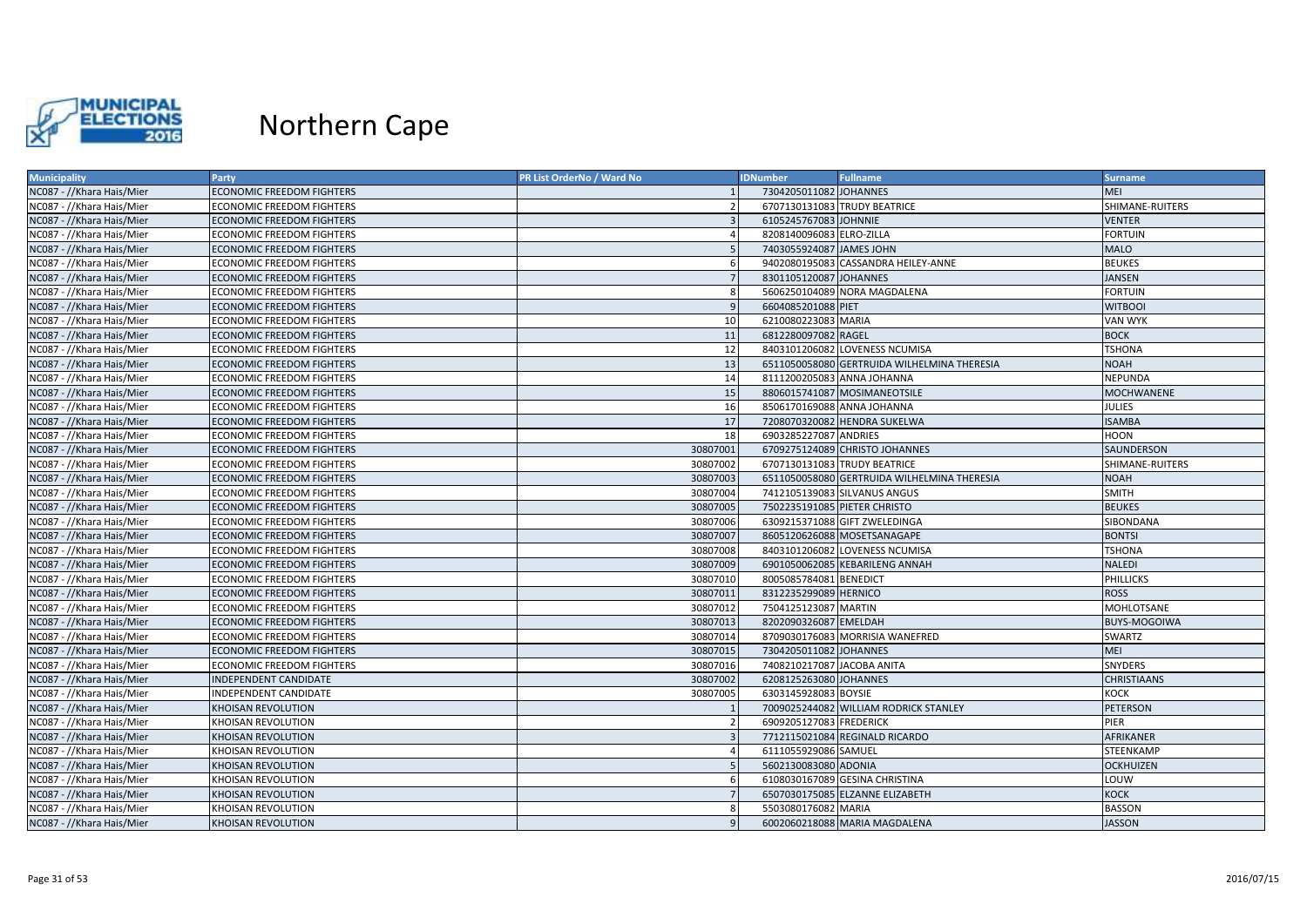

| <b>Municipality</b>       | Party                            | PR List OrderNo / Ward No | <b>IDNumber</b>            | <b>Fullname</b>                             | <b>Surname</b>      |
|---------------------------|----------------------------------|---------------------------|----------------------------|---------------------------------------------|---------------------|
| NC087 - //Khara Hais/Mier | <b>ECONOMIC FREEDOM FIGHTERS</b> |                           | 7304205011082 JOHANNES     |                                             | <b>MEI</b>          |
| NC087 - //Khara Hais/Mier | ECONOMIC FREEDOM FIGHTERS        |                           |                            | 6707130131083 TRUDY BEATRICE                | SHIMANE-RUITERS     |
| NC087 - //Khara Hais/Mier | <b>ECONOMIC FREEDOM FIGHTERS</b> | $\overline{\mathbf{3}}$   | 6105245767083 JOHNNIE      |                                             | <b>VENTER</b>       |
| NC087 - //Khara Hais/Mier | ECONOMIC FREEDOM FIGHTERS        |                           | 8208140096083 ELRO-ZILLA   |                                             | <b>FORTUIN</b>      |
| NC087 - //Khara Hais/Mier | <b>ECONOMIC FREEDOM FIGHTERS</b> |                           | 7403055924087 JAMES JOHN   |                                             | <b>MALO</b>         |
| NC087 - //Khara Hais/Mier | ECONOMIC FREEDOM FIGHTERS        | -6                        |                            | 9402080195083 CASSANDRA HEILEY-ANNE         | <b>BEUKES</b>       |
| NC087 - //Khara Hais/Mier | <b>ECONOMIC FREEDOM FIGHTERS</b> | $\overline{7}$            | 8301105120087 JOHANNES     |                                             | <b>JANSEN</b>       |
| NC087 - //Khara Hais/Mier | <b>ECONOMIC FREEDOM FIGHTERS</b> | -8                        |                            | 5606250104089 NORA MAGDALENA                | <b>FORTUIN</b>      |
| NC087 - //Khara Hais/Mier | <b>ECONOMIC FREEDOM FIGHTERS</b> | -9                        | 6604085201088 PIET         |                                             | <b>WITBOOI</b>      |
| NC087 - //Khara Hais/Mier | ECONOMIC FREEDOM FIGHTERS        | 10                        | 6210080223083 MARIA        |                                             | VAN WYK             |
| NC087 - //Khara Hais/Mier | <b>ECONOMIC FREEDOM FIGHTERS</b> | 11                        | 6812280097082 RAGEL        |                                             | <b>BOCK</b>         |
| NC087 - //Khara Hais/Mier | ECONOMIC FREEDOM FIGHTERS        | 12                        |                            | 8403101206082 LOVENESS NCUMISA              | <b>TSHONA</b>       |
| NC087 - //Khara Hais/Mier | <b>ECONOMIC FREEDOM FIGHTERS</b> | 13                        |                            | 6511050058080 GERTRUIDA WILHELMINA THERESIA | <b>NOAH</b>         |
| NC087 - //Khara Hais/Mier | <b>ECONOMIC FREEDOM FIGHTERS</b> | 14                        |                            | 8111200205083 ANNA JOHANNA                  | <b>NEPUNDA</b>      |
| NC087 - //Khara Hais/Mier | <b>ECONOMIC FREEDOM FIGHTERS</b> | 15                        |                            | 8806015741087 MOSIMANEOTSILE                | <b>MOCHWANENE</b>   |
| NC087 - //Khara Hais/Mier | <b>ECONOMIC FREEDOM FIGHTERS</b> | 16                        |                            | 8506170169088 ANNA JOHANNA                  | JULIES              |
| NC087 - //Khara Hais/Mier | <b>ECONOMIC FREEDOM FIGHTERS</b> | 17                        |                            | 7208070320082 HENDRA SUKELWA                | <b>ISAMBA</b>       |
| NC087 - //Khara Hais/Mier | ECONOMIC FREEDOM FIGHTERS        | 18                        | 6903285227087 ANDRIES      |                                             | HOON                |
| NC087 - //Khara Hais/Mier | <b>ECONOMIC FREEDOM FIGHTERS</b> | 30807001                  |                            | 6709275124089 CHRISTO JOHANNES              | SAUNDERSON          |
| NC087 - //Khara Hais/Mier | ECONOMIC FREEDOM FIGHTERS        | 30807002                  |                            | 6707130131083 TRUDY BEATRICE                | SHIMANE-RUITERS     |
| NC087 - //Khara Hais/Mier | <b>ECONOMIC FREEDOM FIGHTERS</b> | 30807003                  |                            | 6511050058080 GERTRUIDA WILHELMINA THERESIA | <b>NOAH</b>         |
| NC087 - //Khara Hais/Mier | <b>ECONOMIC FREEDOM FIGHTERS</b> | 30807004                  |                            | 7412105139083 SILVANUS ANGUS                | <b>SMITH</b>        |
| NC087 - //Khara Hais/Mier | <b>ECONOMIC FREEDOM FIGHTERS</b> | 30807005                  |                            | 7502235191085 PIETER CHRISTO                | <b>BEUKES</b>       |
| NC087 - //Khara Hais/Mier | <b>ECONOMIC FREEDOM FIGHTERS</b> | 30807006                  |                            | 6309215371088 GIFT ZWELEDINGA               | SIBONDANA           |
| NC087 - //Khara Hais/Mier | <b>ECONOMIC FREEDOM FIGHTERS</b> | 30807007                  |                            | 8605120626088 MOSETSANAGAPE                 | <b>BONTSI</b>       |
| NC087 - //Khara Hais/Mier | ECONOMIC FREEDOM FIGHTERS        | 30807008                  |                            | 8403101206082 LOVENESS NCUMISA              | TSHONA              |
| NC087 - //Khara Hais/Mier | <b>ECONOMIC FREEDOM FIGHTERS</b> | 30807009                  |                            | 6901050062085 KEBARILENG ANNAH              | <b>NALEDI</b>       |
| NC087 - //Khara Hais/Mier | <b>ECONOMIC FREEDOM FIGHTERS</b> | 30807010                  | 8005085784081 BENEDICT     |                                             | PHILLICKS           |
| NC087 - //Khara Hais/Mier | ECONOMIC FREEDOM FIGHTERS        | 30807011                  | 8312235299089 HERNICO      |                                             | <b>ROSS</b>         |
| NC087 - //Khara Hais/Mier | <b>ECONOMIC FREEDOM FIGHTERS</b> | 30807012                  | 7504125123087 MARTIN       |                                             | <b>MOHLOTSANE</b>   |
| NC087 - //Khara Hais/Mier | <b>ECONOMIC FREEDOM FIGHTERS</b> | 30807013                  | 8202090326087 EMELDAH      |                                             | <b>BUYS-MOGOIWA</b> |
| NC087 - //Khara Hais/Mier | <b>ECONOMIC FREEDOM FIGHTERS</b> | 30807014                  |                            | 8709030176083 MORRISIA WANEFRED             | SWARTZ              |
| NC087 - //Khara Hais/Mier | <b>ECONOMIC FREEDOM FIGHTERS</b> | 30807015                  | 7304205011082 JOHANNES     |                                             | <b>MEI</b>          |
| NC087 - //Khara Hais/Mier | ECONOMIC FREEDOM FIGHTERS        | 30807016                  | 7408210217087 JACOBA ANITA |                                             | SNYDERS             |
| NC087 - //Khara Hais/Mier | INDEPENDENT CANDIDATE            | 30807002                  | 6208125263080 JOHANNES     |                                             | <b>CHRISTIAANS</b>  |
| NC087 - //Khara Hais/Mier | <b>INDEPENDENT CANDIDATE</b>     | 30807005                  | 6303145928083 BOYSIE       |                                             | коск                |
| NC087 - //Khara Hais/Mier | KHOISAN REVOLUTION               |                           |                            | 7009025244082 WILLIAM RODRICK STANLEY       | PETERSON            |
| NC087 - //Khara Hais/Mier | KHOISAN REVOLUTION               | $\overline{2}$            | 6909205127083 FREDERICK    |                                             | PIER                |
| NC087 - //Khara Hais/Mier | KHOISAN REVOLUTION               |                           |                            | 7712115021084 REGINALD RICARDO              | <b>AFRIKANER</b>    |
| NC087 - //Khara Hais/Mier | KHOISAN REVOLUTION               |                           | 6111055929086 SAMUEL       |                                             | STEENKAMP           |
| NC087 - //Khara Hais/Mier | KHOISAN REVOLUTION               |                           | 5602130083080 ADONIA       |                                             | <b>OCKHUIZEN</b>    |
| NC087 - //Khara Hais/Mier | KHOISAN REVOLUTION               | -6                        |                            | 6108030167089 GESINA CHRISTINA              | LOUW                |
| NC087 - //Khara Hais/Mier | KHOISAN REVOLUTION               |                           |                            | 6507030175085 ELZANNE ELIZABETH             | KOCK                |
| NC087 - //Khara Hais/Mier | KHOISAN REVOLUTION               | -8                        | 5503080176082 MARIA        |                                             | <b>BASSON</b>       |
| NC087 - //Khara Hais/Mier | KHOISAN REVOLUTION               | $\mathbf{q}$              |                            | 6002060218088 MARIA MAGDALENA               | <b>JASSON</b>       |
|                           |                                  |                           |                            |                                             |                     |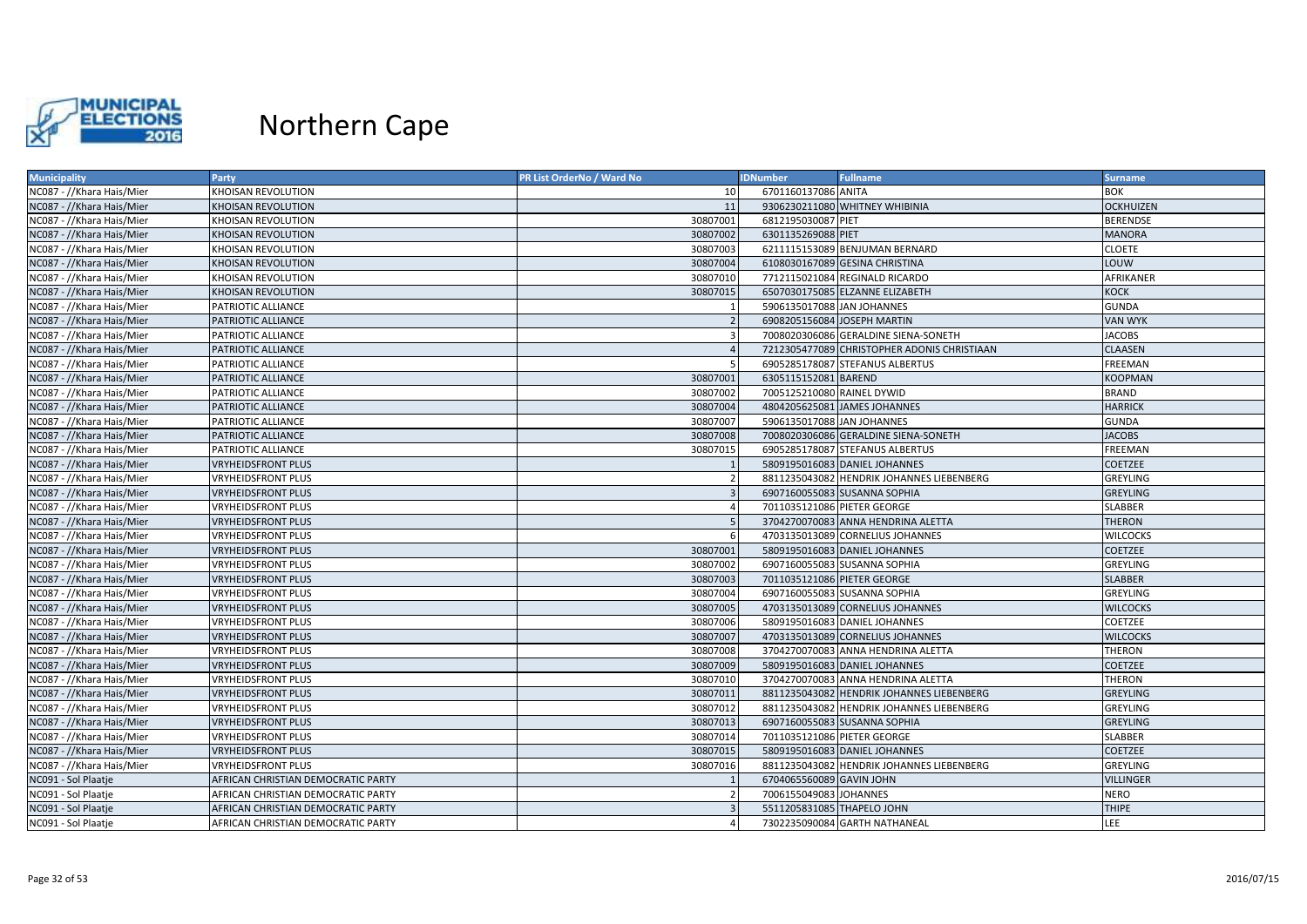

| <b>Municipality</b>       | Party                              | <b>PR List OrderNo / Ward No</b> | <b>IDNumber</b>             | <b>Fullname</b>                             | <b>Surname</b>   |
|---------------------------|------------------------------------|----------------------------------|-----------------------------|---------------------------------------------|------------------|
| NC087 - //Khara Hais/Mier | <b>KHOISAN REVOLUTION</b>          | 10                               | 6701160137086 ANITA         |                                             | <b>BOK</b>       |
| NC087 - //Khara Hais/Mier | <b>KHOISAN REVOLUTION</b>          | 11                               |                             | 9306230211080 WHITNEY WHIBINIA              | <b>OCKHUIZEN</b> |
| NC087 - //Khara Hais/Mier | KHOISAN REVOLUTION                 | 30807001                         | 6812195030087 PIET          |                                             | <b>BERENDSE</b>  |
| NC087 - //Khara Hais/Mier | <b>KHOISAN REVOLUTION</b>          | 30807002                         | 6301135269088 PIET          |                                             | <b>MANORA</b>    |
| NC087 - //Khara Hais/Mier | <b>KHOISAN REVOLUTION</b>          | 30807003                         |                             | 6211115153089 BENJUMAN BERNARD              | <b>CLOETE</b>    |
| NC087 - //Khara Hais/Mier | <b>KHOISAN REVOLUTION</b>          | 30807004                         |                             | 6108030167089 GESINA CHRISTINA              | LOUW             |
| NC087 - //Khara Hais/Mier | KHOISAN REVOLUTION                 | 30807010                         |                             | 7712115021084 REGINALD RICARDO              | AFRIKANER        |
| NC087 - //Khara Hais/Mier | <b>KHOISAN REVOLUTION</b>          | 30807015                         |                             | 6507030175085 ELZANNE ELIZABETH             | <b>KOCK</b>      |
| NC087 - //Khara Hais/Mier | PATRIOTIC ALLIANCE                 |                                  | 5906135017088 JAN JOHANNES  |                                             | <b>GUNDA</b>     |
| NC087 - //Khara Hais/Mier | PATRIOTIC ALLIANCE                 |                                  | 6908205156084 JOSEPH MARTIN |                                             | <b>VAN WYK</b>   |
| NC087 - //Khara Hais/Mier | PATRIOTIC ALLIANCE                 |                                  |                             | 7008020306086 GERALDINE SIENA-SONETH        | <b>JACOBS</b>    |
| NC087 - //Khara Hais/Mier | PATRIOTIC ALLIANCE                 | $\overline{4}$                   |                             | 7212305477089 CHRISTOPHER ADONIS CHRISTIAAN | <b>CLAASEN</b>   |
| NC087 - //Khara Hais/Mier | PATRIOTIC ALLIANCE                 |                                  |                             | 6905285178087 STEFANUS ALBERTUS             | <b>FREEMAN</b>   |
| NC087 - //Khara Hais/Mier | PATRIOTIC ALLIANCE                 | 30807001                         | 6305115152081 BAREND        |                                             | <b>KOOPMAN</b>   |
| NC087 - //Khara Hais/Mier | PATRIOTIC ALLIANCE                 | 30807002                         | 7005125210080 RAINEL DYWID  |                                             | BRAND            |
| NC087 - //Khara Hais/Mier | PATRIOTIC ALLIANCE                 | 30807004                         |                             | 4804205625081 JAMES JOHANNES                | <b>HARRICK</b>   |
| NC087 - //Khara Hais/Mier | PATRIOTIC ALLIANCE                 | 30807007                         | 5906135017088 JAN JOHANNES  |                                             | <b>GUNDA</b>     |
| NC087 - //Khara Hais/Mier | PATRIOTIC ALLIANCE                 | 30807008                         |                             | 7008020306086 GERALDINE SIENA-SONETH        | <b>JACOBS</b>    |
| NC087 - //Khara Hais/Mier | PATRIOTIC ALLIANCE                 | 30807015                         |                             | 6905285178087 STEFANUS ALBERTUS             | <b>FREEMAN</b>   |
| NC087 - //Khara Hais/Mier | <b>VRYHEIDSFRONT PLUS</b>          |                                  |                             | 5809195016083 DANIEL JOHANNES               | COETZEE          |
| NC087 - //Khara Hais/Mier | <b>VRYHEIDSFRONT PLUS</b>          |                                  |                             | 8811235043082 HENDRIK JOHANNES LIEBENBERG   | <b>GREYLING</b>  |
| NC087 - //Khara Hais/Mier | <b>VRYHEIDSFRONT PLUS</b>          |                                  |                             | 6907160055083 SUSANNA SOPHIA                | <b>GREYLING</b>  |
| NC087 - //Khara Hais/Mier | <b>VRYHEIDSFRONT PLUS</b>          | $\overline{4}$                   | 7011035121086 PIETER GEORGE |                                             | SLABBER          |
| NC087 - //Khara Hais/Mier | <b>VRYHEIDSFRONT PLUS</b>          |                                  |                             | 3704270070083 ANNA HENDRINA ALETTA          | <b>THERON</b>    |
| NC087 - //Khara Hais/Mier | <b>VRYHEIDSFRONT PLUS</b>          |                                  |                             | 4703135013089 CORNELIUS JOHANNES            | <b>WILCOCKS</b>  |
| NC087 - //Khara Hais/Mier | <b>VRYHEIDSFRONT PLUS</b>          | 30807001                         |                             | 5809195016083 DANIEL JOHANNES               | <b>COETZEE</b>   |
| NC087 - //Khara Hais/Mier | <b>VRYHEIDSFRONT PLUS</b>          | 30807002                         |                             | 6907160055083 SUSANNA SOPHIA                | <b>GREYLING</b>  |
| NC087 - //Khara Hais/Mier | <b>VRYHEIDSFRONT PLUS</b>          | 30807003                         | 7011035121086 PIETER GEORGE |                                             | <b>SLABBER</b>   |
| NC087 - //Khara Hais/Mier | <b>VRYHEIDSFRONT PLUS</b>          | 30807004                         |                             | 6907160055083 SUSANNA SOPHIA                | <b>GREYLING</b>  |
| NC087 - //Khara Hais/Mier | <b>VRYHEIDSFRONT PLUS</b>          | 30807005                         |                             | 4703135013089 CORNELIUS JOHANNES            | <b>WILCOCKS</b>  |
| NC087 - //Khara Hais/Mier | <b>VRYHEIDSFRONT PLUS</b>          | 30807006                         |                             | 5809195016083 DANIEL JOHANNES               | COETZEE          |
| NC087 - //Khara Hais/Mier | <b>VRYHEIDSFRONT PLUS</b>          | 30807007                         |                             | 4703135013089 CORNELIUS JOHANNES            | <b>WILCOCKS</b>  |
| NC087 - //Khara Hais/Mier | <b>VRYHEIDSFRONT PLUS</b>          | 30807008                         |                             | 3704270070083 ANNA HENDRINA ALETTA          | THERON           |
| NC087 - //Khara Hais/Mier | <b>VRYHEIDSFRONT PLUS</b>          | 30807009                         |                             | 5809195016083 DANIEL JOHANNES               | COETZEE          |
| NC087 - //Khara Hais/Mier | <b>VRYHEIDSFRONT PLUS</b>          | 30807010                         |                             | 3704270070083 ANNA HENDRINA ALETTA          | <b>THERON</b>    |
| NC087 - //Khara Hais/Mier | <b>VRYHEIDSFRONT PLUS</b>          | 30807011                         |                             | 8811235043082 HENDRIK JOHANNES LIEBENBERG   | <b>GREYLING</b>  |
| NC087 - //Khara Hais/Mier | <b>VRYHEIDSFRONT PLUS</b>          | 30807012                         |                             | 8811235043082 HENDRIK JOHANNES LIEBENBERG   | <b>GREYLING</b>  |
| NC087 - //Khara Hais/Mier | <b>VRYHEIDSFRONT PLUS</b>          | 30807013                         |                             | 6907160055083 SUSANNA SOPHIA                | GREYLING         |
| NC087 - //Khara Hais/Mier | <b>VRYHEIDSFRONT PLUS</b>          | 30807014                         | 7011035121086 PIETER GEORGE |                                             | SLABBER          |
| NC087 - //Khara Hais/Mier | <b>VRYHEIDSFRONT PLUS</b>          | 30807015                         |                             | 5809195016083 DANIEL JOHANNES               | <b>COETZEE</b>   |
| NC087 - //Khara Hais/Mier | <b>VRYHEIDSFRONT PLUS</b>          | 30807016                         |                             | 8811235043082 HENDRIK JOHANNES LIEBENBERG   | GREYLING         |
| NC091 - Sol Plaatje       | AFRICAN CHRISTIAN DEMOCRATIC PARTY |                                  | 6704065560089 GAVIN JOHN    |                                             | VILLINGER        |
| NC091 - Sol Plaatje       | AFRICAN CHRISTIAN DEMOCRATIC PARTY |                                  | 7006155049083 JOHANNES      |                                             | <b>NERO</b>      |
| NC091 - Sol Plaatje       | AFRICAN CHRISTIAN DEMOCRATIC PARTY |                                  | 5511205831085 THAPELO JOHN  |                                             | <b>THIPE</b>     |
| NC091 - Sol Plaatje       | AFRICAN CHRISTIAN DEMOCRATIC PARTY |                                  |                             | 7302235090084 GARTH NATHANEAL               | LEE              |
|                           |                                    |                                  |                             |                                             |                  |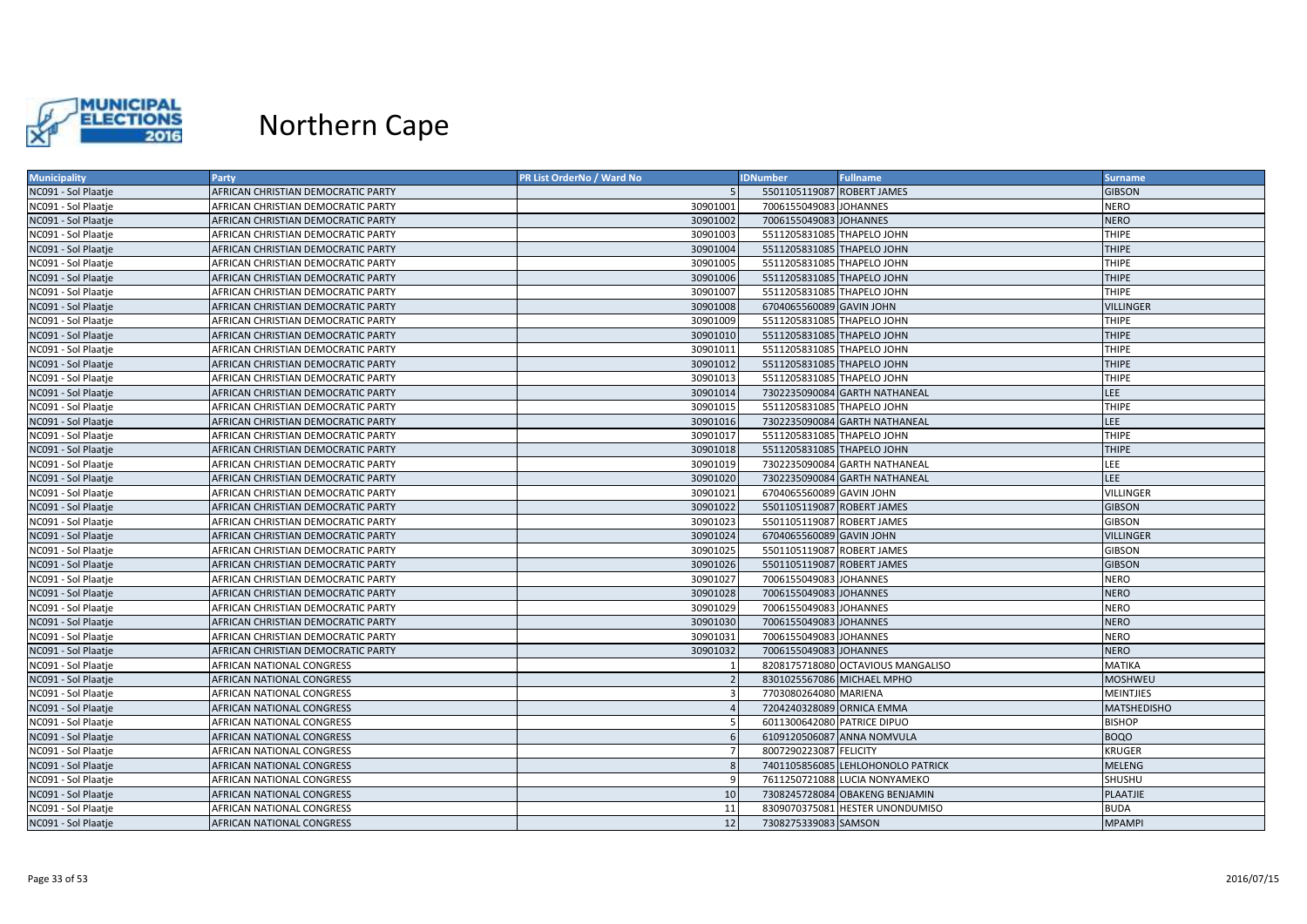

| <b>Municipality</b> | Party                              | PR List OrderNo / Ward No | <b>IDNumber</b>             | <b>Fullname</b>                   | <b>Surname</b>   |
|---------------------|------------------------------------|---------------------------|-----------------------------|-----------------------------------|------------------|
| NC091 - Sol Plaatje | AFRICAN CHRISTIAN DEMOCRATIC PARTY |                           | 5501105119087 ROBERT JAMES  |                                   | <b>GIBSON</b>    |
| NC091 - Sol Plaatje | AFRICAN CHRISTIAN DEMOCRATIC PARTY | 30901001                  | 7006155049083 JOHANNES      |                                   | <b>NERO</b>      |
| NC091 - Sol Plaatje | AFRICAN CHRISTIAN DEMOCRATIC PARTY | 30901002                  | 7006155049083 JOHANNES      |                                   | <b>NERO</b>      |
| NC091 - Sol Plaatje | AFRICAN CHRISTIAN DEMOCRATIC PARTY | 30901003                  | 5511205831085 THAPELO JOHN  |                                   | <b>THIPE</b>     |
| NC091 - Sol Plaatje | AFRICAN CHRISTIAN DEMOCRATIC PARTY | 30901004                  | 5511205831085 THAPELO JOHN  |                                   | <b>THIPE</b>     |
| NC091 - Sol Plaatje | AFRICAN CHRISTIAN DEMOCRATIC PARTY | 30901005                  | 5511205831085 THAPELO JOHN  |                                   | <b>THIPE</b>     |
| NC091 - Sol Plaatje | AFRICAN CHRISTIAN DEMOCRATIC PARTY | 30901006                  | 5511205831085 THAPELO JOHN  |                                   | <b>THIPE</b>     |
| NC091 - Sol Plaatje | AFRICAN CHRISTIAN DEMOCRATIC PARTY | 30901007                  | 5511205831085 THAPELO JOHN  |                                   | <b>THIPE</b>     |
| NC091 - Sol Plaatje | AFRICAN CHRISTIAN DEMOCRATIC PARTY | 30901008                  | 6704065560089 GAVIN JOHN    |                                   | <b>VILLINGER</b> |
| NC091 - Sol Plaatje | AFRICAN CHRISTIAN DEMOCRATIC PARTY | 30901009                  | 5511205831085 THAPELO JOHN  |                                   | <b>THIPE</b>     |
| NC091 - Sol Plaatje | AFRICAN CHRISTIAN DEMOCRATIC PARTY | 30901010                  | 5511205831085 THAPELO JOHN  |                                   | <b>THIPE</b>     |
| NC091 - Sol Plaatje | AFRICAN CHRISTIAN DEMOCRATIC PARTY | 30901011                  | 5511205831085 THAPELO JOHN  |                                   | <b>THIPE</b>     |
| NC091 - Sol Plaatje | AFRICAN CHRISTIAN DEMOCRATIC PARTY | 30901012                  | 5511205831085 THAPELO JOHN  |                                   | <b>THIPE</b>     |
| NC091 - Sol Plaatje | AFRICAN CHRISTIAN DEMOCRATIC PARTY | 30901013                  | 5511205831085 THAPELO JOHN  |                                   | <b>THIPE</b>     |
| NC091 - Sol Plaatje | AFRICAN CHRISTIAN DEMOCRATIC PARTY | 30901014                  |                             | 7302235090084 GARTH NATHANEAL     | LEE.             |
| NC091 - Sol Plaatje | AFRICAN CHRISTIAN DEMOCRATIC PARTY | 30901015                  | 5511205831085 THAPELO JOHN  |                                   | <b>THIPE</b>     |
| NC091 - Sol Plaatje | AFRICAN CHRISTIAN DEMOCRATIC PARTY | 30901016                  |                             | 7302235090084 GARTH NATHANEAL     | LEE              |
| NC091 - Sol Plaatje | AFRICAN CHRISTIAN DEMOCRATIC PARTY | 30901017                  | 5511205831085 THAPELO JOHN  |                                   | <b>THIPE</b>     |
| NC091 - Sol Plaatje | AFRICAN CHRISTIAN DEMOCRATIC PARTY | 30901018                  | 5511205831085 THAPELO JOHN  |                                   | <b>THIPE</b>     |
| NC091 - Sol Plaatje | AFRICAN CHRISTIAN DEMOCRATIC PARTY | 30901019                  |                             | 7302235090084 GARTH NATHANEAL     | <b>LEE</b>       |
| NC091 - Sol Plaatje | AFRICAN CHRISTIAN DEMOCRATIC PARTY | 30901020                  |                             | 7302235090084 GARTH NATHANEAL     | <b>LEE</b>       |
| NC091 - Sol Plaatje | AFRICAN CHRISTIAN DEMOCRATIC PARTY | 30901021                  | 6704065560089 GAVIN JOHN    |                                   | <b>VILLINGER</b> |
| NC091 - Sol Plaatje | AFRICAN CHRISTIAN DEMOCRATIC PARTY | 30901022                  | 5501105119087 ROBERT JAMES  |                                   | <b>GIBSON</b>    |
| NC091 - Sol Plaatje | AFRICAN CHRISTIAN DEMOCRATIC PARTY | 30901023                  | 5501105119087 ROBERT JAMES  |                                   | <b>GIBSON</b>    |
| NC091 - Sol Plaatje | AFRICAN CHRISTIAN DEMOCRATIC PARTY | 30901024                  | 6704065560089 GAVIN JOHN    |                                   | <b>VILLINGER</b> |
| NC091 - Sol Plaatje | AFRICAN CHRISTIAN DEMOCRATIC PARTY | 30901025                  | 5501105119087 ROBERT JAMES  |                                   | <b>GIBSON</b>    |
| NC091 - Sol Plaatje | AFRICAN CHRISTIAN DEMOCRATIC PARTY | 30901026                  | 5501105119087 ROBERT JAMES  |                                   | <b>GIBSON</b>    |
| NC091 - Sol Plaatje | AFRICAN CHRISTIAN DEMOCRATIC PARTY | 30901027                  | 7006155049083 JOHANNES      |                                   | <b>NERO</b>      |
| NC091 - Sol Plaatje | AFRICAN CHRISTIAN DEMOCRATIC PARTY | 30901028                  | 7006155049083 JOHANNES      |                                   | <b>NERO</b>      |
| NC091 - Sol Plaatje | AFRICAN CHRISTIAN DEMOCRATIC PARTY | 30901029                  | 7006155049083 JOHANNES      |                                   | <b>NERO</b>      |
| NC091 - Sol Plaatje | AFRICAN CHRISTIAN DEMOCRATIC PARTY | 30901030                  | 7006155049083 JOHANNES      |                                   | <b>NERO</b>      |
| NC091 - Sol Plaatje | AFRICAN CHRISTIAN DEMOCRATIC PARTY | 30901031                  | 7006155049083 JOHANNES      |                                   | <b>NERO</b>      |
| NC091 - Sol Plaatje | AFRICAN CHRISTIAN DEMOCRATIC PARTY | 30901032                  | 7006155049083 JOHANNES      |                                   | <b>NERO</b>      |
| NC091 - Sol Plaatje | AFRICAN NATIONAL CONGRESS          |                           |                             | 8208175718080 OCTAVIOUS MANGALISO | <b>MATIKA</b>    |
| NC091 - Sol Plaatje | AFRICAN NATIONAL CONGRESS          |                           | 8301025567086 MICHAEL MPHO  |                                   | <b>MOSHWEU</b>   |
| NC091 - Sol Plaatje | AFRICAN NATIONAL CONGRESS          |                           | 7703080264080 MARIENA       |                                   | <b>MEINTJIES</b> |
| NC091 - Sol Plaatje | AFRICAN NATIONAL CONGRESS          |                           | 7204240328089 ORNICA EMMA   |                                   | MATSHEDISHO      |
| NC091 - Sol Plaatje | AFRICAN NATIONAL CONGRESS          |                           | 6011300642080 PATRICE DIPUO |                                   | <b>BISHOP</b>    |
| NC091 - Sol Plaatje | AFRICAN NATIONAL CONGRESS          |                           |                             | 6109120506087 ANNA NOMVULA        | <b>BOQO</b>      |
| NC091 - Sol Plaatje | AFRICAN NATIONAL CONGRESS          |                           | 8007290223087 FELICITY      |                                   | KRUGER           |
| NC091 - Sol Plaatje | AFRICAN NATIONAL CONGRESS          | <b>s</b>                  |                             | 7401105856085 LEHLOHONOLO PATRICK | <b>MELENG</b>    |
| NC091 - Sol Plaatje | AFRICAN NATIONAL CONGRESS          |                           |                             | 7611250721088 LUCIA NONYAMEKO     | SHUSHU           |
| NC091 - Sol Plaatje | <b>AFRICAN NATIONAL CONGRESS</b>   | 10                        |                             | 7308245728084 OBAKENG BENJAMIN    | <b>PLAATJIE</b>  |
| NC091 - Sol Plaatje | <b>AFRICAN NATIONAL CONGRESS</b>   | 11                        |                             | 8309070375081 HESTER UNONDUMISO   | <b>BUDA</b>      |
| NC091 - Sol Plaatje | AFRICAN NATIONAL CONGRESS          | 12                        | 7308275339083 SAMSON        |                                   | <b>MPAMPI</b>    |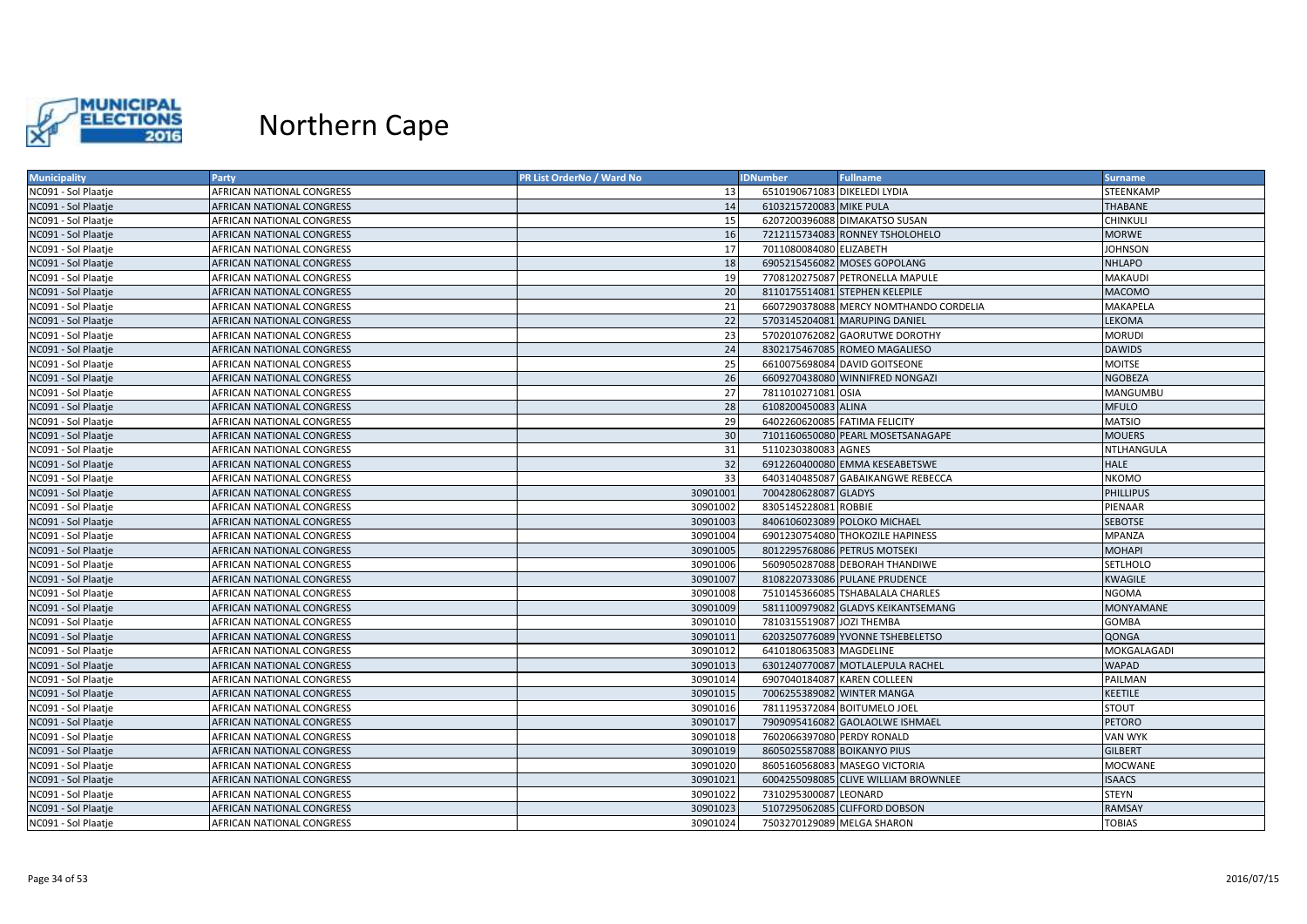

| <b>Municipality</b> | Party                            | PR List OrderNo / Ward No | <b>IDNumber</b>               | <b>Fullname</b>                        | <b>Surname</b>   |
|---------------------|----------------------------------|---------------------------|-------------------------------|----------------------------------------|------------------|
| NC091 - Sol Plaatje | AFRICAN NATIONAL CONGRESS        | 13                        | 6510190671083 DIKELEDI LYDIA  |                                        | STEENKAMP        |
| NC091 - Sol Plaatje | AFRICAN NATIONAL CONGRESS        | 14                        | 6103215720083 MIKE PULA       |                                        | THABANE          |
| NC091 - Sol Plaatje | AFRICAN NATIONAL CONGRESS        | 15                        |                               | 6207200396088 DIMAKATSO SUSAN          | <b>CHINKULI</b>  |
| NC091 - Sol Plaatje | AFRICAN NATIONAL CONGRESS        | 16                        |                               | 7212115734083 RONNEY TSHOLOHELO        | <b>MORWE</b>     |
| NC091 - Sol Plaatje | AFRICAN NATIONAL CONGRESS        | 17                        | 7011080084080 ELIZABETH       |                                        | <b>JOHNSON</b>   |
| NC091 - Sol Plaatje | AFRICAN NATIONAL CONGRESS        | 18                        |                               | 6905215456082 MOSES GOPOLANG           | <b>NHLAPO</b>    |
| NC091 - Sol Plaatje | AFRICAN NATIONAL CONGRESS        | 19                        |                               | 7708120275087 PETRONELLA MAPULE        | <b>MAKAUDI</b>   |
| NC091 - Sol Plaatje | <b>AFRICAN NATIONAL CONGRESS</b> | 20                        |                               | 8110175514081 STEPHEN KELEPILE         | <b>MACOMO</b>    |
| NC091 - Sol Plaatje | AFRICAN NATIONAL CONGRESS        | 21                        |                               | 6607290378088 MERCY NOMTHANDO CORDELIA | MAKAPELA         |
| NC091 - Sol Plaatje | AFRICAN NATIONAL CONGRESS        | 22                        |                               | 5703145204081 MARUPING DANIEL          | LEKOMA           |
| NC091 - Sol Plaatje | AFRICAN NATIONAL CONGRESS        | 23                        |                               | 5702010762082 GAORUTWE DOROTHY         | <b>MORUDI</b>    |
| NC091 - Sol Plaatje | AFRICAN NATIONAL CONGRESS        | 24                        |                               | 8302175467085 ROMEO MAGALIESO          | <b>DAWIDS</b>    |
| NC091 - Sol Plaatje | AFRICAN NATIONAL CONGRESS        | 25                        |                               | 6610075698084 DAVID GOITSEONE          | <b>MOITSE</b>    |
| NC091 - Sol Plaatje | AFRICAN NATIONAL CONGRESS        | 26                        |                               | 6609270438080 WINNIFRED NONGAZI        | <b>NGOBEZA</b>   |
| NC091 - Sol Plaatje | AFRICAN NATIONAL CONGRESS        | 27                        | 7811010271081 OSIA            |                                        | MANGUMBU         |
| NC091 - Sol Plaatje | AFRICAN NATIONAL CONGRESS        | 28                        | 6108200450083 ALINA           |                                        | <b>MFULO</b>     |
| NC091 - Sol Plaatje | AFRICAN NATIONAL CONGRESS        | 29                        | 6402260620085 FATIMA FELICITY |                                        | <b>MATSIO</b>    |
| NC091 - Sol Plaatje | AFRICAN NATIONAL CONGRESS        | 30                        |                               | 7101160650080 PEARL MOSETSANAGAPE      | <b>MOUERS</b>    |
| NC091 - Sol Plaatje | AFRICAN NATIONAL CONGRESS        | 31                        | 5110230380083 AGNES           |                                        | NTLHANGULA       |
| NC091 - Sol Plaatje | AFRICAN NATIONAL CONGRESS        | 32                        |                               | 6912260400080 EMMA KESEABETSWE         | HALE             |
| NC091 - Sol Plaatje | AFRICAN NATIONAL CONGRESS        | 33                        |                               | 6403140485087 GABAIKANGWE REBECCA      | <b>NKOMO</b>     |
| NC091 - Sol Plaatje | AFRICAN NATIONAL CONGRESS        | 30901001                  | 7004280628087 GLADYS          |                                        | <b>PHILLIPUS</b> |
| NC091 - Sol Plaatje | AFRICAN NATIONAL CONGRESS        | 30901002                  | 8305145228081 ROBBIE          |                                        | PIENAAR          |
| NC091 - Sol Plaatje | AFRICAN NATIONAL CONGRESS        | 30901003                  |                               | 8406106023089 POLOKO MICHAEL           | <b>SEBOTSE</b>   |
| NC091 - Sol Plaatje | AFRICAN NATIONAL CONGRESS        | 30901004                  |                               | 6901230754080 THOKOZILE HAPINESS       | <b>MPANZA</b>    |
| NC091 - Sol Plaatje | AFRICAN NATIONAL CONGRESS        | 30901005                  | 8012295768086 PETRUS MOTSEKI  |                                        | <b>MOHAPI</b>    |
| NC091 - Sol Plaatje | AFRICAN NATIONAL CONGRESS        | 30901006                  |                               | 5609050287088 DEBORAH THANDIWE         | SETLHOLO         |
| NC091 - Sol Plaatje | AFRICAN NATIONAL CONGRESS        | 30901007                  |                               | 8108220733086 PULANE PRUDENCE          | <b>KWAGILE</b>   |
| NC091 - Sol Plaatje | AFRICAN NATIONAL CONGRESS        | 30901008                  |                               | 7510145366085 TSHABALALA CHARLES       | <b>NGOMA</b>     |
| NC091 - Sol Plaatje | AFRICAN NATIONAL CONGRESS        | 30901009                  |                               | 5811100979082 GLADYS KEIKANTSEMANG     | <b>MONYAMANE</b> |
| NC091 - Sol Plaatje | AFRICAN NATIONAL CONGRESS        | 30901010                  | 7810315519087 JOZI THEMBA     |                                        | <b>GOMBA</b>     |
| NC091 - Sol Plaatje | AFRICAN NATIONAL CONGRESS        | 30901011                  |                               | 6203250776089 YVONNE TSHEBELETSO       | QONGA            |
| NC091 - Sol Plaatje | AFRICAN NATIONAL CONGRESS        | 30901012                  | 6410180635083 MAGDELINE       |                                        | MOKGALAGADI      |
| NC091 - Sol Plaatje | AFRICAN NATIONAL CONGRESS        | 30901013                  |                               | 6301240770087 MOTLALEPULA RACHEL       | <b>WAPAD</b>     |
| NC091 - Sol Plaatje | AFRICAN NATIONAL CONGRESS        | 30901014                  | 6907040184087 KAREN COLLEEN   |                                        | PAILMAN          |
| NC091 - Sol Plaatje | AFRICAN NATIONAL CONGRESS        | 30901015                  | 7006255389082 WINTER MANGA    |                                        | <b>KEETILE</b>   |
| NC091 - Sol Plaatje | AFRICAN NATIONAL CONGRESS        | 30901016                  | 7811195372084 BOITUMELO JOEL  |                                        | <b>STOUT</b>     |
| NC091 - Sol Plaatje | AFRICAN NATIONAL CONGRESS        | 30901017                  |                               | 7909095416082 GAOLAOLWE ISHMAEL        | <b>PETORO</b>    |
| NC091 - Sol Plaatje | AFRICAN NATIONAL CONGRESS        | 30901018                  | 7602066397080 PERDY RONALD    |                                        | VAN WYK          |
| NC091 - Sol Plaatje | AFRICAN NATIONAL CONGRESS        | 30901019                  | 8605025587088 BOIKANYO PIUS   |                                        | <b>GILBERT</b>   |
| NC091 - Sol Plaatje | AFRICAN NATIONAL CONGRESS        | 30901020                  |                               | 8605160568083 MASEGO VICTORIA          | <b>MOCWANE</b>   |
| NC091 - Sol Plaatje | AFRICAN NATIONAL CONGRESS        | 30901021                  |                               | 6004255098085 CLIVE WILLIAM BROWNLEE   | <b>ISAACS</b>    |
| NC091 - Sol Plaatje | AFRICAN NATIONAL CONGRESS        | 30901022                  | 7310295300087 LEONARD         |                                        | <b>STEYN</b>     |
| NC091 - Sol Plaatje | AFRICAN NATIONAL CONGRESS        | 30901023                  |                               | 5107295062085 CLIFFORD DOBSON          | <b>RAMSAY</b>    |
| NC091 - Sol Plaatje | AFRICAN NATIONAL CONGRESS        | 30901024                  | 7503270129089 MELGA SHARON    |                                        | <b>TOBIAS</b>    |
|                     |                                  |                           |                               |                                        |                  |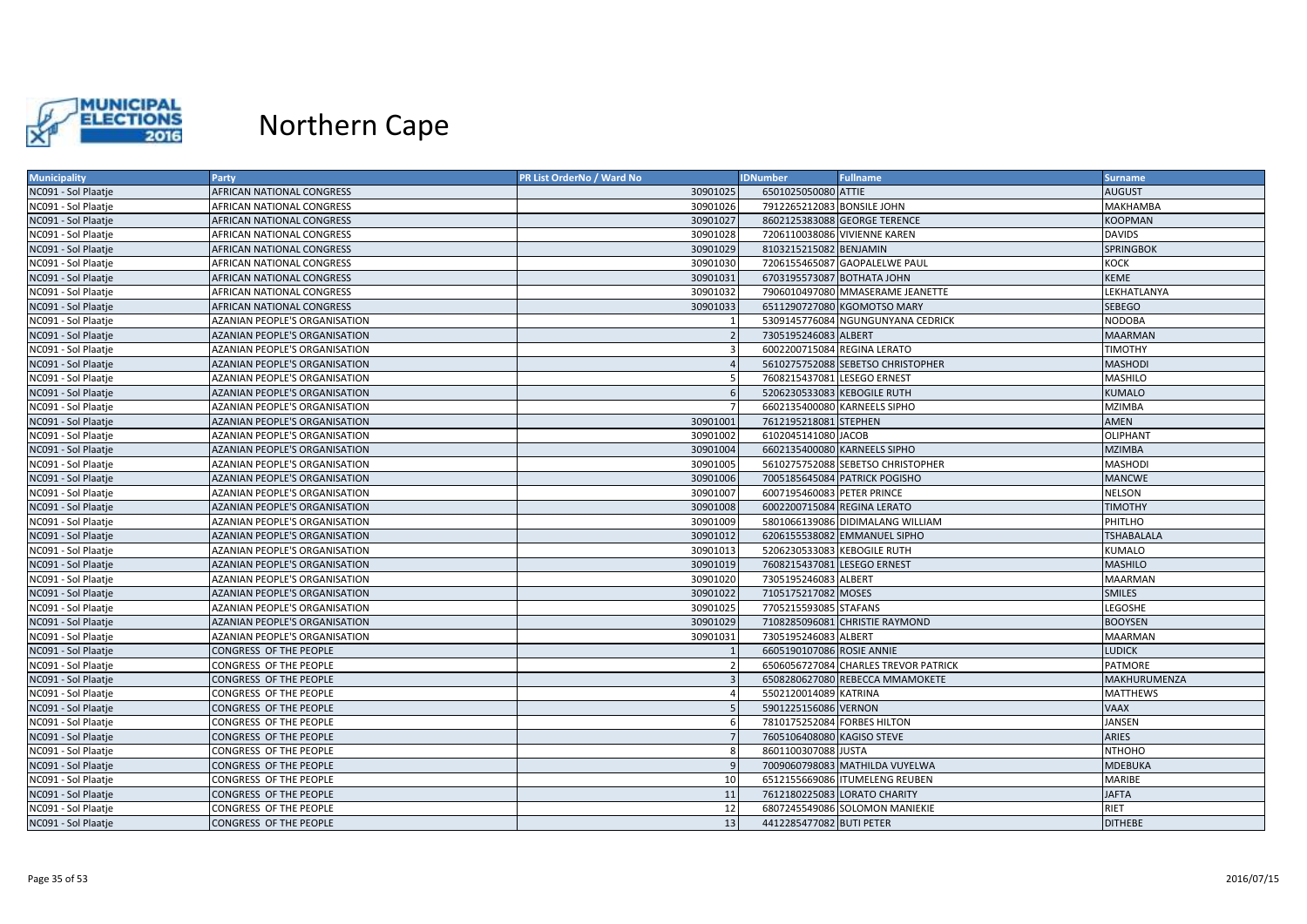

| <b>Municipality</b> | <b>Party</b>                         | <b>PR List OrderNo / Ward No</b> | <b>IDNumber</b>             | <b>Fullname</b>                      | <b>Surname</b>    |
|---------------------|--------------------------------------|----------------------------------|-----------------------------|--------------------------------------|-------------------|
| NC091 - Sol Plaatje | AFRICAN NATIONAL CONGRESS            | 30901025                         | 6501025050080 ATTIE         |                                      | <b>AUGUST</b>     |
| NC091 - Sol Plaatje | AFRICAN NATIONAL CONGRESS            | 30901026                         | 7912265212083 BONSILE JOHN  |                                      | MAKHAMBA          |
| NC091 - Sol Plaatje | <b>AFRICAN NATIONAL CONGRESS</b>     | 30901027                         |                             | 8602125383088 GEORGE TERENCE         | <b>KOOPMAN</b>    |
| NC091 - Sol Plaatje | AFRICAN NATIONAL CONGRESS            | 30901028                         |                             | 7206110038086 VIVIENNE KAREN         | <b>DAVIDS</b>     |
| NC091 - Sol Plaatje | AFRICAN NATIONAL CONGRESS            | 30901029                         | 8103215215082 BENJAMIN      |                                      | <b>SPRINGBOK</b>  |
| NC091 - Sol Plaatje | AFRICAN NATIONAL CONGRESS            | 30901030                         |                             | 7206155465087 GAOPALELWE PAUL        | <b>KOCK</b>       |
| NC091 - Sol Plaatje | AFRICAN NATIONAL CONGRESS            | 30901031                         | 6703195573087 BOTHATA JOHN  |                                      | <b>KEME</b>       |
| NC091 - Sol Plaatje | AFRICAN NATIONAL CONGRESS            | 30901032                         |                             | 7906010497080 MMASERAME JEANETTE     | LEKHATLANYA       |
| NC091 - Sol Plaatje | <b>AFRICAN NATIONAL CONGRESS</b>     | 30901033                         |                             | 6511290727080 KGOMOTSO MARY          | <b>SEBEGO</b>     |
| NC091 - Sol Plaatje | AZANIAN PEOPLE'S ORGANISATION        |                                  |                             | 5309145776084 NGUNGUNYANA CEDRICK    | <b>NODOBA</b>     |
| NC091 - Sol Plaatje | <b>AZANIAN PEOPLE'S ORGANISATION</b> | $\overline{2}$                   | 7305195246083 ALBERT        |                                      | <b>MAARMAN</b>    |
| NC091 - Sol Plaatje | AZANIAN PEOPLE'S ORGANISATION        | 3                                | 6002200715084 REGINA LERATO |                                      | <b>TIMOTHY</b>    |
| NC091 - Sol Plaatje | AZANIAN PEOPLE'S ORGANISATION        |                                  |                             | 5610275752088 SEBETSO CHRISTOPHER    | <b>MASHODI</b>    |
| NC091 - Sol Plaatje | AZANIAN PEOPLE'S ORGANISATION        | -5                               | 7608215437081 LESEGO ERNEST |                                      | <b>MASHILO</b>    |
| NC091 - Sol Plaatje | AZANIAN PEOPLE'S ORGANISATION        | 6                                | 5206230533083 KEBOGILE RUTH |                                      | <b>KUMALO</b>     |
| NC091 - Sol Plaatje | AZANIAN PEOPLE'S ORGANISATION        |                                  |                             | 6602135400080 KARNEELS SIPHO         | <b>MZIMBA</b>     |
| NC091 - Sol Plaatje | AZANIAN PEOPLE'S ORGANISATION        | 30901001                         | 7612195218081 STEPHEN       |                                      | <b>AMEN</b>       |
| NC091 - Sol Plaatje | AZANIAN PEOPLE'S ORGANISATION        | 30901002                         | 6102045141080 JACOB         |                                      | <b>OLIPHANT</b>   |
| NC091 - Sol Plaatje | <b>AZANIAN PEOPLE'S ORGANISATION</b> | 30901004                         |                             | 6602135400080 KARNEELS SIPHO         | <b>MZIMBA</b>     |
| NC091 - Sol Plaatje | AZANIAN PEOPLE'S ORGANISATION        | 30901005                         |                             | 5610275752088 SEBETSO CHRISTOPHER    | <b>MASHODI</b>    |
| NC091 - Sol Plaatje | AZANIAN PEOPLE'S ORGANISATION        | 30901006                         |                             | 7005185645084 PATRICK POGISHO        | <b>MANCWE</b>     |
| NC091 - Sol Plaatje | AZANIAN PEOPLE'S ORGANISATION        | 30901007                         | 6007195460083 PETER PRINCE  |                                      | <b>NELSON</b>     |
| NC091 - Sol Plaatje | AZANIAN PEOPLE'S ORGANISATION        | 30901008                         |                             | 6002200715084 REGINA LERATO          | <b>TIMOTHY</b>    |
| NC091 - Sol Plaatje | AZANIAN PEOPLE'S ORGANISATION        | 30901009                         |                             | 5801066139086 DIDIMALANG WILLIAM     | PHITLHO           |
| NC091 - Sol Plaatje | <b>AZANIAN PEOPLE'S ORGANISATION</b> | 30901012                         |                             | 6206155538082 EMMANUEL SIPHO         | <b>TSHABALALA</b> |
| NC091 - Sol Plaatje | AZANIAN PEOPLE'S ORGANISATION        | 30901013                         | 5206230533083 KEBOGILE RUTH |                                      | <b>KUMALO</b>     |
| NC091 - Sol Plaatje | AZANIAN PEOPLE'S ORGANISATION        | 30901019                         | 7608215437081 LESEGO ERNEST |                                      | <b>MASHILO</b>    |
| NC091 - Sol Plaatje | AZANIAN PEOPLE'S ORGANISATION        | 30901020                         | 7305195246083 ALBERT        |                                      | <b>MAARMAN</b>    |
| NC091 - Sol Plaatje | <b>AZANIAN PEOPLE'S ORGANISATION</b> | 30901022                         | 7105175217082 MOSES         |                                      | <b>SMILES</b>     |
| NC091 - Sol Plaatje | AZANIAN PEOPLE'S ORGANISATION        | 30901025                         | 7705215593085 STAFANS       |                                      | LEGOSHE           |
| NC091 - Sol Plaatje | <b>AZANIAN PEOPLE'S ORGANISATION</b> | 30901029                         |                             | 7108285096081 CHRISTIE RAYMOND       | <b>BOOYSEN</b>    |
| NC091 - Sol Plaatje | AZANIAN PEOPLE'S ORGANISATION        | 30901031                         | 7305195246083 ALBERT        |                                      | <b>MAARMAN</b>    |
| NC091 - Sol Plaatje | CONGRESS OF THE PEOPLE               |                                  | 6605190107086 ROSIE ANNIE   |                                      | <b>LUDICK</b>     |
| NC091 - Sol Plaatje | CONGRESS OF THE PEOPLE               | $\overline{2}$                   |                             | 6506056727084 CHARLES TREVOR PATRICK | <b>PATMORE</b>    |
| NC091 - Sol Plaatje | CONGRESS OF THE PEOPLE               | $\overline{3}$                   |                             | 6508280627080 REBECCA MMAMOKETE      | MAKHURUMENZA      |
| NC091 - Sol Plaatje | CONGRESS OF THE PEOPLE               | $\overline{4}$                   | 5502120014089 KATRINA       |                                      | <b>MATTHEWS</b>   |
| NC091 - Sol Plaatje | CONGRESS OF THE PEOPLE               | 5                                | 5901225156086 VERNON        |                                      | <b>VAAX</b>       |
| NC091 - Sol Plaatje | CONGRESS OF THE PEOPLE               | 6                                | 7810175252084 FORBES HILTON |                                      | JANSEN            |
| NC091 - Sol Plaatje | CONGRESS OF THE PEOPLE               | $\overline{7}$                   | 7605106408080 KAGISO STEVE  |                                      | <b>ARIES</b>      |
| NC091 - Sol Plaatje | CONGRESS OF THE PEOPLE               | 8                                | 8601100307088 JUSTA         |                                      | <b>NTHOHO</b>     |
| NC091 - Sol Plaatje | CONGRESS OF THE PEOPLE               | 9                                |                             | 7009060798083 MATHILDA VUYELWA       | <b>MDEBUKA</b>    |
| NC091 - Sol Plaatje | CONGRESS OF THE PEOPLE               | 10                               |                             | 6512155669086 ITUMELENG REUBEN       | <b>MARIBE</b>     |
| NC091 - Sol Plaatje | CONGRESS OF THE PEOPLE               | 11                               |                             | 7612180225083 LORATO CHARITY         | <b>JAFTA</b>      |
| NC091 - Sol Plaatje | CONGRESS OF THE PEOPLE               | 12                               |                             | 6807245549086 SOLOMON MANIEKIE       | RIET              |
| NC091 - Sol Plaatje | CONGRESS OF THE PEOPLE               | 13                               | 4412285477082 BUTI PETER    |                                      | <b>DITHEBE</b>    |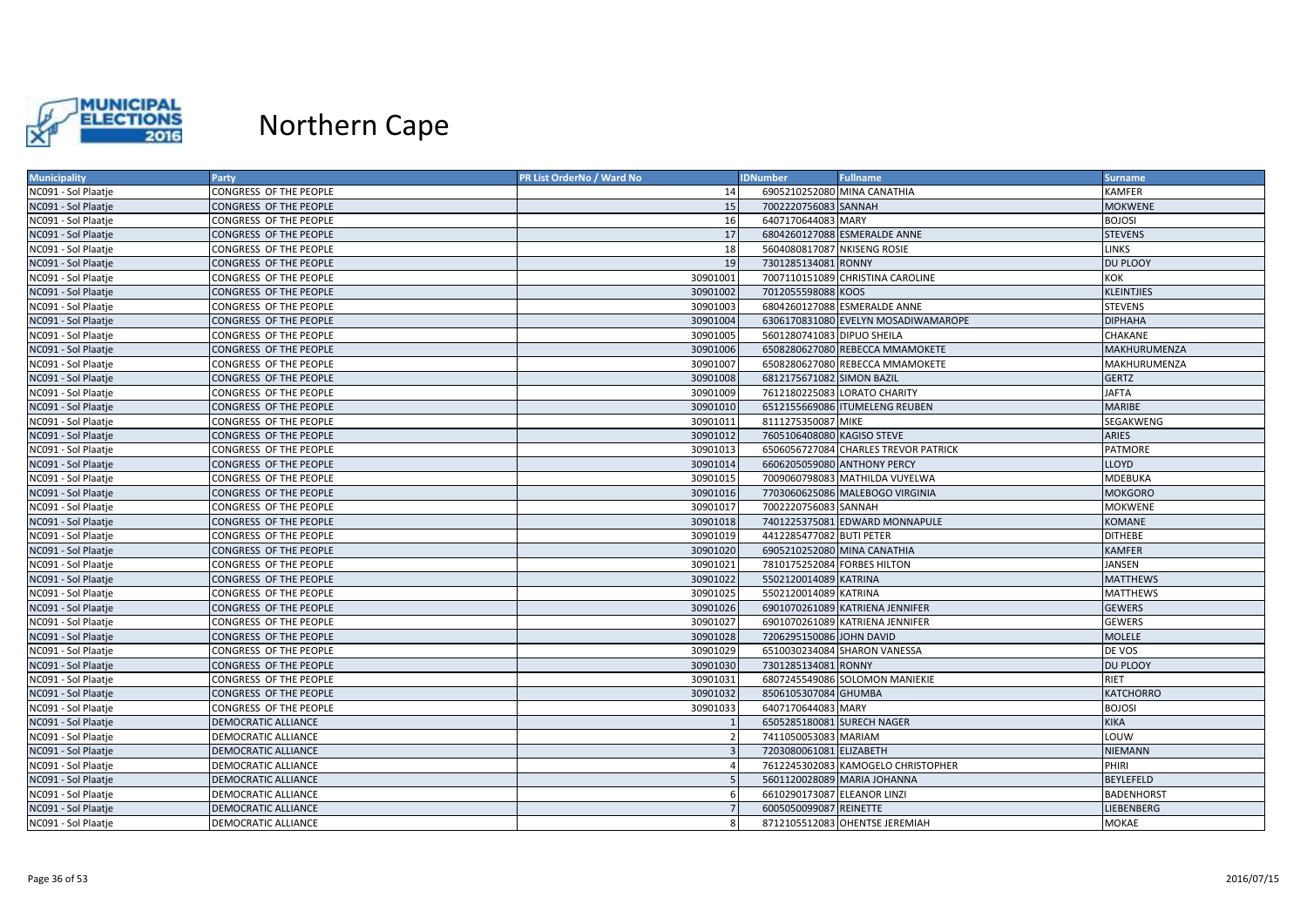

| <b>Municipality</b> | Party                      | PR List OrderNo / Ward No | <b>IDNumber</b><br><b>Fullname</b>   | <b>Surname</b>    |
|---------------------|----------------------------|---------------------------|--------------------------------------|-------------------|
| NC091 - Sol Plaatje | CONGRESS OF THE PEOPLE     | 14                        | 6905210252080 MINA CANATHIA          | <b>KAMFER</b>     |
| NC091 - Sol Plaatje | CONGRESS OF THE PEOPLE     | 15                        | 7002220756083 SANNAH                 | <b>MOKWENE</b>    |
| NC091 - Sol Plaatje | CONGRESS OF THE PEOPLE     | 16                        | 6407170644083 MARY                   | <b>BOJOSI</b>     |
| NC091 - Sol Plaatje | CONGRESS OF THE PEOPLE     | 17                        | 6804260127088 ESMERALDE ANNE         | <b>STEVENS</b>    |
| NC091 - Sol Plaatje | CONGRESS OF THE PEOPLE     | 18                        | 5604080817087 NKISENG ROSIE          | <b>LINKS</b>      |
| NC091 - Sol Plaatje | CONGRESS OF THE PEOPLE     | 19                        | 7301285134081 RONNY                  | DU PLOOY          |
| NC091 - Sol Plaatje | CONGRESS OF THE PEOPLE     | 30901001                  | 7007110151089 CHRISTINA CAROLINE     | KOK               |
| NC091 - Sol Plaatje | CONGRESS OF THE PEOPLE     | 30901002                  | 7012055598088 KOOS                   | <b>KLEINTJIES</b> |
| NC091 - Sol Plaatje | CONGRESS OF THE PEOPLE     | 30901003                  | 6804260127088 ESMERALDE ANNE         | <b>STEVENS</b>    |
| NC091 - Sol Plaatje | CONGRESS OF THE PEOPLE     | 30901004                  | 6306170831080 EVELYN MOSADIWAMAROPE  | <b>DIPHAHA</b>    |
| NC091 - Sol Plaatje | CONGRESS OF THE PEOPLE     | 30901005                  | 5601280741083 DIPUO SHEILA           | <b>CHAKANE</b>    |
| NC091 - Sol Plaatje | CONGRESS OF THE PEOPLE     | 30901006                  | 6508280627080 REBECCA MMAMOKETE      | MAKHURUMENZA      |
| NC091 - Sol Plaatje | CONGRESS OF THE PEOPLE     | 30901007                  | 6508280627080 REBECCA MMAMOKETE      | MAKHURUMENZA      |
| NC091 - Sol Plaatje | CONGRESS OF THE PEOPLE     | 30901008                  | 6812175671082 SIMON BAZIL            | <b>GERTZ</b>      |
| NC091 - Sol Plaatje | CONGRESS OF THE PEOPLE     | 30901009                  | 7612180225083 LORATO CHARITY         | <b>JAFTA</b>      |
| NC091 - Sol Plaatje | CONGRESS OF THE PEOPLE     | 30901010                  | 6512155669086 ITUMELENG REUBEN       | <b>MARIBE</b>     |
| NC091 - Sol Plaatje | CONGRESS OF THE PEOPLE     | 30901011                  | 8111275350087 MIKE                   | SEGAKWENG         |
| NC091 - Sol Plaatje | CONGRESS OF THE PEOPLE     | 30901012                  | 7605106408080 KAGISO STEVE           | <b>ARIES</b>      |
| NC091 - Sol Plaatje | CONGRESS OF THE PEOPLE     | 30901013                  | 6506056727084 CHARLES TREVOR PATRICK | <b>PATMORE</b>    |
| NC091 - Sol Plaatje | CONGRESS OF THE PEOPLE     | 30901014                  | 6606205059080 ANTHONY PERCY          | <b>LLOYD</b>      |
| NC091 - Sol Plaatje | CONGRESS OF THE PEOPLE     | 30901015                  | 7009060798083 MATHILDA VUYELWA       | <b>MDEBUKA</b>    |
| NC091 - Sol Plaatje | CONGRESS OF THE PEOPLE     | 30901016                  | 7703060625086 MALEBOGO VIRGINIA      | <b>MOKGORO</b>    |
| NC091 - Sol Plaatje | CONGRESS OF THE PEOPLE     | 30901017                  | 7002220756083 SANNAH                 | <b>MOKWENE</b>    |
| NC091 - Sol Plaatje | CONGRESS OF THE PEOPLE     | 30901018                  | 7401225375081 EDWARD MONNAPULE       | <b>KOMANE</b>     |
| NC091 - Sol Plaatje | CONGRESS OF THE PEOPLE     | 30901019                  | 4412285477082 BUTI PETER             | <b>DITHEBE</b>    |
| NC091 - Sol Plaatje | CONGRESS OF THE PEOPLE     | 30901020                  | 6905210252080 MINA CANATHIA          | <b>KAMFER</b>     |
| NC091 - Sol Plaatje | CONGRESS OF THE PEOPLE     | 30901021                  | 7810175252084 FORBES HILTON          | <b>JANSEN</b>     |
| NC091 - Sol Plaatje | CONGRESS OF THE PEOPLE     | 30901022                  | 5502120014089 KATRINA                | <b>MATTHEWS</b>   |
| NC091 - Sol Plaatje | CONGRESS OF THE PEOPLE     | 30901025                  | 5502120014089 KATRINA                | <b>MATTHEWS</b>   |
| NC091 - Sol Plaatje | CONGRESS OF THE PEOPLE     | 30901026                  | 6901070261089 KATRIENA JENNIFER      | <b>GEWERS</b>     |
| NC091 - Sol Plaatje | CONGRESS OF THE PEOPLE     | 30901027                  | 6901070261089 KATRIENA JENNIFER      | <b>GEWERS</b>     |
| NC091 - Sol Plaatje | CONGRESS OF THE PEOPLE     | 30901028                  | 7206295150086 JOHN DAVID             | <b>MOLELE</b>     |
| NC091 - Sol Plaatje | CONGRESS OF THE PEOPLE     | 30901029                  | 6510030234084 SHARON VANESSA         | DE VOS            |
| NC091 - Sol Plaatje | CONGRESS OF THE PEOPLE     | 30901030                  | 7301285134081 RONNY                  | DU PLOOY          |
| NC091 - Sol Plaatje | CONGRESS OF THE PEOPLE     | 30901031                  | 6807245549086 SOLOMON MANIEKIE       | <b>RIET</b>       |
| NC091 - Sol Plaatje | CONGRESS OF THE PEOPLE     | 30901032                  | 8506105307084 GHUMBA                 | <b>KATCHORRO</b>  |
| NC091 - Sol Plaatje | CONGRESS OF THE PEOPLE     | 30901033                  | 6407170644083 MARY                   | <b>BOJOSI</b>     |
| NC091 - Sol Plaatje | <b>DEMOCRATIC ALLIANCE</b> |                           | 6505285180081 SURECH NAGER           | <b>KIKA</b>       |
| NC091 - Sol Plaatje | DEMOCRATIC ALLIANCE        |                           | 7411050053083 MARIAM                 | LOUW              |
| NC091 - Sol Plaatje | DEMOCRATIC ALLIANCE        | $\mathbf{3}$              | 7203080061081 ELIZABETH              | <b>NIEMANN</b>    |
| NC091 - Sol Plaatje | DEMOCRATIC ALLIANCE        |                           | 7612245302083 KAMOGELO CHRISTOPHER   | PHIRI             |
| NC091 - Sol Plaatje | DEMOCRATIC ALLIANCE        |                           | 5601120028089 MARIA JOHANNA          | <b>BEYLEFELD</b>  |
| NC091 - Sol Plaatje | DEMOCRATIC ALLIANCE        | 6                         | 6610290173087 ELEANOR LINZI          | <b>BADENHORST</b> |
| NC091 - Sol Plaatje | <b>DEMOCRATIC ALLIANCE</b> |                           | 6005050099087 REINETTE               | LIEBENBERG        |
| NC091 - Sol Plaatje | DEMOCRATIC ALLIANCE        | 8                         | 8712105512083 OHENTSE JEREMIAH       | MOKAE             |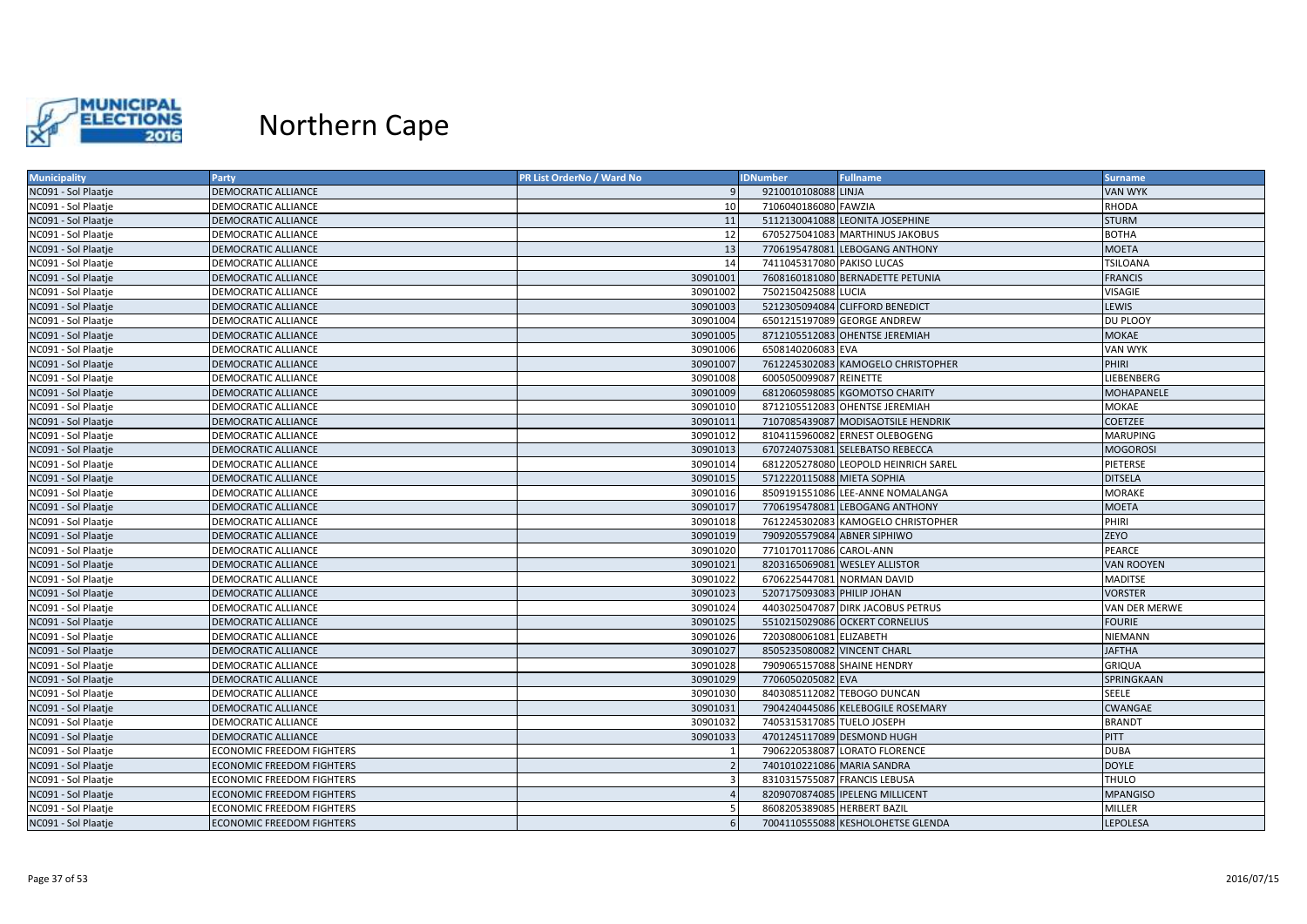

| <b>Municipality</b> | Party                            | PR List OrderNo / Ward No | <b>IDNumber</b>             | <b>Fullname</b>                      | <b>Surname</b>    |
|---------------------|----------------------------------|---------------------------|-----------------------------|--------------------------------------|-------------------|
| NC091 - Sol Plaatje | <b>DEMOCRATIC ALLIANCE</b>       | q                         | 9210010108088 LINJA         |                                      | <b>VAN WYK</b>    |
| NC091 - Sol Plaatje | DEMOCRATIC ALLIANCE              | 10                        | 7106040186080 FAWZIA        |                                      | RHODA             |
| NC091 - Sol Plaatje | <b>DEMOCRATIC ALLIANCE</b>       | 11                        |                             | 5112130041088 LEONITA JOSEPHINE      | <b>STURM</b>      |
| NC091 - Sol Plaatje | DEMOCRATIC ALLIANCE              | 12                        |                             | 6705275041083 MARTHINUS JAKOBUS      | <b>BOTHA</b>      |
| NC091 - Sol Plaatje | <b>DEMOCRATIC ALLIANCE</b>       | 13                        |                             | 7706195478081 LEBOGANG ANTHONY       | <b>MOETA</b>      |
| NC091 - Sol Plaatje | DEMOCRATIC ALLIANCE              | 14                        | 7411045317080 PAKISO LUCAS  |                                      | <b>TSILOANA</b>   |
| NC091 - Sol Plaatje | DEMOCRATIC ALLIANCE              | 30901001                  |                             | 7608160181080 BERNADETTE PETUNIA     | <b>FRANCIS</b>    |
| NC091 - Sol Plaatje | DEMOCRATIC ALLIANCE              | 30901002                  | 7502150425088 LUCIA         |                                      | <b>VISAGIE</b>    |
| NC091 - Sol Plaatje | <b>DEMOCRATIC ALLIANCE</b>       | 30901003                  |                             | 5212305094084 CLIFFORD BENEDICT      | <b>LEWIS</b>      |
| NC091 - Sol Plaatje | DEMOCRATIC ALLIANCE              | 30901004                  |                             | 6501215197089 GEORGE ANDREW          | DU PLOOY          |
| NC091 - Sol Plaatje | <b>DEMOCRATIC ALLIANCE</b>       | 30901005                  |                             | 8712105512083 OHENTSE JEREMIAH       | <b>MOKAE</b>      |
| NC091 - Sol Plaatje | DEMOCRATIC ALLIANCE              | 30901006                  | 6508140206083 EVA           |                                      | <b>VAN WYK</b>    |
| NC091 - Sol Plaatje | <b>DEMOCRATIC ALLIANCE</b>       | 30901007                  |                             | 7612245302083 KAMOGELO CHRISTOPHER   | <b>PHIRI</b>      |
| NC091 - Sol Plaatje | DEMOCRATIC ALLIANCE              | 30901008                  | 6005050099087 REINETTE      |                                      | LIEBENBERG        |
| NC091 - Sol Plaatje | <b>DEMOCRATIC ALLIANCE</b>       | 30901009                  |                             | 6812060598085 KGOMOTSO CHARITY       | <b>MOHAPANELE</b> |
| NC091 - Sol Plaatje | DEMOCRATIC ALLIANCE              | 30901010                  |                             | 8712105512083 OHENTSE JEREMIAH       | MOKAE             |
| NC091 - Sol Plaatje | <b>DEMOCRATIC ALLIANCE</b>       | 30901011                  |                             | 7107085439087 MODISAOTSILE HENDRIK   | <b>COETZEE</b>    |
| NC091 - Sol Plaatje | DEMOCRATIC ALLIANCE              | 30901012                  |                             | 8104115960082 ERNEST OLEBOGENG       | <b>MARUPING</b>   |
| NC091 - Sol Plaatje | <b>DEMOCRATIC ALLIANCE</b>       | 30901013                  |                             | 6707240753081 SELEBATSO REBECCA      | <b>MOGOROSI</b>   |
| NC091 - Sol Plaatje | DEMOCRATIC ALLIANCE              | 30901014                  |                             | 6812205278080 LEOPOLD HEINRICH SAREL | PIETERSE          |
| NC091 - Sol Plaatje | DEMOCRATIC ALLIANCE              | 30901015                  | 5712220115088 MIETA SOPHIA  |                                      | <b>DITSELA</b>    |
| NC091 - Sol Plaatje | DEMOCRATIC ALLIANCE              | 30901016                  |                             | 8509191551086 LEE-ANNE NOMALANGA     | <b>MORAKE</b>     |
| NC091 - Sol Plaatje | DEMOCRATIC ALLIANCE              | 30901017                  |                             | 7706195478081 LEBOGANG ANTHONY       | <b>MOETA</b>      |
| NC091 - Sol Plaatje | DEMOCRATIC ALLIANCE              | 30901018                  |                             | 7612245302083 KAMOGELO CHRISTOPHER   | PHIRI             |
| NC091 - Sol Plaatje | <b>DEMOCRATIC ALLIANCE</b>       | 30901019                  |                             | 7909205579084 ABNER SIPHIWO          | <b>ZEYO</b>       |
| NC091 - Sol Plaatje | DEMOCRATIC ALLIANCE              | 30901020                  | 7710170117086 CAROL-ANN     |                                      | PEARCE            |
| NC091 - Sol Plaatje | <b>DEMOCRATIC ALLIANCE</b>       | 30901021                  |                             | 8203165069081 WESLEY ALLISTOR        | <b>VAN ROOYEN</b> |
| NC091 - Sol Plaatje | DEMOCRATIC ALLIANCE              | 30901022                  |                             | 6706225447081 NORMAN DAVID           | <b>MADITSE</b>    |
| NC091 - Sol Plaatje | DEMOCRATIC ALLIANCE              | 30901023                  | 5207175093083 PHILIP JOHAN  |                                      | <b>VORSTER</b>    |
| NC091 - Sol Plaatje | DEMOCRATIC ALLIANCE              | 30901024                  |                             | 4403025047087 DIRK JACOBUS PETRUS    | VAN DER MERWE     |
| NC091 - Sol Plaatje | DEMOCRATIC ALLIANCE              | 30901025                  |                             | 5510215029086 OCKERT CORNELIUS       | <b>FOURIE</b>     |
| NC091 - Sol Plaatje | DEMOCRATIC ALLIANCE              | 30901026                  | 7203080061081 ELIZABETH     |                                      | NIEMANN           |
| NC091 - Sol Plaatje | <b>DEMOCRATIC ALLIANCE</b>       | 30901027                  | 8505235080082 VINCENT CHARL |                                      | <b>JAFTHA</b>     |
| NC091 - Sol Plaatje | DEMOCRATIC ALLIANCE              | 30901028                  |                             | 7909065157088 SHAINE HENDRY          | <b>GRIQUA</b>     |
| NC091 - Sol Plaatje | DEMOCRATIC ALLIANCE              | 30901029                  | 7706050205082 EVA           |                                      | SPRINGKAAN        |
| NC091 - Sol Plaatje | DEMOCRATIC ALLIANCE              | 30901030                  |                             | 8403085112082 TEBOGO DUNCAN          | <b>SEELE</b>      |
| NC091 - Sol Plaatje | DEMOCRATIC ALLIANCE              | 30901031                  |                             | 7904240445086 KELEBOGILE ROSEMARY    | <b>CWANGAE</b>    |
| NC091 - Sol Plaatje | DEMOCRATIC ALLIANCE              | 30901032                  | 7405315317085 TUELO JOSEPH  |                                      | <b>BRANDT</b>     |
| NC091 - Sol Plaatje | DEMOCRATIC ALLIANCE              | 30901033                  |                             | 4701245117089 DESMOND HUGH           | <b>PITT</b>       |
| NC091 - Sol Plaatje | <b>ECONOMIC FREEDOM FIGHTERS</b> | $\overline{1}$            |                             | 7906220538087 LORATO FLORENCE        | <b>DUBA</b>       |
| NC091 - Sol Plaatje | <b>ECONOMIC FREEDOM FIGHTERS</b> | $\overline{z}$            | 7401010221086 MARIA SANDRA  |                                      | <b>DOYLE</b>      |
| NC091 - Sol Plaatje | <b>ECONOMIC FREEDOM FIGHTERS</b> | 3                         |                             | 8310315755087 FRANCIS LEBUSA         | THULO             |
| NC091 - Sol Plaatje | <b>ECONOMIC FREEDOM FIGHTERS</b> | $\overline{A}$            |                             | 8209070874085 IPELENG MILLICENT      | <b>MPANGISO</b>   |
| NC091 - Sol Plaatje | <b>ECONOMIC FREEDOM FIGHTERS</b> | -5                        | 8608205389085 HERBERT BAZIL |                                      | MILLER            |
| NC091 - Sol Plaatje | <b>ECONOMIC FREEDOM FIGHTERS</b> | 6                         |                             | 7004110555088 KESHOLOHETSE GLENDA    | LEPOLESA          |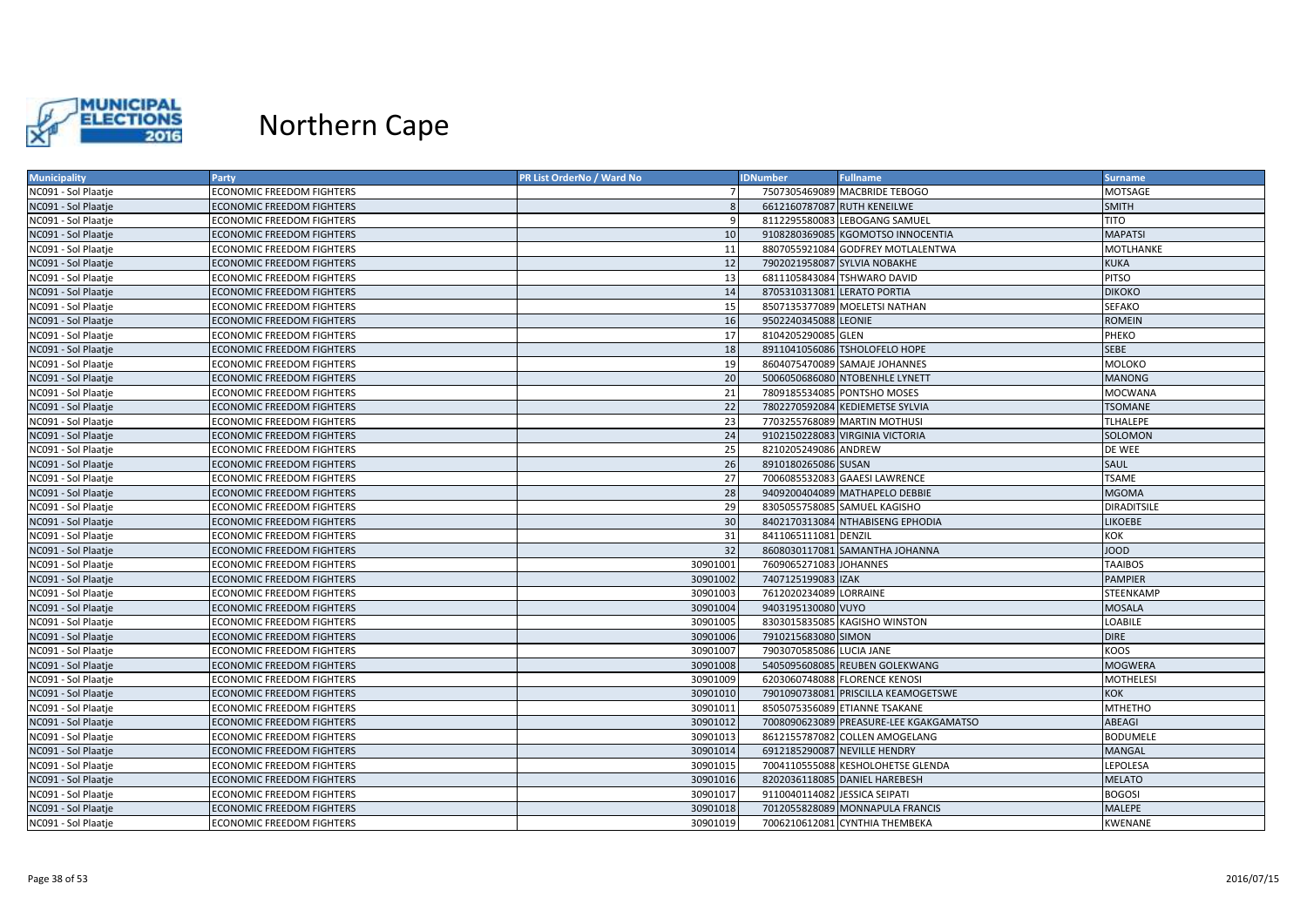

| <b>Municipality</b> | Party                            | PR List OrderNo / Ward No | <b>IDNumber</b>               | <b>Fullname</b>                        | <b>Surname</b>     |
|---------------------|----------------------------------|---------------------------|-------------------------------|----------------------------------------|--------------------|
| NC091 - Sol Plaatje | <b>ECONOMIC FREEDOM FIGHTERS</b> |                           |                               | 7507305469089 MACBRIDE TEBOGO          | MOTSAGE            |
| NC091 - Sol Plaatje | <b>ECONOMIC FREEDOM FIGHTERS</b> |                           | 6612160787087 RUTH KENEILWE   |                                        | <b>SMITH</b>       |
| NC091 - Sol Plaatje | <b>ECONOMIC FREEDOM FIGHTERS</b> | q                         |                               | 8112295580083 LEBOGANG SAMUEL          | <b>TITO</b>        |
| NC091 - Sol Plaatje | ECONOMIC FREEDOM FIGHTERS        | 10                        |                               | 9108280369085 KGOMOTSO INNOCENTIA      | <b>MAPATSI</b>     |
| NC091 - Sol Plaatje | <b>ECONOMIC FREEDOM FIGHTERS</b> | 11                        |                               | 8807055921084 GODFREY MOTLALENTWA      | MOTLHANKE          |
| NC091 - Sol Plaatje | <b>ECONOMIC FREEDOM FIGHTERS</b> | 12                        |                               | 7902021958087 SYLVIA NOBAKHE           | <b>KUKA</b>        |
| NC091 - Sol Plaatje | ECONOMIC FREEDOM FIGHTERS        | 13                        | 6811105843084 TSHWARO DAVID   |                                        | <b>PITSO</b>       |
| NC091 - Sol Plaatje | <b>ECONOMIC FREEDOM FIGHTERS</b> | 14                        | 8705310313081 LERATO PORTIA   |                                        | <b>DIKOKO</b>      |
| NC091 - Sol Plaatje | ECONOMIC FREEDOM FIGHTERS        | 15                        |                               | 8507135377089 MOELETSI NATHAN          | <b>SEFAKO</b>      |
| NC091 - Sol Plaatje | <b>ECONOMIC FREEDOM FIGHTERS</b> | 16                        | 9502240345088 LEONIE          |                                        | <b>ROMEIN</b>      |
| NC091 - Sol Plaatje | <b>ECONOMIC FREEDOM FIGHTERS</b> | 17                        | 8104205290085 GLEN            |                                        | PHEKO              |
| NC091 - Sol Plaatje | ECONOMIC FREEDOM FIGHTERS        | 18                        |                               | 8911041056086 TSHOLOFELO HOPE          | <b>SEBE</b>        |
| NC091 - Sol Plaatje | <b>ECONOMIC FREEDOM FIGHTERS</b> | 19                        |                               | 8604075470089 SAMAJE JOHANNES          | <b>MOLOKO</b>      |
| NC091 - Sol Plaatje | ECONOMIC FREEDOM FIGHTERS        | 20                        |                               | 5006050686080 NTOBENHLE LYNETT         | <b>MANONG</b>      |
| NC091 - Sol Plaatje | ECONOMIC FREEDOM FIGHTERS        | 21                        |                               | 7809185534085 PONTSHO MOSES            | <b>MOCWANA</b>     |
| NC091 - Sol Plaatje | <b>ECONOMIC FREEDOM FIGHTERS</b> | 22                        |                               | 7802270592084 KEDIEMETSE SYLVIA        | <b>TSOMANE</b>     |
| NC091 - Sol Plaatje | <b>ECONOMIC FREEDOM FIGHTERS</b> | 23                        |                               | 7703255768089 MARTIN MOTHUSI           | <b>TLHALEPE</b>    |
| NC091 - Sol Plaatje | <b>ECONOMIC FREEDOM FIGHTERS</b> | 24                        |                               | 9102150228083 VIRGINIA VICTORIA        | SOLOMON            |
| NC091 - Sol Plaatje | <b>ECONOMIC FREEDOM FIGHTERS</b> | 25                        | 8210205249086 ANDREW          |                                        | DE WEE             |
| NC091 - Sol Plaatje | <b>ECONOMIC FREEDOM FIGHTERS</b> | 26                        | 8910180265086 SUSAN           |                                        | SAUL               |
| NC091 - Sol Plaatje | <b>ECONOMIC FREEDOM FIGHTERS</b> | 27                        |                               | 7006085532083 GAAESI LAWRENCE          | <b>TSAME</b>       |
| NC091 - Sol Plaatje | <b>ECONOMIC FREEDOM FIGHTERS</b> | 28                        |                               | 9409200404089 MATHAPELO DEBBIE         | <b>MGOMA</b>       |
| NC091 - Sol Plaatje | <b>ECONOMIC FREEDOM FIGHTERS</b> | 29                        |                               | 8305055758085 SAMUEL KAGISHO           | <b>DIRADITSILE</b> |
| NC091 - Sol Plaatje | <b>ECONOMIC FREEDOM FIGHTERS</b> | 30                        |                               | 8402170313084 NTHABISENG EPHODIA       | <b>LIKOEBE</b>     |
| NC091 - Sol Plaatje | ECONOMIC FREEDOM FIGHTERS        | 31                        | 8411065111081 DENZIL          |                                        | кок                |
| NC091 - Sol Plaatje | <b>ECONOMIC FREEDOM FIGHTERS</b> | 32                        |                               | 8608030117081 SAMANTHA JOHANNA         | <b>OOOL</b>        |
| NC091 - Sol Plaatje | ECONOMIC FREEDOM FIGHTERS        | 30901001                  | 7609065271083 JOHANNES        |                                        | <b>TAAIBOS</b>     |
| NC091 - Sol Plaatje | <b>ECONOMIC FREEDOM FIGHTERS</b> | 30901002                  | 7407125199083 ZAK             |                                        | <b>PAMPIER</b>     |
| NC091 - Sol Plaatje | <b>ECONOMIC FREEDOM FIGHTERS</b> | 30901003                  | 7612020234089 LORRAINE        |                                        | STEENKAMP          |
| NC091 - Sol Plaatje | <b>ECONOMIC FREEDOM FIGHTERS</b> | 30901004                  | 9403195130080 VUYO            |                                        | <b>MOSALA</b>      |
| NC091 - Sol Plaatje | ECONOMIC FREEDOM FIGHTERS        | 30901005                  |                               | 8303015835085 KAGISHO WINSTON          | <b>LOABILE</b>     |
| NC091 - Sol Plaatje | <b>ECONOMIC FREEDOM FIGHTERS</b> | 30901006                  | 7910215683080 SIMON           |                                        | <b>DIRE</b>        |
| NC091 - Sol Plaatje | <b>ECONOMIC FREEDOM FIGHTERS</b> | 30901007                  | 7903070585086 LUCIA JANE      |                                        | <b>KOOS</b>        |
| NC091 - Sol Plaatje | <b>ECONOMIC FREEDOM FIGHTERS</b> | 30901008                  |                               | 5405095608085 REUBEN GOLEKWANG         | <b>MOGWERA</b>     |
| NC091 - Sol Plaatje | ECONOMIC FREEDOM FIGHTERS        | 30901009                  |                               | 6203060748088 FLORENCE KENOSI          | <b>MOTHELESI</b>   |
| NC091 - Sol Plaatje | <b>ECONOMIC FREEDOM FIGHTERS</b> | 30901010                  |                               | 7901090738081 PRISCILLA KEAMOGETSWE    | <b>KOK</b>         |
| NC091 - Sol Plaatje | ECONOMIC FREEDOM FIGHTERS        | 30901011                  |                               | 8505075356089 ETIANNE TSAKANE          | MTHETHO            |
| NC091 - Sol Plaatje | <b>ECONOMIC FREEDOM FIGHTERS</b> | 30901012                  |                               | 7008090623089 PREASURE-LEE KGAKGAMATSO | ABEAGI             |
| NC091 - Sol Plaatje | ECONOMIC FREEDOM FIGHTERS        | 30901013                  |                               | 8612155787082 COLLEN AMOGELANG         | <b>BODUMELE</b>    |
| NC091 - Sol Plaatje | <b>ECONOMIC FREEDOM FIGHTERS</b> | 30901014                  | 6912185290087 NEVILLE HENDRY  |                                        | <b>MANGAL</b>      |
| NC091 - Sol Plaatje | <b>ECONOMIC FREEDOM FIGHTERS</b> | 30901015                  |                               | 7004110555088 KESHOLOHETSE GLENDA      | LEPOLESA           |
| NC091 - Sol Plaatje | <b>ECONOMIC FREEDOM FIGHTERS</b> | 30901016                  |                               | 8202036118085 DANIEL HAREBESH          | <b>MELATO</b>      |
| NC091 - Sol Plaatje | ECONOMIC FREEDOM FIGHTERS        | 30901017                  | 9110040114082 JESSICA SEIPATI |                                        | <b>BOGOSI</b>      |
| NC091 - Sol Plaatje | <b>ECONOMIC FREEDOM FIGHTERS</b> | 30901018                  |                               | 7012055828089 MONNAPULA FRANCIS        | <b>MALEPE</b>      |
| NC091 - Sol Plaatje | <b>ECONOMIC FREEDOM FIGHTERS</b> | 30901019                  |                               | 7006210612081 CYNTHIA THEMBEKA         | KWENANE            |
|                     |                                  |                           |                               |                                        |                    |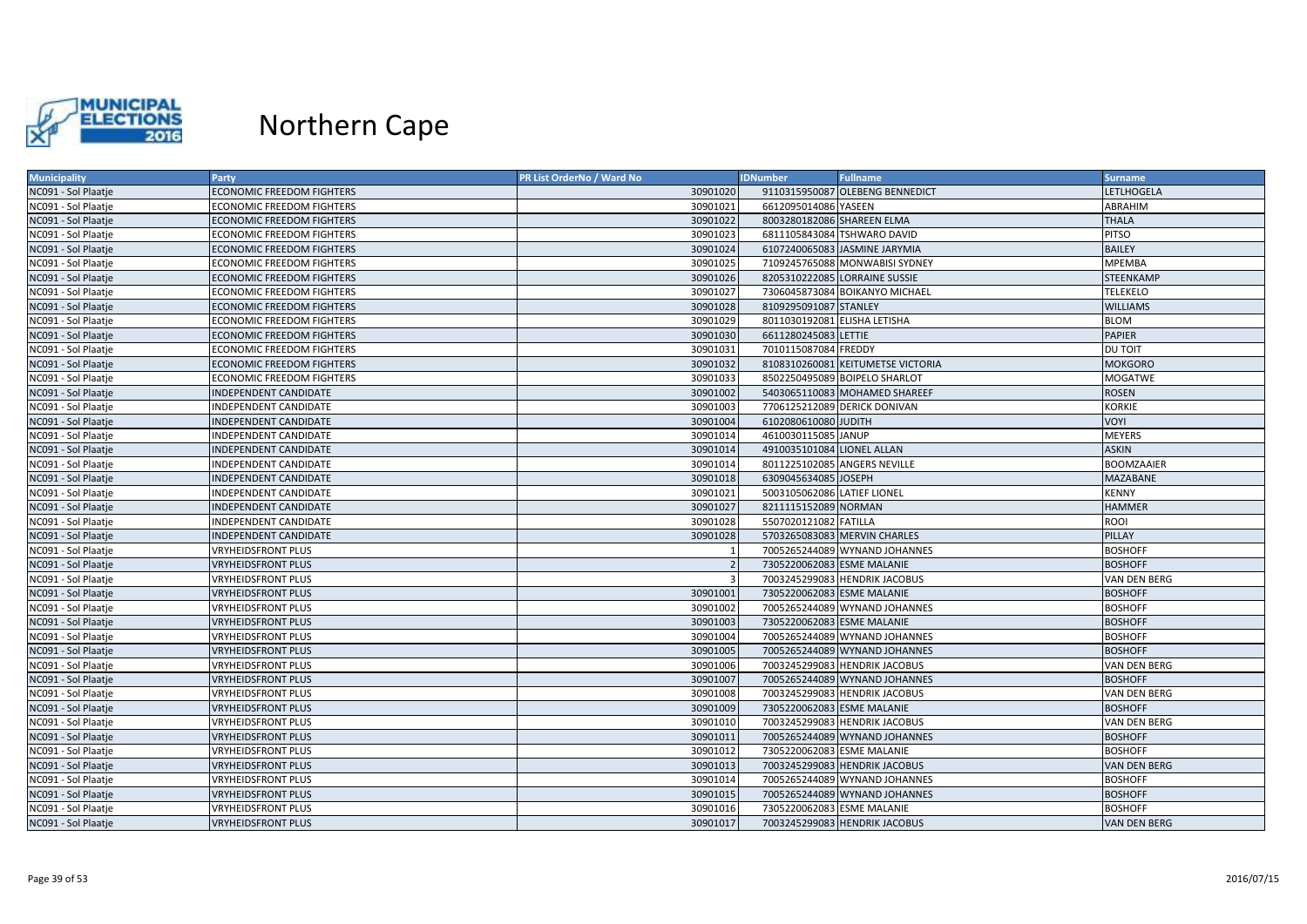

| <b>Municipality</b> | Party                            | PR List OrderNo / Ward No | <b>IDNumber</b>              | <b>Fullname</b>                   | <b>Surname</b>    |
|---------------------|----------------------------------|---------------------------|------------------------------|-----------------------------------|-------------------|
| NC091 - Sol Plaatje | <b>ECONOMIC FREEDOM FIGHTERS</b> | 30901020                  |                              | 9110315950087 OLEBENG BENNEDICT   | LETLHOGELA        |
| NC091 - Sol Plaatje | <b>ECONOMIC FREEDOM FIGHTERS</b> | 30901021                  | 6612095014086 YASEEN         |                                   | ABRAHIM           |
| NC091 - Sol Plaatje | <b>ECONOMIC FREEDOM FIGHTERS</b> | 30901022                  | 8003280182086 SHAREEN ELMA   |                                   | <b>THALA</b>      |
| NC091 - Sol Plaatje | <b>ECONOMIC FREEDOM FIGHTERS</b> | 30901023                  |                              | 6811105843084 TSHWARO DAVID       | <b>PITSO</b>      |
| NC091 - Sol Plaatje | <b>ECONOMIC FREEDOM FIGHTERS</b> | 30901024                  |                              | 6107240065083 JASMINE JARYMIA     | <b>BAILEY</b>     |
| NC091 - Sol Plaatje | <b>ECONOMIC FREEDOM FIGHTERS</b> | 30901025                  |                              | 7109245765088 MONWABISI SYDNEY    | <b>MPEMBA</b>     |
| NC091 - Sol Plaatje | <b>ECONOMIC FREEDOM FIGHTERS</b> | 30901026                  |                              | 8205310222085 LORRAINE SUSSIE     | <b>STEENKAMP</b>  |
| NC091 - Sol Plaatje | <b>ECONOMIC FREEDOM FIGHTERS</b> | 30901027                  |                              | 7306045873084 BOIKANYO MICHAEL    | <b>TELEKELO</b>   |
| NC091 - Sol Plaatje | <b>ECONOMIC FREEDOM FIGHTERS</b> | 30901028                  | 8109295091087 STANLEY        |                                   | <b>WILLIAMS</b>   |
| NC091 - Sol Plaatje | <b>ECONOMIC FREEDOM FIGHTERS</b> | 30901029                  | 8011030192081 ELISHA LETISHA |                                   | <b>BLOM</b>       |
| NC091 - Sol Plaatje | <b>ECONOMIC FREEDOM FIGHTERS</b> | 30901030                  | 6611280245083 LETTIE         |                                   | <b>PAPIER</b>     |
| NC091 - Sol Plaatje | <b>ECONOMIC FREEDOM FIGHTERS</b> | 30901031                  | 7010115087084 FREDDY         |                                   | DU TOIT           |
| NC091 - Sol Plaatje | <b>ECONOMIC FREEDOM FIGHTERS</b> | 30901032                  |                              | 8108310260081 KEITUMETSE VICTORIA | <b>MOKGORO</b>    |
| NC091 - Sol Plaatje | <b>ECONOMIC FREEDOM FIGHTERS</b> | 30901033                  |                              | 8502250495089 BOIPELO SHARLOT     | MOGATWE           |
| NC091 - Sol Plaatje | INDEPENDENT CANDIDATE            | 30901002                  |                              | 5403065110083 MOHAMED SHAREEF     | <b>ROSEN</b>      |
| NC091 - Sol Plaatje | INDEPENDENT CANDIDATE            | 30901003                  |                              | 7706125212089 DERICK DONIVAN      | KORKIE            |
| NC091 - Sol Plaatje | <b>INDEPENDENT CANDIDATE</b>     | 30901004                  | 6102080610080 JUDITH         |                                   | <b>VOYI</b>       |
| NC091 - Sol Plaatje | INDEPENDENT CANDIDATE            | 30901014                  | 4610030115085 JANUP          |                                   | <b>MEYERS</b>     |
| NC091 - Sol Plaatje | INDEPENDENT CANDIDATE            | 30901014                  | 4910035101084 LIONEL ALLAN   |                                   | <b>ASKIN</b>      |
| NC091 - Sol Plaatje | INDEPENDENT CANDIDATE            | 30901014                  |                              | 8011225102085 ANGERS NEVILLE      | <b>BOOMZAAIER</b> |
| NC091 - Sol Plaatje | INDEPENDENT CANDIDATE            | 30901018                  | 6309045634085 JOSEPH         |                                   | MAZABANE          |
| NC091 - Sol Plaatje | INDEPENDENT CANDIDATE            | 30901021                  | 5003105062086 LATIEF LIONEL  |                                   | <b>KENNY</b>      |
| NC091 - Sol Plaatje | INDEPENDENT CANDIDATE            | 30901027                  | 8211115152089 NORMAN         |                                   | <b>HAMMER</b>     |
| NC091 - Sol Plaatje | INDEPENDENT CANDIDATE            | 30901028                  | 5507020121082 FATILLA        |                                   | <b>ROOI</b>       |
| NC091 - Sol Plaatje | INDEPENDENT CANDIDATE            | 30901028                  |                              | 5703265083083 MERVIN CHARLES      | PILLAY            |
| NC091 - Sol Plaatje | <b>VRYHEIDSFRONT PLUS</b>        |                           |                              | 7005265244089 WYNAND JOHANNES     | <b>BOSHOFF</b>    |
| NC091 - Sol Plaatje | <b>VRYHEIDSFRONT PLUS</b>        | $\overline{z}$            | 7305220062083 ESME MALANIE   |                                   | <b>BOSHOFF</b>    |
| NC091 - Sol Plaatje | <b>VRYHEIDSFRONT PLUS</b>        |                           |                              | 7003245299083 HENDRIK JACOBUS     | VAN DEN BERG      |
| NC091 - Sol Plaatje | <b>VRYHEIDSFRONT PLUS</b>        | 30901001                  | 7305220062083 ESME MALANIE   |                                   | <b>BOSHOFF</b>    |
| NC091 - Sol Plaatje | <b>VRYHEIDSFRONT PLUS</b>        | 30901002                  |                              | 7005265244089 WYNAND JOHANNES     | <b>BOSHOFF</b>    |
| NC091 - Sol Plaatje | <b>VRYHEIDSFRONT PLUS</b>        | 30901003                  | 7305220062083 ESME MALANIE   |                                   | <b>BOSHOFF</b>    |
| NC091 - Sol Plaatje | <b>VRYHEIDSFRONT PLUS</b>        | 30901004                  |                              | 7005265244089 WYNAND JOHANNES     | <b>BOSHOFF</b>    |
| NC091 - Sol Plaatje | <b>VRYHEIDSFRONT PLUS</b>        | 30901005                  |                              | 7005265244089 WYNAND JOHANNES     | <b>BOSHOFF</b>    |
| NC091 - Sol Plaatje | <b>VRYHEIDSFRONT PLUS</b>        | 30901006                  |                              | 7003245299083 HENDRIK JACOBUS     | VAN DEN BERG      |
| NC091 - Sol Plaatje | <b>VRYHEIDSFRONT PLUS</b>        | 30901007                  |                              | 7005265244089 WYNAND JOHANNES     | <b>BOSHOFF</b>    |
| NC091 - Sol Plaatje | <b>VRYHEIDSFRONT PLUS</b>        | 30901008                  |                              | 7003245299083 HENDRIK JACOBUS     | VAN DEN BERG      |
| NC091 - Sol Plaatje | <b>VRYHEIDSFRONT PLUS</b>        | 30901009                  | 7305220062083 ESME MALANIE   |                                   | <b>BOSHOFF</b>    |
| NC091 - Sol Plaatje | <b>VRYHEIDSFRONT PLUS</b>        | 30901010                  |                              | 7003245299083 HENDRIK JACOBUS     | VAN DEN BERG      |
| NC091 - Sol Plaatje | <b>VRYHEIDSFRONT PLUS</b>        | 30901011                  |                              | 7005265244089 WYNAND JOHANNES     | <b>BOSHOFF</b>    |
| NC091 - Sol Plaatje | <b>VRYHEIDSFRONT PLUS</b>        | 30901012                  | 7305220062083 ESME MALANIE   |                                   | <b>BOSHOFF</b>    |
| NC091 - Sol Plaatje | <b>VRYHEIDSFRONT PLUS</b>        | 30901013                  |                              | 7003245299083 HENDRIK JACOBUS     | VAN DEN BERG      |
| NC091 - Sol Plaatje | <b>VRYHEIDSFRONT PLUS</b>        | 30901014                  |                              | 7005265244089 WYNAND JOHANNES     | <b>BOSHOFF</b>    |
| NC091 - Sol Plaatje | <b>VRYHEIDSFRONT PLUS</b>        | 30901015                  |                              | 7005265244089 WYNAND JOHANNES     | <b>BOSHOFF</b>    |
| NC091 - Sol Plaatje | <b>VRYHEIDSFRONT PLUS</b>        | 30901016                  | 7305220062083 ESME MALANIE   |                                   | <b>BOSHOFF</b>    |
| NC091 - Sol Plaatje | <b>VRYHEIDSFRONT PLUS</b>        | 30901017                  |                              | 7003245299083 HENDRIK JACOBUS     | VAN DEN BERG      |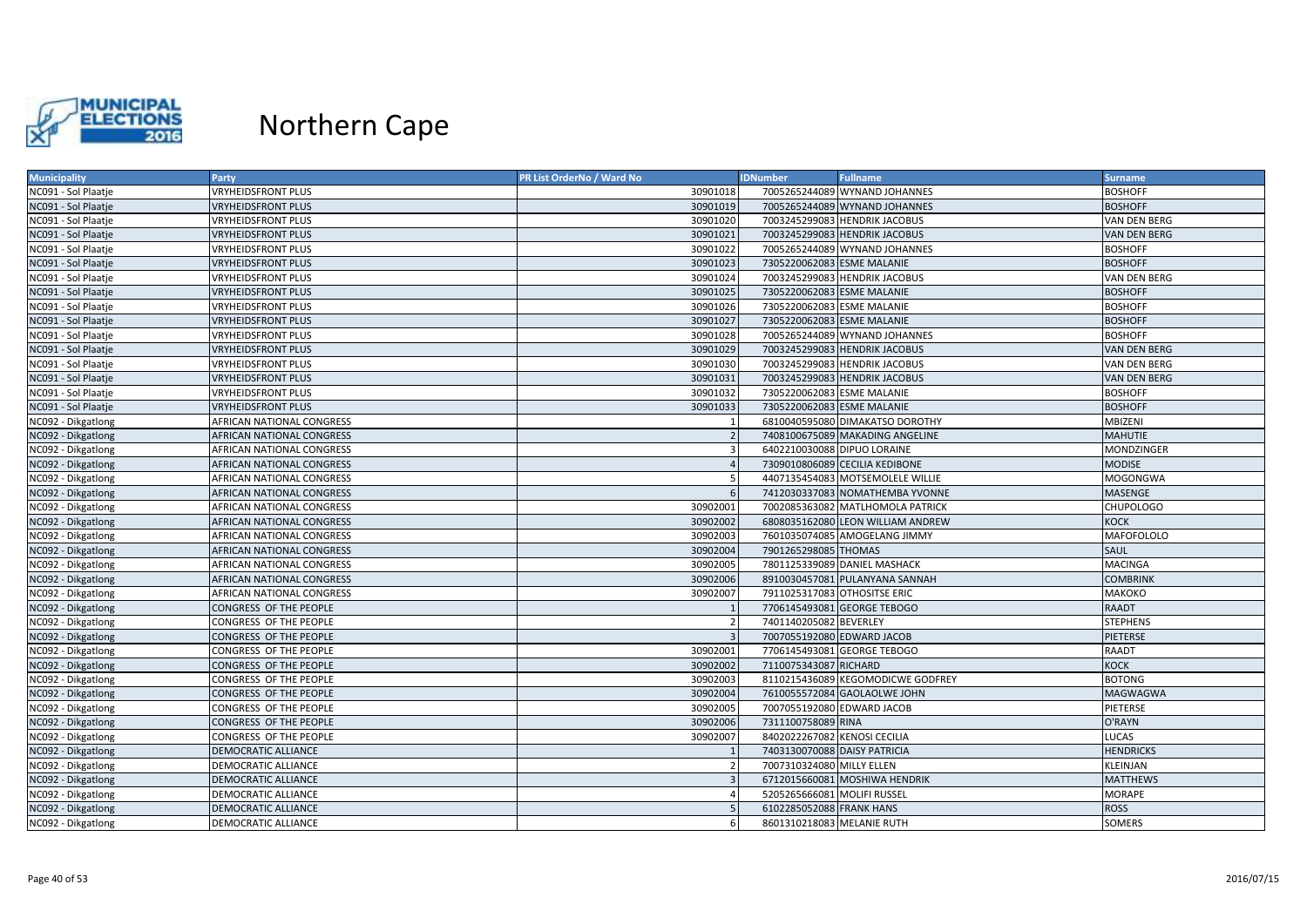

| <b>Municipality</b> | Party                            | PR List OrderNo / Ward No | <b>IDNumber</b>              | <b>Fullname</b>                   | <b>Surname</b>   |
|---------------------|----------------------------------|---------------------------|------------------------------|-----------------------------------|------------------|
| NC091 - Sol Plaatje | <b>VRYHEIDSFRONT PLUS</b>        | 30901018                  |                              | 7005265244089 WYNAND JOHANNES     | <b>BOSHOFF</b>   |
| NC091 - Sol Plaatje | <b>VRYHEIDSFRONT PLUS</b>        | 30901019                  |                              | 7005265244089 WYNAND JOHANNES     | <b>BOSHOFF</b>   |
| NC091 - Sol Plaatje | <b>VRYHEIDSFRONT PLUS</b>        | 30901020                  |                              | 7003245299083 HENDRIK JACOBUS     | VAN DEN BERG     |
| NC091 - Sol Plaatje | <b>VRYHEIDSFRONT PLUS</b>        | 30901021                  |                              | 7003245299083 HENDRIK JACOBUS     | VAN DEN BERG     |
| NC091 - Sol Plaatje | <b>VRYHEIDSFRONT PLUS</b>        | 30901022                  |                              | 7005265244089 WYNAND JOHANNES     | <b>BOSHOFF</b>   |
| NC091 - Sol Plaatje | VRYHEIDSFRONT PLUS               | 30901023                  | 7305220062083 ESME MALANIE   |                                   | <b>BOSHOFF</b>   |
| NC091 - Sol Plaatje | <b>VRYHEIDSFRONT PLUS</b>        | 30901024                  |                              | 7003245299083 HENDRIK JACOBUS     | VAN DEN BERG     |
| NC091 - Sol Plaatje | <b>VRYHEIDSFRONT PLUS</b>        | 30901025                  | 7305220062083 ESME MALANIE   |                                   | <b>BOSHOFF</b>   |
| NC091 - Sol Plaatje | <b>VRYHEIDSFRONT PLUS</b>        | 30901026                  | 7305220062083 ESME MALANIE   |                                   | <b>BOSHOFF</b>   |
| NC091 - Sol Plaatje | <b>VRYHEIDSFRONT PLUS</b>        | 30901027                  | 7305220062083 ESME MALANIE   |                                   | <b>BOSHOFF</b>   |
| NC091 - Sol Plaatje | <b>VRYHEIDSFRONT PLUS</b>        | 30901028                  |                              | 7005265244089 WYNAND JOHANNES     | <b>BOSHOFF</b>   |
| NC091 - Sol Plaatje | <b>VRYHEIDSFRONT PLUS</b>        | 30901029                  |                              | 7003245299083 HENDRIK JACOBUS     | VAN DEN BERG     |
| NC091 - Sol Plaatje | <b>VRYHEIDSFRONT PLUS</b>        | 30901030                  |                              | 7003245299083 HENDRIK JACOBUS     | VAN DEN BERG     |
| NC091 - Sol Plaatje | <b>VRYHEIDSFRONT PLUS</b>        | 30901031                  |                              | 7003245299083 HENDRIK JACOBUS     | VAN DEN BERG     |
| NC091 - Sol Plaatje | <b>VRYHEIDSFRONT PLUS</b>        | 30901032                  | 7305220062083 ESME MALANIE   |                                   | <b>BOSHOFF</b>   |
| NC091 - Sol Plaatje | <b>VRYHEIDSFRONT PLUS</b>        | 30901033                  | 7305220062083 ESME MALANIE   |                                   | <b>BOSHOFF</b>   |
| NC092 - Dikgatlong  | AFRICAN NATIONAL CONGRESS        |                           |                              | 6810040595080 DIMAKATSO DOROTHY   | MBIZENI          |
| NC092 - Dikgatlong  | AFRICAN NATIONAL CONGRESS        |                           |                              | 7408100675089 MAKADING ANGELINE   | <b>MAHUTIE</b>   |
| NC092 - Dikgatlong  | AFRICAN NATIONAL CONGRESS        | 3                         |                              | 6402210030088 DIPUO LORAINE       | MONDZINGER       |
| NC092 - Dikgatlong  | <b>AFRICAN NATIONAL CONGRESS</b> |                           |                              | 7309010806089 CECILIA KEDIBONE    | <b>MODISE</b>    |
| NC092 - Dikgatlong  | AFRICAN NATIONAL CONGRESS        |                           |                              | 4407135454083 MOTSEMOLELE WILLIE  | MOGONGWA         |
| NC092 - Dikgatlong  | <b>AFRICAN NATIONAL CONGRESS</b> |                           |                              | 7412030337083 NOMATHEMBA YVONNE   | <b>MASENGE</b>   |
| NC092 - Dikgatlong  | AFRICAN NATIONAL CONGRESS        | 30902001                  |                              | 7002085363082 MATLHOMOLA PATRICK  | <b>CHUPOLOGO</b> |
| NC092 - Dikgatlong  | AFRICAN NATIONAL CONGRESS        | 30902002                  |                              | 6808035162080 LEON WILLIAM ANDREW | <b>KOCK</b>      |
| NC092 - Dikgatlong  | AFRICAN NATIONAL CONGRESS        | 30902003                  |                              | 7601035074085 AMOGELANG JIMMY     | MAFOFOLOLO       |
| NC092 - Dikgatlong  | AFRICAN NATIONAL CONGRESS        | 30902004                  | 7901265298085 THOMAS         |                                   | SAUL             |
| NC092 - Dikgatlong  | AFRICAN NATIONAL CONGRESS        | 30902005                  |                              | 7801125339089 DANIEL MASHACK      | <b>MACINGA</b>   |
| NC092 - Dikgatlong  | <b>AFRICAN NATIONAL CONGRESS</b> | 30902006                  |                              | 8910030457081 PULANYANA SANNAH    | <b>COMBRINK</b>  |
| NC092 - Dikgatlong  | AFRICAN NATIONAL CONGRESS        | 30902007                  |                              | 7911025317083 OTHOSITSE ERIC      | МАКОКО           |
| NC092 - Dikgatlong  | CONGRESS OF THE PEOPLE           |                           |                              | 7706145493081 GEORGE TEBOGO       | <b>RAADT</b>     |
| NC092 - Dikgatlong  | CONGRESS OF THE PEOPLE           |                           | 7401140205082 BEVERLEY       |                                   | <b>STEPHENS</b>  |
| NC092 - Dikgatlong  | CONGRESS OF THE PEOPLE           |                           |                              | 7007055192080 EDWARD JACOB        | PIETERSE         |
| NC092 - Dikgatlong  | CONGRESS OF THE PEOPLE           | 30902001                  |                              | 7706145493081 GEORGE TEBOGO       | <b>RAADT</b>     |
| NC092 - Dikgatlong  | CONGRESS OF THE PEOPLE           | 30902002                  | 7110075343087 RICHARD        |                                   | <b>KOCK</b>      |
| NC092 - Dikgatlong  | CONGRESS OF THE PEOPLE           | 30902003                  |                              | 8110215436089 KEGOMODICWE GODFREY | <b>BOTONG</b>    |
| NC092 - Dikgatlong  | CONGRESS OF THE PEOPLE           | 30902004                  |                              | 7610055572084 GAOLAOLWE JOHN      | <b>MAGWAGWA</b>  |
| NC092 - Dikgatlong  | CONGRESS OF THE PEOPLE           | 30902005                  |                              | 7007055192080 EDWARD JACOB        | PIETERSE         |
| NC092 - Dikgatlong  | CONGRESS OF THE PEOPLE           | 30902006                  | 7311100758089 RINA           |                                   | O'RAYN           |
| NC092 - Dikgatlong  | CONGRESS OF THE PEOPLE           | 30902007                  | 8402022267082 KENOSI CECILIA |                                   | LUCAS            |
| NC092 - Dikgatlong  | DEMOCRATIC ALLIANCE              |                           | 7403130070088 DAISY PATRICIA |                                   | <b>HENDRICKS</b> |
| NC092 - Dikgatlong  | DEMOCRATIC ALLIANCE              |                           | 7007310324080 MILLY ELLEN    |                                   | KLEINJAN         |
| NC092 - Dikgatlong  | DEMOCRATIC ALLIANCE              |                           |                              | 6712015660081 MOSHIWA HENDRIK     | <b>MATTHEWS</b>  |
| NC092 - Dikgatlong  | DEMOCRATIC ALLIANCE              |                           | 5205265666081 MOLIFI RUSSEL  |                                   | <b>MORAPE</b>    |
| NC092 - Dikgatlong  | <b>DEMOCRATIC ALLIANCE</b>       |                           | 6102285052088 FRANK HANS     |                                   | <b>ROSS</b>      |
| NC092 - Dikgatlong  | DEMOCRATIC ALLIANCE              | -6                        | 8601310218083 MELANIE RUTH   |                                   | SOMERS           |
|                     |                                  |                           |                              |                                   |                  |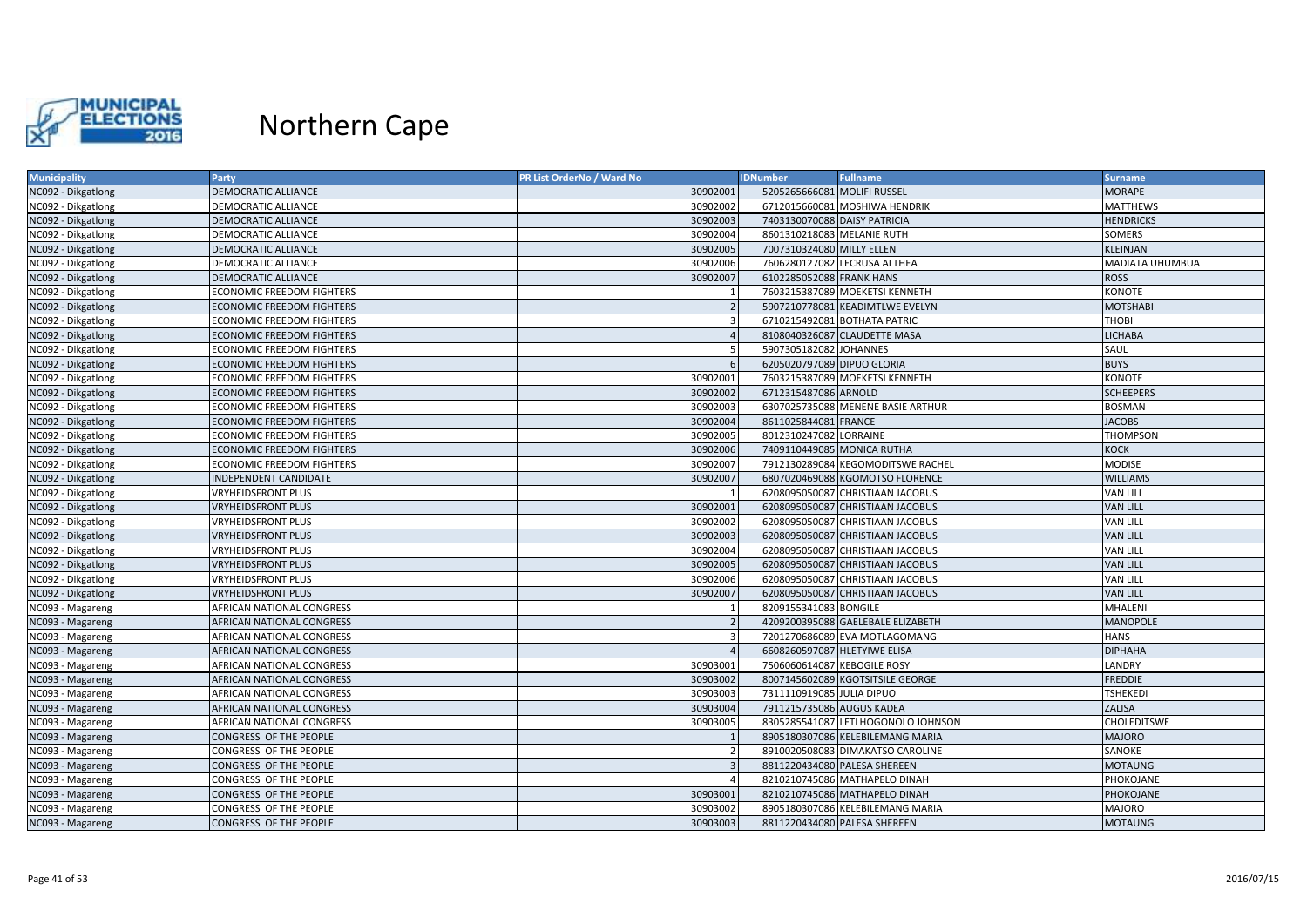

| 5205265666081 MOLIFI RUSSEL<br><b>MORAPE</b><br>NC092 - Dikgatlong<br><b>DEMOCRATIC ALLIANCE</b><br>30902001<br><b>MATTHEWS</b><br>DEMOCRATIC ALLIANCE<br>30902002<br>6712015660081 MOSHIWA HENDRIK<br>NC092 - Dikgatlong<br>30902003<br>7403130070088 DAISY PATRICIA<br><b>DEMOCRATIC ALLIANCE</b><br><b>HENDRICKS</b> |  |
|-------------------------------------------------------------------------------------------------------------------------------------------------------------------------------------------------------------------------------------------------------------------------------------------------------------------------|--|
| NC092 - Dikgatlong                                                                                                                                                                                                                                                                                                      |  |
|                                                                                                                                                                                                                                                                                                                         |  |
|                                                                                                                                                                                                                                                                                                                         |  |
| 30902004<br>8601310218083 MELANIE RUTH<br>NC092 - Dikgatlong<br>DEMOCRATIC ALLIANCE<br>SOMERS                                                                                                                                                                                                                           |  |
| 30902005<br>7007310324080 MILLY ELLEN<br><b>KLEINJAN</b><br>NC092 - Dikgatlong<br><b>DEMOCRATIC ALLIANCE</b>                                                                                                                                                                                                            |  |
| NC092 - Dikgatlong<br>30902006<br>7606280127082 LECRUSA ALTHEA<br>MADIATA UHUMBUA<br>DEMOCRATIC ALLIANCE                                                                                                                                                                                                                |  |
| 30902007<br><b>ROSS</b><br>NC092 - Dikgatlong<br>DEMOCRATIC ALLIANCE<br>6102285052088 FRANK HANS                                                                                                                                                                                                                        |  |
| <b>KONOTE</b><br><b>ECONOMIC FREEDOM FIGHTERS</b><br>7603215387089 MOEKETSI KENNETH<br>NC092 - Dikgatlong                                                                                                                                                                                                               |  |
| NC092 - Dikgatlong<br><b>ECONOMIC FREEDOM FIGHTERS</b><br>5907210778081 KEADIMTLWE EVELYN<br><b>MOTSHABI</b><br>$\overline{2}$                                                                                                                                                                                          |  |
| <b>THOBI</b><br><b>ECONOMIC FREEDOM FIGHTERS</b><br>$\overline{3}$<br>6710215492081 BOTHATA PATRIC<br>NC092 - Dikgatlong                                                                                                                                                                                                |  |
| 8108040326087 CLAUDETTE MASA<br>NC092 - Dikgatlong<br><b>ECONOMIC FREEDOM FIGHTERS</b><br>$\overline{4}$<br><b>LICHABA</b>                                                                                                                                                                                              |  |
| 5907305182082 JOHANNES<br>SAUL<br>NC092 - Dikgatlong<br><b>ECONOMIC FREEDOM FIGHTERS</b><br>-5                                                                                                                                                                                                                          |  |
| <b>BUYS</b><br>6205020797089 DIPUO GLORIA<br>NC092 - Dikgatlong<br><b>ECONOMIC FREEDOM FIGHTERS</b><br>6                                                                                                                                                                                                                |  |
| KONOTE<br>NC092 - Dikgatlong<br><b>ECONOMIC FREEDOM FIGHTERS</b><br>30902001<br>7603215387089 MOEKETSI KENNETH                                                                                                                                                                                                          |  |
| 30902002<br>6712315487086 ARNOLD<br><b>SCHEEPERS</b><br>NC092 - Dikgatlong<br><b>ECONOMIC FREEDOM FIGHTERS</b>                                                                                                                                                                                                          |  |
| 30902003<br>NC092 - Dikgatlong<br><b>ECONOMIC FREEDOM FIGHTERS</b><br>6307025735088 MENENE BASIE ARTHUR<br><b>BOSMAN</b>                                                                                                                                                                                                |  |
| 8611025844081 FRANCE<br><b>JACOBS</b><br>NC092 - Dikgatlong<br><b>ECONOMIC FREEDOM FIGHTERS</b><br>30902004                                                                                                                                                                                                             |  |
| 30902005<br>8012310247082 LORRAINE<br><b>THOMPSON</b><br><b>ECONOMIC FREEDOM FIGHTERS</b><br>NC092 - Dikgatlong                                                                                                                                                                                                         |  |
| NC092 - Dikgatlong<br>30902006<br>7409110449085 MONICA RUTHA<br><b>KOCK</b><br><b>ECONOMIC FREEDOM FIGHTERS</b>                                                                                                                                                                                                         |  |
| 30902007<br><b>ECONOMIC FREEDOM FIGHTERS</b><br>7912130289084 KEGOMODITSWE RACHEL<br><b>MODISE</b><br>NC092 - Dikgatlong                                                                                                                                                                                                |  |
| 30902007<br><b>WILLIAMS</b><br>NC092 - Dikgatlong<br><b>INDEPENDENT CANDIDATE</b><br>6807020469088 KGOMOTSO FLORENCE                                                                                                                                                                                                    |  |
| <b>VAN LILL</b><br>NC092 - Dikgatlong<br><b>VRYHEIDSFRONT PLUS</b><br>6208095050087 CHRISTIAAN JACOBUS                                                                                                                                                                                                                  |  |
| 30902001<br><b>VRYHEIDSFRONT PLUS</b><br>6208095050087 CHRISTIAAN JACOBUS<br><b>VAN LILL</b><br>NC092 - Dikgatlong                                                                                                                                                                                                      |  |
| 30902002<br><b>VAN LILL</b><br>NC092 - Dikgatlong<br><b>VRYHEIDSFRONT PLUS</b><br>6208095050087 CHRISTIAAN JACOBUS                                                                                                                                                                                                      |  |
| <b>VAN LILL</b><br>NC092 - Dikgatlong<br><b>VRYHEIDSFRONT PLUS</b><br>30902003<br>6208095050087 CHRISTIAAN JACOBUS                                                                                                                                                                                                      |  |
| 30902004<br>6208095050087 CHRISTIAAN JACOBUS<br><b>VAN LILL</b><br>NC092 - Dikgatlong<br><b>VRYHEIDSFRONT PLUS</b>                                                                                                                                                                                                      |  |
| NC092 - Dikgatlong<br>30902005<br>6208095050087 CHRISTIAAN JACOBUS<br><b>VAN LILL</b><br><b>VRYHEIDSFRONT PLUS</b>                                                                                                                                                                                                      |  |
| 30902006<br><b>VRYHEIDSFRONT PLUS</b><br>6208095050087 CHRISTIAAN JACOBUS<br><b>VAN LILL</b><br>NC092 - Dikgatlong                                                                                                                                                                                                      |  |
| 30902007<br>6208095050087 CHRISTIAAN JACOBUS<br><b>VAN LILL</b><br>NC092 - Dikgatlong<br><b>VRYHEIDSFRONT PLUS</b>                                                                                                                                                                                                      |  |
| 8209155341083 BONGILE<br><b>MHALENI</b><br>NC093 - Magareng<br>AFRICAN NATIONAL CONGRESS                                                                                                                                                                                                                                |  |
| <b>MANOPOLE</b><br>AFRICAN NATIONAL CONGRESS<br>$\overline{2}$<br>4209200395088 GAELEBALE ELIZABETH<br>NC093 - Magareng                                                                                                                                                                                                 |  |
| <b>HANS</b><br>AFRICAN NATIONAL CONGRESS<br>7201270686089 EVA MOTLAGOMANG<br>NC093 - Magareng<br>$\overline{3}$                                                                                                                                                                                                         |  |
| <b>DIPHAHA</b><br>NC093 - Magareng<br>AFRICAN NATIONAL CONGRESS<br>6608260597087 HLETYIWE ELISA                                                                                                                                                                                                                         |  |
| LANDRY<br>30903001<br>7506060614087 KEBOGILE ROSY<br>NC093 - Magareng<br>AFRICAN NATIONAL CONGRESS                                                                                                                                                                                                                      |  |
| <b>FREDDIE</b><br>NC093 - Magareng<br>AFRICAN NATIONAL CONGRESS<br>30903002<br>8007145602089 KGOTSITSILE GEORGE                                                                                                                                                                                                         |  |
| <b>TSHEKEDI</b><br>AFRICAN NATIONAL CONGRESS<br>30903003<br>7311110919085 JULIA DIPUO<br>NC093 - Magareng                                                                                                                                                                                                               |  |
| 30903004<br>7911215735086 AUGUS KADEA<br><b>ZALISA</b><br>NC093 - Magareng<br>AFRICAN NATIONAL CONGRESS                                                                                                                                                                                                                 |  |
| 30903005<br>8305285541087 LETLHOGONOLO JOHNSON<br><b>CHOLEDITSWE</b><br>NC093 - Magareng<br>AFRICAN NATIONAL CONGRESS                                                                                                                                                                                                   |  |
| <b>MAJORO</b><br>CONGRESS OF THE PEOPLE<br>8905180307086 KELEBILEMANG MARIA<br>NC093 - Magareng                                                                                                                                                                                                                         |  |
| SANOKE<br>CONGRESS OF THE PEOPLE<br>8910020508083 DIMAKATSO CAROLINE<br>NC093 - Magareng<br>$\overline{2}$                                                                                                                                                                                                              |  |
| NC093 - Magareng<br>CONGRESS OF THE PEOPLE<br>8811220434080 PALESA SHEREEN<br><b>MOTAUNG</b>                                                                                                                                                                                                                            |  |
| 8210210745086 MATHAPELO DINAH<br>CONGRESS OF THE PEOPLE<br>PHOKOJANE<br>NC093 - Magareng                                                                                                                                                                                                                                |  |
| 30903001<br>PHOKOJANE<br>NC093 - Magareng<br>CONGRESS OF THE PEOPLE<br>8210210745086 MATHAPELO DINAH                                                                                                                                                                                                                    |  |
| CONGRESS OF THE PEOPLE<br>30903002<br>8905180307086 KELEBILEMANG MARIA<br><b>MAJORO</b><br>NC093 - Magareng                                                                                                                                                                                                             |  |
| NC093 - Magareng<br>30903003<br>8811220434080 PALESA SHEREEN<br><b>MOTAUNG</b><br>CONGRESS OF THE PEOPLE                                                                                                                                                                                                                |  |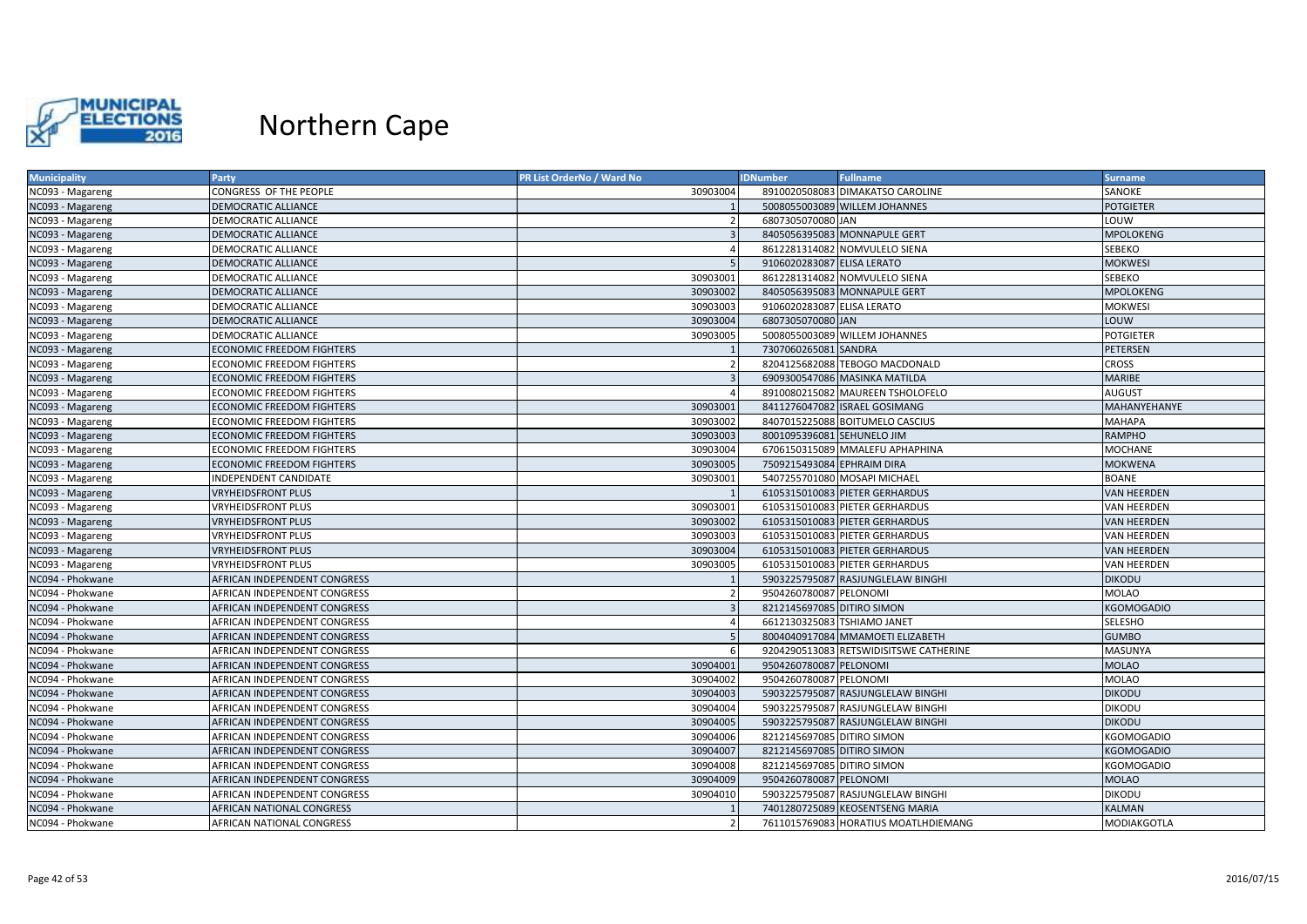

| <b>Municipality</b> | <b>Party</b>                     | PR List OrderNo / Ward No | <b>IDNumber</b>            | <b>Fullname</b>                        | <b>Surname</b>     |
|---------------------|----------------------------------|---------------------------|----------------------------|----------------------------------------|--------------------|
| NC093 - Magareng    | CONGRESS OF THE PEOPLE           | 30903004                  |                            | 8910020508083 DIMAKATSO CAROLINE       | SANOKE             |
| NC093 - Magareng    | DEMOCRATIC ALLIANCE              |                           |                            | 5008055003089 WILLEM JOHANNES          | <b>POTGIETER</b>   |
| NC093 - Magareng    | <b>DEMOCRATIC ALLIANCE</b>       | $\overline{2}$            | 6807305070080 JAN          |                                        | LOUW               |
| NC093 - Magareng    | DEMOCRATIC ALLIANCE              |                           |                            | 8405056395083 MONNAPULE GERT           | MPOLOKENG          |
| NC093 - Magareng    | <b>DEMOCRATIC ALLIANCE</b>       |                           |                            | 8612281314082 NOMVULELO SIENA          | SEBEKO             |
| NC093 - Magareng    | DEMOCRATIC ALLIANCE              |                           | 9106020283087 ELISA LERATO |                                        | <b>MOKWESI</b>     |
| NC093 - Magareng    | DEMOCRATIC ALLIANCE              | 30903001                  |                            | 8612281314082 NOMVULELO SIENA          | SEBEKO             |
| NC093 - Magareng    | <b>DEMOCRATIC ALLIANCE</b>       | 30903002                  |                            | 8405056395083 MONNAPULE GERT           | <b>MPOLOKENG</b>   |
| NC093 - Magareng    | DEMOCRATIC ALLIANCE              | 30903003                  | 9106020283087 ELISA LERATO |                                        | <b>MOKWESI</b>     |
| NC093 - Magareng    | DEMOCRATIC ALLIANCE              | 30903004                  | 6807305070080 JAN          |                                        | LOUW               |
| NC093 - Magareng    | <b>DEMOCRATIC ALLIANCE</b>       | 30903005                  |                            | 5008055003089 WILLEM JOHANNES          | <b>POTGIETER</b>   |
| NC093 - Magareng    | <b>ECONOMIC FREEDOM FIGHTERS</b> |                           | 7307060265081 SANDRA       |                                        | PETERSEN           |
| NC093 - Magareng    | <b>ECONOMIC FREEDOM FIGHTERS</b> |                           |                            | 8204125682088 TEBOGO MACDONALD         | <b>CROSS</b>       |
| NC093 - Magareng    | <b>ECONOMIC FREEDOM FIGHTERS</b> |                           |                            | 6909300547086 MASINKA MATILDA          | <b>MARIBE</b>      |
| NC093 - Magareng    | <b>ECONOMIC FREEDOM FIGHTERS</b> |                           |                            | 8910080215082 MAUREEN TSHOLOFELO       | <b>AUGUST</b>      |
| NC093 - Magareng    | <b>ECONOMIC FREEDOM FIGHTERS</b> | 30903001                  |                            | 8411276047082 ISRAEL GOSIMANG          | MAHANYEHANYE       |
| NC093 - Magareng    | <b>ECONOMIC FREEDOM FIGHTERS</b> | 30903002                  |                            | 8407015225088 BOITUMELO CASCIUS        | <b>MAHAPA</b>      |
| NC093 - Magareng    | <b>ECONOMIC FREEDOM FIGHTERS</b> | 30903003                  | 8001095396081 SEHUNELO JIM |                                        | RAMPHO             |
| NC093 - Magareng    | <b>ECONOMIC FREEDOM FIGHTERS</b> | 30903004                  |                            | 6706150315089 MMALEFU APHAPHINA        | <b>MOCHANE</b>     |
| NC093 - Magareng    | <b>ECONOMIC FREEDOM FIGHTERS</b> | 30903005                  | 7509215493084 EPHRAIM DIRA |                                        | <b>MOKWENA</b>     |
| NC093 - Magareng    | <b>INDEPENDENT CANDIDATE</b>     | 30903001                  |                            | 5407255701080 MOSAPI MICHAEL           | <b>BOANE</b>       |
| NC093 - Magareng    | <b>VRYHEIDSFRONT PLUS</b>        |                           |                            | 6105315010083 PIETER GERHARDUS         | <b>VAN HEERDEN</b> |
| NC093 - Magareng    | <b>VRYHEIDSFRONT PLUS</b>        | 30903001                  |                            | 6105315010083 PIETER GERHARDUS         | VAN HEERDEN        |
| NC093 - Magareng    | <b>VRYHEIDSFRONT PLUS</b>        | 30903002                  |                            | 6105315010083 PIETER GERHARDUS         | <b>VAN HEERDEN</b> |
| NC093 - Magareng    | <b>VRYHEIDSFRONT PLUS</b>        | 30903003                  |                            | 6105315010083 PIETER GERHARDUS         | VAN HEERDEN        |
| NC093 - Magareng    | <b>VRYHEIDSFRONT PLUS</b>        | 30903004                  |                            | 6105315010083 PIETER GERHARDUS         | <b>VAN HEERDEN</b> |
| NC093 - Magareng    | <b>VRYHEIDSFRONT PLUS</b>        | 30903005                  |                            | 6105315010083 PIETER GERHARDUS         | <b>VAN HEERDEN</b> |
| NC094 - Phokwane    | AFRICAN INDEPENDENT CONGRESS     |                           |                            | 5903225795087 RASJUNGLELAW BINGHI      | <b>DIKODU</b>      |
| NC094 - Phokwane    | AFRICAN INDEPENDENT CONGRESS     |                           | 9504260780087 PELONOMI     |                                        | <b>MOLAO</b>       |
| NC094 - Phokwane    | AFRICAN INDEPENDENT CONGRESS     |                           | 8212145697085 DITIRO SIMON |                                        | <b>KGOMOGADIO</b>  |
| NC094 - Phokwane    | AFRICAN INDEPENDENT CONGRESS     |                           |                            | 6612130325083 TSHIAMO JANET            | SELESHO            |
| NC094 - Phokwane    | AFRICAN INDEPENDENT CONGRESS     |                           |                            | 8004040917084 MMAMOETI ELIZABETH       | <b>GUMBO</b>       |
| NC094 - Phokwane    | AFRICAN INDEPENDENT CONGRESS     |                           |                            | 9204290513083 RETSWIDISITSWE CATHERINE | MASUNYA            |
| NC094 - Phokwane    | AFRICAN INDEPENDENT CONGRESS     | 30904001                  | 9504260780087 PELONOMI     |                                        | <b>MOLAO</b>       |
| NC094 - Phokwane    | AFRICAN INDEPENDENT CONGRESS     | 30904002                  | 9504260780087 PELONOMI     |                                        | MOLAO              |
| NC094 - Phokwane    | AFRICAN INDEPENDENT CONGRESS     | 30904003                  |                            | 5903225795087 RASJUNGLELAW BINGHI      | <b>DIKODU</b>      |
| NC094 - Phokwane    | AFRICAN INDEPENDENT CONGRESS     | 30904004                  |                            | 5903225795087 RASJUNGLELAW BINGHI      | <b>DIKODU</b>      |
| NC094 - Phokwane    | AFRICAN INDEPENDENT CONGRESS     | 30904005                  |                            | 5903225795087 RASJUNGLELAW BINGHI      | <b>DIKODU</b>      |
| NC094 - Phokwane    | AFRICAN INDEPENDENT CONGRESS     | 30904006                  | 8212145697085 DITIRO SIMON |                                        | KGOMOGADIO         |
| NC094 - Phokwane    | AFRICAN INDEPENDENT CONGRESS     | 30904007                  | 8212145697085 DITIRO SIMON |                                        | <b>KGOMOGADIO</b>  |
| NC094 - Phokwane    | AFRICAN INDEPENDENT CONGRESS     | 30904008                  | 8212145697085 DITIRO SIMON |                                        | KGOMOGADIO         |
| NC094 - Phokwane    | AFRICAN INDEPENDENT CONGRESS     | 30904009                  | 9504260780087 PELONOMI     |                                        | <b>MOLAO</b>       |
| NC094 - Phokwane    | AFRICAN INDEPENDENT CONGRESS     | 30904010                  |                            | 5903225795087 RASJUNGLELAW BINGHI      | <b>DIKODU</b>      |
| NC094 - Phokwane    | <b>AFRICAN NATIONAL CONGRESS</b> |                           |                            | 7401280725089 KEOSENTSENG MARIA        | <b>KALMAN</b>      |
| NC094 - Phokwane    | AFRICAN NATIONAL CONGRESS        |                           |                            | 7611015769083 HORATIUS MOATLHDIEMANG   | MODIAKGOTLA        |
|                     |                                  |                           |                            |                                        |                    |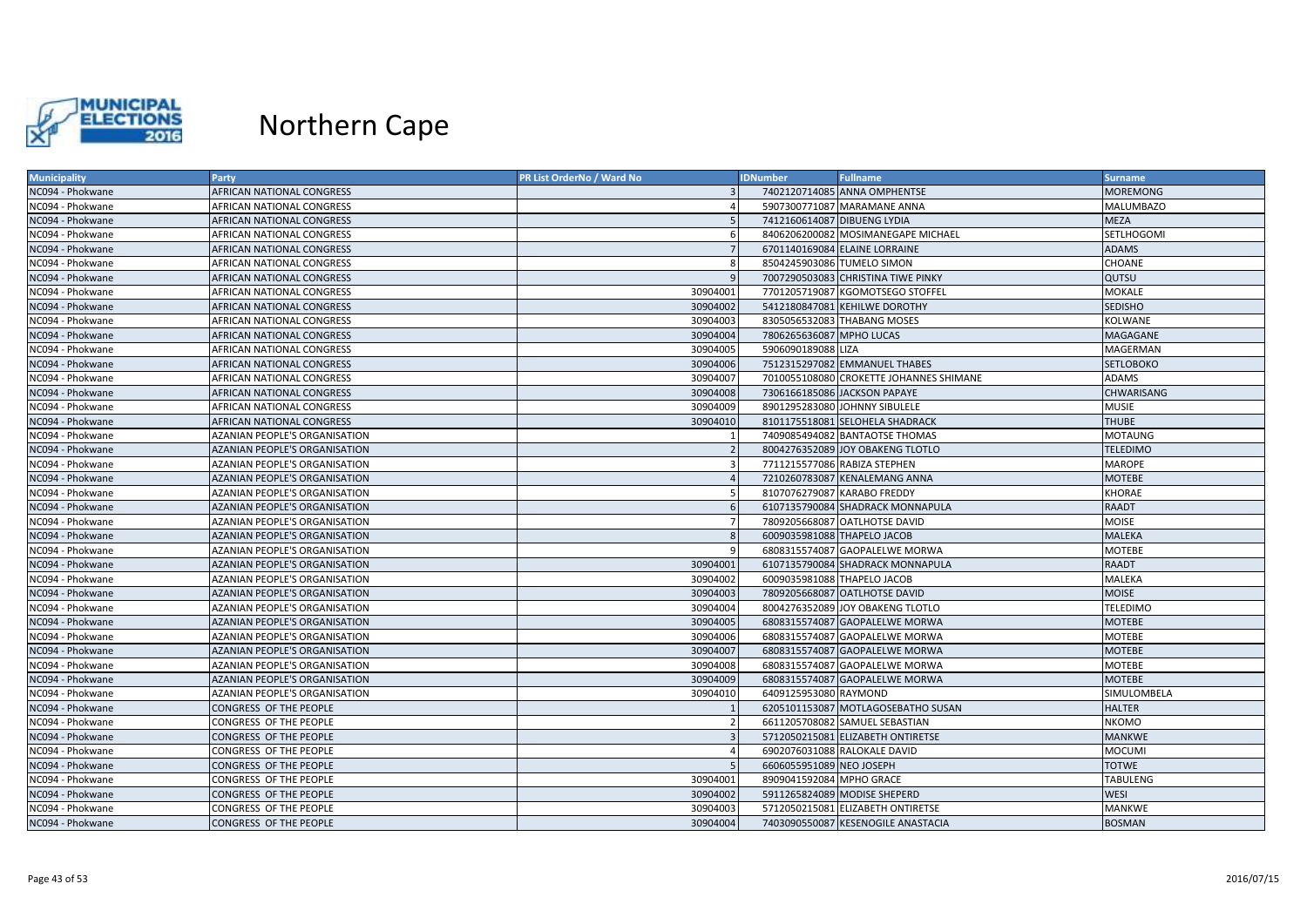

| NC094 - Phokwane<br><b>AFRICAN NATIONAL CONGRESS</b><br>7402120714085 ANNA OMPHENTSE                    | <b>MOREMONG</b>   |
|---------------------------------------------------------------------------------------------------------|-------------------|
|                                                                                                         |                   |
| 5907300771087 MARAMANE ANNA<br>NC094 - Phokwane<br>AFRICAN NATIONAL CONGRESS                            | <b>MALUMBAZO</b>  |
| NC094 - Phokwane<br>7412160614087 DIBUENG LYDIA<br>AFRICAN NATIONAL CONGRESS<br>-5                      | <b>MEZA</b>       |
| 8406206200082 MOSIMANEGAPE MICHAEL<br>NC094 - Phokwane<br>AFRICAN NATIONAL CONGRESS<br>-6               | SETLHOGOMI        |
| 6701140169084 ELAINE LORRAINE<br>NC094 - Phokwane<br><b>AFRICAN NATIONAL CONGRESS</b>                   | <b>ADAMS</b>      |
| NC094 - Phokwane<br>8504245903086 TUMELO SIMON<br>AFRICAN NATIONAL CONGRESS                             | CHOANE            |
| 7007290503083 CHRISTINA TIWE PINKY<br>NC094 - Phokwane<br>AFRICAN NATIONAL CONGRESS<br>q                | QUTSU             |
| 30904001<br>7701205719087 KGOMOTSEGO STOFFEL<br>NC094 - Phokwane<br>AFRICAN NATIONAL CONGRESS           | <b>MOKALE</b>     |
| NC094 - Phokwane<br>AFRICAN NATIONAL CONGRESS<br>30904002<br>5412180847081 KEHILWE DOROTHY              | <b>SEDISHO</b>    |
| 30904003<br>8305056532083 THABANG MOSES<br>NC094 - Phokwane<br>AFRICAN NATIONAL CONGRESS                | KOLWANE           |
| NC094 - Phokwane<br>30904004<br>7806265636087 MPHO LUCAS<br><b>AFRICAN NATIONAL CONGRESS</b>            | <b>MAGAGANE</b>   |
| 30904005<br>5906090189088 LIZA<br>NC094 - Phokwane<br>AFRICAN NATIONAL CONGRESS                         | MAGERMAN          |
| 30904006<br>7512315297082 EMMANUEL THABES<br>NC094 - Phokwane<br>AFRICAN NATIONAL CONGRESS              | <b>SETLOBOKO</b>  |
| NC094 - Phokwane<br>30904007<br>7010055108080 CROKETTE JOHANNES SHIMANE<br>AFRICAN NATIONAL CONGRESS    | <b>ADAMS</b>      |
| 30904008<br>7306166185086 JACKSON PAPAYE<br>NC094 - Phokwane<br>AFRICAN NATIONAL CONGRESS               | <b>CHWARISANG</b> |
| 30904009<br>8901295283080 JOHNNY SIBULELE<br>NC094 - Phokwane<br>AFRICAN NATIONAL CONGRESS              | <b>MUSIE</b>      |
| NC094 - Phokwane<br><b>AFRICAN NATIONAL CONGRESS</b><br>30904010<br>8101175518081 SELOHELA SHADRACK     | <b>THUBE</b>      |
| NC094 - Phokwane<br>AZANIAN PEOPLE'S ORGANISATION<br>7409085494082 BANTAOTSE THOMAS                     | <b>MOTAUNG</b>    |
| NC094 - Phokwane<br>AZANIAN PEOPLE'S ORGANISATION<br>8004276352089 JOY OBAKENG TLOTLO<br>$\overline{2}$ | <b>TELEDIMO</b>   |
| <b>AZANIAN PEOPLE'S ORGANISATION</b><br>7711215577086 RABIZA STEPHEN<br>NC094 - Phokwane<br>-3          | <b>MAROPE</b>     |
| AZANIAN PEOPLE'S ORGANISATION<br>7210260783087 KENALEMANG ANNA<br>NC094 - Phokwane                      | <b>MOTEBE</b>     |
| NC094 - Phokwane<br>AZANIAN PEOPLE'S ORGANISATION<br>8107076279087 KARABO FREDDY<br>-5                  | <b>KHORAE</b>     |
| 6107135790084 SHADRACK MONNAPULA<br>NC094 - Phokwane<br>AZANIAN PEOPLE'S ORGANISATION<br>-6             | <b>RAADT</b>      |
| 7809205668087 OATLHOTSE DAVID<br>NC094 - Phokwane<br>AZANIAN PEOPLE'S ORGANISATION                      | <b>MOISE</b>      |
| 6009035981088 THAPELO JACOB<br>NC094 - Phokwane<br><b>AZANIAN PEOPLE'S ORGANISATION</b>                 | <b>MALEKA</b>     |
| AZANIAN PEOPLE'S ORGANISATION<br>6808315574087 GAOPALELWE MORWA<br>NC094 - Phokwane                     | <b>MOTEBE</b>     |
| NC094 - Phokwane<br>AZANIAN PEOPLE'S ORGANISATION<br>30904001<br>6107135790084 SHADRACK MONNAPULA       | <b>RAADT</b>      |
| AZANIAN PEOPLE'S ORGANISATION<br>30904002<br>6009035981088 THAPELO JACOB<br>NC094 - Phokwane            | <b>MALEKA</b>     |
| 30904003<br>7809205668087 OATLHOTSE DAVID<br>NC094 - Phokwane<br>AZANIAN PEOPLE'S ORGANISATION          | <b>MOISE</b>      |
| NC094 - Phokwane<br>AZANIAN PEOPLE'S ORGANISATION<br>30904004<br>8004276352089 JOY OBAKENG TLOTLO       | <b>TELEDIMO</b>   |
| 30904005<br>AZANIAN PEOPLE'S ORGANISATION<br>6808315574087 GAOPALELWE MORWA<br>NC094 - Phokwane         | <b>MOTEBE</b>     |
| AZANIAN PEOPLE'S ORGANISATION<br>30904006<br>6808315574087 GAOPALELWE MORWA<br>NC094 - Phokwane         | <b>MOTEBE</b>     |
| NC094 - Phokwane<br><b>AZANIAN PEOPLE'S ORGANISATION</b><br>30904007<br>6808315574087 GAOPALELWE MORWA  | <b>MOTEBE</b>     |
| 30904008<br>6808315574087 GAOPALELWE MORWA<br>NC094 - Phokwane<br>AZANIAN PEOPLE'S ORGANISATION         | <b>MOTEBE</b>     |
| 30904009<br>NC094 - Phokwane<br>AZANIAN PEOPLE'S ORGANISATION<br>6808315574087 GAOPALELWE MORWA         | <b>MOTEBE</b>     |
| NC094 - Phokwane<br><b>AZANIAN PEOPLE'S ORGANISATION</b><br>30904010<br>6409125953080 RAYMOND           | SIMULOMBELA       |
| 6205101153087 MOTLAGOSEBATHO SUSAN<br>NC094 - Phokwane<br>CONGRESS OF THE PEOPLE                        | <b>HALTER</b>     |
| 6611205708082 SAMUEL SEBASTIAN<br>NC094 - Phokwane<br>CONGRESS OF THE PEOPLE<br>$\overline{2}$          | <b>NKOMO</b>      |
| 5712050215081 ELIZABETH ONTIRETSE<br>NC094 - Phokwane<br>CONGRESS OF THE PEOPLE                         | <b>MANKWE</b>     |
| 6902076031088 RALOKALE DAVID<br>NC094 - Phokwane<br>CONGRESS OF THE PEOPLE                              | <b>MOCUMI</b>     |
| NC094 - Phokwane<br>6606055951089 NEO JOSEPH<br>CONGRESS OF THE PEOPLE                                  | <b>TOTWE</b>      |
| 30904001<br>8909041592084 MPHO GRACE<br>NC094 - Phokwane<br>CONGRESS OF THE PEOPLE                      | TABULENG          |
| NC094 - Phokwane<br>CONGRESS OF THE PEOPLE<br>30904002<br>5911265824089 MODISE SHEPERD                  | WESI              |
| NC094 - Phokwane<br>CONGRESS OF THE PEOPLE<br>30904003<br>5712050215081 ELIZABETH ONTIRETSE             | <b>MANKWE</b>     |
| 7403090550087 KESENOGILE ANASTACIA<br>NC094 - Phokwane<br>CONGRESS OF THE PEOPLE<br>30904004            | <b>BOSMAN</b>     |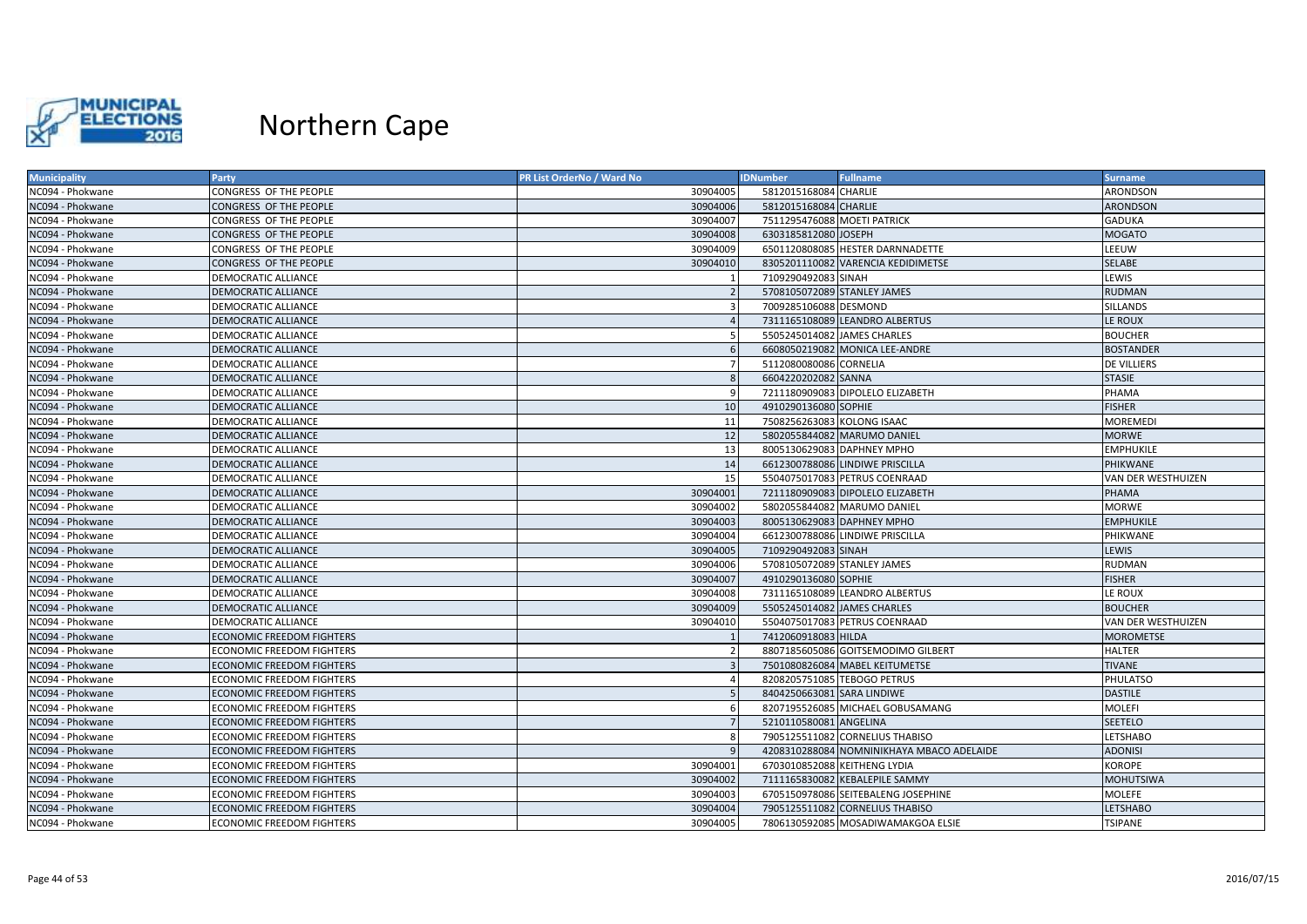

| <b>Municipality</b> | Party                            | PR List OrderNo / Ward No | <b>IDNumber</b>              | <b>Fullname</b>                           | <b>Surname</b>     |
|---------------------|----------------------------------|---------------------------|------------------------------|-------------------------------------------|--------------------|
| NC094 - Phokwane    | CONGRESS OF THE PEOPLE           | 30904005                  | 5812015168084 CHARLIE        |                                           | <b>ARONDSON</b>    |
| NC094 - Phokwane    | CONGRESS OF THE PEOPLE           | 30904006                  | 5812015168084 CHARLIE        |                                           | <b>ARONDSON</b>    |
| NC094 - Phokwane    | CONGRESS OF THE PEOPLE           | 30904007                  | 7511295476088 MOETI PATRICK  |                                           | <b>GADUKA</b>      |
| NC094 - Phokwane    | CONGRESS OF THE PEOPLE           | 30904008                  | 6303185812080 JOSEPH         |                                           | <b>MOGATO</b>      |
| NC094 - Phokwane    | CONGRESS OF THE PEOPLE           | 30904009                  |                              | 6501120808085 HESTER DARNNADETTE          | LEEUW              |
| NC094 - Phokwane    | CONGRESS OF THE PEOPLE           | 30904010                  |                              | 8305201110082 VARENCIA KEDIDIMETSE        | SELABE             |
| NC094 - Phokwane    | DEMOCRATIC ALLIANCE              |                           | 7109290492083 SINAH          |                                           | LEWIS              |
| NC094 - Phokwane    | <b>DEMOCRATIC ALLIANCE</b>       |                           | 5708105072089 STANLEY JAMES  |                                           | <b>RUDMAN</b>      |
| NC094 - Phokwane    | <b>DEMOCRATIC ALLIANCE</b>       |                           | 7009285106088 DESMOND        |                                           | SILLANDS           |
| NC094 - Phokwane    | <b>DEMOCRATIC ALLIANCE</b>       |                           |                              | 7311165108089 LEANDRO ALBERTUS            | LE ROUX            |
| NC094 - Phokwane    | DEMOCRATIC ALLIANCE              |                           | 5505245014082 JAMES CHARLES  |                                           | <b>BOUCHER</b>     |
| NC094 - Phokwane    | DEMOCRATIC ALLIANCE              | -6                        |                              | 6608050219082 MONICA LEE-ANDRE            | <b>BOSTANDER</b>   |
| NC094 - Phokwane    | DEMOCRATIC ALLIANCE              |                           | 5112080080086 CORNELIA       |                                           | <b>DE VILLIERS</b> |
| NC094 - Phokwane    | <b>DEMOCRATIC ALLIANCE</b>       |                           | 6604220202082 SANNA          |                                           | <b>STASIE</b>      |
| NC094 - Phokwane    | DEMOCRATIC ALLIANCE              |                           |                              | 7211180909083 DIPOLELO ELIZABETH          | PHAMA              |
| NC094 - Phokwane    | <b>DEMOCRATIC ALLIANCE</b>       | 10                        | 4910290136080 SOPHIE         |                                           | <b>FISHER</b>      |
| NC094 - Phokwane    | DEMOCRATIC ALLIANCE              | 11                        | 7508256263083 KOLONG ISAAC   |                                           | <b>MOREMEDI</b>    |
| NC094 - Phokwane    | <b>DEMOCRATIC ALLIANCE</b>       | 12                        |                              | 5802055844082 MARUMO DANIEL               | <b>MORWE</b>       |
| NC094 - Phokwane    | DEMOCRATIC ALLIANCE              | 13                        | 8005130629083 DAPHNEY MPHO   |                                           | <b>EMPHUKILE</b>   |
| NC094 - Phokwane    | <b>DEMOCRATIC ALLIANCE</b>       | 14                        |                              | 6612300788086 LINDIWE PRISCILLA           | PHIKWANE           |
| NC094 - Phokwane    | <b>DEMOCRATIC ALLIANCE</b>       | 15                        |                              | 5504075017083 PETRUS COENRAAD             | VAN DER WESTHUIZEN |
| NC094 - Phokwane    | <b>DEMOCRATIC ALLIANCE</b>       | 30904001                  |                              | 7211180909083 DIPOLELO ELIZABETH          | PHAMA              |
| NC094 - Phokwane    | DEMOCRATIC ALLIANCE              | 30904002                  |                              | 5802055844082 MARUMO DANIEL               | <b>MORWE</b>       |
| NC094 - Phokwane    | DEMOCRATIC ALLIANCE              | 30904003                  | 8005130629083 DAPHNEY MPHO   |                                           | <b>EMPHUKILE</b>   |
| NC094 - Phokwane    | DEMOCRATIC ALLIANCE              | 30904004                  |                              | 6612300788086 LINDIWE PRISCILLA           | PHIKWANE           |
| NC094 - Phokwane    | <b>DEMOCRATIC ALLIANCE</b>       | 30904005                  | 7109290492083 SINAH          |                                           | LEWIS              |
| NC094 - Phokwane    | DEMOCRATIC ALLIANCE              | 30904006                  | 5708105072089 STANLEY JAMES  |                                           | <b>RUDMAN</b>      |
| NC094 - Phokwane    | <b>DEMOCRATIC ALLIANCE</b>       | 30904007                  | 4910290136080 SOPHIE         |                                           | <b>FISHER</b>      |
| NC094 - Phokwane    | DEMOCRATIC ALLIANCE              | 30904008                  |                              | 7311165108089 LEANDRO ALBERTUS            | LE ROUX            |
| NC094 - Phokwane    | <b>DEMOCRATIC ALLIANCE</b>       | 30904009                  | 5505245014082 JAMES CHARLES  |                                           | <b>BOUCHER</b>     |
| NC094 - Phokwane    | DEMOCRATIC ALLIANCE              | 30904010                  |                              | 5504075017083 PETRUS COENRAAD             | VAN DER WESTHUIZEN |
| NC094 - Phokwane    | <b>ECONOMIC FREEDOM FIGHTERS</b> |                           | 7412060918083 HILDA          |                                           | <b>MOROMETSE</b>   |
| NC094 - Phokwane    | <b>ECONOMIC FREEDOM FIGHTERS</b> |                           |                              | 8807185605086 GOITSEMODIMO GILBERT        | <b>HALTER</b>      |
| NC094 - Phokwane    | <b>ECONOMIC FREEDOM FIGHTERS</b> |                           |                              | 7501080826084 MABEL KEITUMETSE            | <b>TIVANE</b>      |
| NC094 - Phokwane    | <b>ECONOMIC FREEDOM FIGHTERS</b> | $\Delta$                  | 8208205751085 TEBOGO PETRUS  |                                           | PHULATSO           |
| NC094 - Phokwane    | <b>ECONOMIC FREEDOM FIGHTERS</b> |                           | 8404250663081 SARA LINDIWE   |                                           | <b>DASTILE</b>     |
| NC094 - Phokwane    | ECONOMIC FREEDOM FIGHTERS        |                           |                              | 8207195526085 MICHAEL GOBUSAMANG          | <b>MOLEFI</b>      |
| NC094 - Phokwane    | <b>ECONOMIC FREEDOM FIGHTERS</b> |                           | 5210110580081 ANGELINA       |                                           | <b>SEETELO</b>     |
| NC094 - Phokwane    | ECONOMIC FREEDOM FIGHTERS        | 8                         |                              | 7905125511082 CORNELIUS THABISO           | LETSHABO           |
| NC094 - Phokwane    | <b>ECONOMIC FREEDOM FIGHTERS</b> |                           |                              | 4208310288084 NOMNINIKHAYA MBACO ADELAIDE | <b>ADONISI</b>     |
| NC094 - Phokwane    | <b>ECONOMIC FREEDOM FIGHTERS</b> | 30904001                  | 6703010852088 KEITHENG LYDIA |                                           | KOROPE             |
| NC094 - Phokwane    | <b>ECONOMIC FREEDOM FIGHTERS</b> | 30904002                  |                              | 7111165830082 KEBALEPILE SAMMY            | <b>MOHUTSIWA</b>   |
| NC094 - Phokwane    | ECONOMIC FREEDOM FIGHTERS        | 30904003                  |                              | 6705150978086 SEITEBALENG JOSEPHINE       | MOLEFE             |
| NC094 - Phokwane    | <b>ECONOMIC FREEDOM FIGHTERS</b> | 30904004                  |                              | 7905125511082 CORNELIUS THABISO           | <b>LETSHABO</b>    |
| NC094 - Phokwane    | <b>ECONOMIC FREEDOM FIGHTERS</b> | 30904005                  |                              | 7806130592085 MOSADIWAMAKGOA ELSIE        | <b>TSIPANE</b>     |
|                     |                                  |                           |                              |                                           |                    |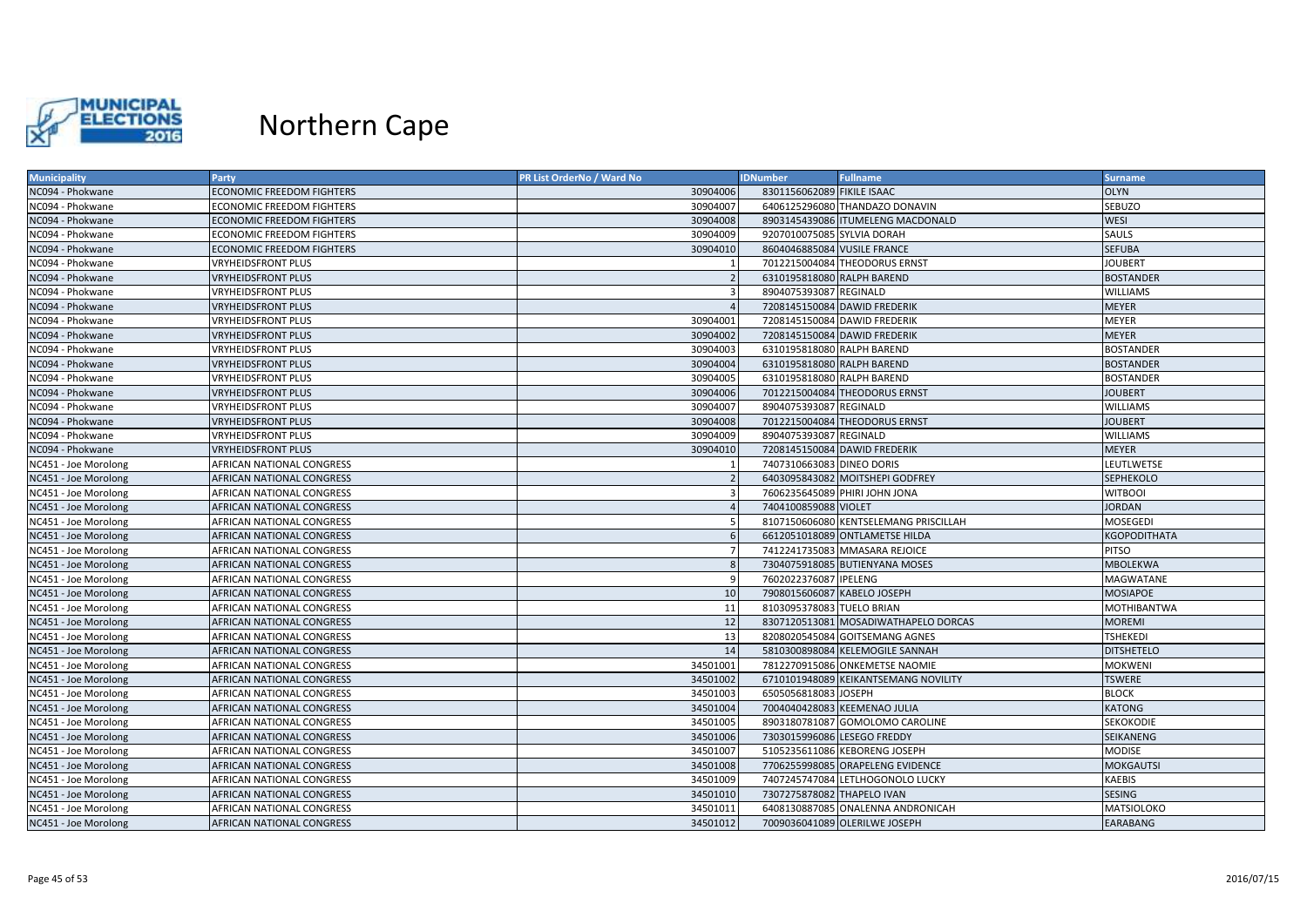

| <b>Municipality</b>  | Party                            | PR List OrderNo / Ward No | <b>IDNumber</b>              | <b>Fullname</b>                       | Surname            |
|----------------------|----------------------------------|---------------------------|------------------------------|---------------------------------------|--------------------|
| NC094 - Phokwane     | <b>ECONOMIC FREEDOM FIGHTERS</b> | 30904006                  | 8301156062089 FIKILE ISAAC   |                                       | <b>OLYN</b>        |
| NC094 - Phokwane     | <b>CONOMIC FREEDOM FIGHTERS</b>  | 30904007                  |                              | 6406125296080 THANDAZO DONAVIN        | SEBUZO             |
| NC094 - Phokwane     | <b>ECONOMIC FREEDOM FIGHTERS</b> | 30904008                  |                              | 8903145439086 ITUMELENG MACDONALD     | <b>WESI</b>        |
| NC094 - Phokwane     | ECONOMIC FREEDOM FIGHTERS        | 30904009                  | 9207010075085 SYLVIA DORAH   |                                       | SAULS              |
| NC094 - Phokwane     | <b>ECONOMIC FREEDOM FIGHTERS</b> | 30904010                  | 8604046885084 VUSILE FRANCE  |                                       | <b>SEFUBA</b>      |
| NC094 - Phokwane     | <b>VRYHEIDSFRONT PLUS</b>        |                           |                              | 7012215004084 THEODORUS ERNST         | <b>JOUBERT</b>     |
| NC094 - Phokwane     | <b>VRYHEIDSFRONT PLUS</b>        |                           | 6310195818080 RALPH BAREND   |                                       | <b>BOSTANDER</b>   |
| NC094 - Phokwane     | <b>VRYHEIDSFRONT PLUS</b>        |                           | 8904075393087 REGINALD       |                                       | <b>WILLIAMS</b>    |
| NC094 - Phokwane     | VRYHEIDSFRONT PLUS               |                           | 7208145150084 DAWID FREDERIK |                                       | <b>MEYER</b>       |
| NC094 - Phokwane     | VRYHEIDSFRONT PLUS               | 30904001                  | 7208145150084 DAWID FREDERIK |                                       | <b>MEYER</b>       |
| NC094 - Phokwane     | <b>VRYHEIDSFRONT PLUS</b>        | 30904002                  | 7208145150084 DAWID FREDERIK |                                       | <b>MEYER</b>       |
| NC094 - Phokwane     | <b>VRYHEIDSFRONT PLUS</b>        | 30904003                  | 6310195818080 RALPH BAREND   |                                       | <b>BOSTANDER</b>   |
| NC094 - Phokwane     | <b>VRYHEIDSFRONT PLUS</b>        | 30904004                  | 6310195818080 RALPH BAREND   |                                       | <b>BOSTANDER</b>   |
| NC094 - Phokwane     | VRYHEIDSFRONT PLUS               | 30904005                  | 6310195818080 RALPH BAREND   |                                       | <b>BOSTANDER</b>   |
| NC094 - Phokwane     | <b>VRYHEIDSFRONT PLUS</b>        | 30904006                  |                              | 7012215004084 THEODORUS ERNST         | <b>JOUBERT</b>     |
| NC094 - Phokwane     | <b>VRYHEIDSFRONT PLUS</b>        | 30904007                  | 8904075393087 REGINALD       |                                       | <b>WILLIAMS</b>    |
| NC094 - Phokwane     | <b>VRYHEIDSFRONT PLUS</b>        | 30904008                  |                              | 7012215004084 THEODORUS ERNST         | <b>JOUBERT</b>     |
| NC094 - Phokwane     | VRYHEIDSFRONT PLUS               | 30904009                  | 8904075393087 REGINALD       |                                       | <b>WILLIAMS</b>    |
| NC094 - Phokwane     | <b>VRYHEIDSFRONT PLUS</b>        | 30904010                  |                              | 7208145150084 DAWID FREDERIK          | <b>MEYER</b>       |
| NC451 - Joe Morolong | AFRICAN NATIONAL CONGRESS        |                           | 7407310663083 DINEO DORIS    |                                       | LEUTLWETSE         |
| NC451 - Joe Morolong | <b>AFRICAN NATIONAL CONGRESS</b> |                           |                              | 6403095843082 MOITSHEPI GODFREY       | SEPHEKOLO          |
| NC451 - Joe Morolong | AFRICAN NATIONAL CONGRESS        | 3                         |                              | 7606235645089 PHIRI JOHN JONA         | <b>WITBOOI</b>     |
| NC451 - Joe Morolong | AFRICAN NATIONAL CONGRESS        |                           | 7404100859088 VIOLET         |                                       | JORDAN             |
| NC451 - Joe Morolong | AFRICAN NATIONAL CONGRESS        |                           |                              | 8107150606080 KENTSELEMANG PRISCILLAH | <b>MOSEGEDI</b>    |
| NC451 - Joe Morolong | <b>AFRICAN NATIONAL CONGRESS</b> |                           |                              | 6612051018089 ONTLAMETSE HILDA        | KGOPODITHATA       |
| NC451 - Joe Morolong | AFRICAN NATIONAL CONGRESS        |                           |                              | 7412241735083 MMASARA REJOICE         | <b>PITSO</b>       |
| NC451 - Joe Morolong | <b>AFRICAN NATIONAL CONGRESS</b> | -8                        |                              | 7304075918085 BUTIENYANA MOSES        | <b>MBOLEKWA</b>    |
| NC451 - Joe Morolong | AFRICAN NATIONAL CONGRESS        | <b>q</b>                  | 7602022376087 IPELENG        |                                       | MAGWATANE          |
| NC451 - Joe Morolong | AFRICAN NATIONAL CONGRESS        | 10                        | 7908015606087 KABELO JOSEPH  |                                       | <b>MOSIAPOE</b>    |
| NC451 - Joe Morolong | AFRICAN NATIONAL CONGRESS        | 11                        | 8103095378083 TUELO BRIAN    |                                       | <b>MOTHIBANTWA</b> |
| NC451 - Joe Morolong | AFRICAN NATIONAL CONGRESS        | 12                        |                              | 8307120513081 MOSADIWATHAPELO DORCAS  | <b>MOREMI</b>      |
| NC451 - Joe Morolong | AFRICAN NATIONAL CONGRESS        | 13                        |                              | 8208020545084 GOITSEMANG AGNES        | <b>TSHEKEDI</b>    |
| NC451 - Joe Morolong | AFRICAN NATIONAL CONGRESS        | 14                        |                              | 5810300898084 KELEMOGILE SANNAH       | <b>DITSHETELO</b>  |
| NC451 - Joe Morolong | AFRICAN NATIONAL CONGRESS        | 34501001                  |                              | 7812270915086 ONKEMETSE NAOMIE        | MOKWENI            |
| NC451 - Joe Morolong | <b>AFRICAN NATIONAL CONGRESS</b> | 34501002                  |                              | 6710101948089 KEIKANTSEMANG NOVILITY  | <b>TSWERE</b>      |
| NC451 - Joe Morolong | AFRICAN NATIONAL CONGRESS        | 34501003                  | 6505056818083 JOSEPH         |                                       | <b>BLOCK</b>       |
| NC451 - Joe Morolong | AFRICAN NATIONAL CONGRESS        | 34501004                  |                              | 7004040428083 KEEMENAO JULIA          | <b>KATONG</b>      |
| NC451 - Joe Morolong | AFRICAN NATIONAL CONGRESS        | 34501005                  |                              | 8903180781087 GOMOLOMO CAROLINE       | SEKOKODIE          |
| NC451 - Joe Morolong | <b>AFRICAN NATIONAL CONGRESS</b> | 34501006                  | 7303015996086 LESEGO FREDDY  |                                       | SEIKANENG          |
| NC451 - Joe Morolong | AFRICAN NATIONAL CONGRESS        | 34501007                  |                              | 5105235611086 KEBORENG JOSEPH         | <b>MODISE</b>      |
| NC451 - Joe Morolong | AFRICAN NATIONAL CONGRESS        | 34501008                  |                              | 7706255998085 ORAPELENG EVIDENCE      | <b>MOKGAUTSI</b>   |
| NC451 - Joe Morolong | AFRICAN NATIONAL CONGRESS        | 34501009                  |                              | 7407245747084 LETLHOGONOLO LUCKY      | KAEBIS             |
| NC451 - Joe Morolong | AFRICAN NATIONAL CONGRESS        | 34501010                  | 7307275878082 THAPELO IVAN   |                                       | <b>SESING</b>      |
| NC451 - Joe Morolong | AFRICAN NATIONAL CONGRESS        | 34501011                  |                              | 6408130887085 ONALENNA ANDRONICAH     | <b>MATSIOLOKO</b>  |
| NC451 - Joe Morolong | AFRICAN NATIONAL CONGRESS        | 34501012                  |                              | 7009036041089 OLERILWE JOSEPH         | EARABANG           |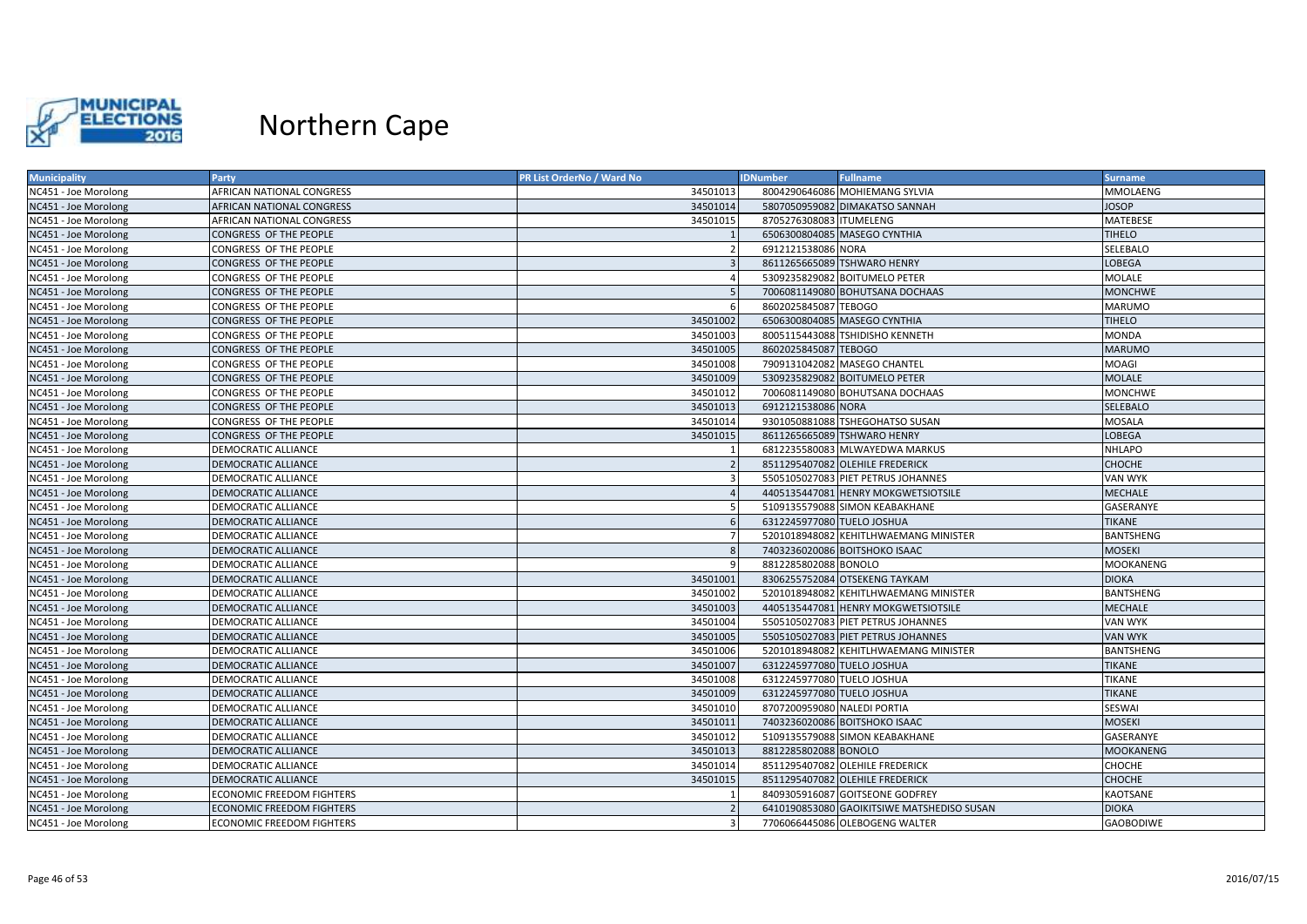

| <b>Municipality</b>  | Party                            | PR List OrderNo / Ward No | <b>IDNumber</b><br><b>Fullname</b>         | <b>Surname</b>   |
|----------------------|----------------------------------|---------------------------|--------------------------------------------|------------------|
| NC451 - Joe Morolong | AFRICAN NATIONAL CONGRESS        | 34501013                  | 8004290646086 MOHIEMANG SYLVIA             | <b>MMOLAENG</b>  |
| NC451 - Joe Morolong | AFRICAN NATIONAL CONGRESS        | 34501014                  | 5807050959082 DIMAKATSO SANNAH             | <b>JOSOP</b>     |
| NC451 - Joe Morolong | AFRICAN NATIONAL CONGRESS        | 34501015                  | 8705276308083 ITUMELENG                    | MATEBESE         |
| NC451 - Joe Morolong | CONGRESS OF THE PEOPLE           |                           | 6506300804085 MASEGO CYNTHIA               | <b>TIHELO</b>    |
| NC451 - Joe Morolong | CONGRESS OF THE PEOPLE           |                           | 6912121538086 NORA                         | SELEBALO         |
| NC451 - Joe Morolong | CONGRESS OF THE PEOPLE           |                           | 8611265665089 TSHWARO HENRY                | LOBEGA           |
| NC451 - Joe Morolong | CONGRESS OF THE PEOPLE           |                           | 5309235829082 BOITUMELO PETER              | MOLALE           |
| NC451 - Joe Morolong | CONGRESS OF THE PEOPLE           | 5                         | 7006081149080 BOHUTSANA DOCHAAS            | <b>MONCHWE</b>   |
| NC451 - Joe Morolong | CONGRESS OF THE PEOPLE           | -6                        | 8602025845087 TEBOGO                       | <b>MARUMO</b>    |
| NC451 - Joe Morolong | CONGRESS OF THE PEOPLE           | 34501002                  | 6506300804085 MASEGO CYNTHIA               | <b>TIHELO</b>    |
| NC451 - Joe Morolong | CONGRESS OF THE PEOPLE           | 34501003                  | 8005115443088 TSHIDISHO KENNETH            | <b>MONDA</b>     |
| NC451 - Joe Morolong | CONGRESS OF THE PEOPLE           | 34501005                  | 8602025845087 TEBOGO                       | <b>MARUMO</b>    |
| NC451 - Joe Morolong | CONGRESS OF THE PEOPLE           | 34501008                  | 7909131042082 MASEGO CHANTEL               | MOAGI            |
| NC451 - Joe Morolong | CONGRESS OF THE PEOPLE           | 34501009                  | 5309235829082 BOITUMELO PETER              | <b>MOLALE</b>    |
| NC451 - Joe Morolong | CONGRESS OF THE PEOPLE           | 34501012                  | 7006081149080 BOHUTSANA DOCHAAS            | <b>MONCHWE</b>   |
| NC451 - Joe Morolong | CONGRESS OF THE PEOPLE           | 34501013                  | 6912121538086 NORA                         | SELEBALO         |
| NC451 - Joe Morolong | CONGRESS OF THE PEOPLE           | 34501014                  | 9301050881088 TSHEGOHATSO SUSAN            | <b>MOSALA</b>    |
| NC451 - Joe Morolong | CONGRESS OF THE PEOPLE           | 34501015                  | 8611265665089 TSHWARO HENRY                | LOBEGA           |
| NC451 - Joe Morolong | DEMOCRATIC ALLIANCE              |                           | 6812235580083 MLWAYEDWA MARKUS             | <b>NHLAPO</b>    |
| NC451 - Joe Morolong | DEMOCRATIC ALLIANCE              |                           | 8511295407082 OLEHILE FREDERICK            | <b>CHOCHE</b>    |
| NC451 - Joe Morolong | <b>DEMOCRATIC ALLIANCE</b>       |                           | 5505105027083 PIET PETRUS JOHANNES         | <b>VAN WYK</b>   |
| NC451 - Joe Morolong | DEMOCRATIC ALLIANCE              |                           | 4405135447081 HENRY MOKGWETSIOTSILE        | <b>MECHALE</b>   |
| NC451 - Joe Morolong | DEMOCRATIC ALLIANCE              |                           | 5109135579088 SIMON KEABAKHANE             | GASERANYE        |
| NC451 - Joe Morolong | DEMOCRATIC ALLIANCE              | 6                         | 6312245977080 TUELO JOSHUA                 | <b>TIKANE</b>    |
| NC451 - Joe Morolong | DEMOCRATIC ALLIANCE              |                           | 5201018948082 KEHITLHWAEMANG MINISTER      | <b>BANTSHENG</b> |
| NC451 - Joe Morolong | <b>DEMOCRATIC ALLIANCE</b>       | 8                         | 7403236020086 BOITSHOKO ISAAC              | <b>MOSEKI</b>    |
| NC451 - Joe Morolong | DEMOCRATIC ALLIANCE              |                           | 8812285802088 BONOLO                       | <b>MOOKANENG</b> |
| NC451 - Joe Morolong | DEMOCRATIC ALLIANCE              | 34501001                  | 8306255752084 OTSEKENG TAYKAM              | <b>DIOKA</b>     |
| NC451 - Joe Morolong | DEMOCRATIC ALLIANCE              | 34501002                  | 5201018948082 KEHITLHWAEMANG MINISTER      | <b>BANTSHENG</b> |
| NC451 - Joe Morolong | DEMOCRATIC ALLIANCE              | 34501003                  | 4405135447081 HENRY MOKGWETSIOTSILE        | <b>MECHALE</b>   |
| NC451 - Joe Morolong | DEMOCRATIC ALLIANCE              | 34501004                  | 5505105027083 PIET PETRUS JOHANNES         | VAN WYK          |
| NC451 - Joe Morolong | <b>DEMOCRATIC ALLIANCE</b>       | 34501005                  | 5505105027083 PIET PETRUS JOHANNES         | <b>VAN WYK</b>   |
| NC451 - Joe Morolong | DEMOCRATIC ALLIANCE              | 34501006                  | 5201018948082 KEHITLHWAEMANG MINISTER      | <b>BANTSHENG</b> |
| NC451 - Joe Morolong | <b>DEMOCRATIC ALLIANCE</b>       | 34501007                  | 6312245977080 TUELO JOSHUA                 | <b>TIKANE</b>    |
| NC451 - Joe Morolong | DEMOCRATIC ALLIANCE              | 34501008                  | 6312245977080 TUELO JOSHUA                 | <b>TIKANE</b>    |
| NC451 - Joe Morolong | <b>DEMOCRATIC ALLIANCE</b>       | 34501009                  | 6312245977080 TUELO JOSHUA                 | <b>TIKANE</b>    |
| NC451 - Joe Morolong | DEMOCRATIC ALLIANCE              | 34501010                  | 8707200959080 NALEDI PORTIA                | SESWAI           |
| NC451 - Joe Morolong | DEMOCRATIC ALLIANCE              | 34501011                  | 7403236020086 BOITSHOKO ISAAC              | <b>MOSEKI</b>    |
| NC451 - Joe Morolong | DEMOCRATIC ALLIANCE              | 34501012                  | 5109135579088 SIMON KEABAKHANE             | GASERANYE        |
| NC451 - Joe Morolong | <b>DEMOCRATIC ALLIANCE</b>       | 34501013                  | 8812285802088 BONOLO                       | <b>MOOKANENG</b> |
| NC451 - Joe Morolong | DEMOCRATIC ALLIANCE              | 34501014                  | 8511295407082 OLEHILE FREDERICK            | CHOCHE           |
| NC451 - Joe Morolong | DEMOCRATIC ALLIANCE              | 34501015                  | 8511295407082 OLEHILE FREDERICK            | <b>CHOCHE</b>    |
| NC451 - Joe Morolong | <b>ECONOMIC FREEDOM FIGHTERS</b> |                           | 8409305916087 GOITSEONE GODFREY            | KAOTSANE         |
| NC451 - Joe Morolong | <b>ECONOMIC FREEDOM FIGHTERS</b> |                           | 6410190853080 GAOIKITSIWE MATSHEDISO SUSAN | <b>DIOKA</b>     |
| NC451 - Joe Morolong | <b>ECONOMIC FREEDOM FIGHTERS</b> | з                         | 7706066445086 OLEBOGENG WALTER             | <b>GAOBODIWE</b> |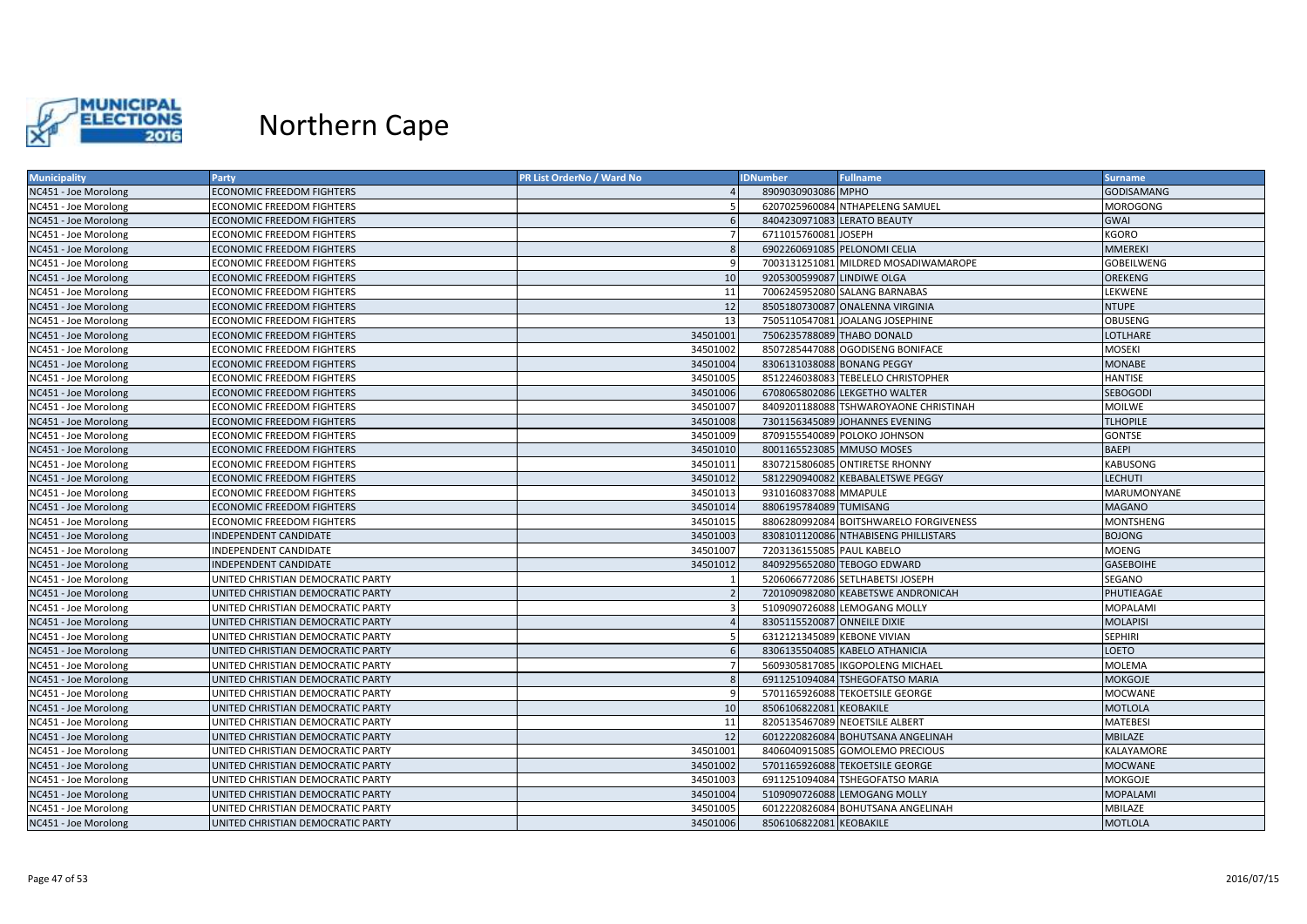

| <b>Municipality</b>  | <b>Party</b>                      | <b>PR List OrderNo / Ward No</b> | <b>IDNumber</b>             | <b>Fullname</b>                        | <b>Surname</b>    |
|----------------------|-----------------------------------|----------------------------------|-----------------------------|----------------------------------------|-------------------|
| NC451 - Joe Morolong | <b>ECONOMIC FREEDOM FIGHTERS</b>  |                                  | 8909030903086 MPHO          |                                        | <b>GODISAMANG</b> |
| NC451 - Joe Morolong | ECONOMIC FREEDOM FIGHTERS         |                                  |                             | 6207025960084 NTHAPELENG SAMUEL        | MOROGONG          |
| NC451 - Joe Morolong | <b>ECONOMIC FREEDOM FIGHTERS</b>  | 6                                |                             | 8404230971083 LERATO BEAUTY            | <b>GWAI</b>       |
| NC451 - Joe Morolong | <b>ECONOMIC FREEDOM FIGHTERS</b>  | $\overline{7}$                   | 6711015760081 JOSEPH        |                                        | <b>KGORO</b>      |
| NC451 - Joe Morolong | <b>ECONOMIC FREEDOM FIGHTERS</b>  | 8                                |                             | 6902260691085 PELONOMI CELIA           | <b>MMEREKI</b>    |
| NC451 - Joe Morolong | <b>ECONOMIC FREEDOM FIGHTERS</b>  | q                                |                             | 7003131251081 MILDRED MOSADIWAMAROPE   | <b>GOBEILWENG</b> |
| NC451 - Joe Morolong | <b>ECONOMIC FREEDOM FIGHTERS</b>  | 10                               | 9205300599087 LINDIWE OLGA  |                                        | <b>OREKENG</b>    |
| NC451 - Joe Morolong | <b>ECONOMIC FREEDOM FIGHTERS</b>  | 11                               |                             | 7006245952080 SALANG BARNABAS          | LEKWENE           |
| NC451 - Joe Morolong | <b>ECONOMIC FREEDOM FIGHTERS</b>  | 12                               |                             | 8505180730087 ONALENNA VIRGINIA        | <b>NTUPE</b>      |
| NC451 - Joe Morolong | ECONOMIC FREEDOM FIGHTERS         | 13                               |                             | 7505110547081 JOALANG JOSEPHINE        | <b>OBUSENG</b>    |
| NC451 - Joe Morolong | <b>ECONOMIC FREEDOM FIGHTERS</b>  | 34501001                         |                             | 7506235788089 THABO DONALD             | <b>LOTLHARE</b>   |
| NC451 - Joe Morolong | <b>ECONOMIC FREEDOM FIGHTERS</b>  | 34501002                         |                             | 8507285447088 OGODISENG BONIFACE       | <b>MOSEKI</b>     |
| NC451 - Joe Morolong | <b>ECONOMIC FREEDOM FIGHTERS</b>  | 34501004                         |                             | 8306131038088 BONANG PEGGY             | <b>MONABE</b>     |
| NC451 - Joe Morolong | <b>ECONOMIC FREEDOM FIGHTERS</b>  | 34501005                         |                             | 8512246038083 TEBELELO CHRISTOPHER     | <b>HANTISE</b>    |
| NC451 - Joe Morolong | <b>ECONOMIC FREEDOM FIGHTERS</b>  | 34501006                         |                             | 6708065802086 LEKGETHO WALTER          | <b>SEBOGODI</b>   |
| NC451 - Joe Morolong | <b>ECONOMIC FREEDOM FIGHTERS</b>  | 34501007                         |                             | 8409201188088 TSHWAROYAONE CHRISTINAH  | <b>MOILWE</b>     |
| NC451 - Joe Morolong | <b>ECONOMIC FREEDOM FIGHTERS</b>  | 34501008                         |                             | 7301156345089 JOHANNES EVENING         | <b>TLHOPILE</b>   |
| NC451 - Joe Morolong | ECONOMIC FREEDOM FIGHTERS         | 34501009                         |                             | 8709155540089 POLOKO JOHNSON           | <b>GONTSE</b>     |
| NC451 - Joe Morolong | <b>ECONOMIC FREEDOM FIGHTERS</b>  | 34501010                         |                             | 8001165523085 MMUSO MOSES              | <b>BAEPI</b>      |
| NC451 - Joe Morolong | <b>ECONOMIC FREEDOM FIGHTERS</b>  | 34501011                         |                             | 8307215806085 ONTIRETSE RHONNY         | <b>KABUSONG</b>   |
| NC451 - Joe Morolong | <b>ECONOMIC FREEDOM FIGHTERS</b>  | 34501012                         |                             | 5812290940082 KEBABALETSWE PEGGY       | <b>LECHUTI</b>    |
| NC451 - Joe Morolong | <b>ECONOMIC FREEDOM FIGHTERS</b>  | 34501013                         | 9310160837088 MMAPULE       |                                        | MARUMONYANE       |
| NC451 - Joe Morolong | <b>ECONOMIC FREEDOM FIGHTERS</b>  | 34501014                         | 8806195784089 TUMISANG      |                                        | <b>MAGANO</b>     |
| NC451 - Joe Morolong | <b>ECONOMIC FREEDOM FIGHTERS</b>  | 34501015                         |                             | 8806280992084 BOITSHWARELO FORGIVENESS | <b>MONTSHENG</b>  |
| NC451 - Joe Morolong | INDEPENDENT CANDIDATE             | 34501003                         |                             | 8308101120086 NTHABISENG PHILLISTARS   | <b>BOJONG</b>     |
| NC451 - Joe Morolong | INDEPENDENT CANDIDATE             | 34501007                         | 7203136155085 PAUL KABELO   |                                        | <b>MOENG</b>      |
| NC451 - Joe Morolong | INDEPENDENT CANDIDATE             | 34501012                         |                             | 8409295652080 TEBOGO EDWARD            | <b>GASEBOIHE</b>  |
| NC451 - Joe Morolong | UNITED CHRISTIAN DEMOCRATIC PARTY |                                  |                             | 5206066772086 SETLHABETSI JOSEPH       | <b>SEGANO</b>     |
| NC451 - Joe Morolong | UNITED CHRISTIAN DEMOCRATIC PARTY | $\overline{z}$                   |                             | 7201090982080 KEABETSWE ANDRONICAH     | PHUTIEAGAE        |
| NC451 - Joe Morolong | UNITED CHRISTIAN DEMOCRATIC PARTY | $\overline{3}$                   |                             | 5109090726088 LEMOGANG MOLLY           | <b>MOPALAMI</b>   |
| NC451 - Joe Morolong | UNITED CHRISTIAN DEMOCRATIC PARTY | $\overline{4}$                   | 8305115520087 ONNEILE DIXIE |                                        | <b>MOLAPISI</b>   |
| NC451 - Joe Morolong | UNITED CHRISTIAN DEMOCRATIC PARTY | -5                               | 6312121345089 KEBONE VIVIAN |                                        | <b>SEPHIRI</b>    |
| NC451 - Joe Morolong | UNITED CHRISTIAN DEMOCRATIC PARTY | 6                                |                             | 8306135504085 KABELO ATHANICIA         | <b>LOETO</b>      |
| NC451 - Joe Morolong | UNITED CHRISTIAN DEMOCRATIC PARTY |                                  |                             | 5609305817085 IKGOPOLENG MICHAEL       | <b>MOLEMA</b>     |
| NC451 - Joe Morolong | UNITED CHRISTIAN DEMOCRATIC PARTY | 8                                |                             | 6911251094084 TSHEGOFATSO MARIA        | <b>MOKGOJE</b>    |
| NC451 - Joe Morolong | UNITED CHRISTIAN DEMOCRATIC PARTY | 9                                |                             | 5701165926088 TEKOETSILE GEORGE        | <b>MOCWANE</b>    |
| NC451 - Joe Morolong | UNITED CHRISTIAN DEMOCRATIC PARTY | 10                               | 8506106822081 KEOBAKILE     |                                        | <b>MOTLOLA</b>    |
| NC451 - Joe Morolong | UNITED CHRISTIAN DEMOCRATIC PARTY | 11                               |                             | 8205135467089 NEOETSILE ALBERT         | <b>MATEBESI</b>   |
| NC451 - Joe Morolong | UNITED CHRISTIAN DEMOCRATIC PARTY | 12                               |                             | 6012220826084 BOHUTSANA ANGELINAH      | <b>MBILAZE</b>    |
| NC451 - Joe Morolong | UNITED CHRISTIAN DEMOCRATIC PARTY | 34501001                         |                             | 8406040915085 GOMOLEMO PRECIOUS        | <b>KALAYAMORE</b> |
| NC451 - Joe Morolong | UNITED CHRISTIAN DEMOCRATIC PARTY | 34501002                         |                             | 5701165926088 TEKOETSILE GEORGE        | <b>MOCWANE</b>    |
| NC451 - Joe Morolong | UNITED CHRISTIAN DEMOCRATIC PARTY | 34501003                         |                             | 6911251094084 TSHEGOFATSO MARIA        | <b>MOKGOJE</b>    |
| NC451 - Joe Morolong | UNITED CHRISTIAN DEMOCRATIC PARTY | 34501004                         |                             | 5109090726088 LEMOGANG MOLLY           | <b>MOPALAMI</b>   |
| NC451 - Joe Morolong | UNITED CHRISTIAN DEMOCRATIC PARTY | 34501005                         |                             | 6012220826084 BOHUTSANA ANGELINAH      | MBILAZE           |
| NC451 - Joe Morolong | UNITED CHRISTIAN DEMOCRATIC PARTY | 34501006                         | 8506106822081 KEOBAKILE     |                                        | <b>MOTLOLA</b>    |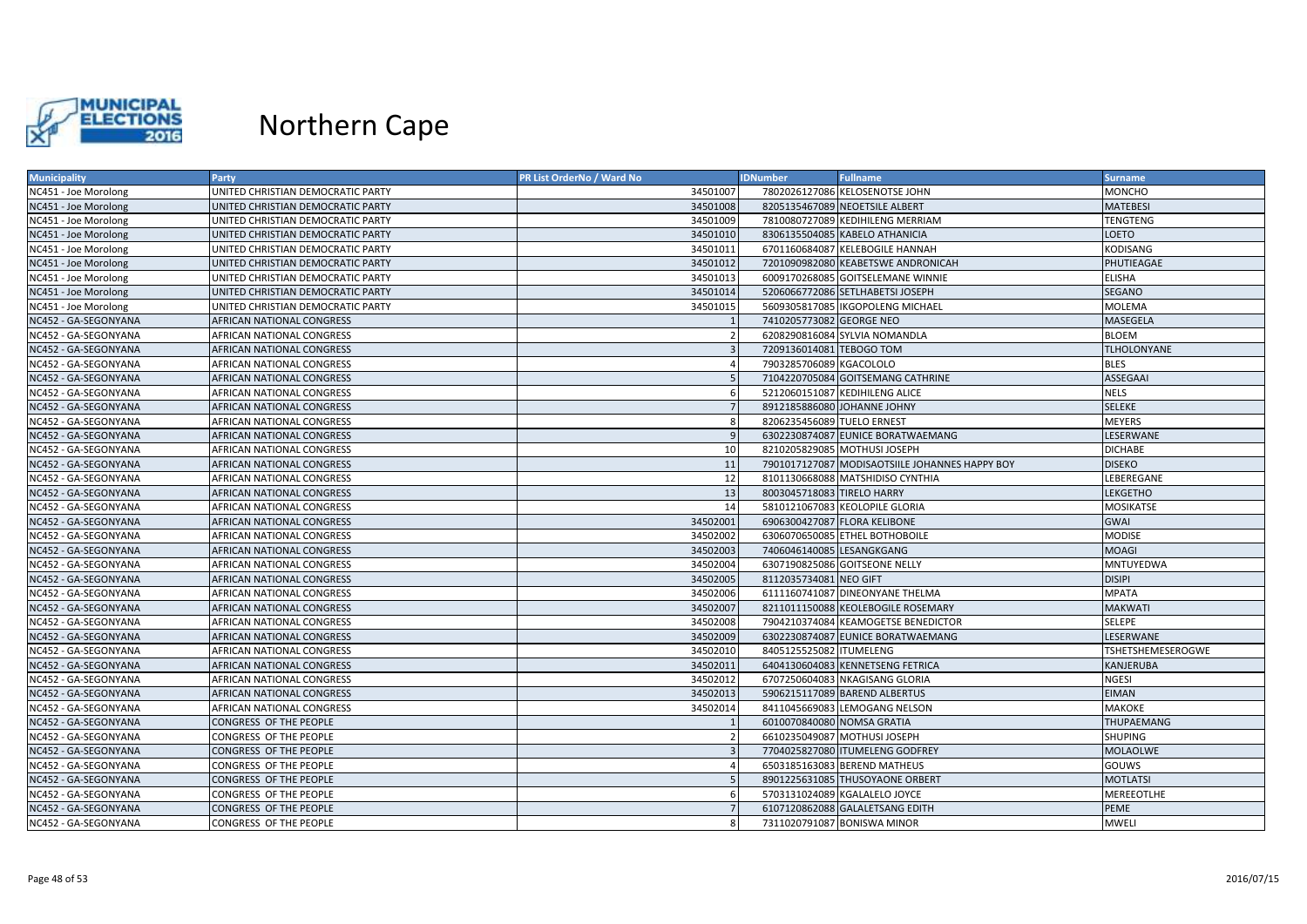

| <b>Municipality</b>  | Party                             | <b>PR List OrderNo / Ward No</b> | <b>IDNumber</b>            | <b>Fullname</b>                                | <b>Surname</b>    |
|----------------------|-----------------------------------|----------------------------------|----------------------------|------------------------------------------------|-------------------|
| NC451 - Joe Morolong | UNITED CHRISTIAN DEMOCRATIC PARTY | 34501007                         |                            | 7802026127086 KELOSENOTSE JOHN                 | <b>MONCHO</b>     |
| NC451 - Joe Morolong | UNITED CHRISTIAN DEMOCRATIC PARTY | 34501008                         |                            | 8205135467089 NEOETSILE ALBERT                 | MATEBESI          |
| NC451 - Joe Morolong | UNITED CHRISTIAN DEMOCRATIC PARTY | 34501009                         |                            | 7810080727089 KEDIHILENG MERRIAM               | TENGTENG          |
| NC451 - Joe Morolong | UNITED CHRISTIAN DEMOCRATIC PARTY | 34501010                         |                            | 8306135504085 KABELO ATHANICIA                 | LOETO             |
| NC451 - Joe Morolong | UNITED CHRISTIAN DEMOCRATIC PARTY | 34501011                         |                            | 6701160684087 KELEBOGILE HANNAH                | KODISANG          |
| NC451 - Joe Morolong | UNITED CHRISTIAN DEMOCRATIC PARTY | 34501012                         |                            | 7201090982080 KEABETSWE ANDRONICAH             | PHUTIEAGAE        |
| NC451 - Joe Morolong | UNITED CHRISTIAN DEMOCRATIC PARTY | 34501013                         |                            | 6009170268085 GOITSELEMANE WINNIE              | ELISHA            |
| NC451 - Joe Morolong | UNITED CHRISTIAN DEMOCRATIC PARTY | 34501014                         |                            | 5206066772086 SETLHABETSI JOSEPH               | SEGANO            |
| NC451 - Joe Morolong | UNITED CHRISTIAN DEMOCRATIC PARTY | 34501015                         |                            | 5609305817085   IKGOPOLENG MICHAEL             | MOLEMA            |
| NC452 - GA-SEGONYANA | <b>AFRICAN NATIONAL CONGRESS</b>  |                                  | 7410205773082 GEORGE NEO   |                                                | MASEGELA          |
| NC452 - GA-SEGONYANA | AFRICAN NATIONAL CONGRESS         |                                  |                            | 6208290816084 SYLVIA NOMANDLA                  | <b>BLOEM</b>      |
| NC452 - GA-SEGONYANA | AFRICAN NATIONAL CONGRESS         |                                  | 7209136014081 TEBOGO TOM   |                                                | TLHOLONYANE       |
| NC452 - GA-SEGONYANA | AFRICAN NATIONAL CONGRESS         |                                  | 7903285706089 KGACOLOLO    |                                                | <b>BLES</b>       |
| NC452 - GA-SEGONYANA | AFRICAN NATIONAL CONGRESS         |                                  |                            | 7104220705084 GOITSEMANG CATHRINE              | ASSEGAAI          |
| NC452 - GA-SEGONYANA | AFRICAN NATIONAL CONGRESS         |                                  |                            | 5212060151087 KEDIHILENG ALICE                 | NELS              |
| NC452 - GA-SEGONYANA | AFRICAN NATIONAL CONGRESS         | 7                                |                            | 8912185886080 JOHANNE JOHNY                    | <b>SELEKE</b>     |
| NC452 - GA-SEGONYANA | <b>AFRICAN NATIONAL CONGRESS</b>  | -8                               | 8206235456089 TUELO ERNEST |                                                | <b>MEYERS</b>     |
| NC452 - GA-SEGONYANA | AFRICAN NATIONAL CONGRESS         |                                  |                            | 6302230874087 EUNICE BORATWAEMANG              | LESERWANE         |
| NC452 - GA-SEGONYANA | AFRICAN NATIONAL CONGRESS         | 10                               |                            | 8210205829085 MOTHUSI JOSEPH                   | <b>DICHABE</b>    |
| NC452 - GA-SEGONYANA | AFRICAN NATIONAL CONGRESS         | 11                               |                            | 7901017127087 MODISAOTSIILE JOHANNES HAPPY BOY | <b>DISEKO</b>     |
| NC452 - GA-SEGONYANA | AFRICAN NATIONAL CONGRESS         | 12                               |                            | 8101130668088 MATSHIDISO CYNTHIA               | LEBEREGANE        |
| NC452 - GA-SEGONYANA | <b>AFRICAN NATIONAL CONGRESS</b>  | 13                               | 8003045718083 TIRELO HARRY |                                                | LEKGETHO          |
| NC452 - GA-SEGONYANA | AFRICAN NATIONAL CONGRESS         | 14                               |                            | 5810121067083 KEOLOPILE GLORIA                 | MOSIKATSE         |
| NC452 - GA-SEGONYANA | AFRICAN NATIONAL CONGRESS         | 34502001                         |                            | 6906300427087 FLORA KELIBONE                   | <b>GWAI</b>       |
| NC452 - GA-SEGONYANA | <b>AFRICAN NATIONAL CONGRESS</b>  | 34502002                         |                            | 6306070650085 ETHEL BOTHOBOILE                 | <b>MODISE</b>     |
| NC452 - GA-SEGONYANA | AFRICAN NATIONAL CONGRESS         | 34502003                         | 7406046140085 LESANGKGANG  |                                                | <b>MOAGI</b>      |
| NC452 - GA-SEGONYANA | AFRICAN NATIONAL CONGRESS         | 34502004                         |                            | 6307190825086 GOITSEONE NELLY                  | MNTUYEDWA         |
| NC452 - GA-SEGONYANA | AFRICAN NATIONAL CONGRESS         | 34502005                         | 8112035734081 NEO GIFT     |                                                | <b>DISIPI</b>     |
| NC452 - GA-SEGONYANA | <b>AFRICAN NATIONAL CONGRESS</b>  | 34502006                         |                            | 6111160741087 DINEONYANE THELMA                | <b>MPATA</b>      |
| NC452 - GA-SEGONYANA | AFRICAN NATIONAL CONGRESS         | 34502007                         |                            | 8211011150088 KEOLEBOGILE ROSEMARY             | <b>MAKWATI</b>    |
| NC452 - GA-SEGONYANA | AFRICAN NATIONAL CONGRESS         | 34502008                         |                            | 7904210374084 KEAMOGETSE BENEDICTOR            | SELEPE            |
| NC452 - GA-SEGONYANA | <b>AFRICAN NATIONAL CONGRESS</b>  | 34502009                         |                            | 6302230874087 EUNICE BORATWAEMANG              | LESERWANE         |
| NC452 - GA-SEGONYANA | AFRICAN NATIONAL CONGRESS         | 34502010                         | 8405125525082 ITUMELENG    |                                                | TSHETSHEMESEROGWE |
| NC452 - GA-SEGONYANA | AFRICAN NATIONAL CONGRESS         | 34502011                         |                            | 6404130604083 KENNETSENG FETRICA               | KANJERUBA         |
| NC452 - GA-SEGONYANA | AFRICAN NATIONAL CONGRESS         | 34502012                         |                            | 6707250604083 NKAGISANG GLORIA                 | NGESI             |
| NC452 - GA-SEGONYANA | AFRICAN NATIONAL CONGRESS         | 34502013                         |                            | 5906215117089 BAREND ALBERTUS                  | <b>EIMAN</b>      |
| NC452 - GA-SEGONYANA | AFRICAN NATIONAL CONGRESS         | 34502014                         |                            | 8411045669083 LEMOGANG NELSON                  | MAKOKE            |
| NC452 - GA-SEGONYANA | CONGRESS OF THE PEOPLE            |                                  | 6010070840080 NOMSA GRATIA |                                                | <b>THUPAEMANG</b> |
| NC452 - GA-SEGONYANA | CONGRESS OF THE PEOPLE            |                                  |                            | 6610235049087 MOTHUSI JOSEPH                   | SHUPING           |
| NC452 - GA-SEGONYANA | <b>CONGRESS OF THE PEOPLE</b>     |                                  |                            | 7704025827080 ITUMELENG GODFREY                | <b>MOLAOLWE</b>   |
| NC452 - GA-SEGONYANA | CONGRESS OF THE PEOPLE            |                                  |                            | 6503185163083 BEREND MATHEUS                   | GOUWS             |
| NC452 - GA-SEGONYANA | CONGRESS OF THE PEOPLE            |                                  |                            | 8901225631085 THUSOYAONE ORBERT                | <b>MOTLATSI</b>   |
| NC452 - GA-SEGONYANA | CONGRESS OF THE PEOPLE            |                                  |                            | 5703131024089 KGALALELO JOYCE                  | MEREEOTLHE        |
| NC452 - GA-SEGONYANA | CONGRESS OF THE PEOPLE            |                                  |                            | 6107120862088 GALALETSANG EDITH                | <b>PEME</b>       |
| NC452 - GA-SEGONYANA | CONGRESS OF THE PEOPLE            |                                  |                            | 7311020791087 BONISWA MINOR                    | MWELI             |
|                      |                                   |                                  |                            |                                                |                   |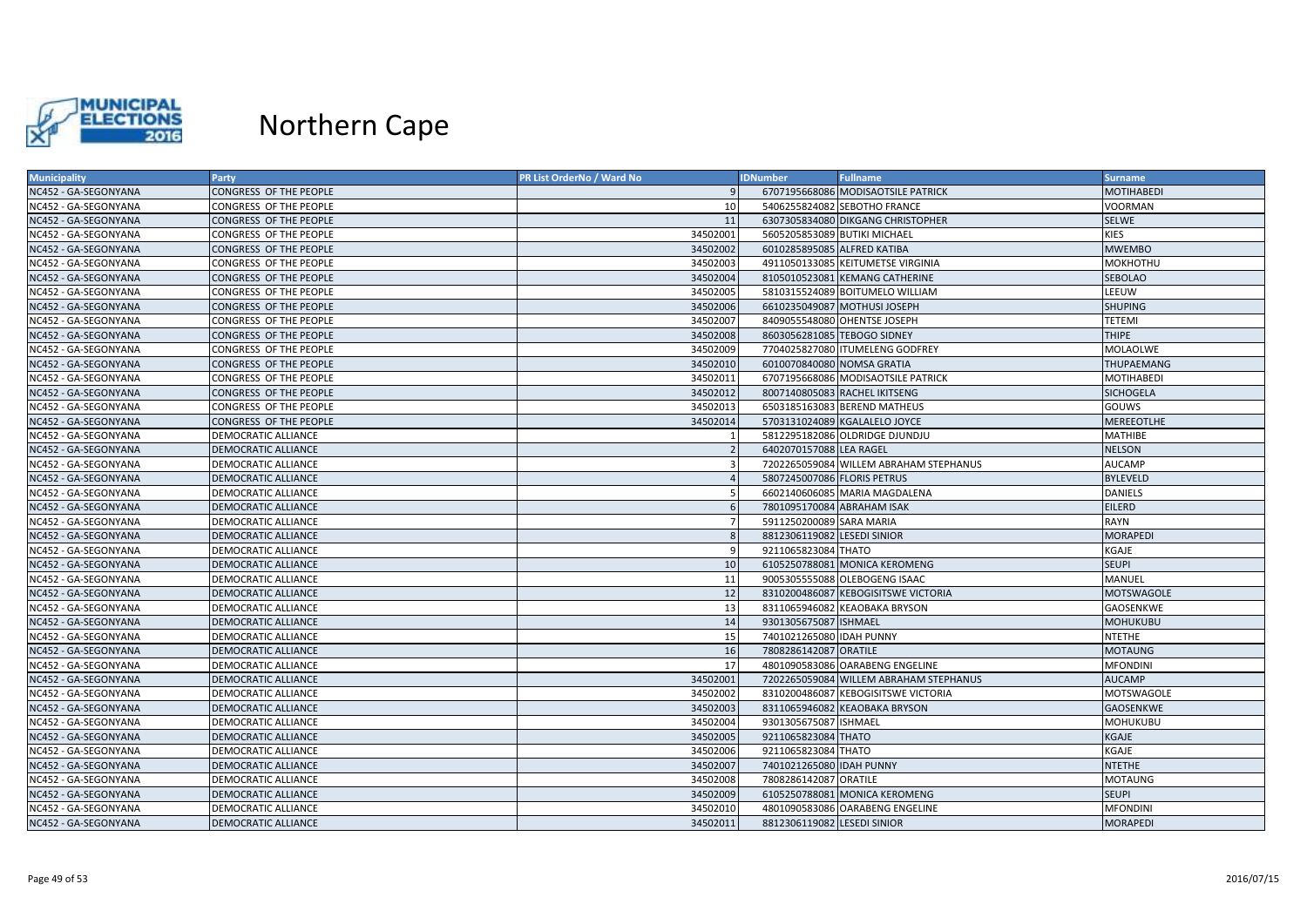

| <b>Municipality</b>  | Party                      | PR List OrderNo / Ward No | <b>IDNumber</b>              | <b>Fullname</b>                        | <b>Surname</b>    |
|----------------------|----------------------------|---------------------------|------------------------------|----------------------------------------|-------------------|
| NC452 - GA-SEGONYANA | CONGRESS OF THE PEOPLE     |                           |                              | 6707195668086 MODISAOTSILE PATRICK     | <b>MOTIHABEDI</b> |
| NC452 - GA-SEGONYANA | CONGRESS OF THE PEOPLE     | 10                        |                              | 5406255824082 SEBOTHO FRANCE           | VOORMAN           |
| NC452 - GA-SEGONYANA | CONGRESS OF THE PEOPLE     | 11                        |                              | 6307305834080 DIKGANG CHRISTOPHER      | <b>SELWE</b>      |
| NC452 - GA-SEGONYANA | CONGRESS OF THE PEOPLE     | 34502001                  | 5605205853089 BUTIKI MICHAEL |                                        | KIES              |
| NC452 - GA-SEGONYANA | CONGRESS OF THE PEOPLE     | 34502002                  | 6010285895085 ALFRED KATIBA  |                                        | <b>MWEMBO</b>     |
| NC452 - GA-SEGONYANA | CONGRESS OF THE PEOPLE     | 34502003                  |                              | 4911050133085 KEITUMETSE VIRGINIA      | <b>MOKHOTHU</b>   |
| NC452 - GA-SEGONYANA | CONGRESS OF THE PEOPLE     | 34502004                  |                              | 8105010523081 KEMANG CATHERINE         | SEBOLAO           |
| NC452 - GA-SEGONYANA | CONGRESS OF THE PEOPLE     | 34502005                  |                              | 5810315524089 BOITUMELO WILLIAM        | LEEUW             |
| NC452 - GA-SEGONYANA | CONGRESS OF THE PEOPLE     | 34502006                  |                              | 6610235049087 MOTHUSI JOSEPH           | <b>SHUPING</b>    |
| NC452 - GA-SEGONYANA | CONGRESS OF THE PEOPLE     | 34502007                  |                              | 8409055548080 OHENTSE JOSEPH           | TETEMI            |
| NC452 - GA-SEGONYANA | CONGRESS OF THE PEOPLE     | 34502008                  | 8603056281085 TEBOGO SIDNEY  |                                        | <b>THIPE</b>      |
| NC452 - GA-SEGONYANA | CONGRESS OF THE PEOPLE     | 34502009                  |                              | 7704025827080 ITUMELENG GODFREY        | MOLAOLWE          |
| NC452 - GA-SEGONYANA | CONGRESS OF THE PEOPLE     | 34502010                  | 6010070840080 NOMSA GRATIA   |                                        | <b>THUPAEMANG</b> |
| NC452 - GA-SEGONYANA | CONGRESS OF THE PEOPLE     | 34502011                  |                              | 6707195668086 MODISAOTSILE PATRICK     | <b>MOTIHABEDI</b> |
| NC452 - GA-SEGONYANA | CONGRESS OF THE PEOPLE     | 34502012                  |                              | 8007140805083 RACHEL IKITSENG          | <b>SICHOGELA</b>  |
| NC452 - GA-SEGONYANA | CONGRESS OF THE PEOPLE     | 34502013                  |                              | 6503185163083 BEREND MATHEUS           | GOUWS             |
| NC452 - GA-SEGONYANA | CONGRESS OF THE PEOPLE     | 34502014                  |                              | 5703131024089 KGALALELO JOYCE          | <b>MEREEOTLHE</b> |
| NC452 - GA-SEGONYANA | DEMOCRATIC ALLIANCE        |                           |                              | 5812295182086 OLDRIDGE DJUNDJU         | MATHIBE           |
| NC452 - GA-SEGONYANA | DEMOCRATIC ALLIANCE        |                           | 6402070157088 LEA RAGEL      |                                        | <b>NELSON</b>     |
| NC452 - GA-SEGONYANA | DEMOCRATIC ALLIANCE        | $\mathbf{a}$              |                              | 7202265059084 WILLEM ABRAHAM STEPHANUS | <b>AUCAMP</b>     |
| NC452 - GA-SEGONYANA | DEMOCRATIC ALLIANCE        |                           | 5807245007086 FLORIS PETRUS  |                                        | <b>BYLEVELD</b>   |
| NC452 - GA-SEGONYANA | DEMOCRATIC ALLIANCE        |                           |                              | 6602140606085 MARIA MAGDALENA          | DANIELS           |
| NC452 - GA-SEGONYANA | <b>DEMOCRATIC ALLIANCE</b> |                           | 7801095170084 ABRAHAM ISAK   |                                        | <b>EILERD</b>     |
| NC452 - GA-SEGONYANA | DEMOCRATIC ALLIANCE        |                           | 5911250200089 SARA MARIA     |                                        | RAYN              |
| NC452 - GA-SEGONYANA | <b>DEMOCRATIC ALLIANCE</b> | $\mathcal{R}$             | 8812306119082 LESEDI SINIOR  |                                        | <b>MORAPEDI</b>   |
| NC452 - GA-SEGONYANA | DEMOCRATIC ALLIANCE        | <b>q</b>                  | 9211065823084 THATO          |                                        | KGAJE             |
| NC452 - GA-SEGONYANA | DEMOCRATIC ALLIANCE        | 10                        |                              | 6105250788081 MONICA KEROMENG          | <b>SEUPI</b>      |
| NC452 - GA-SEGONYANA | DEMOCRATIC ALLIANCE        | 11                        |                              | 9005305555088 OLEBOGENG ISAAC          | MANUEL            |
| NC452 - GA-SEGONYANA | DEMOCRATIC ALLIANCE        | 12                        |                              | 8310200486087 KEBOGISITSWE VICTORIA    | <b>MOTSWAGOLE</b> |
| NC452 - GA-SEGONYANA | DEMOCRATIC ALLIANCE        | 13                        |                              | 8311065946082 KEAOBAKA BRYSON          | GAOSENKWE         |
| NC452 - GA-SEGONYANA | <b>DEMOCRATIC ALLIANCE</b> | 14                        | 9301305675087 ISHMAEL        |                                        | <b>MOHUKUBU</b>   |
| NC452 - GA-SEGONYANA | DEMOCRATIC ALLIANCE        | 15                        | 7401021265080 IDAH PUNNY     |                                        | <b>NTETHE</b>     |
| NC452 - GA-SEGONYANA | <b>DEMOCRATIC ALLIANCE</b> | 16                        | 7808286142087 ORATILE        |                                        | <b>MOTAUNG</b>    |
| NC452 - GA-SEGONYANA | DEMOCRATIC ALLIANCE        | 17                        |                              | 4801090583086 OARABENG ENGELINE        | <b>MFONDINI</b>   |
| NC452 - GA-SEGONYANA | DEMOCRATIC ALLIANCE        | 34502001                  |                              | 7202265059084 WILLEM ABRAHAM STEPHANUS | <b>AUCAMP</b>     |
| NC452 - GA-SEGONYANA | DEMOCRATIC ALLIANCE        | 34502002                  |                              | 8310200486087 KEBOGISITSWE VICTORIA    | MOTSWAGOLE        |
| NC452 - GA-SEGONYANA | <b>DEMOCRATIC ALLIANCE</b> | 34502003                  |                              | 8311065946082 KEAOBAKA BRYSON          | <b>GAOSENKWE</b>  |
| NC452 - GA-SEGONYANA | DEMOCRATIC ALLIANCE        | 34502004                  | 9301305675087 ISHMAEL        |                                        | <b>MOHUKUBU</b>   |
| NC452 - GA-SEGONYANA | <b>DEMOCRATIC ALLIANCE</b> | 34502005                  | 9211065823084 THATO          |                                        | KGAJE             |
| NC452 - GA-SEGONYANA | DEMOCRATIC ALLIANCE        | 34502006                  | 9211065823084 THATO          |                                        | KGAJE             |
| NC452 - GA-SEGONYANA | <b>DEMOCRATIC ALLIANCE</b> | 34502007                  | 7401021265080 IDAH PUNNY     |                                        | <b>NTETHE</b>     |
| NC452 - GA-SEGONYANA | DEMOCRATIC ALLIANCE        | 34502008                  | 7808286142087 ORATILE        |                                        | MOTAUNG           |
| NC452 - GA-SEGONYANA | <b>DEMOCRATIC ALLIANCE</b> | 34502009                  |                              | 6105250788081 MONICA KEROMENG          | <b>SEUPI</b>      |
| NC452 - GA-SEGONYANA | DEMOCRATIC ALLIANCE        | 34502010                  |                              | 4801090583086 OARABENG ENGELINE        | <b>MFONDINI</b>   |
| NC452 - GA-SEGONYANA | <b>DEMOCRATIC ALLIANCE</b> | 34502011                  | 8812306119082 LESEDI SINIOR  |                                        | <b>MORAPEDI</b>   |
|                      |                            |                           |                              |                                        |                   |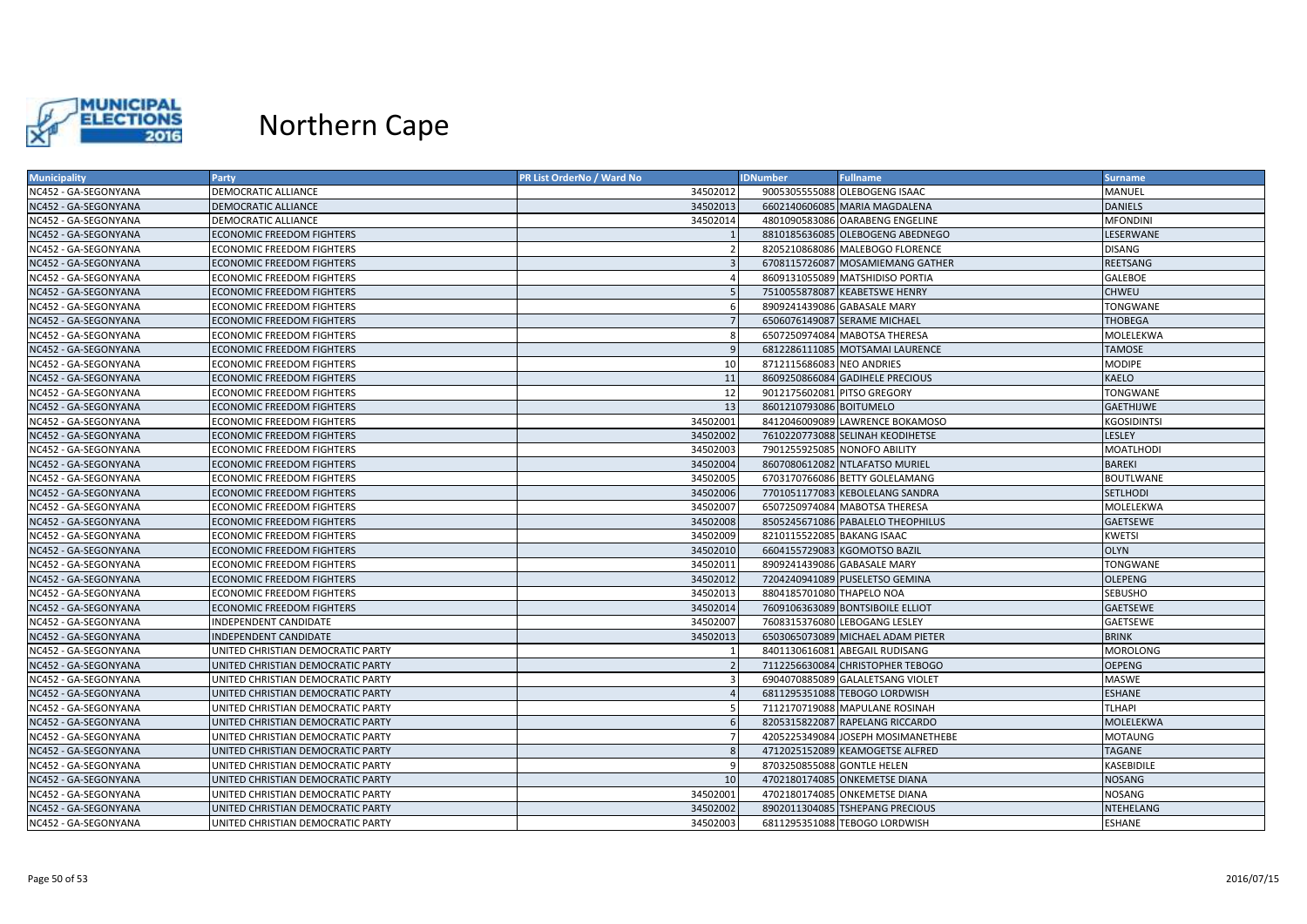

| <b>Municipality</b>  | Party                             | <b>PR List OrderNo / Ward No</b> | <b>IDNumber</b>              | <b>Fullname</b>                    | <b>Surname</b>   |
|----------------------|-----------------------------------|----------------------------------|------------------------------|------------------------------------|------------------|
| NC452 - GA-SEGONYANA | <b>DEMOCRATIC ALLIANCE</b>        | 34502012                         |                              | 9005305555088 OLEBOGENG ISAAC      | MANUEL           |
| NC452 - GA-SEGONYANA | <b>DEMOCRATIC ALLIANCE</b>        | 34502013                         |                              | 6602140606085 MARIA MAGDALENA      | <b>DANIELS</b>   |
| NC452 - GA-SEGONYANA | <b>DEMOCRATIC ALLIANCE</b>        | 34502014                         |                              | 4801090583086 OARABENG ENGELINE    | <b>MFONDINI</b>  |
| NC452 - GA-SEGONYANA | <b>ECONOMIC FREEDOM FIGHTERS</b>  |                                  |                              | 8810185636085 OLEBOGENG ABEDNEGO   | LESERWANE        |
| NC452 - GA-SEGONYANA | <b>ECONOMIC FREEDOM FIGHTERS</b>  |                                  |                              | 8205210868086 MALEBOGO FLORENCE    | <b>DISANG</b>    |
| NC452 - GA-SEGONYANA | <b>ECONOMIC FREEDOM FIGHTERS</b>  |                                  |                              | 6708115726087 MOSAMIEMANG GATHER   | REETSANG         |
| NC452 - GA-SEGONYANA | <b>ECONOMIC FREEDOM FIGHTERS</b>  |                                  |                              | 8609131055089 MATSHIDISO PORTIA    | GALEBOE          |
| NC452 - GA-SEGONYANA | <b>ECONOMIC FREEDOM FIGHTERS</b>  |                                  |                              | 7510055878087 KEABETSWE HENRY      | <b>CHWEU</b>     |
| NC452 - GA-SEGONYANA | <b>ECONOMIC FREEDOM FIGHTERS</b>  | $\epsilon$                       |                              | 8909241439086 GABASALE MARY        | TONGWANE         |
| NC452 - GA-SEGONYANA | <b>ECONOMIC FREEDOM FIGHTERS</b>  |                                  |                              | 6506076149087 SERAME MICHAEL       | THOBEGA          |
| NC452 - GA-SEGONYANA | <b>ECONOMIC FREEDOM FIGHTERS</b>  | Я                                |                              | 6507250974084 MABOTSA THERESA      | MOLELEKWA        |
| NC452 - GA-SEGONYANA | <b>ECONOMIC FREEDOM FIGHTERS</b>  | c                                |                              | 6812286111085 MOTSAMAI LAURENCE    | <b>TAMOSE</b>    |
| NC452 - GA-SEGONYANA | <b>ECONOMIC FREEDOM FIGHTERS</b>  | 10                               | 8712115686083 NEO ANDRIES    |                                    | <b>MODIPE</b>    |
| NC452 - GA-SEGONYANA | <b>ECONOMIC FREEDOM FIGHTERS</b>  | 11                               |                              | 8609250866084 GADIHELE PRECIOUS    | KAELO            |
| NC452 - GA-SEGONYANA | <b>ECONOMIC FREEDOM FIGHTERS</b>  | 12                               | 9012175602081 PITSO GREGORY  |                                    | TONGWANE         |
| NC452 - GA-SEGONYANA | <b>ECONOMIC FREEDOM FIGHTERS</b>  | 13                               | 8601210793086 BOITUMELO      |                                    | <b>GAETHIJWE</b> |
| NC452 - GA-SEGONYANA | <b>ECONOMIC FREEDOM FIGHTERS</b>  | 34502001                         |                              | 8412046009089 LAWRENCE BOKAMOSO    | KGOSIDINTSI      |
| NC452 - GA-SEGONYANA | <b>ECONOMIC FREEDOM FIGHTERS</b>  | 34502002                         |                              | 7610220773088 SELINAH KEODIHETSE   | LESLEY           |
| NC452 - GA-SEGONYANA | <b>ECONOMIC FREEDOM FIGHTERS</b>  | 34502003                         | 7901255925085 NONOFO ABILITY |                                    | MOATLHODI        |
| NC452 - GA-SEGONYANA | <b>ECONOMIC FREEDOM FIGHTERS</b>  | 34502004                         |                              | 8607080612082 NTLAFATSO MURIEL     | <b>BAREKI</b>    |
| NC452 - GA-SEGONYANA | <b>ECONOMIC FREEDOM FIGHTERS</b>  | 34502005                         |                              | 6703170766086 BETTY GOLELAMANG     | <b>BOUTLWANE</b> |
| NC452 - GA-SEGONYANA | <b>ECONOMIC FREEDOM FIGHTERS</b>  | 34502006                         |                              | 7701051177083 KEBOLELANG SANDRA    | <b>SETLHODI</b>  |
| NC452 - GA-SEGONYANA | <b>ECONOMIC FREEDOM FIGHTERS</b>  | 34502007                         |                              | 6507250974084 MABOTSA THERESA      | MOLELEKWA        |
| NC452 - GA-SEGONYANA | <b>ECONOMIC FREEDOM FIGHTERS</b>  | 34502008                         |                              | 8505245671086 PABALELO THEOPHILUS  | <b>GAETSEWE</b>  |
| NC452 - GA-SEGONYANA | <b>ECONOMIC FREEDOM FIGHTERS</b>  | 34502009                         | 8210115522085 BAKANG ISAAC   |                                    | KWETSI           |
| NC452 - GA-SEGONYANA | <b>ECONOMIC FREEDOM FIGHTERS</b>  | 34502010                         |                              | 6604155729083 KGOMOTSO BAZIL       | <b>OLYN</b>      |
| NC452 - GA-SEGONYANA | <b>ECONOMIC FREEDOM FIGHTERS</b>  | 34502011                         | 8909241439086 GABASALE MARY  |                                    | TONGWANE         |
| NC452 - GA-SEGONYANA | <b>ECONOMIC FREEDOM FIGHTERS</b>  | 34502012                         |                              | 7204240941089 PUSELETSO GEMINA     | <b>OLEPENG</b>   |
| NC452 - GA-SEGONYANA | <b>ECONOMIC FREEDOM FIGHTERS</b>  | 34502013                         | 8804185701080 THAPELO NOA    |                                    | <b>SEBUSHO</b>   |
| NC452 - GA-SEGONYANA | <b>ECONOMIC FREEDOM FIGHTERS</b>  | 34502014                         |                              | 7609106363089 BONTSIBOILE ELLIOT   | GAETSEWE         |
| NC452 - GA-SEGONYANA | INDEPENDENT CANDIDATE             | 34502007                         |                              | 7608315376080 LEBOGANG LESLEY      | GAETSEWE         |
| NC452 - GA-SEGONYANA | INDEPENDENT CANDIDATE             | 34502013                         |                              | 6503065073089 MICHAEL ADAM PIETER  | <b>BRINK</b>     |
| NC452 - GA-SEGONYANA | UNITED CHRISTIAN DEMOCRATIC PARTY |                                  |                              | 8401130616081 ABEGAIL RUDISANG     | MOROLONG         |
| NC452 - GA-SEGONYANA | UNITED CHRISTIAN DEMOCRATIC PARTY |                                  |                              | 7112256630084 CHRISTOPHER TEBOGO   | <b>OEPENG</b>    |
| NC452 - GA-SEGONYANA | UNITED CHRISTIAN DEMOCRATIC PARTY |                                  |                              | 6904070885089 GALALETSANG VIOLET   | MASWE            |
| NC452 - GA-SEGONYANA | UNITED CHRISTIAN DEMOCRATIC PARTY |                                  |                              | 6811295351088 TEBOGO LORDWISH      | <b>ESHANE</b>    |
| NC452 - GA-SEGONYANA | UNITED CHRISTIAN DEMOCRATIC PARTY |                                  |                              | 7112170719088 MAPULANE ROSINAH     | <b>TLHAPI</b>    |
| NC452 - GA-SEGONYANA | UNITED CHRISTIAN DEMOCRATIC PARTY |                                  |                              | 8205315822087 RAPELANG RICCARDO    | MOLELEKWA        |
| NC452 - GA-SEGONYANA | UNITED CHRISTIAN DEMOCRATIC PARTY |                                  |                              | 4205225349084 JOSEPH MOSIMANETHEBE | MOTAUNG          |
| NC452 - GA-SEGONYANA | UNITED CHRISTIAN DEMOCRATIC PARTY |                                  |                              | 4712025152089 KEAMOGETSE ALFRED    | TAGANE           |
| NC452 - GA-SEGONYANA | UNITED CHRISTIAN DEMOCRATIC PARTY |                                  | 8703250855088 GONTLE HELEN   |                                    | KASEBIDILE       |
| NC452 - GA-SEGONYANA | UNITED CHRISTIAN DEMOCRATIC PARTY | 10                               |                              | 4702180174085 ONKEMETSE DIANA      | NOSANG           |
| NC452 - GA-SEGONYANA | UNITED CHRISTIAN DEMOCRATIC PARTY | 34502001                         |                              | 4702180174085 ONKEMETSE DIANA      | NOSANG           |
| NC452 - GA-SEGONYANA | UNITED CHRISTIAN DEMOCRATIC PARTY | 34502002                         |                              | 8902011304085 TSHEPANG PRECIOUS    | NTEHELANG        |
| NC452 - GA-SEGONYANA | UNITED CHRISTIAN DEMOCRATIC PARTY | 34502003                         |                              | 6811295351088 TEBOGO LORDWISH      | <b>ESHANE</b>    |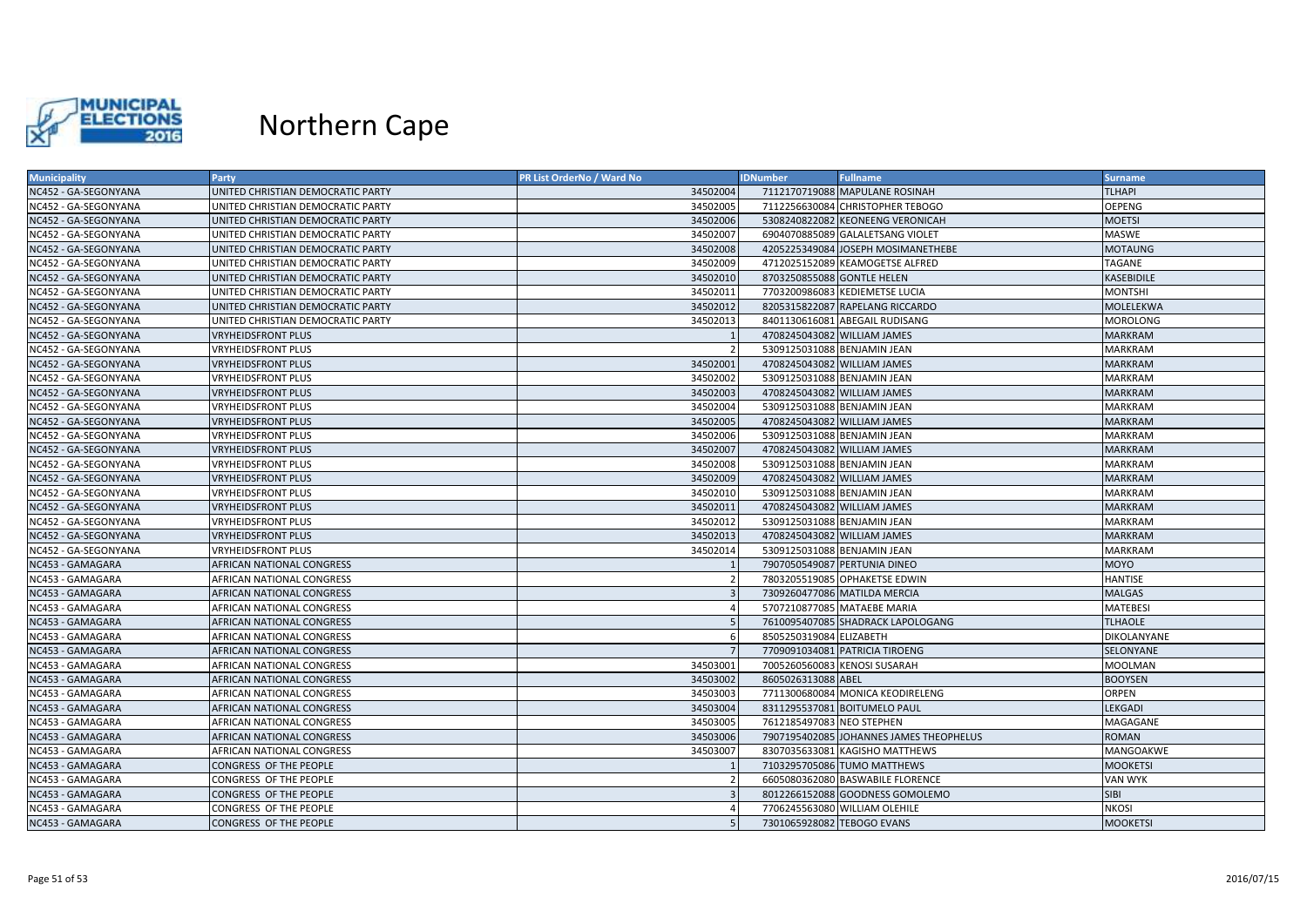

| NC452 - GA-SEGONYANA<br>34502004<br>7112170719088 MAPULANE ROSINAH<br><b>TLHAPI</b><br>UNITED CHRISTIAN DEMOCRATIC PARTY<br>34502005<br><b>OEPENG</b><br>NC452 - GA-SEGONYANA<br>UNITED CHRISTIAN DEMOCRATIC PARTY<br>7112256630084 CHRISTOPHER TEBOGO<br>NC452 - GA-SEGONYANA<br>34502006<br>5308240822082 KEONEENG VERONICAH<br><b>MOETSI</b><br>UNITED CHRISTIAN DEMOCRATIC PARTY<br>34502007<br>6904070885089 GALALETSANG VIOLET<br>NC452 - GA-SEGONYANA<br>UNITED CHRISTIAN DEMOCRATIC PARTY<br>MASWE<br>34502008<br>NC452 - GA-SEGONYANA<br>UNITED CHRISTIAN DEMOCRATIC PARTY<br>4205225349084 JOSEPH MOSIMANETHEBE<br><b>MOTAUNG</b><br>NC452 - GA-SEGONYANA<br>34502009<br>4712025152089 KEAMOGETSE ALFRED<br>TAGANE<br>UNITED CHRISTIAN DEMOCRATIC PARTY<br>34502010<br>8703250855088 GONTLE HELEN<br>KASEBIDILE<br>NC452 - GA-SEGONYANA<br>UNITED CHRISTIAN DEMOCRATIC PARTY<br>34502011<br>7703200986083 KEDIEMETSE LUCIA<br><b>MONTSHI</b><br>NC452 - GA-SEGONYANA<br>UNITED CHRISTIAN DEMOCRATIC PARTY<br>NC452 - GA-SEGONYANA<br>UNITED CHRISTIAN DEMOCRATIC PARTY<br>34502012<br>8205315822087 RAPELANG RICCARDO<br>MOLELEKWA |
|----------------------------------------------------------------------------------------------------------------------------------------------------------------------------------------------------------------------------------------------------------------------------------------------------------------------------------------------------------------------------------------------------------------------------------------------------------------------------------------------------------------------------------------------------------------------------------------------------------------------------------------------------------------------------------------------------------------------------------------------------------------------------------------------------------------------------------------------------------------------------------------------------------------------------------------------------------------------------------------------------------------------------------------------------------------------------------------------------------------------------------------------|
|                                                                                                                                                                                                                                                                                                                                                                                                                                                                                                                                                                                                                                                                                                                                                                                                                                                                                                                                                                                                                                                                                                                                              |
|                                                                                                                                                                                                                                                                                                                                                                                                                                                                                                                                                                                                                                                                                                                                                                                                                                                                                                                                                                                                                                                                                                                                              |
|                                                                                                                                                                                                                                                                                                                                                                                                                                                                                                                                                                                                                                                                                                                                                                                                                                                                                                                                                                                                                                                                                                                                              |
|                                                                                                                                                                                                                                                                                                                                                                                                                                                                                                                                                                                                                                                                                                                                                                                                                                                                                                                                                                                                                                                                                                                                              |
|                                                                                                                                                                                                                                                                                                                                                                                                                                                                                                                                                                                                                                                                                                                                                                                                                                                                                                                                                                                                                                                                                                                                              |
|                                                                                                                                                                                                                                                                                                                                                                                                                                                                                                                                                                                                                                                                                                                                                                                                                                                                                                                                                                                                                                                                                                                                              |
|                                                                                                                                                                                                                                                                                                                                                                                                                                                                                                                                                                                                                                                                                                                                                                                                                                                                                                                                                                                                                                                                                                                                              |
|                                                                                                                                                                                                                                                                                                                                                                                                                                                                                                                                                                                                                                                                                                                                                                                                                                                                                                                                                                                                                                                                                                                                              |
|                                                                                                                                                                                                                                                                                                                                                                                                                                                                                                                                                                                                                                                                                                                                                                                                                                                                                                                                                                                                                                                                                                                                              |
| 34502013<br>NC452 - GA-SEGONYANA<br>UNITED CHRISTIAN DEMOCRATIC PARTY<br>8401130616081 ABEGAIL RUDISANG<br><b>MOROLONG</b>                                                                                                                                                                                                                                                                                                                                                                                                                                                                                                                                                                                                                                                                                                                                                                                                                                                                                                                                                                                                                   |
| NC452 - GA-SEGONYANA<br><b>VRYHEIDSFRONT PLUS</b><br>4708245043082 WILLIAM JAMES<br><b>MARKRAM</b>                                                                                                                                                                                                                                                                                                                                                                                                                                                                                                                                                                                                                                                                                                                                                                                                                                                                                                                                                                                                                                           |
| 5309125031088 BENJAMIN JEAN<br><b>VRYHEIDSFRONT PLUS</b><br><b>MARKRAM</b><br>NC452 - GA-SEGONYANA                                                                                                                                                                                                                                                                                                                                                                                                                                                                                                                                                                                                                                                                                                                                                                                                                                                                                                                                                                                                                                           |
| 34502001<br>NC452 - GA-SEGONYANA<br><b>VRYHEIDSFRONT PLUS</b><br>4708245043082 WILLIAM JAMES<br><b>MARKRAM</b>                                                                                                                                                                                                                                                                                                                                                                                                                                                                                                                                                                                                                                                                                                                                                                                                                                                                                                                                                                                                                               |
| NC452 - GA-SEGONYANA<br>5309125031088 BENJAMIN JEAN<br>VRYHEIDSFRONT PLUS<br>34502002<br><b>MARKRAM</b>                                                                                                                                                                                                                                                                                                                                                                                                                                                                                                                                                                                                                                                                                                                                                                                                                                                                                                                                                                                                                                      |
| 34502003<br>NC452 - GA-SEGONYANA<br><b>VRYHEIDSFRONT PLUS</b><br>4708245043082 WILLIAM JAMES<br><b>MARKRAM</b>                                                                                                                                                                                                                                                                                                                                                                                                                                                                                                                                                                                                                                                                                                                                                                                                                                                                                                                                                                                                                               |
| NC452 - GA-SEGONYANA<br>34502004<br>5309125031088 BENJAMIN JEAN<br><b>MARKRAM</b><br>VRYHEIDSFRONT PLUS                                                                                                                                                                                                                                                                                                                                                                                                                                                                                                                                                                                                                                                                                                                                                                                                                                                                                                                                                                                                                                      |
| NC452 - GA-SEGONYANA<br><b>VRYHEIDSFRONT PLUS</b><br>34502005<br>4708245043082 WILLIAM JAMES<br><b>MARKRAM</b>                                                                                                                                                                                                                                                                                                                                                                                                                                                                                                                                                                                                                                                                                                                                                                                                                                                                                                                                                                                                                               |
| 34502006<br>5309125031088 BENJAMIN JEAN<br>MARKRAM<br>NC452 - GA-SEGONYANA<br>VRYHEIDSFRONT PLUS                                                                                                                                                                                                                                                                                                                                                                                                                                                                                                                                                                                                                                                                                                                                                                                                                                                                                                                                                                                                                                             |
| NC452 - GA-SEGONYANA<br>34502007<br><b>VRYHEIDSFRONT PLUS</b><br>4708245043082 WILLIAM JAMES<br><b>MARKRAM</b>                                                                                                                                                                                                                                                                                                                                                                                                                                                                                                                                                                                                                                                                                                                                                                                                                                                                                                                                                                                                                               |
| 34502008<br>5309125031088 BENJAMIN JEAN<br>NC452 - GA-SEGONYANA<br><b>VRYHEIDSFRONT PLUS</b><br><b>MARKRAM</b>                                                                                                                                                                                                                                                                                                                                                                                                                                                                                                                                                                                                                                                                                                                                                                                                                                                                                                                                                                                                                               |
| 34502009<br>NC452 - GA-SEGONYANA<br><b>VRYHEIDSFRONT PLUS</b><br>4708245043082 WILLIAM JAMES<br><b>MARKRAM</b>                                                                                                                                                                                                                                                                                                                                                                                                                                                                                                                                                                                                                                                                                                                                                                                                                                                                                                                                                                                                                               |
| NC452 - GA-SEGONYANA<br>34502010<br>5309125031088 BENJAMIN JEAN<br>VRYHEIDSFRONT PLUS<br><b>MARKRAM</b>                                                                                                                                                                                                                                                                                                                                                                                                                                                                                                                                                                                                                                                                                                                                                                                                                                                                                                                                                                                                                                      |
| 34502011<br>4708245043082 WILLIAM JAMES<br><b>VRYHEIDSFRONT PLUS</b><br><b>MARKRAM</b><br>NC452 - GA-SEGONYANA                                                                                                                                                                                                                                                                                                                                                                                                                                                                                                                                                                                                                                                                                                                                                                                                                                                                                                                                                                                                                               |
| 34502012<br><b>VRYHEIDSFRONT PLUS</b><br>5309125031088 BENJAMIN JEAN<br><b>MARKRAM</b><br>NC452 - GA-SEGONYANA                                                                                                                                                                                                                                                                                                                                                                                                                                                                                                                                                                                                                                                                                                                                                                                                                                                                                                                                                                                                                               |
| NC452 - GA-SEGONYANA<br><b>VRYHEIDSFRONT PLUS</b><br>34502013<br>4708245043082 WILLIAM JAMES<br><b>MARKRAM</b>                                                                                                                                                                                                                                                                                                                                                                                                                                                                                                                                                                                                                                                                                                                                                                                                                                                                                                                                                                                                                               |
| 34502014<br>NC452 - GA-SEGONYANA<br><b>VRYHEIDSFRONT PLUS</b><br>5309125031088 BENJAMIN JEAN<br><b>MARKRAM</b>                                                                                                                                                                                                                                                                                                                                                                                                                                                                                                                                                                                                                                                                                                                                                                                                                                                                                                                                                                                                                               |
| NC453 - GAMAGARA<br>AFRICAN NATIONAL CONGRESS<br>7907050549087 PERTUNIA DINEO<br><b>MOYO</b>                                                                                                                                                                                                                                                                                                                                                                                                                                                                                                                                                                                                                                                                                                                                                                                                                                                                                                                                                                                                                                                 |
| NC453 - GAMAGARA<br>AFRICAN NATIONAL CONGRESS<br>7803205519085 OPHAKETSE EDWIN<br><b>HANTISE</b>                                                                                                                                                                                                                                                                                                                                                                                                                                                                                                                                                                                                                                                                                                                                                                                                                                                                                                                                                                                                                                             |
| NC453 - GAMAGARA<br>7309260477086 MATILDA MERCIA<br><b>MALGAS</b><br><b>AFRICAN NATIONAL CONGRESS</b>                                                                                                                                                                                                                                                                                                                                                                                                                                                                                                                                                                                                                                                                                                                                                                                                                                                                                                                                                                                                                                        |
| NC453 - GAMAGARA<br><b>MATEBESI</b><br>AFRICAN NATIONAL CONGRESS<br>5707210877085 MATAEBE MARIA                                                                                                                                                                                                                                                                                                                                                                                                                                                                                                                                                                                                                                                                                                                                                                                                                                                                                                                                                                                                                                              |
| 7610095407085 SHADRACK LAPOLOGANG<br><b>TLHAOLE</b><br>NC453 - GAMAGARA<br>AFRICAN NATIONAL CONGRESS                                                                                                                                                                                                                                                                                                                                                                                                                                                                                                                                                                                                                                                                                                                                                                                                                                                                                                                                                                                                                                         |
| 8505250319084 ELIZABETH<br>NC453 - GAMAGARA<br>AFRICAN NATIONAL CONGRESS<br>DIKOLANYANE                                                                                                                                                                                                                                                                                                                                                                                                                                                                                                                                                                                                                                                                                                                                                                                                                                                                                                                                                                                                                                                      |
| NC453 - GAMAGARA<br>7709091034081 PATRICIA TIROENG<br>SELONYANE<br>AFRICAN NATIONAL CONGRESS                                                                                                                                                                                                                                                                                                                                                                                                                                                                                                                                                                                                                                                                                                                                                                                                                                                                                                                                                                                                                                                 |
| 34503001<br>NC453 - GAMAGARA<br>AFRICAN NATIONAL CONGRESS<br>7005260560083 KENOSI SUSARAH<br>MOOLMAN                                                                                                                                                                                                                                                                                                                                                                                                                                                                                                                                                                                                                                                                                                                                                                                                                                                                                                                                                                                                                                         |
| NC453 - GAMAGARA<br>34503002<br>8605026313088 ABEL<br><b>BOOYSEN</b><br><b>AFRICAN NATIONAL CONGRESS</b>                                                                                                                                                                                                                                                                                                                                                                                                                                                                                                                                                                                                                                                                                                                                                                                                                                                                                                                                                                                                                                     |
| 34503003<br>7711300680084 MONICA KEODIRELENG<br>NC453 - GAMAGARA<br>AFRICAN NATIONAL CONGRESS<br>ORPEN                                                                                                                                                                                                                                                                                                                                                                                                                                                                                                                                                                                                                                                                                                                                                                                                                                                                                                                                                                                                                                       |
| <b>LEKGADI</b><br>NC453 - GAMAGARA<br>34503004<br>8311295537081 BOITUMELO PAUL<br>AFRICAN NATIONAL CONGRESS                                                                                                                                                                                                                                                                                                                                                                                                                                                                                                                                                                                                                                                                                                                                                                                                                                                                                                                                                                                                                                  |
| NC453 - GAMAGARA<br>34503005<br>7612185497083 NEO STEPHEN<br>MAGAGANE<br>AFRICAN NATIONAL CONGRESS                                                                                                                                                                                                                                                                                                                                                                                                                                                                                                                                                                                                                                                                                                                                                                                                                                                                                                                                                                                                                                           |
| 34503006<br>7907195402085 JOHANNES JAMES THEOPHELUS<br>ROMAN<br>NC453 - GAMAGARA<br>AFRICAN NATIONAL CONGRESS                                                                                                                                                                                                                                                                                                                                                                                                                                                                                                                                                                                                                                                                                                                                                                                                                                                                                                                                                                                                                                |
| 34503007<br>8307035633081 KAGISHO MATTHEWS<br>NC453 - GAMAGARA<br>AFRICAN NATIONAL CONGRESS<br>MANGOAKWE                                                                                                                                                                                                                                                                                                                                                                                                                                                                                                                                                                                                                                                                                                                                                                                                                                                                                                                                                                                                                                     |
| NC453 - GAMAGARA<br>CONGRESS OF THE PEOPLE<br>7103295705086 TUMO MATTHEWS<br><b>MOOKETSI</b>                                                                                                                                                                                                                                                                                                                                                                                                                                                                                                                                                                                                                                                                                                                                                                                                                                                                                                                                                                                                                                                 |
| NC453 - GAMAGARA<br>CONGRESS OF THE PEOPLE<br>6605080362080 BASWABILE FLORENCE<br>VAN WYK                                                                                                                                                                                                                                                                                                                                                                                                                                                                                                                                                                                                                                                                                                                                                                                                                                                                                                                                                                                                                                                    |
| NC453 - GAMAGARA<br>8012266152088 GOODNESS GOMOLEMO<br><b>SIBI</b><br>CONGRESS OF THE PEOPLE                                                                                                                                                                                                                                                                                                                                                                                                                                                                                                                                                                                                                                                                                                                                                                                                                                                                                                                                                                                                                                                 |
| 7706245563080 WILLIAM OLEHILE<br><b>NKOSI</b><br>NC453 - GAMAGARA<br>CONGRESS OF THE PEOPLE                                                                                                                                                                                                                                                                                                                                                                                                                                                                                                                                                                                                                                                                                                                                                                                                                                                                                                                                                                                                                                                  |
| NC453 - GAMAGARA<br>CONGRESS OF THE PEOPLE<br>7301065928082 TEBOGO EVANS<br><b>MOOKETSI</b>                                                                                                                                                                                                                                                                                                                                                                                                                                                                                                                                                                                                                                                                                                                                                                                                                                                                                                                                                                                                                                                  |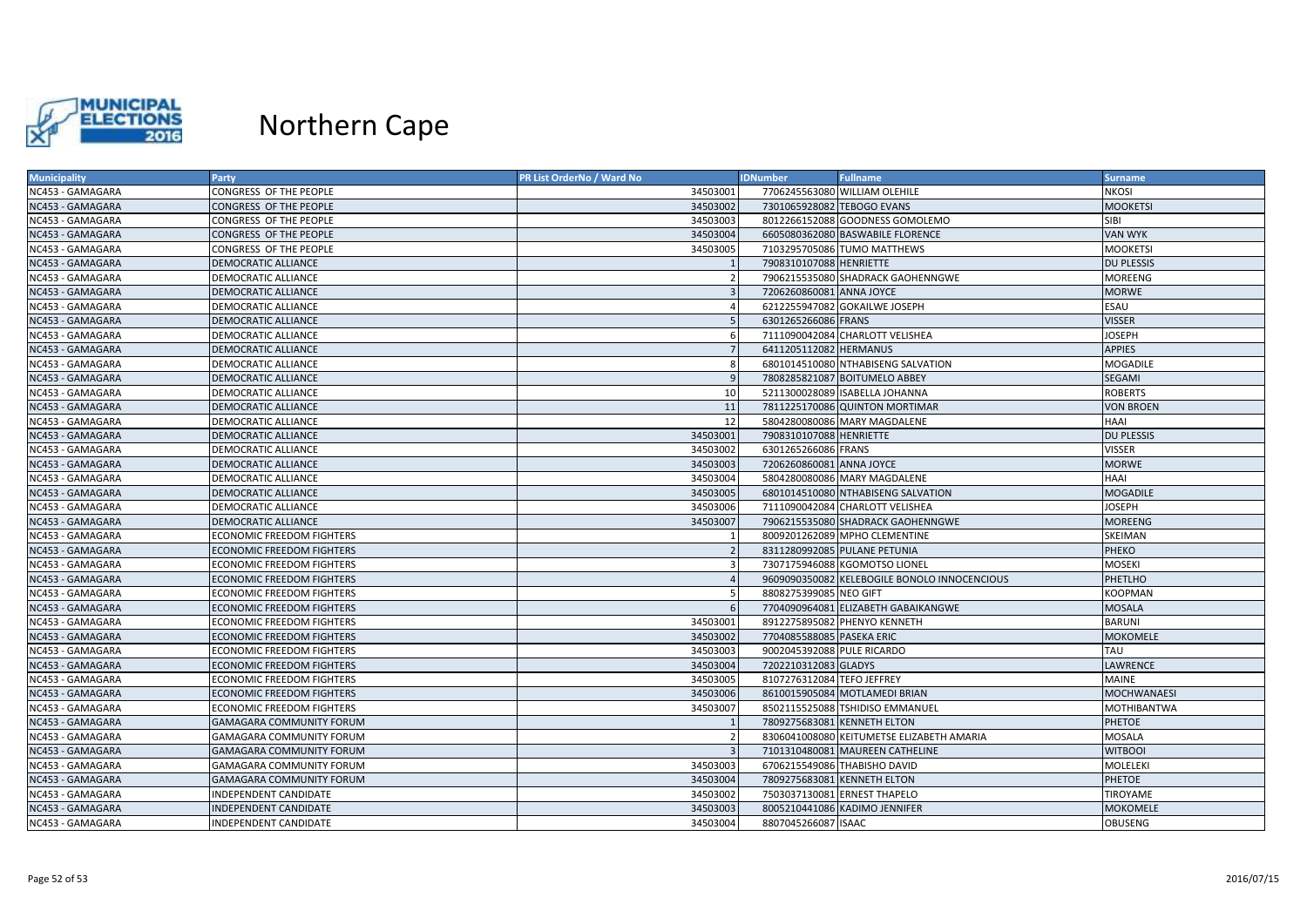

| <b>Municipality</b> | Party                            | PR List OrderNo / Ward No | <b>IDNumber</b>              | <b>Fullname</b>                              | <b>Surname</b>     |
|---------------------|----------------------------------|---------------------------|------------------------------|----------------------------------------------|--------------------|
| NC453 - GAMAGARA    | CONGRESS OF THE PEOPLE           | 34503001                  |                              | 7706245563080 WILLIAM OLEHILE                | <b>NKOSI</b>       |
| NC453 - GAMAGARA    | CONGRESS OF THE PEOPLE           | 34503002                  | 7301065928082 TEBOGO EVANS   |                                              | <b>MOOKETSI</b>    |
| NC453 - GAMAGARA    | CONGRESS OF THE PEOPLE           | 34503003                  |                              | 8012266152088 GOODNESS GOMOLEMO              | <b>SIBI</b>        |
| NC453 - GAMAGARA    | CONGRESS OF THE PEOPLE           | 34503004                  |                              | 6605080362080 BASWABILE FLORENCE             | <b>VAN WYK</b>     |
| NC453 - GAMAGARA    | CONGRESS OF THE PEOPLE           | 34503005                  |                              | 7103295705086 TUMO MATTHEWS                  | <b>MOOKETSI</b>    |
| NC453 - GAMAGARA    | DEMOCRATIC ALLIANCE              |                           | 7908310107088 HENRIETTE      |                                              | <b>DU PLESSIS</b>  |
| NC453 - GAMAGARA    | DEMOCRATIC ALLIANCE              |                           |                              | 7906215535080 SHADRACK GAOHENNGWE            | <b>MOREENG</b>     |
| NC453 - GAMAGARA    | <b>DEMOCRATIC ALLIANCE</b>       |                           | 7206260860081 ANNA JOYCE     |                                              | <b>MORWE</b>       |
| NC453 - GAMAGARA    | DEMOCRATIC ALLIANCE              |                           |                              | 6212255947082 GOKAILWE JOSEPH                | ESAU               |
| NC453 - GAMAGARA    | <b>DEMOCRATIC ALLIANCE</b>       |                           | 6301265266086 FRANS          |                                              | <b>VISSER</b>      |
| NC453 - GAMAGARA    | DEMOCRATIC ALLIANCE              |                           |                              | 7111090042084 CHARLOTT VELISHEA              | <b>JOSEPH</b>      |
| NC453 - GAMAGARA    | <b>DEMOCRATIC ALLIANCE</b>       | -7                        | 6411205112082 HERMANUS       |                                              | <b>APPIES</b>      |
| NC453 - GAMAGARA    | <b>DEMOCRATIC ALLIANCE</b>       | 8                         |                              | 6801014510080 NTHABISENG SALVATION           | <b>MOGADILE</b>    |
| NC453 - GAMAGARA    | DEMOCRATIC ALLIANCE              |                           |                              | 7808285821087 BOITUMELO ABBEY                | SEGAMI             |
| NC453 - GAMAGARA    | DEMOCRATIC ALLIANCE              | 10                        |                              | 5211300028089 ISABELLA JOHANNA               | ROBERTS            |
| NC453 - GAMAGARA    | <b>DEMOCRATIC ALLIANCE</b>       | 11                        |                              | 7811225170086 QUINTON MORTIMAR               | <b>VON BROEN</b>   |
| NC453 - GAMAGARA    | DEMOCRATIC ALLIANCE              | 12                        |                              | 5804280080086 MARY MAGDALENE                 | HAAI               |
| NC453 - GAMAGARA    | <b>DEMOCRATIC ALLIANCE</b>       | 34503001                  | 7908310107088 HENRIETTE      |                                              | DU PLESSIS         |
| NC453 - GAMAGARA    | DEMOCRATIC ALLIANCE              | 34503002                  | 6301265266086 FRANS          |                                              | <b>VISSER</b>      |
| NC453 - GAMAGARA    | DEMOCRATIC ALLIANCE              | 34503003                  | 7206260860081 ANNA JOYCE     |                                              | <b>MORWE</b>       |
| NC453 - GAMAGARA    | DEMOCRATIC ALLIANCE              | 34503004                  |                              | 5804280080086 MARY MAGDALENE                 | HAAI               |
| NC453 - GAMAGARA    | DEMOCRATIC ALLIANCE              | 34503005                  |                              | 6801014510080 NTHABISENG SALVATION           | <b>MOGADILE</b>    |
| NC453 - GAMAGARA    | DEMOCRATIC ALLIANCE              | 34503006                  |                              | 7111090042084 CHARLOTT VELISHEA              | <b>JOSEPH</b>      |
| NC453 - GAMAGARA    | <b>DEMOCRATIC ALLIANCE</b>       | 34503007                  |                              | 7906215535080 SHADRACK GAOHENNGWE            | <b>MOREENG</b>     |
| NC453 - GAMAGARA    | ECONOMIC FREEDOM FIGHTERS        |                           |                              | 8009201262089 MPHO CLEMENTINE                | SKEIMAN            |
| NC453 - GAMAGARA    | <b>ECONOMIC FREEDOM FIGHTERS</b> |                           |                              | 8311280992085 PULANE PETUNIA                 | PHEKO              |
| NC453 - GAMAGARA    | ECONOMIC FREEDOM FIGHTERS        | $\mathbf{a}$              |                              | 7307175946088 KGOMOTSO LIONEL                | <b>MOSEKI</b>      |
| NC453 - GAMAGARA    | ECONOMIC FREEDOM FIGHTERS        |                           |                              | 9609090350082 KELEBOGILE BONOLO INNOCENCIOUS | PHETLHO            |
| NC453 - GAMAGARA    | <b>ECONOMIC FREEDOM FIGHTERS</b> |                           | 8808275399085 NEO GIFT       |                                              | <b>KOOPMAN</b>     |
| NC453 - GAMAGARA    | ECONOMIC FREEDOM FIGHTERS        |                           |                              | 7704090964081 ELIZABETH GABAIKANGWE          | <b>MOSALA</b>      |
| NC453 - GAMAGARA    | ECONOMIC FREEDOM FIGHTERS        | 34503001                  |                              | 8912275895082 PHENYO KENNETH                 | <b>BARUNI</b>      |
| NC453 - GAMAGARA    | <b>ECONOMIC FREEDOM FIGHTERS</b> | 34503002                  | 7704085588085 PASEKA ERIC    |                                              | <b>MOKOMELE</b>    |
| NC453 - GAMAGARA    | ECONOMIC FREEDOM FIGHTERS        | 34503003                  | 9002045392088 PULE RICARDO   |                                              | TAU                |
| NC453 - GAMAGARA    | <b>ECONOMIC FREEDOM FIGHTERS</b> | 34503004                  | 7202210312083 GLADYS         |                                              | LAWRENCE           |
| NC453 - GAMAGARA    | ECONOMIC FREEDOM FIGHTERS        | 34503005                  | 8107276312084 TEFO JEFFREY   |                                              | <b>MAINE</b>       |
| NC453 - GAMAGARA    | <b>ECONOMIC FREEDOM FIGHTERS</b> | 34503006                  |                              | 8610015905084 MOTLAMEDI BRIAN                | <b>MOCHWANAESI</b> |
| NC453 - GAMAGARA    | <b>ECONOMIC FREEDOM FIGHTERS</b> | 34503007                  |                              | 8502115525088 TSHIDISO EMMANUEL              | <b>MOTHIBANTWA</b> |
| NC453 - GAMAGARA    | GAMAGARA COMMUNITY FORUM         |                           |                              | 7809275683081 KENNETH ELTON                  | <b>PHETOE</b>      |
| NC453 - GAMAGARA    | GAMAGARA COMMUNITY FORUM         | $\overline{\phantom{a}}$  |                              | 8306041008080 KEITUMETSE ELIZABETH AMARIA    | MOSALA             |
| NC453 - GAMAGARA    | <b>GAMAGARA COMMUNITY FORUM</b>  |                           |                              | 7101310480081 MAUREEN CATHELINE              | <b>WITBOOI</b>     |
| NC453 - GAMAGARA    | GAMAGARA COMMUNITY FORUM         | 34503003                  | 6706215549086 THABISHO DAVID |                                              | MOLELEKI           |
| NC453 - GAMAGARA    | GAMAGARA COMMUNITY FORUM         | 34503004                  | 7809275683081 KENNETH ELTON  |                                              | PHETOE             |
| NC453 - GAMAGARA    | <b>INDEPENDENT CANDIDATE</b>     | 34503002                  |                              | 7503037130081 ERNEST THAPELO                 | TIROYAME           |
| NC453 - GAMAGARA    | <b>INDEPENDENT CANDIDATE</b>     | 34503003                  |                              | 8005210441086 KADIMO JENNIFER                | <b>MOKOMELE</b>    |
| NC453 - GAMAGARA    | <b>INDEPENDENT CANDIDATE</b>     | 34503004                  | 8807045266087 ISAAC          |                                              | OBUSENG            |
|                     |                                  |                           |                              |                                              |                    |